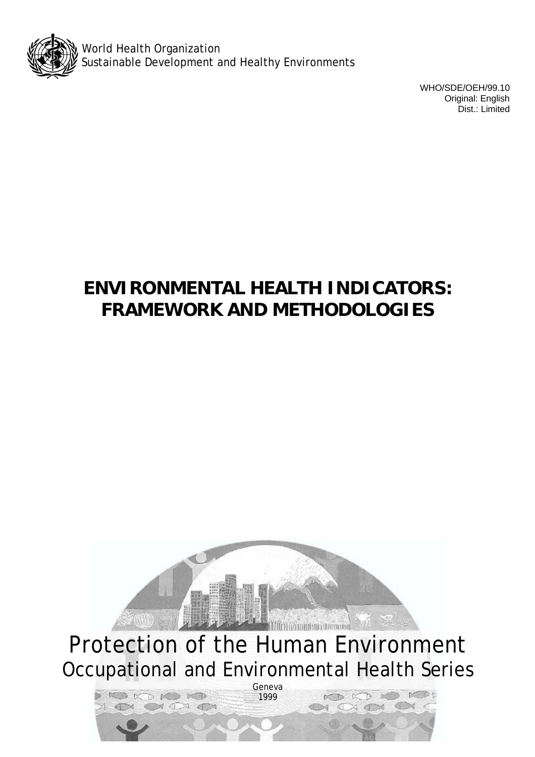

WHO/SDE/OEH/99.10 Original: English Dist.: Limited

# **ENVIRONMENTAL HEALTH INDICATORS: FRAMEWORK AND METHODOLOGIES**

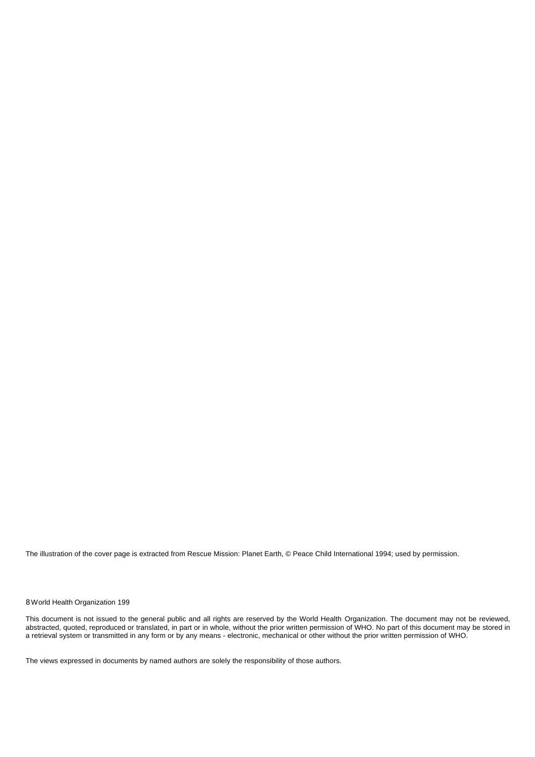The illustration of the cover page is extracted from Rescue Mission: Planet Earth, © Peace Child International 1994; used by permission.

#### 8 World Health Organization 199

This document is not issued to the general public and all rights are reserved by the World Health Organization. The document may not be reviewed, abstracted, quoted, reproduced or translated, in part or in whole, without the prior written permission of WHO. No part of this document may be stored in a retrieval system or transmitted in any form or by any means - electronic, mechanical or other without the prior written permission of WHO.

The views expressed in documents by named authors are solely the responsibility of those authors.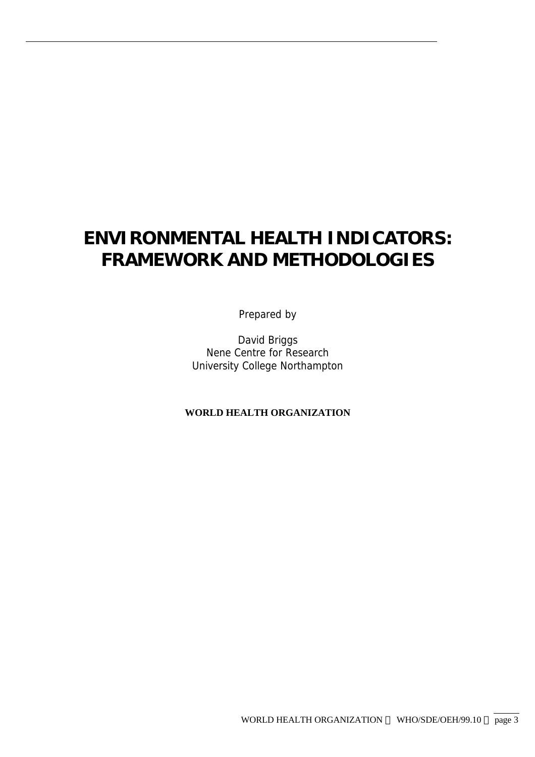# **ENVIRONMENTAL HEALTH INDICATORS: FRAMEWORK AND METHODOLOGIES**

l

Prepared by

David Briggs Nene Centre for Research University College Northampton

## **WORLD HEALTH ORGANIZATION**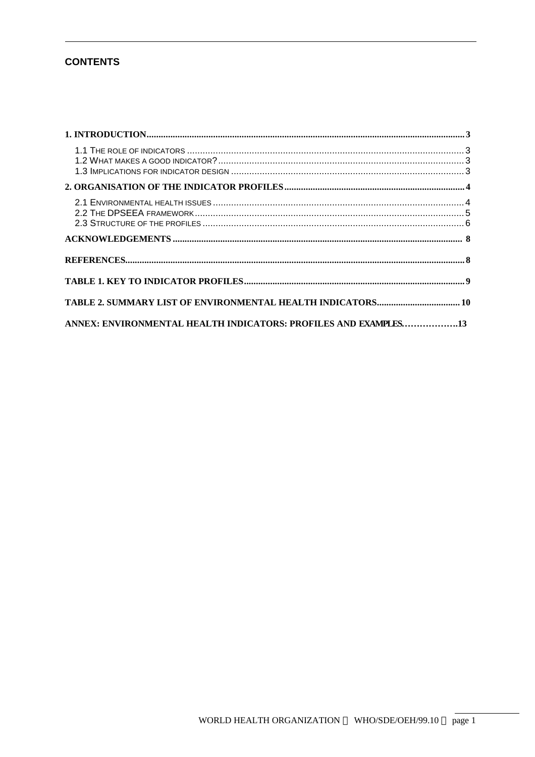## **CONTENTS**

| ANNEX: ENVIRONMENTAL HEALTH INDICATORS: PROFILES AND EXAMPLES13 |  |
|-----------------------------------------------------------------|--|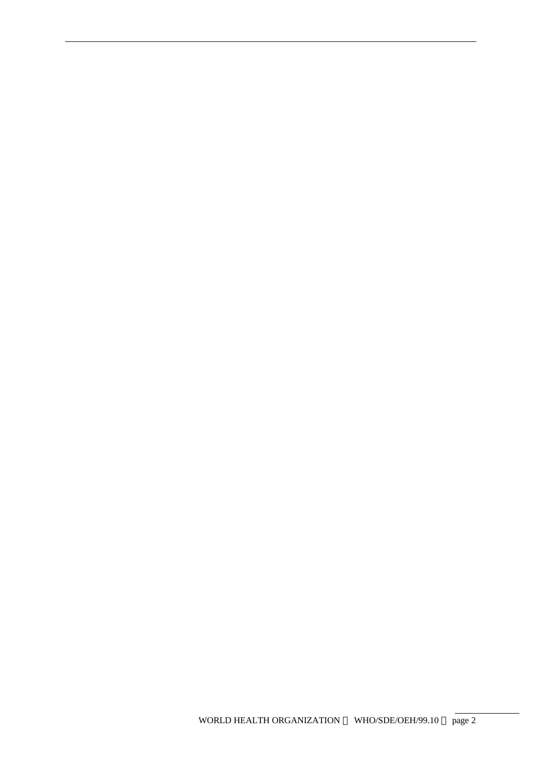$\overline{a}$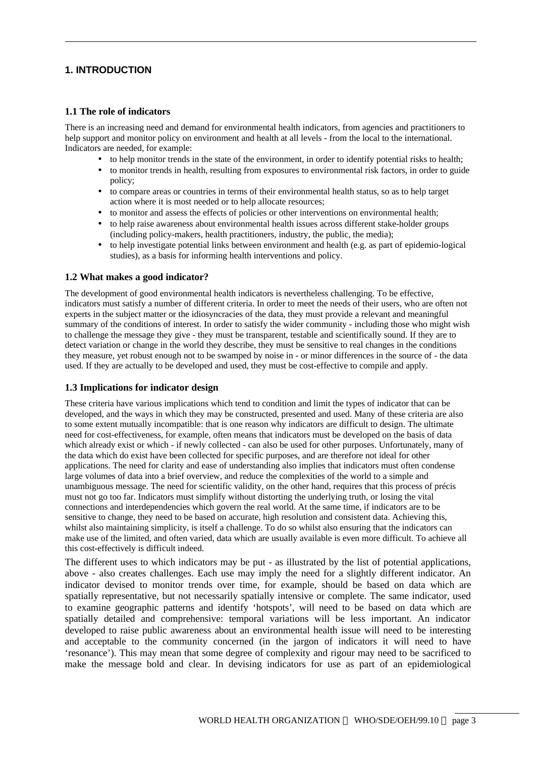## **1. INTRODUCTION**

 $\overline{a}$ 

#### **1.1 The role of indicators**

There is an increasing need and demand for environmental health indicators, from agencies and practitioners to help support and monitor policy on environment and health at all levels - from the local to the international. Indicators are needed, for example:

- to help monitor trends in the state of the environment, in order to identify potential risks to health;
- to monitor trends in health, resulting from exposures to environmental risk factors, in order to guide policy;
- to compare areas or countries in terms of their environmental health status, so as to help target action where it is most needed or to help allocate resources;
- to monitor and assess the effects of policies or other interventions on environmental health;
- to help raise awareness about environmental health issues across different stake-holder groups (including policy-makers, health practitioners, industry, the public, the media);
- to help investigate potential links between environment and health (e.g. as part of epidemio-logical studies), as a basis for informing health interventions and policy.

#### **1.2 What makes a good indicator?**

The development of good environmental health indicators is nevertheless challenging. To be effective, indicators must satisfy a number of different criteria. In order to meet the needs of their users, who are often not experts in the subject matter or the idiosyncracies of the data, they must provide a relevant and meaningful summary of the conditions of interest. In order to satisfy the wider community - including those who might wish to challenge the message they give - they must be transparent, testable and scientifically sound. If they are to detect variation or change in the world they describe, they must be sensitive to real changes in the conditions they measure, yet robust enough not to be swamped by noise in - or minor differences in the source of - the data used. If they are actually to be developed and used, they must be cost-effective to compile and apply.

#### **1.3 Implications for indicator design**

These criteria have various implications which tend to condition and limit the types of indicator that can be developed, and the ways in which they may be constructed, presented and used. Many of these criteria are also to some extent mutually incompatible: that is one reason why indicators are difficult to design. The ultimate need for cost-effectiveness, for example, often means that indicators must be developed on the basis of data which already exist or which - if newly collected - can also be used for other purposes. Unfortunately, many of the data which do exist have been collected for specific purposes, and are therefore not ideal for other applications. The need for clarity and ease of understanding also implies that indicators must often condense large volumes of data into a brief overview, and reduce the complexities of the world to a simple and unambiguous message. The need for scientific validity, on the other hand, requires that this process of précis must not go too far. Indicators must simplify without distorting the underlying truth, or losing the vital connections and interdependencies which govern the real world. At the same time, if indicators are to be sensitive to change, they need to be based on accurate, high resolution and consistent data. Achieving this, whilst also maintaining simplicity, is itself a challenge. To do so whilst also ensuring that the indicators can make use of the limited, and often varied, data which are usually available is even more difficult. To achieve all this cost-effectively is difficult indeed.

The different uses to which indicators may be put - as illustrated by the list of potential applications, above - also creates challenges. Each use may imply the need for a slightly different indicator. An indicator devised to monitor trends over time, for example, should be based on data which are spatially representative, but not necessarily spatially intensive or complete. The same indicator, used to examine geographic patterns and identify 'hotspots', will need to be based on data which are spatially detailed and comprehensive: temporal variations will be less important. An indicator developed to raise public awareness about an environmental health issue will need to be interesting and acceptable to the community concerned (in the jargon of indicators it will need to have 'resonance'). This may mean that some degree of complexity and rigour may need to be sacrificed to make the message bold and clear. In devising indicators for use as part of an epidemiological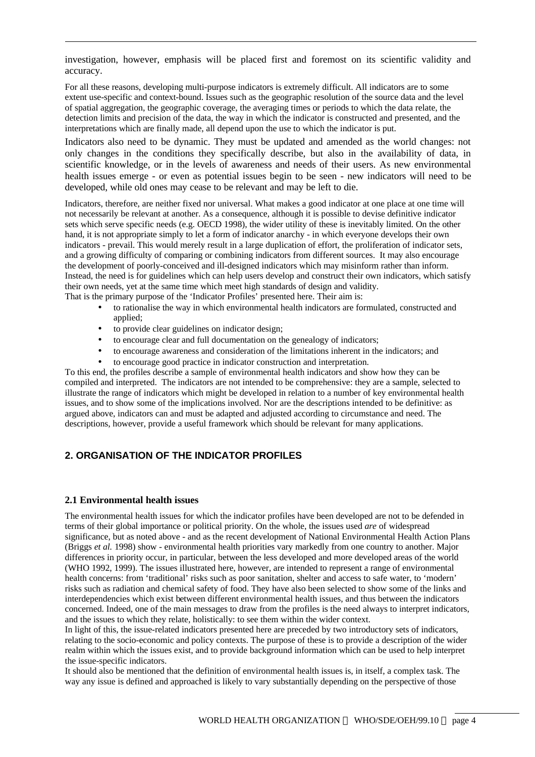investigation, however, emphasis will be placed first and foremost on its scientific validity and accuracy.

For all these reasons, developing multi-purpose indicators is extremely difficult. All indicators are to some extent use-specific and context-bound. Issues such as the geographic resolution of the source data and the level of spatial aggregation, the geographic coverage, the averaging times or periods to which the data relate, the detection limits and precision of the data, the way in which the indicator is constructed and presented, and the interpretations which are finally made, all depend upon the use to which the indicator is put.

Indicators also need to be dynamic. They must be updated and amended as the world changes: not only changes in the conditions they specifically describe, but also in the availability of data, in scientific knowledge, or in the levels of awareness and needs of their users. As new environmental health issues emerge - or even as potential issues begin to be seen - new indicators will need to be developed, while old ones may cease to be relevant and may be left to die.

Indicators, therefore, are neither fixed nor universal. What makes a good indicator at one place at one time will not necessarily be relevant at another. As a consequence, although it is possible to devise definitive indicator sets which serve specific needs (e.g. OECD 1998), the wider utility of these is inevitably limited. On the other hand, it is not appropriate simply to let a form of indicator anarchy - in which everyone develops their own indicators - prevail. This would merely result in a large duplication of effort, the proliferation of indicator sets, and a growing difficulty of comparing or combining indicators from different sources. It may also encourage the development of poorly-conceived and ill-designed indicators which may misinform rather than inform. Instead, the need is for guidelines which can help users develop and construct their own indicators, which satisfy their own needs, yet at the same time which meet high standards of design and validity. That is the primary purpose of the 'Indicator Profiles' presented here. Their aim is:

- to rationalise the way in which environmental health indicators are formulated, constructed and applied;
- to provide clear guidelines on indicator design;
- to encourage clear and full documentation on the genealogy of indicators;
- to encourage awareness and consideration of the limitations inherent in the indicators; and
- to encourage good practice in indicator construction and interpretation.

To this end, the profiles describe a sample of environmental health indicators and show how they can be compiled and interpreted. The indicators are not intended to be comprehensive: they are a sample, selected to illustrate the range of indicators which might be developed in relation to a number of key environmental health issues, and to show some of the implications involved. Nor are the descriptions intended to be definitive: as argued above, indicators can and must be adapted and adjusted according to circumstance and need. The descriptions, however, provide a useful framework which should be relevant for many applications.

## **2. ORGANISATION OF THE INDICATOR PROFILES**

#### **2.1 Environmental health issues**

 $\overline{a}$ 

The environmental health issues for which the indicator profiles have been developed are not to be defended in terms of their global importance or political priority. On the whole, the issues used *are* of widespread significance, but as noted above - and as the recent development of National Environmental Health Action Plans (Briggs *et al.* 1998) show - environmental health priorities vary markedly from one country to another. Major differences in priority occur, in particular, between the less developed and more developed areas of the world (WHO 1992, 1999). The issues illustrated here, however, are intended to represent a range of environmental health concerns: from 'traditional' risks such as poor sanitation, shelter and access to safe water, to 'modern' risks such as radiation and chemical safety of food. They have also been selected to show some of the links and interdependencies which exist between different environmental health issues, and thus between the indicators concerned. Indeed, one of the main messages to draw from the profiles is the need always to interpret indicators, and the issues to which they relate, holistically: to see them within the wider context.

In light of this, the issue-related indicators presented here are preceded by two introductory sets of indicators, relating to the socio-economic and policy contexts. The purpose of these is to provide a description of the wider realm within which the issues exist, and to provide background information which can be used to help interpret the issue-specific indicators.

It should also be mentioned that the definition of environmental health issues is, in itself, a complex task. The way any issue is defined and approached is likely to vary substantially depending on the perspective of those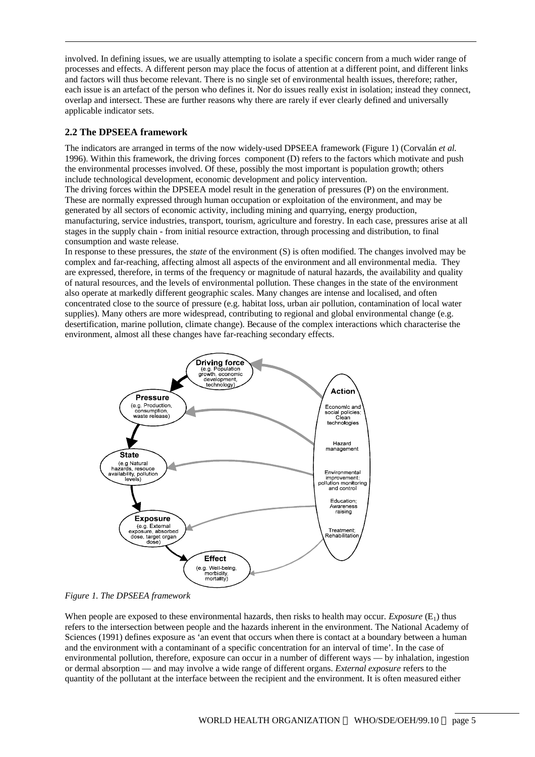involved. In defining issues, we are usually attempting to isolate a specific concern from a much wider range of processes and effects. A different person may place the focus of attention at a different point, and different links and factors will thus become relevant. There is no single set of environmental health issues, therefore; rather, each issue is an artefact of the person who defines it. Nor do issues really exist in isolation; instead they connect, overlap and intersect. These are further reasons why there are rarely if ever clearly defined and universally applicable indicator sets.

### **2.2 The DPSEEA framework**

 $\overline{a}$ 

The indicators are arranged in terms of the now widely-used DPSEEA framework (Figure 1) (Corvalán *et al.* 1996). Within this framework, the driving forces component (D) refers to the factors which motivate and push the environmental processes involved. Of these, possibly the most important is population growth; others include technological development, economic development and policy intervention.

The driving forces within the DPSEEA model result in the generation of pressures (P) on the environment. These are normally expressed through human occupation or exploitation of the environment, and may be generated by all sectors of economic activity, including mining and quarrying, energy production, manufacturing, service industries, transport, tourism, agriculture and forestry. In each case, pressures arise at all stages in the supply chain - from initial resource extraction, through processing and distribution, to final consumption and waste release.

In response to these pressures, the *state* of the environment (S) is often modified. The changes involved may be complex and far-reaching, affecting almost all aspects of the environment and all environmental media. They are expressed, therefore, in terms of the frequency or magnitude of natural hazards, the availability and quality of natural resources, and the levels of environmental pollution. These changes in the state of the environment also operate at markedly different geographic scales. Many changes are intense and localised, and often concentrated close to the source of pressure (e.g. habitat loss, urban air pollution, contamination of local water supplies). Many others are more widespread, contributing to regional and global environmental change (e.g. desertification, marine pollution, climate change). Because of the complex interactions which characterise the environment, almost all these changes have far-reaching secondary effects.



*Figure 1. The DPSEEA framework*

When people are exposed to these environmental hazards, then risks to health may occur. *Exposure*  $(E_1)$  thus refers to the intersection between people and the hazards inherent in the environment. The National Academy of Sciences (1991) defines exposure as 'an event that occurs when there is contact at a boundary between a human and the environment with a contaminant of a specific concentration for an interval of time'. In the case of environmental pollution, therefore, exposure can occur in a number of different ways — by inhalation, ingestion or dermal absorption — and may involve a wide range of different organs. *External exposure* refers to the quantity of the pollutant at the interface between the recipient and the environment. It is often measured either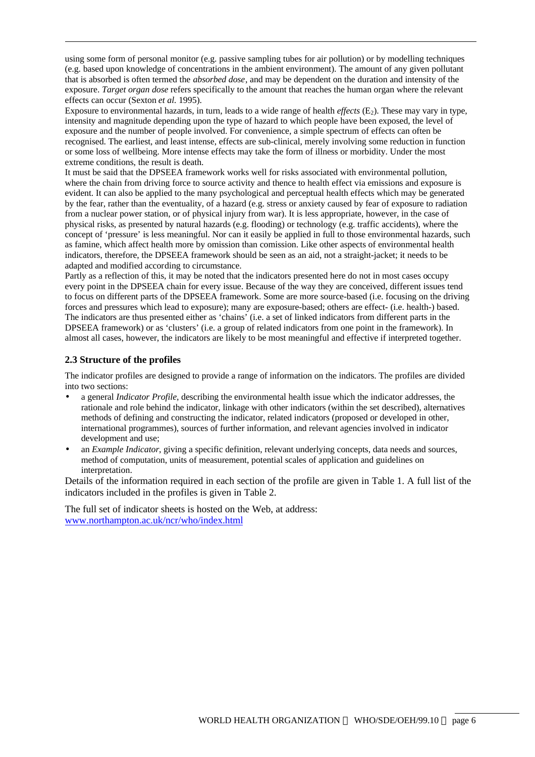using some form of personal monitor (e.g. passive sampling tubes for air pollution) or by modelling techniques (e.g. based upon knowledge of concentrations in the ambient environment). The amount of any given pollutant that is absorbed is often termed the *absorbed dose*, and may be dependent on the duration and intensity of the exposure. *Target organ dose* refers specifically to the amount that reaches the human organ where the relevant effects can occur (Sexton *et al.* 1995).

Exposure to environmental hazards, in turn, leads to a wide range of health *effects*  $(E_2)$ . These may vary in type, intensity and magnitude depending upon the type of hazard to which people have been exposed, the level of exposure and the number of people involved. For convenience, a simple spectrum of effects can often be recognised. The earliest, and least intense, effects are sub-clinical, merely involving some reduction in function or some loss of wellbeing. More intense effects may take the form of illness or morbidity. Under the most extreme conditions, the result is death.

It must be said that the DPSEEA framework works well for risks associated with environmental pollution, where the chain from driving force to source activity and thence to health effect via emissions and exposure is evident. It can also be applied to the many psychological and perceptual health effects which may be generated by the fear, rather than the eventuality, of a hazard (e.g. stress or anxiety caused by fear of exposure to radiation from a nuclear power station, or of physical injury from war). It is less appropriate, however, in the case of physical risks, as presented by natural hazards (e.g. flooding) or technology (e.g. traffic accidents), where the concept of 'pressure' is less meaningful. Nor can it easily be applied in full to those environmental hazards, such as famine, which affect health more by omission than comission. Like other aspects of environmental health indicators, therefore, the DPSEEA framework should be seen as an aid, not a straight-jacket; it needs to be adapted and modified according to circumstance.

Partly as a reflection of this, it may be noted that the indicators presented here do not in most cases occupy every point in the DPSEEA chain for every issue. Because of the way they are conceived, different issues tend to focus on different parts of the DPSEEA framework. Some are more source-based (i.e. focusing on the driving forces and pressures which lead to exposure); many are exposure-based; others are effect- (i.e. health-) based. The indicators are thus presented either as 'chains' (i.e. a set of linked indicators from different parts in the DPSEEA framework) or as 'clusters' (i.e. a group of related indicators from one point in the framework). In almost all cases, however, the indicators are likely to be most meaningful and effective if interpreted together.

#### **2.3 Structure of the profiles**

 $\overline{a}$ 

The indicator profiles are designed to provide a range of information on the indicators. The profiles are divided into two sections:

- a general *Indicator Profile*, describing the environmental health issue which the indicator addresses, the rationale and role behind the indicator, linkage with other indicators (within the set described), alternatives methods of defining and constructing the indicator, related indicators (proposed or developed in other, international programmes), sources of further information, and relevant agencies involved in indicator development and use;
- an *Example Indicator*, giving a specific definition, relevant underlying concepts, data needs and sources, method of computation, units of measurement, potential scales of application and guidelines on interpretation.

Details of the information required in each section of the profile are given in Table 1. A full list of the indicators included in the profiles is given in Table 2.

The full set of indicator sheets is hosted on the Web, at address: www.northampton.ac.uk/ncr/who/index.html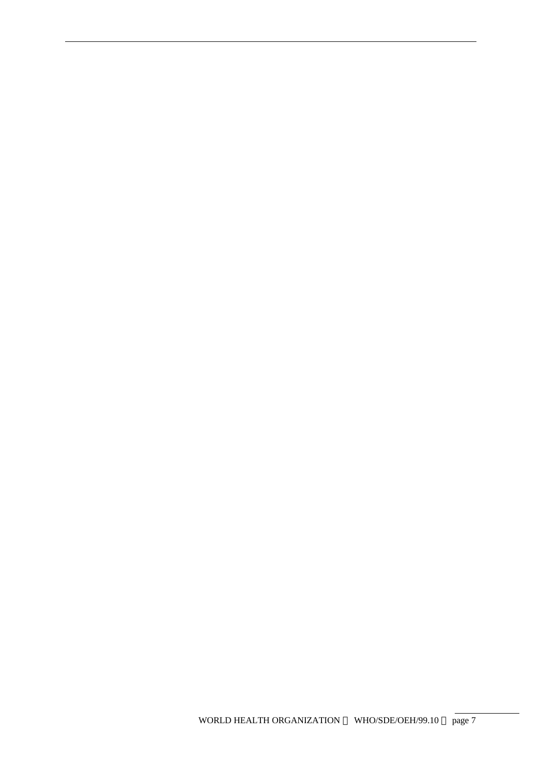$\overline{a}$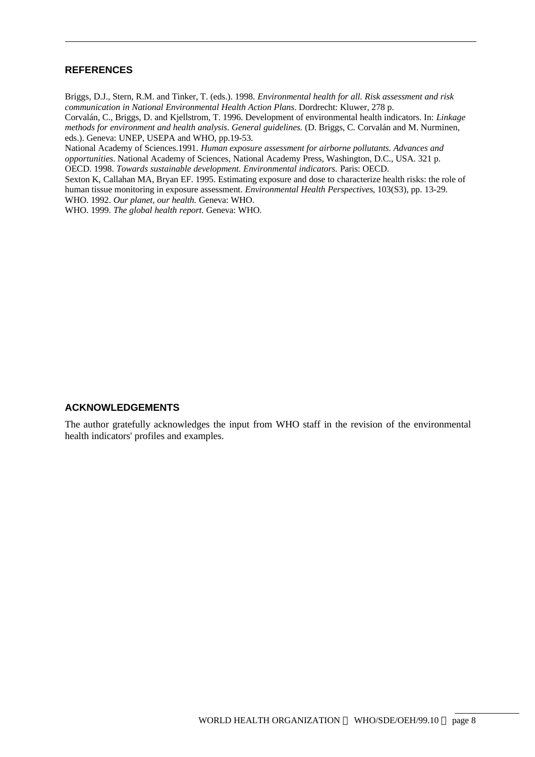### **REFERENCES**

 $\overline{a}$ 

Briggs, D.J., Stern, R.M. and Tinker, T. (eds.). 1998. *Environmental health for all. Risk assessment and risk communication in National Environmental Health Action Plans*. Dordrecht: Kluwer, 278 p. Corvalán, C., Briggs, D. and Kjellstrom, T. 1996. Development of environmental health indicators. In: *Linkage methods for environment and health analysis. General guidelines.* (D. Briggs, C. Corvalán and M. Nurminen, eds.). Geneva: UNEP, USEPA and WHO, pp.19-53.

National Academy of Sciences.1991. *Human exposure assessment for airborne pollutants. Advances and opportunities*. National Academy of Sciences, National Academy Press, Washington, D.C., USA. 321 p. OECD. 1998. *Towards sustainable development. Environmental indicators.* Paris: OECD.

Sexton K, Callahan MA, Bryan EF. 1995. Estimating exposure and dose to characterize health risks: the role of human tissue monitoring in exposure assessment. *Environmental Health Perspectives*, 103(S3), pp. 13-29. WHO. 1992. *Our planet, our health.* Geneva: WHO.

WHO. 1999. *The global health report.* Geneva: WHO.

## **ACKNOWLEDGEMENTS**

The author gratefully acknowledges the input from WHO staff in the revision of the environmental health indicators' profiles and examples.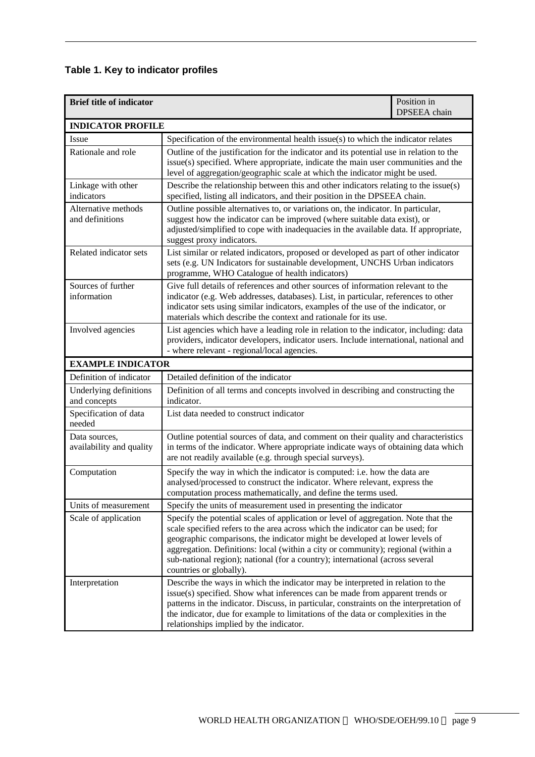## **Table 1. Key to indicator profiles**

 $\overline{a}$ 

| <b>Brief title of indicator</b>           |                                                                                                                                                                                                                                                                                                                                                                                                                                                     | Position in<br>DPSEEA chain |  |  |  |
|-------------------------------------------|-----------------------------------------------------------------------------------------------------------------------------------------------------------------------------------------------------------------------------------------------------------------------------------------------------------------------------------------------------------------------------------------------------------------------------------------------------|-----------------------------|--|--|--|
| <b>INDICATOR PROFILE</b>                  |                                                                                                                                                                                                                                                                                                                                                                                                                                                     |                             |  |  |  |
| Issue                                     | Specification of the environmental health issue(s) to which the indicator relates                                                                                                                                                                                                                                                                                                                                                                   |                             |  |  |  |
| Rationale and role                        | Outline of the justification for the indicator and its potential use in relation to the<br>issue(s) specified. Where appropriate, indicate the main user communities and the<br>level of aggregation/geographic scale at which the indicator might be used.                                                                                                                                                                                         |                             |  |  |  |
| Linkage with other<br>indicators          | Describe the relationship between this and other indicators relating to the issue(s)<br>specified, listing all indicators, and their position in the DPSEEA chain.                                                                                                                                                                                                                                                                                  |                             |  |  |  |
| Alternative methods<br>and definitions    | Outline possible alternatives to, or variations on, the indicator. In particular,<br>suggest how the indicator can be improved (where suitable data exist), or<br>adjusted/simplified to cope with inadequacies in the available data. If appropriate,<br>suggest proxy indicators.                                                                                                                                                                 |                             |  |  |  |
| Related indicator sets                    | List similar or related indicators, proposed or developed as part of other indicator<br>sets (e.g. UN Indicators for sustainable development, UNCHS Urban indicators<br>programme, WHO Catalogue of health indicators)                                                                                                                                                                                                                              |                             |  |  |  |
| Sources of further<br>information         | Give full details of references and other sources of information relevant to the<br>indicator (e.g. Web addresses, databases). List, in particular, references to other<br>indicator sets using similar indicators, examples of the use of the indicator, or<br>materials which describe the context and rationale for its use.                                                                                                                     |                             |  |  |  |
| Involved agencies                         | List agencies which have a leading role in relation to the indicator, including: data<br>providers, indicator developers, indicator users. Include international, national and<br>- where relevant - regional/local agencies.                                                                                                                                                                                                                       |                             |  |  |  |
| <b>EXAMPLE INDICATOR</b>                  |                                                                                                                                                                                                                                                                                                                                                                                                                                                     |                             |  |  |  |
| Definition of indicator                   | Detailed definition of the indicator                                                                                                                                                                                                                                                                                                                                                                                                                |                             |  |  |  |
| Underlying definitions<br>and concepts    | Definition of all terms and concepts involved in describing and constructing the<br>indicator.                                                                                                                                                                                                                                                                                                                                                      |                             |  |  |  |
| Specification of data<br>needed           | List data needed to construct indicator                                                                                                                                                                                                                                                                                                                                                                                                             |                             |  |  |  |
| Data sources,<br>availability and quality | Outline potential sources of data, and comment on their quality and characteristics<br>in terms of the indicator. Where appropriate indicate ways of obtaining data which<br>are not readily available (e.g. through special surveys).                                                                                                                                                                                                              |                             |  |  |  |
| Computation                               | Specify the way in which the indicator is computed: i.e. how the data are<br>analysed/processed to construct the indicator. Where relevant, express the<br>computation process mathematically, and define the terms used.                                                                                                                                                                                                                           |                             |  |  |  |
| Units of measurement                      | Specify the units of measurement used in presenting the indicator                                                                                                                                                                                                                                                                                                                                                                                   |                             |  |  |  |
| Scale of application                      | Specify the potential scales of application or level of aggregation. Note that the<br>scale specified refers to the area across which the indicator can be used; for<br>geographic comparisons, the indicator might be developed at lower levels of<br>aggregation. Definitions: local (within a city or community); regional (within a<br>sub-national region); national (for a country); international (across several<br>countries or globally). |                             |  |  |  |
| Interpretation                            | Describe the ways in which the indicator may be interpreted in relation to the<br>issue(s) specified. Show what inferences can be made from apparent trends or<br>patterns in the indicator. Discuss, in particular, constraints on the interpretation of<br>the indicator, due for example to limitations of the data or complexities in the<br>relationships implied by the indicator.                                                            |                             |  |  |  |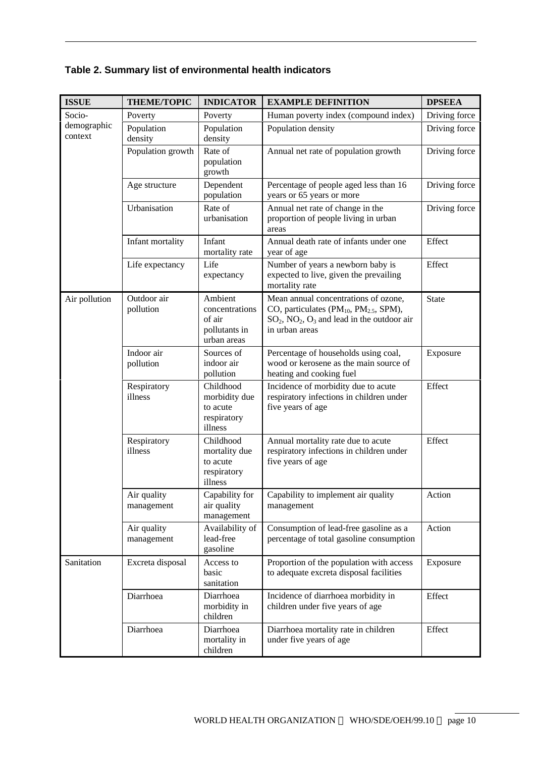| <b>ISSUE</b>           | <b>THEME/TOPIC</b>        | <b>INDICATOR</b>                                                    | <b>EXAMPLE DEFINITION</b>                                                                                                                                                       | <b>DPSEEA</b> |
|------------------------|---------------------------|---------------------------------------------------------------------|---------------------------------------------------------------------------------------------------------------------------------------------------------------------------------|---------------|
| Socio-                 | Poverty                   | Poverty                                                             | Human poverty index (compound index)                                                                                                                                            | Driving force |
| demographic<br>context | Population<br>density     | Population<br>density                                               | Population density                                                                                                                                                              | Driving force |
|                        | Population growth         | Rate of<br>population<br>growth                                     | Annual net rate of population growth                                                                                                                                            | Driving force |
|                        | Age structure             | Dependent<br>population                                             | Percentage of people aged less than 16<br>years or 65 years or more                                                                                                             | Driving force |
|                        | Urbanisation              | Rate of<br>urbanisation                                             | Annual net rate of change in the<br>proportion of people living in urban<br>areas                                                                                               | Driving force |
|                        | Infant mortality          | Infant<br>mortality rate                                            | Annual death rate of infants under one<br>year of age                                                                                                                           | Effect        |
|                        | Life expectancy           | Life<br>expectancy                                                  | Number of years a newborn baby is<br>expected to live, given the prevailing<br>mortality rate                                                                                   | Effect        |
| Air pollution          | Outdoor air<br>pollution  | Ambient<br>concentrations<br>of air<br>pollutants in<br>urban areas | Mean annual concentrations of ozone,<br>CO, particulates (PM <sub>10</sub> , PM <sub>2.5</sub> , SPM),<br>$SO_2$ , $NO_2$ , $O_3$ and lead in the outdoor air<br>in urban areas | <b>State</b>  |
|                        | Indoor air<br>pollution   | Sources of<br>indoor air<br>pollution                               | Percentage of households using coal,<br>wood or kerosene as the main source of<br>heating and cooking fuel                                                                      | Exposure      |
|                        | Respiratory<br>illness    | Childhood<br>morbidity due<br>to acute<br>respiratory<br>illness    | Incidence of morbidity due to acute<br>respiratory infections in children under<br>five years of age                                                                            | Effect        |
|                        | Respiratory<br>illness    | Childhood<br>mortality due<br>to acute<br>respiratory<br>illness    | Annual mortality rate due to acute<br>respiratory infections in children under<br>five years of age                                                                             | Effect        |
|                        | Air quality<br>management | Capability for<br>air quality<br>management                         | Capability to implement air quality<br>management                                                                                                                               | Action        |
|                        | Air quality<br>management | Availability of<br>lead-free<br>gasoline                            | Consumption of lead-free gasoline as a<br>percentage of total gasoline consumption                                                                                              | Action        |
| Sanitation             | Excreta disposal          | Access to<br>basic<br>sanitation                                    | Proportion of the population with access<br>to adequate excreta disposal facilities                                                                                             | Exposure      |
|                        | Diarrhoea                 | Diarrhoea<br>morbidity in<br>children                               | Incidence of diarrhoea morbidity in<br>children under five years of age                                                                                                         | Effect        |
|                        | Diarrhoea                 | Diarrhoea<br>mortality in<br>children                               | Diarrhoea mortality rate in children<br>under five years of age                                                                                                                 | Effect        |

## **Table 2. Summary list of environmental health indicators**

 $\overline{a}$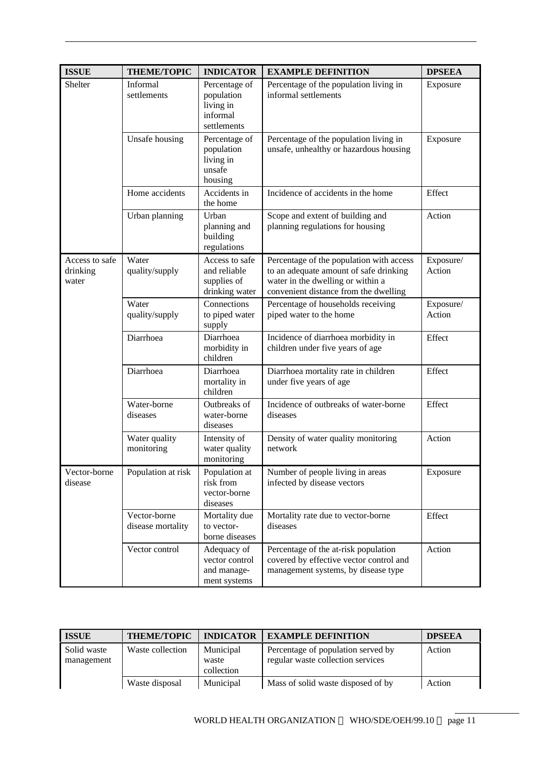| <b>ISSUE</b>                        | <b>THEME/TOPIC</b>                | <b>INDICATOR</b>                                                    | <b>EXAMPLE DEFINITION</b>                                                                                                                                        | <b>DPSEEA</b>       |
|-------------------------------------|-----------------------------------|---------------------------------------------------------------------|------------------------------------------------------------------------------------------------------------------------------------------------------------------|---------------------|
| Shelter                             | Informal<br>settlements           | Percentage of<br>population<br>living in<br>informal<br>settlements | Percentage of the population living in<br>informal settlements                                                                                                   | Exposure            |
|                                     | Unsafe housing                    | Percentage of<br>population<br>living in<br>unsafe<br>housing       | Percentage of the population living in<br>unsafe, unhealthy or hazardous housing                                                                                 | Exposure            |
|                                     | Home accidents                    | Accidents in<br>the home                                            | Incidence of accidents in the home                                                                                                                               | Effect              |
|                                     | Urban planning                    | Urban<br>planning and<br>building<br>regulations                    | Scope and extent of building and<br>planning regulations for housing                                                                                             | Action              |
| Access to safe<br>drinking<br>water | Water<br>quality/supply           | Access to safe<br>and reliable<br>supplies of<br>drinking water     | Percentage of the population with access<br>to an adequate amount of safe drinking<br>water in the dwelling or within a<br>convenient distance from the dwelling | Exposure/<br>Action |
|                                     | Water<br>quality/supply           | Connections<br>to piped water<br>supply                             | Percentage of households receiving<br>piped water to the home                                                                                                    | Exposure/<br>Action |
|                                     | Diarrhoea                         | Diarrhoea<br>morbidity in<br>children                               | Incidence of diarrhoea morbidity in<br>children under five years of age                                                                                          | Effect              |
|                                     | Diarrhoea                         | Diarrhoea<br>mortality in<br>children                               | Diarrhoea mortality rate in children<br>under five years of age                                                                                                  | Effect              |
|                                     | Water-borne<br>diseases           | Outbreaks of<br>water-borne<br>diseases                             | Incidence of outbreaks of water-borne<br>diseases                                                                                                                | Effect              |
|                                     | Water quality<br>monitoring       | Intensity of<br>water quality<br>monitoring                         | Density of water quality monitoring<br>network                                                                                                                   | Action              |
| Vector-borne<br>disease             | Population at risk                | Population at<br>risk from<br>vector-borne<br>diseases              | Number of people living in areas<br>infected by disease vectors                                                                                                  | Exposure            |
|                                     | Vector-borne<br>disease mortality | Mortality due<br>to vector-<br>borne diseases                       | Mortality rate due to vector-borne<br>diseases                                                                                                                   | Effect              |
|                                     | Vector control                    | Adequacy of<br>vector control<br>and manage-<br>ment systems        | Percentage of the at-risk population<br>covered by effective vector control and<br>management systems, by disease type                                           | Action              |

| <b>ISSUE</b>              | <b>THEME/TOPIC</b> | <b>INDICATOR</b>                 | <b>EXAMPLE DEFINITION</b>                                               | <b>DPSEEA</b> |
|---------------------------|--------------------|----------------------------------|-------------------------------------------------------------------------|---------------|
| Solid waste<br>management | Waste collection   | Municipal<br>waste<br>collection | Percentage of population served by<br>regular waste collection services | Action        |
|                           | Waste disposal     | Municipal                        | Mass of solid waste disposed of by                                      | Action        |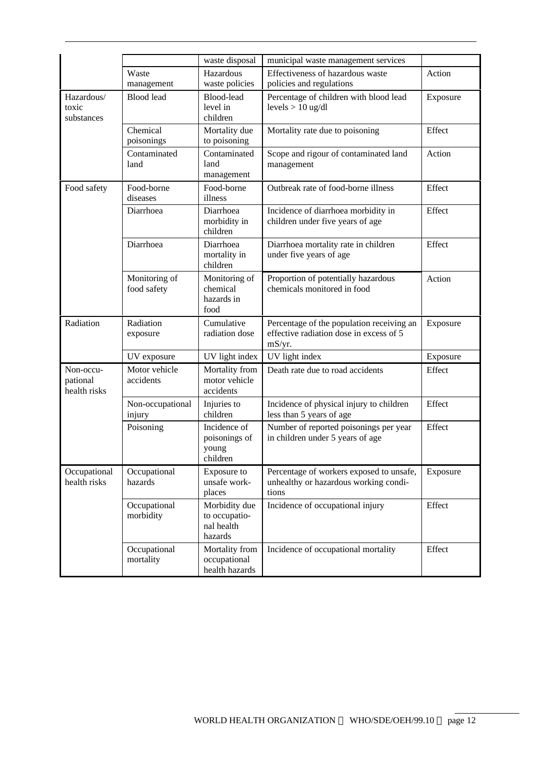|                                       |                              | waste disposal                                          | municipal waste management services                                                            |          |
|---------------------------------------|------------------------------|---------------------------------------------------------|------------------------------------------------------------------------------------------------|----------|
|                                       | Waste<br>management          | Hazardous<br>waste policies                             | Effectiveness of hazardous waste<br>policies and regulations                                   | Action   |
| Hazardous/<br>toxic<br>substances     | <b>Blood</b> lead            | Blood-lead<br>level in<br>children                      | Percentage of children with blood lead<br>$levels > 10$ ug/dl                                  | Exposure |
|                                       | Chemical<br>poisonings       | Mortality due<br>to poisoning                           | Mortality rate due to poisoning                                                                | Effect   |
|                                       | Contaminated<br>land         | Contaminated<br>land<br>management                      | Scope and rigour of contaminated land<br>management                                            | Action   |
| Food safety                           | Food-borne<br>diseases       | Food-borne<br>illness                                   | Outbreak rate of food-borne illness                                                            | Effect   |
|                                       | Diarrhoea                    | Diarrhoea<br>morbidity in<br>children                   | Incidence of diarrhoea morbidity in<br>children under five years of age                        | Effect   |
|                                       | Diarrhoea                    | Diarrhoea<br>mortality in<br>children                   | Diarrhoea mortality rate in children<br>under five years of age                                | Effect   |
|                                       | Monitoring of<br>food safety | Monitoring of<br>chemical<br>hazards in<br>food         | Proportion of potentially hazardous<br>chemicals monitored in food                             | Action   |
| Radiation                             | Radiation<br>exposure        | Cumulative<br>radiation dose                            | Percentage of the population receiving an<br>effective radiation dose in excess of 5<br>mS/yr. | Exposure |
|                                       | UV exposure                  | UV light index                                          | UV light index                                                                                 | Exposure |
| Non-occu-<br>pational<br>health risks | Motor vehicle<br>accidents   | Mortality from<br>motor vehicle<br>accidents            | Death rate due to road accidents                                                               | Effect   |
|                                       | Non-occupational<br>injury   | Injuries to<br>children                                 | Incidence of physical injury to children<br>less than 5 years of age                           | Effect   |
|                                       | Poisoning                    | Incidence of<br>poisonings of<br>young<br>children      | Number of reported poisonings per year<br>in children under 5 years of age                     | Effect   |
| Occupational<br>health risks          | Occupational<br>hazards      | Exposure to<br>unsafe work-<br>places                   | Percentage of workers exposed to unsafe,<br>unhealthy or hazardous working condi-<br>tions     | Exposure |
|                                       | Occupational<br>morbidity    | Morbidity due<br>to occupatio-<br>nal health<br>hazards | Incidence of occupational injury                                                               | Effect   |
|                                       | Occupational<br>mortality    | Mortality from<br>occupational<br>health hazards        | Incidence of occupational mortality                                                            | Effect   |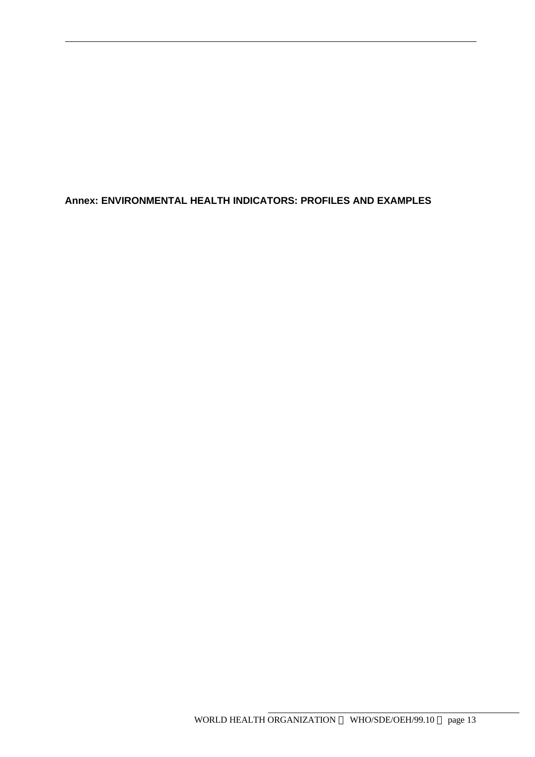**Annex: ENVIRONMENTAL HEALTH INDICATORS: PROFILES AND EXAMPLES**

 $\overline{a}$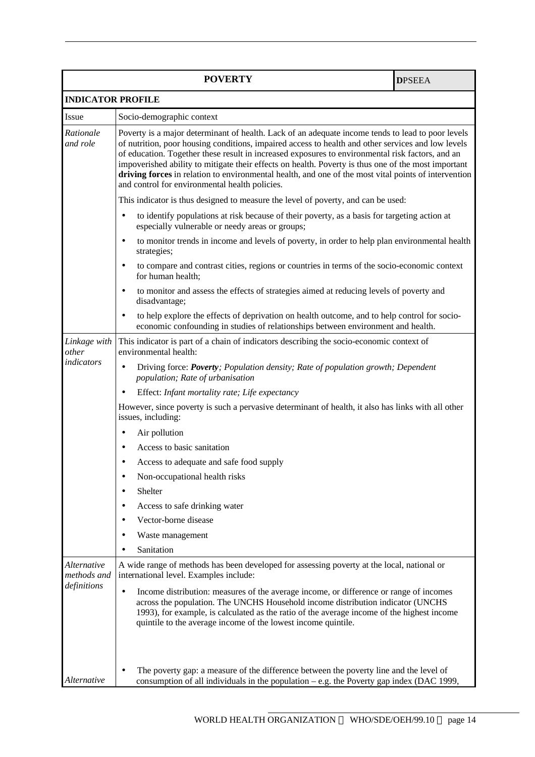|                            | <b>POVERTY</b>                                                                                                                                                                                                                                                                                                                                                                                                                                                                                                                                                               | <b>DPSEEA</b> |  |  |  |
|----------------------------|------------------------------------------------------------------------------------------------------------------------------------------------------------------------------------------------------------------------------------------------------------------------------------------------------------------------------------------------------------------------------------------------------------------------------------------------------------------------------------------------------------------------------------------------------------------------------|---------------|--|--|--|
| <b>INDICATOR PROFILE</b>   |                                                                                                                                                                                                                                                                                                                                                                                                                                                                                                                                                                              |               |  |  |  |
| Issue                      | Socio-demographic context                                                                                                                                                                                                                                                                                                                                                                                                                                                                                                                                                    |               |  |  |  |
| Rationale<br>and role      | Poverty is a major determinant of health. Lack of an adequate income tends to lead to poor levels<br>of nutrition, poor housing conditions, impaired access to health and other services and low levels<br>of education. Together these result in increased exposures to environmental risk factors, and an<br>impoverished ability to mitigate their effects on health. Poverty is thus one of the most important<br>driving forces in relation to environmental health, and one of the most vital points of intervention<br>and control for environmental health policies. |               |  |  |  |
|                            | This indicator is thus designed to measure the level of poverty, and can be used:                                                                                                                                                                                                                                                                                                                                                                                                                                                                                            |               |  |  |  |
|                            | to identify populations at risk because of their poverty, as a basis for targeting action at<br>$\bullet$<br>especially vulnerable or needy areas or groups;                                                                                                                                                                                                                                                                                                                                                                                                                 |               |  |  |  |
|                            | to monitor trends in income and levels of poverty, in order to help plan environmental health<br>$\bullet$<br>strategies;                                                                                                                                                                                                                                                                                                                                                                                                                                                    |               |  |  |  |
|                            | to compare and contrast cities, regions or countries in terms of the socio-economic context<br>$\bullet$<br>for human health;                                                                                                                                                                                                                                                                                                                                                                                                                                                |               |  |  |  |
|                            | to monitor and assess the effects of strategies aimed at reducing levels of poverty and<br>disadvantage;                                                                                                                                                                                                                                                                                                                                                                                                                                                                     |               |  |  |  |
|                            | to help explore the effects of deprivation on health outcome, and to help control for socio-<br>$\bullet$<br>economic confounding in studies of relationships between environment and health.                                                                                                                                                                                                                                                                                                                                                                                |               |  |  |  |
| Linkage with<br>other      | This indicator is part of a chain of indicators describing the socio-economic context of<br>environmental health:                                                                                                                                                                                                                                                                                                                                                                                                                                                            |               |  |  |  |
| indicators                 | Driving force: Poverty; Population density; Rate of population growth; Dependent<br>$\bullet$<br>population; Rate of urbanisation                                                                                                                                                                                                                                                                                                                                                                                                                                            |               |  |  |  |
|                            | Effect: Infant mortality rate; Life expectancy<br>$\bullet$                                                                                                                                                                                                                                                                                                                                                                                                                                                                                                                  |               |  |  |  |
|                            | However, since poverty is such a pervasive determinant of health, it also has links with all other<br>issues, including:                                                                                                                                                                                                                                                                                                                                                                                                                                                     |               |  |  |  |
|                            | Air pollution<br>٠                                                                                                                                                                                                                                                                                                                                                                                                                                                                                                                                                           |               |  |  |  |
|                            | Access to basic sanitation                                                                                                                                                                                                                                                                                                                                                                                                                                                                                                                                                   |               |  |  |  |
|                            | Access to adequate and safe food supply                                                                                                                                                                                                                                                                                                                                                                                                                                                                                                                                      |               |  |  |  |
|                            | Non-occupational health risks<br>$\bullet$                                                                                                                                                                                                                                                                                                                                                                                                                                                                                                                                   |               |  |  |  |
|                            | Shelter                                                                                                                                                                                                                                                                                                                                                                                                                                                                                                                                                                      |               |  |  |  |
|                            | Access to safe drinking water                                                                                                                                                                                                                                                                                                                                                                                                                                                                                                                                                |               |  |  |  |
|                            | Vector-borne disease<br>$\bullet$                                                                                                                                                                                                                                                                                                                                                                                                                                                                                                                                            |               |  |  |  |
|                            | Waste management                                                                                                                                                                                                                                                                                                                                                                                                                                                                                                                                                             |               |  |  |  |
|                            | Sanitation                                                                                                                                                                                                                                                                                                                                                                                                                                                                                                                                                                   |               |  |  |  |
| Alternative<br>methods and | A wide range of methods has been developed for assessing poverty at the local, national or<br>international level. Examples include:                                                                                                                                                                                                                                                                                                                                                                                                                                         |               |  |  |  |
| definitions                | Income distribution: measures of the average income, or difference or range of incomes<br>$\bullet$<br>across the population. The UNCHS Household income distribution indicator (UNCHS<br>1993), for example, is calculated as the ratio of the average income of the highest income<br>quintile to the average income of the lowest income quintile.                                                                                                                                                                                                                        |               |  |  |  |
| Alternative                | The poverty gap: a measure of the difference between the poverty line and the level of<br>consumption of all individuals in the population $-$ e.g. the Poverty gap index (DAC 1999,                                                                                                                                                                                                                                                                                                                                                                                         |               |  |  |  |

l

 $\overline{a}$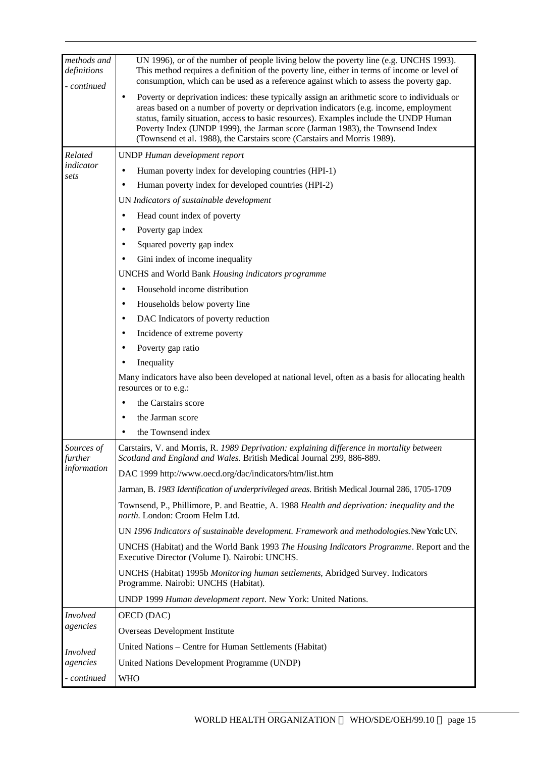| methods and<br>definitions<br>- continued | UN 1996), or of the number of people living below the poverty line (e.g. UNCHS 1993).<br>This method requires a definition of the poverty line, either in terms of income or level of<br>consumption, which can be used as a reference against which to assess the poverty gap.                                                                                                                                                             |
|-------------------------------------------|---------------------------------------------------------------------------------------------------------------------------------------------------------------------------------------------------------------------------------------------------------------------------------------------------------------------------------------------------------------------------------------------------------------------------------------------|
|                                           | Poverty or deprivation indices: these typically assign an arithmetic score to individuals or<br>areas based on a number of poverty or deprivation indicators (e.g. income, employment<br>status, family situation, access to basic resources). Examples include the UNDP Human<br>Poverty Index (UNDP 1999), the Jarman score (Jarman 1983), the Townsend Index<br>(Townsend et al. 1988), the Carstairs score (Carstairs and Morris 1989). |
| Related                                   | <b>UNDP</b> Human development report                                                                                                                                                                                                                                                                                                                                                                                                        |
| indicator<br>sets                         | Human poverty index for developing countries (HPI-1)<br>$\bullet$                                                                                                                                                                                                                                                                                                                                                                           |
|                                           | Human poverty index for developed countries (HPI-2)<br>$\bullet$                                                                                                                                                                                                                                                                                                                                                                            |
|                                           | UN Indicators of sustainable development                                                                                                                                                                                                                                                                                                                                                                                                    |
|                                           | Head count index of poverty<br>$\bullet$                                                                                                                                                                                                                                                                                                                                                                                                    |
|                                           | Poverty gap index<br>$\bullet$                                                                                                                                                                                                                                                                                                                                                                                                              |
|                                           | Squared poverty gap index<br>$\bullet$                                                                                                                                                                                                                                                                                                                                                                                                      |
|                                           | Gini index of income inequality                                                                                                                                                                                                                                                                                                                                                                                                             |
|                                           | UNCHS and World Bank Housing indicators programme                                                                                                                                                                                                                                                                                                                                                                                           |
|                                           | Household income distribution<br>$\bullet$                                                                                                                                                                                                                                                                                                                                                                                                  |
|                                           | Households below poverty line<br>$\bullet$                                                                                                                                                                                                                                                                                                                                                                                                  |
|                                           | DAC Indicators of poverty reduction<br>$\bullet$                                                                                                                                                                                                                                                                                                                                                                                            |
|                                           | Incidence of extreme poverty<br>$\bullet$                                                                                                                                                                                                                                                                                                                                                                                                   |
|                                           | Poverty gap ratio<br>$\bullet$                                                                                                                                                                                                                                                                                                                                                                                                              |
|                                           | Inequality                                                                                                                                                                                                                                                                                                                                                                                                                                  |
|                                           | Many indicators have also been developed at national level, often as a basis for allocating health<br>resources or to e.g.:                                                                                                                                                                                                                                                                                                                 |
|                                           | the Carstairs score<br>$\bullet$                                                                                                                                                                                                                                                                                                                                                                                                            |
|                                           | the Jarman score<br>$\bullet$                                                                                                                                                                                                                                                                                                                                                                                                               |
|                                           | the Townsend index                                                                                                                                                                                                                                                                                                                                                                                                                          |
| Sources of<br>further                     | Carstairs, V. and Morris, R. 1989 Deprivation: explaining difference in mortality between<br>Scotland and England and Wales. British Medical Journal 299, 886-889.                                                                                                                                                                                                                                                                          |
| information                               | DAC 1999 http://www.oecd.org/dac/indicators/htm/list.htm                                                                                                                                                                                                                                                                                                                                                                                    |
|                                           | Jarman, B. 1983 Identification of underprivileged areas. British Medical Journal 286, 1705-1709                                                                                                                                                                                                                                                                                                                                             |
|                                           | Townsend, P., Phillimore, P. and Beattie, A. 1988 Health and deprivation: inequality and the<br>north. London: Croom Helm Ltd.                                                                                                                                                                                                                                                                                                              |
|                                           | UN 1996 Indicators of sustainable development. Framework and methodologies. New York: UN.                                                                                                                                                                                                                                                                                                                                                   |
|                                           | UNCHS (Habitat) and the World Bank 1993 The Housing Indicators Programme. Report and the<br>Executive Director (Volume I). Nairobi: UNCHS.                                                                                                                                                                                                                                                                                                  |
|                                           | UNCHS (Habitat) 1995b Monitoring human settlements, Abridged Survey. Indicators<br>Programme. Nairobi: UNCHS (Habitat).                                                                                                                                                                                                                                                                                                                     |
|                                           | UNDP 1999 Human development report. New York: United Nations.                                                                                                                                                                                                                                                                                                                                                                               |
| <b>Involved</b>                           | OECD (DAC)                                                                                                                                                                                                                                                                                                                                                                                                                                  |
| agencies                                  | Overseas Development Institute                                                                                                                                                                                                                                                                                                                                                                                                              |
| <b>Involved</b>                           | United Nations - Centre for Human Settlements (Habitat)                                                                                                                                                                                                                                                                                                                                                                                     |
| agencies                                  | United Nations Development Programme (UNDP)                                                                                                                                                                                                                                                                                                                                                                                                 |
| - continued                               | <b>WHO</b>                                                                                                                                                                                                                                                                                                                                                                                                                                  |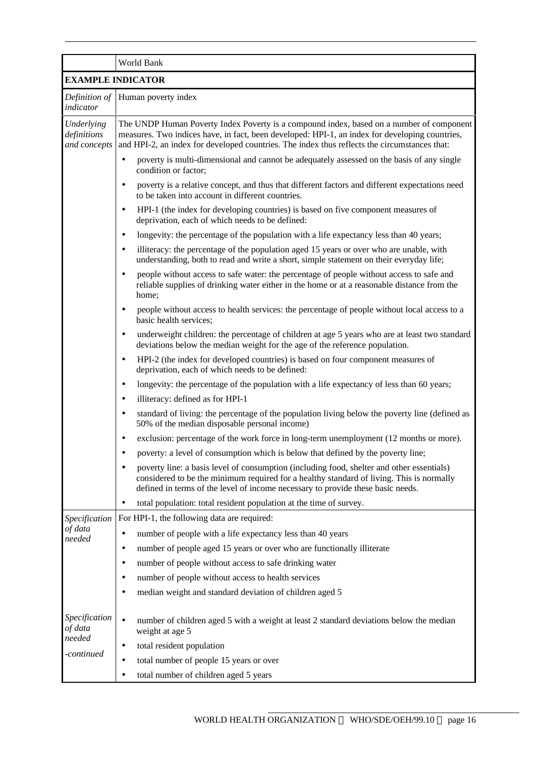|                                           | World Bank                                                                                                                                                                                                                                                                                 |  |  |  |  |  |
|-------------------------------------------|--------------------------------------------------------------------------------------------------------------------------------------------------------------------------------------------------------------------------------------------------------------------------------------------|--|--|--|--|--|
| <b>EXAMPLE INDICATOR</b>                  |                                                                                                                                                                                                                                                                                            |  |  |  |  |  |
| Definition of<br>indicator                | Human poverty index                                                                                                                                                                                                                                                                        |  |  |  |  |  |
| Underlying<br>definitions<br>and concepts | The UNDP Human Poverty Index Poverty is a compound index, based on a number of component<br>measures. Two indices have, in fact, been developed: HPI-1, an index for developing countries,<br>and HPI-2, an index for developed countries. The index thus reflects the circumstances that: |  |  |  |  |  |
|                                           | poverty is multi-dimensional and cannot be adequately assessed on the basis of any single<br>$\bullet$<br>condition or factor;                                                                                                                                                             |  |  |  |  |  |
|                                           | poverty is a relative concept, and thus that different factors and different expectations need<br>$\bullet$<br>to be taken into account in different countries.                                                                                                                            |  |  |  |  |  |
|                                           | HPI-1 (the index for developing countries) is based on five component measures of<br>$\bullet$<br>deprivation, each of which needs to be defined:                                                                                                                                          |  |  |  |  |  |
|                                           | longevity: the percentage of the population with a life expectancy less than 40 years;<br>$\bullet$                                                                                                                                                                                        |  |  |  |  |  |
|                                           | illiteracy: the percentage of the population aged 15 years or over who are unable, with<br>$\bullet$<br>understanding, both to read and write a short, simple statement on their everyday life;                                                                                            |  |  |  |  |  |
|                                           | people without access to safe water: the percentage of people without access to safe and<br>$\bullet$<br>reliable supplies of drinking water either in the home or at a reasonable distance from the<br>home;                                                                              |  |  |  |  |  |
|                                           | people without access to health services: the percentage of people without local access to a<br>$\bullet$<br>basic health services;                                                                                                                                                        |  |  |  |  |  |
|                                           | underweight children: the percentage of children at age 5 years who are at least two standard<br>$\bullet$<br>deviations below the median weight for the age of the reference population.                                                                                                  |  |  |  |  |  |
|                                           | HPI-2 (the index for developed countries) is based on four component measures of<br>$\bullet$<br>deprivation, each of which needs to be defined:                                                                                                                                           |  |  |  |  |  |
|                                           | longevity: the percentage of the population with a life expectancy of less than 60 years;<br>$\bullet$                                                                                                                                                                                     |  |  |  |  |  |
|                                           | illiteracy: defined as for HPI-1<br>$\bullet$                                                                                                                                                                                                                                              |  |  |  |  |  |
|                                           | standard of living: the percentage of the population living below the poverty line (defined as<br>$\bullet$<br>50% of the median disposable personal income)                                                                                                                               |  |  |  |  |  |
|                                           | exclusion: percentage of the work force in long-term unemployment (12 months or more).<br>$\bullet$                                                                                                                                                                                        |  |  |  |  |  |
|                                           | poverty: a level of consumption which is below that defined by the poverty line;                                                                                                                                                                                                           |  |  |  |  |  |
|                                           | poverty line: a basis level of consumption (including food, shelter and other essentials)<br>$\bullet$<br>considered to be the minimum required for a healthy standard of living. This is normally<br>defined in terms of the level of income necessary to provide these basic needs.      |  |  |  |  |  |
|                                           | total population: total resident population at the time of survey.                                                                                                                                                                                                                         |  |  |  |  |  |
| Specification                             | For HPI-1, the following data are required:                                                                                                                                                                                                                                                |  |  |  |  |  |
| of data<br>needed                         | number of people with a life expectancy less than 40 years<br>$\bullet$                                                                                                                                                                                                                    |  |  |  |  |  |
|                                           | number of people aged 15 years or over who are functionally illiterate<br>٠                                                                                                                                                                                                                |  |  |  |  |  |
|                                           | number of people without access to safe drinking water<br>$\bullet$                                                                                                                                                                                                                        |  |  |  |  |  |
|                                           | number of people without access to health services<br>$\bullet$                                                                                                                                                                                                                            |  |  |  |  |  |
|                                           | median weight and standard deviation of children aged 5<br>٠                                                                                                                                                                                                                               |  |  |  |  |  |
| Specification<br>of data<br>needed        | number of children aged 5 with a weight at least 2 standard deviations below the median<br>$\bullet$<br>weight at age 5                                                                                                                                                                    |  |  |  |  |  |
| -continued                                | total resident population                                                                                                                                                                                                                                                                  |  |  |  |  |  |
|                                           | total number of people 15 years or over<br>$\bullet$                                                                                                                                                                                                                                       |  |  |  |  |  |
|                                           | total number of children aged 5 years<br>$\bullet$                                                                                                                                                                                                                                         |  |  |  |  |  |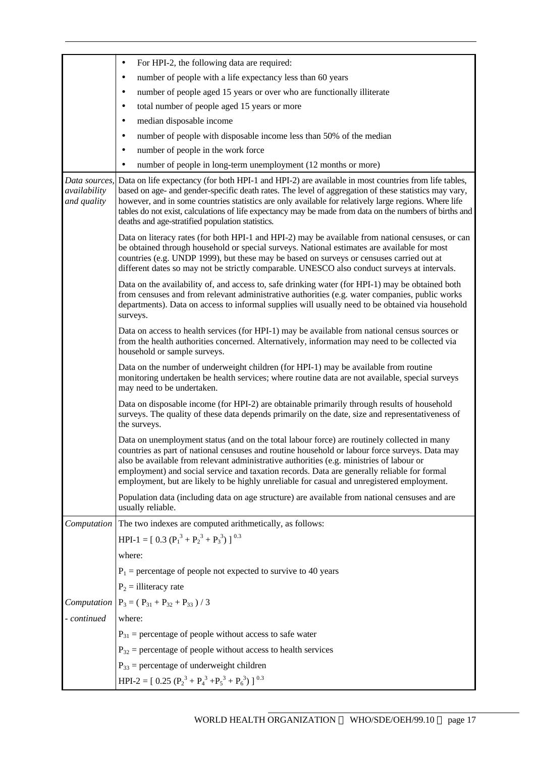|                                              | For HPI-2, the following data are required:<br>$\bullet$                                                                                                                                                                                                                                                                                                                                                                                                                               |
|----------------------------------------------|----------------------------------------------------------------------------------------------------------------------------------------------------------------------------------------------------------------------------------------------------------------------------------------------------------------------------------------------------------------------------------------------------------------------------------------------------------------------------------------|
|                                              | number of people with a life expectancy less than 60 years<br>$\bullet$                                                                                                                                                                                                                                                                                                                                                                                                                |
|                                              | number of people aged 15 years or over who are functionally illiterate<br>$\bullet$                                                                                                                                                                                                                                                                                                                                                                                                    |
|                                              | total number of people aged 15 years or more<br>$\bullet$                                                                                                                                                                                                                                                                                                                                                                                                                              |
|                                              | median disposable income<br>$\bullet$                                                                                                                                                                                                                                                                                                                                                                                                                                                  |
|                                              | number of people with disposable income less than 50% of the median<br>٠                                                                                                                                                                                                                                                                                                                                                                                                               |
|                                              | number of people in the work force<br>$\bullet$                                                                                                                                                                                                                                                                                                                                                                                                                                        |
|                                              | number of people in long-term unemployment (12 months or more)<br>$\bullet$                                                                                                                                                                                                                                                                                                                                                                                                            |
| Data sources.<br>availability<br>and quality | Data on life expectancy (for both HPI-1 and HPI-2) are available in most countries from life tables,<br>based on age- and gender-specific death rates. The level of aggregation of these statistics may vary,<br>however, and in some countries statistics are only available for relatively large regions. Where life<br>tables do not exist, calculations of life expectancy may be made from data on the numbers of births and<br>deaths and age-stratified population statistics.  |
|                                              | Data on literacy rates (for both HPI-1 and HPI-2) may be available from national censuses, or can<br>be obtained through household or special surveys. National estimates are available for most<br>countries (e.g. UNDP 1999), but these may be based on surveys or censuses carried out at<br>different dates so may not be strictly comparable. UNESCO also conduct surveys at intervals.                                                                                           |
|                                              | Data on the availability of, and access to, safe drinking water (for HPI-1) may be obtained both<br>from censuses and from relevant administrative authorities (e.g. water companies, public works<br>departments). Data on access to informal supplies will usually need to be obtained via household<br>surveys.                                                                                                                                                                     |
|                                              | Data on access to health services (for HPI-1) may be available from national census sources or<br>from the health authorities concerned. Alternatively, information may need to be collected via<br>household or sample surveys.                                                                                                                                                                                                                                                       |
|                                              | Data on the number of underweight children (for HPI-1) may be available from routine<br>monitoring undertaken be health services; where routine data are not available, special surveys<br>may need to be undertaken.                                                                                                                                                                                                                                                                  |
|                                              | Data on disposable income (for HPI-2) are obtainable primarily through results of household<br>surveys. The quality of these data depends primarily on the date, size and representativeness of<br>the surveys.                                                                                                                                                                                                                                                                        |
|                                              | Data on unemployment status (and on the total labour force) are routinely collected in many<br>countries as part of national censuses and routine household or labour force surveys. Data may<br>also be available from relevant administrative authorities (e.g. ministries of labour or<br>employment) and social service and taxation records. Data are generally reliable for formal<br>employment, but are likely to be highly unreliable for casual and unregistered employment. |
|                                              | Population data (including data on age structure) are available from national censuses and are<br>usually reliable.                                                                                                                                                                                                                                                                                                                                                                    |
|                                              | <i>Computation</i> The two indexes are computed arithmetically, as follows:                                                                                                                                                                                                                                                                                                                                                                                                            |
|                                              | HPI-1 = $[0.3 (P13 + P23 + P33)]^{0.3}$                                                                                                                                                                                                                                                                                                                                                                                                                                                |
|                                              | where:                                                                                                                                                                                                                                                                                                                                                                                                                                                                                 |
|                                              | $P_1$ = percentage of people not expected to survive to 40 years                                                                                                                                                                                                                                                                                                                                                                                                                       |
|                                              | $P_2 =$ illiteracy rate                                                                                                                                                                                                                                                                                                                                                                                                                                                                |
|                                              | Computation $P_3 = (P_{31} + P_{32} + P_{33})/3$                                                                                                                                                                                                                                                                                                                                                                                                                                       |
| - continued                                  | where:                                                                                                                                                                                                                                                                                                                                                                                                                                                                                 |
|                                              | $P_{31}$ = percentage of people without access to safe water                                                                                                                                                                                                                                                                                                                                                                                                                           |
|                                              | $P_{32}$ = percentage of people without access to health services                                                                                                                                                                                                                                                                                                                                                                                                                      |
|                                              | $P_{33}$ = percentage of underweight children                                                                                                                                                                                                                                                                                                                                                                                                                                          |
|                                              | HPI-2 = $[0.25 (P_2^3 + P_4^3 + P_5^3 + P_6^3)]^{0.3}$                                                                                                                                                                                                                                                                                                                                                                                                                                 |
|                                              |                                                                                                                                                                                                                                                                                                                                                                                                                                                                                        |

l

 $\overline{a}$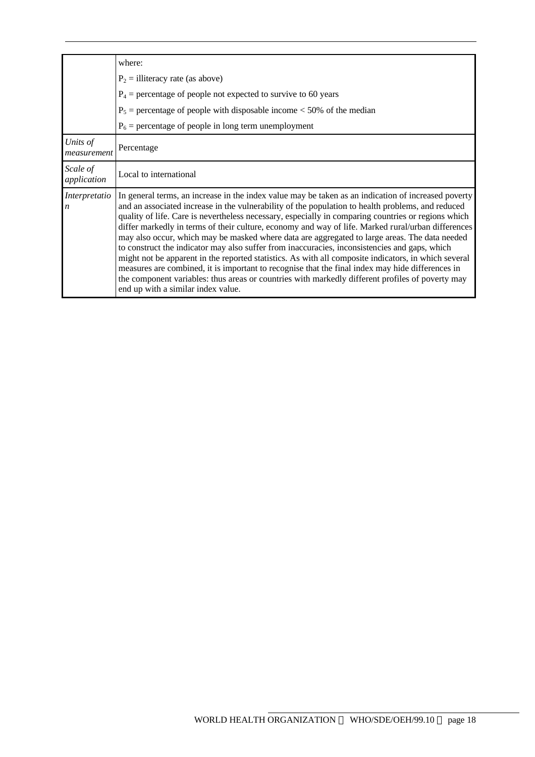|                                   | where:                                                                                                                                                                                                                                                                                                                                                                                                                                                                                                                                                                                                                                                                                                                                                                                                                                                                                                                                                                        |  |  |
|-----------------------------------|-------------------------------------------------------------------------------------------------------------------------------------------------------------------------------------------------------------------------------------------------------------------------------------------------------------------------------------------------------------------------------------------------------------------------------------------------------------------------------------------------------------------------------------------------------------------------------------------------------------------------------------------------------------------------------------------------------------------------------------------------------------------------------------------------------------------------------------------------------------------------------------------------------------------------------------------------------------------------------|--|--|
|                                   | $P_2$ = illiteracy rate (as above)                                                                                                                                                                                                                                                                                                                                                                                                                                                                                                                                                                                                                                                                                                                                                                                                                                                                                                                                            |  |  |
|                                   | $P_4$ = percentage of people not expected to survive to 60 years                                                                                                                                                                                                                                                                                                                                                                                                                                                                                                                                                                                                                                                                                                                                                                                                                                                                                                              |  |  |
|                                   | $P_5$ = percentage of people with disposable income < 50% of the median                                                                                                                                                                                                                                                                                                                                                                                                                                                                                                                                                                                                                                                                                                                                                                                                                                                                                                       |  |  |
|                                   | $P_6$ = percentage of people in long term unemployment                                                                                                                                                                                                                                                                                                                                                                                                                                                                                                                                                                                                                                                                                                                                                                                                                                                                                                                        |  |  |
| Units of<br>measurement           | Percentage                                                                                                                                                                                                                                                                                                                                                                                                                                                                                                                                                                                                                                                                                                                                                                                                                                                                                                                                                                    |  |  |
| Scale of<br>application           | Local to international                                                                                                                                                                                                                                                                                                                                                                                                                                                                                                                                                                                                                                                                                                                                                                                                                                                                                                                                                        |  |  |
| Interpretatio<br>$\boldsymbol{n}$ | In general terms, an increase in the index value may be taken as an indication of increased poverty<br>and an associated increase in the vulnerability of the population to health problems, and reduced<br>quality of life. Care is nevertheless necessary, especially in comparing countries or regions which<br>differ markedly in terms of their culture, economy and way of life. Marked rural/urban differences<br>may also occur, which may be masked where data are aggregated to large areas. The data needed<br>to construct the indicator may also suffer from inaccuracies, inconsistencies and gaps, which<br>might not be apparent in the reported statistics. As with all composite indicators, in which several<br>measures are combined, it is important to recognise that the final index may hide differences in<br>the component variables: thus areas or countries with markedly different profiles of poverty may<br>end up with a similar index value. |  |  |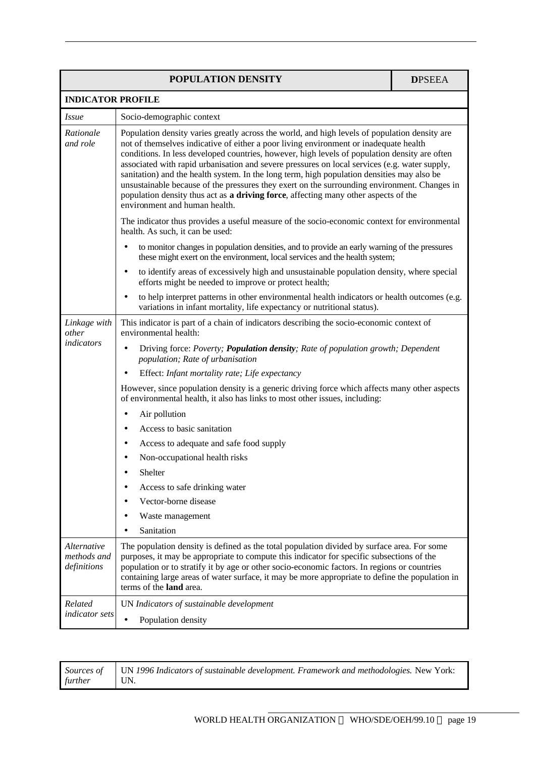|                                           | POPULATION DENSITY                                                                                                                                                                                                                                                                                                                                                                                                                                                                                                                                                                                                                                                                                             | <b>DPSEEA</b> |
|-------------------------------------------|----------------------------------------------------------------------------------------------------------------------------------------------------------------------------------------------------------------------------------------------------------------------------------------------------------------------------------------------------------------------------------------------------------------------------------------------------------------------------------------------------------------------------------------------------------------------------------------------------------------------------------------------------------------------------------------------------------------|---------------|
| <b>INDICATOR PROFILE</b>                  |                                                                                                                                                                                                                                                                                                                                                                                                                                                                                                                                                                                                                                                                                                                |               |
| <i>Issue</i>                              | Socio-demographic context                                                                                                                                                                                                                                                                                                                                                                                                                                                                                                                                                                                                                                                                                      |               |
| Rationale<br>and role                     | Population density varies greatly across the world, and high levels of population density are<br>not of themselves indicative of either a poor living environment or inadequate health<br>conditions. In less developed countries, however, high levels of population density are often<br>associated with rapid urbanisation and severe pressures on local services (e.g. water supply,<br>sanitation) and the health system. In the long term, high population densities may also be<br>unsustainable because of the pressures they exert on the surrounding environment. Changes in<br>population density thus act as a driving force, affecting many other aspects of the<br>environment and human health. |               |
|                                           | The indicator thus provides a useful measure of the socio-economic context for environmental<br>health. As such, it can be used:                                                                                                                                                                                                                                                                                                                                                                                                                                                                                                                                                                               |               |
|                                           | to monitor changes in population densities, and to provide an early warning of the pressures<br>these might exert on the environment, local services and the health system;                                                                                                                                                                                                                                                                                                                                                                                                                                                                                                                                    |               |
|                                           | to identify areas of excessively high and unsustainable population density, where special<br>efforts might be needed to improve or protect health;                                                                                                                                                                                                                                                                                                                                                                                                                                                                                                                                                             |               |
|                                           | to help interpret patterns in other environmental health indicators or health outcomes (e.g.<br>variations in infant mortality, life expectancy or nutritional status).                                                                                                                                                                                                                                                                                                                                                                                                                                                                                                                                        |               |
| Linkage with<br>other                     | This indicator is part of a chain of indicators describing the socio-economic context of<br>environmental health:                                                                                                                                                                                                                                                                                                                                                                                                                                                                                                                                                                                              |               |
| indicators                                | Driving force: Poverty; Population density; Rate of population growth; Dependent<br>$\bullet$<br>population; Rate of urbanisation                                                                                                                                                                                                                                                                                                                                                                                                                                                                                                                                                                              |               |
|                                           | Effect: Infant mortality rate; Life expectancy                                                                                                                                                                                                                                                                                                                                                                                                                                                                                                                                                                                                                                                                 |               |
|                                           | However, since population density is a generic driving force which affects many other aspects<br>of environmental health, it also has links to most other issues, including:                                                                                                                                                                                                                                                                                                                                                                                                                                                                                                                                   |               |
|                                           | Air pollution                                                                                                                                                                                                                                                                                                                                                                                                                                                                                                                                                                                                                                                                                                  |               |
|                                           | Access to basic sanitation                                                                                                                                                                                                                                                                                                                                                                                                                                                                                                                                                                                                                                                                                     |               |
|                                           | Access to adequate and safe food supply                                                                                                                                                                                                                                                                                                                                                                                                                                                                                                                                                                                                                                                                        |               |
|                                           | Non-occupational health risks                                                                                                                                                                                                                                                                                                                                                                                                                                                                                                                                                                                                                                                                                  |               |
|                                           | $\bullet$<br>Shelter                                                                                                                                                                                                                                                                                                                                                                                                                                                                                                                                                                                                                                                                                           |               |
|                                           | Access to safe drinking water                                                                                                                                                                                                                                                                                                                                                                                                                                                                                                                                                                                                                                                                                  |               |
|                                           | Vector-borne disease                                                                                                                                                                                                                                                                                                                                                                                                                                                                                                                                                                                                                                                                                           |               |
|                                           | Waste management                                                                                                                                                                                                                                                                                                                                                                                                                                                                                                                                                                                                                                                                                               |               |
|                                           | Sanitation                                                                                                                                                                                                                                                                                                                                                                                                                                                                                                                                                                                                                                                                                                     |               |
| Alternative<br>methods and<br>definitions | The population density is defined as the total population divided by surface area. For some<br>purposes, it may be appropriate to compute this indicator for specific subsections of the<br>population or to stratify it by age or other socio-economic factors. In regions or countries<br>containing large areas of water surface, it may be more appropriate to define the population in<br>terms of the <b>land</b> area.                                                                                                                                                                                                                                                                                  |               |
| Related                                   | UN Indicators of sustainable development                                                                                                                                                                                                                                                                                                                                                                                                                                                                                                                                                                                                                                                                       |               |
| <i>indicator</i> sets                     | Population density                                                                                                                                                                                                                                                                                                                                                                                                                                                                                                                                                                                                                                                                                             |               |

|                | Sources of UN 1996 Indicators of sustainable development. Framework and methodologies. New York: |
|----------------|--------------------------------------------------------------------------------------------------|
| further<br>UN. |                                                                                                  |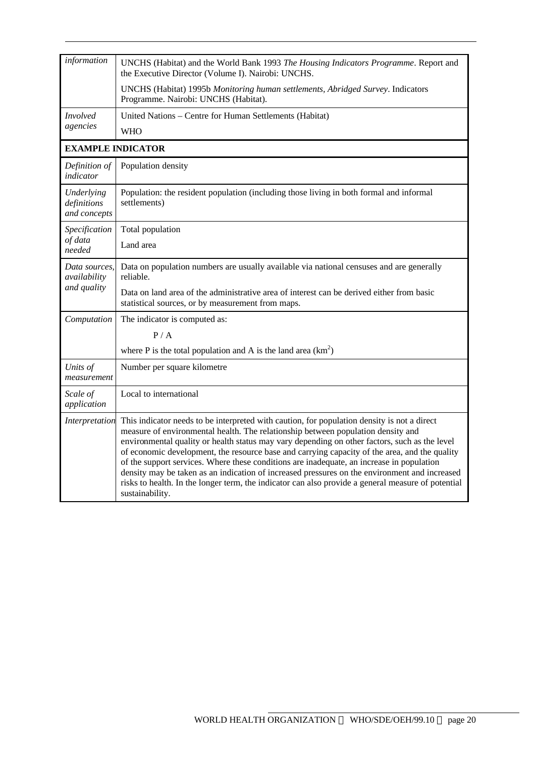| information                                  | UNCHS (Habitat) and the World Bank 1993 The Housing Indicators Programme. Report and<br>the Executive Director (Volume I). Nairobi: UNCHS.                                                                                                                                                                                                                                                                                                                                                                                                                                                                                                                                                               |
|----------------------------------------------|----------------------------------------------------------------------------------------------------------------------------------------------------------------------------------------------------------------------------------------------------------------------------------------------------------------------------------------------------------------------------------------------------------------------------------------------------------------------------------------------------------------------------------------------------------------------------------------------------------------------------------------------------------------------------------------------------------|
|                                              | UNCHS (Habitat) 1995b Monitoring human settlements, Abridged Survey. Indicators<br>Programme. Nairobi: UNCHS (Habitat).                                                                                                                                                                                                                                                                                                                                                                                                                                                                                                                                                                                  |
| <b>Involved</b>                              | United Nations - Centre for Human Settlements (Habitat)                                                                                                                                                                                                                                                                                                                                                                                                                                                                                                                                                                                                                                                  |
| agencies                                     | <b>WHO</b>                                                                                                                                                                                                                                                                                                                                                                                                                                                                                                                                                                                                                                                                                               |
| <b>EXAMPLE INDICATOR</b>                     |                                                                                                                                                                                                                                                                                                                                                                                                                                                                                                                                                                                                                                                                                                          |
| Definition of<br>indicator                   | Population density                                                                                                                                                                                                                                                                                                                                                                                                                                                                                                                                                                                                                                                                                       |
| Underlying<br>definitions<br>and concepts    | Population: the resident population (including those living in both formal and informal<br>settlements)                                                                                                                                                                                                                                                                                                                                                                                                                                                                                                                                                                                                  |
| Specification                                | Total population                                                                                                                                                                                                                                                                                                                                                                                                                                                                                                                                                                                                                                                                                         |
| of data<br>needed                            | Land area                                                                                                                                                                                                                                                                                                                                                                                                                                                                                                                                                                                                                                                                                                |
| Data sources.<br>availability<br>and quality | Data on population numbers are usually available via national censuses and are generally<br>reliable.                                                                                                                                                                                                                                                                                                                                                                                                                                                                                                                                                                                                    |
|                                              | Data on land area of the administrative area of interest can be derived either from basic<br>statistical sources, or by measurement from maps.                                                                                                                                                                                                                                                                                                                                                                                                                                                                                                                                                           |
| Computation                                  | The indicator is computed as:                                                                                                                                                                                                                                                                                                                                                                                                                                                                                                                                                                                                                                                                            |
|                                              | P/A                                                                                                                                                                                                                                                                                                                                                                                                                                                                                                                                                                                                                                                                                                      |
|                                              | where P is the total population and A is the land area $(km^2)$                                                                                                                                                                                                                                                                                                                                                                                                                                                                                                                                                                                                                                          |
| Units of<br>measurement                      | Number per square kilometre                                                                                                                                                                                                                                                                                                                                                                                                                                                                                                                                                                                                                                                                              |
| Scale of<br>application                      | Local to international                                                                                                                                                                                                                                                                                                                                                                                                                                                                                                                                                                                                                                                                                   |
| Interpretation                               | This indicator needs to be interpreted with caution, for population density is not a direct<br>measure of environmental health. The relationship between population density and<br>environmental quality or health status may vary depending on other factors, such as the level<br>of economic development, the resource base and carrying capacity of the area, and the quality<br>of the support services. Where these conditions are inadequate, an increase in population<br>density may be taken as an indication of increased pressures on the environment and increased<br>risks to health. In the longer term, the indicator can also provide a general measure of potential<br>sustainability. |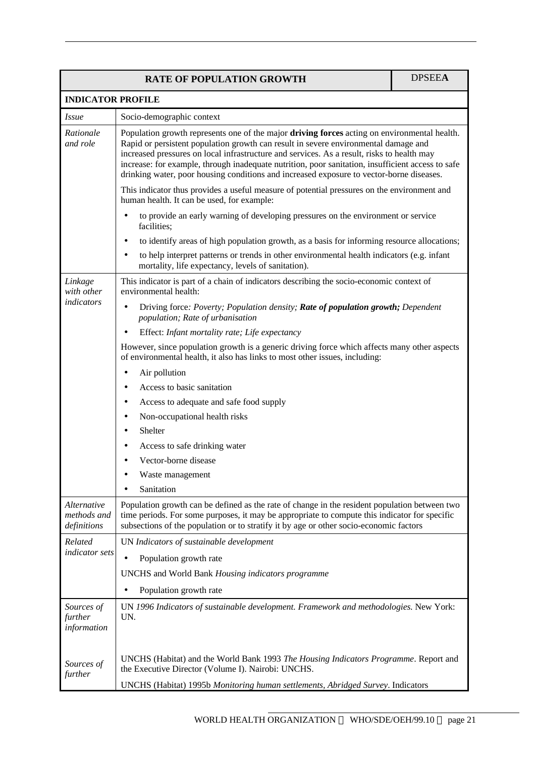|                                           | <b>RATE OF POPULATION GROWTH</b>                                                                                                                                                                                                                                                                                                                                                                                                                                                                                                                                                                                                | <b>DPSEEA</b> |  |
|-------------------------------------------|---------------------------------------------------------------------------------------------------------------------------------------------------------------------------------------------------------------------------------------------------------------------------------------------------------------------------------------------------------------------------------------------------------------------------------------------------------------------------------------------------------------------------------------------------------------------------------------------------------------------------------|---------------|--|
| <b>INDICATOR PROFILE</b>                  |                                                                                                                                                                                                                                                                                                                                                                                                                                                                                                                                                                                                                                 |               |  |
| <i>Issue</i>                              | Socio-demographic context                                                                                                                                                                                                                                                                                                                                                                                                                                                                                                                                                                                                       |               |  |
| Rationale<br>and role                     | Population growth represents one of the major driving forces acting on environmental health.<br>Rapid or persistent population growth can result in severe environmental damage and<br>increased pressures on local infrastructure and services. As a result, risks to health may<br>increase: for example, through inadequate nutrition, poor sanitation, insufficient access to safe<br>drinking water, poor housing conditions and increased exposure to vector-borne diseases.<br>This indicator thus provides a useful measure of potential pressures on the environment and<br>human health. It can be used, for example: |               |  |
|                                           |                                                                                                                                                                                                                                                                                                                                                                                                                                                                                                                                                                                                                                 |               |  |
|                                           | to provide an early warning of developing pressures on the environment or service<br>facilities;                                                                                                                                                                                                                                                                                                                                                                                                                                                                                                                                |               |  |
|                                           | to identify areas of high population growth, as a basis for informing resource allocations;                                                                                                                                                                                                                                                                                                                                                                                                                                                                                                                                     |               |  |
|                                           | to help interpret patterns or trends in other environmental health indicators (e.g. infant<br>mortality, life expectancy, levels of sanitation).                                                                                                                                                                                                                                                                                                                                                                                                                                                                                |               |  |
| Linkage<br>with other                     | This indicator is part of a chain of indicators describing the socio-economic context of<br>environmental health:                                                                                                                                                                                                                                                                                                                                                                                                                                                                                                               |               |  |
| indicators                                | Driving force: Poverty; Population density; Rate of population growth; Dependent<br>$\bullet$<br>population; Rate of urbanisation                                                                                                                                                                                                                                                                                                                                                                                                                                                                                               |               |  |
|                                           | Effect: Infant mortality rate; Life expectancy                                                                                                                                                                                                                                                                                                                                                                                                                                                                                                                                                                                  |               |  |
|                                           | However, since population growth is a generic driving force which affects many other aspects<br>of environmental health, it also has links to most other issues, including:                                                                                                                                                                                                                                                                                                                                                                                                                                                     |               |  |
|                                           | Air pollution                                                                                                                                                                                                                                                                                                                                                                                                                                                                                                                                                                                                                   |               |  |
|                                           | Access to basic sanitation                                                                                                                                                                                                                                                                                                                                                                                                                                                                                                                                                                                                      |               |  |
|                                           | Access to adequate and safe food supply<br>٠                                                                                                                                                                                                                                                                                                                                                                                                                                                                                                                                                                                    |               |  |
|                                           | Non-occupational health risks                                                                                                                                                                                                                                                                                                                                                                                                                                                                                                                                                                                                   |               |  |
|                                           | Shelter                                                                                                                                                                                                                                                                                                                                                                                                                                                                                                                                                                                                                         |               |  |
|                                           | Access to safe drinking water                                                                                                                                                                                                                                                                                                                                                                                                                                                                                                                                                                                                   |               |  |
|                                           | Vector-borne disease                                                                                                                                                                                                                                                                                                                                                                                                                                                                                                                                                                                                            |               |  |
|                                           | Waste management                                                                                                                                                                                                                                                                                                                                                                                                                                                                                                                                                                                                                |               |  |
|                                           | Sanitation                                                                                                                                                                                                                                                                                                                                                                                                                                                                                                                                                                                                                      |               |  |
| Alternative<br>methods and<br>definitions | Population growth can be defined as the rate of change in the resident population between two<br>time periods. For some purposes, it may be appropriate to compute this indicator for specific<br>subsections of the population or to stratify it by age or other socio-economic factors                                                                                                                                                                                                                                                                                                                                        |               |  |
| Related                                   | UN Indicators of sustainable development                                                                                                                                                                                                                                                                                                                                                                                                                                                                                                                                                                                        |               |  |
| indicator sets                            | Population growth rate                                                                                                                                                                                                                                                                                                                                                                                                                                                                                                                                                                                                          |               |  |
|                                           | UNCHS and World Bank Housing indicators programme                                                                                                                                                                                                                                                                                                                                                                                                                                                                                                                                                                               |               |  |
|                                           | Population growth rate                                                                                                                                                                                                                                                                                                                                                                                                                                                                                                                                                                                                          |               |  |
| Sources of<br>further<br>information      | UN 1996 Indicators of sustainable development. Framework and methodologies. New York:<br>UN.                                                                                                                                                                                                                                                                                                                                                                                                                                                                                                                                    |               |  |
| Sources of<br>further                     | UNCHS (Habitat) and the World Bank 1993 The Housing Indicators Programme. Report and<br>the Executive Director (Volume I). Nairobi: UNCHS.<br>UNCHS (Habitat) 1995b Monitoring human settlements, Abridged Survey. Indicators                                                                                                                                                                                                                                                                                                                                                                                                   |               |  |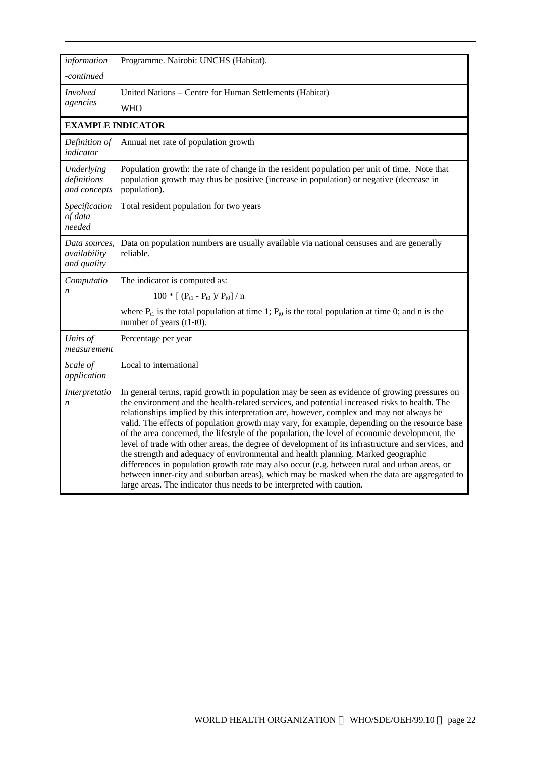| information                                  | Programme. Nairobi: UNCHS (Habitat).                                                                                                                                                                                                                                                                                                                                                                                                                                                                                                                                                                                                                                                                                                                                                                                                                                                                                                                            |
|----------------------------------------------|-----------------------------------------------------------------------------------------------------------------------------------------------------------------------------------------------------------------------------------------------------------------------------------------------------------------------------------------------------------------------------------------------------------------------------------------------------------------------------------------------------------------------------------------------------------------------------------------------------------------------------------------------------------------------------------------------------------------------------------------------------------------------------------------------------------------------------------------------------------------------------------------------------------------------------------------------------------------|
| -continued                                   |                                                                                                                                                                                                                                                                                                                                                                                                                                                                                                                                                                                                                                                                                                                                                                                                                                                                                                                                                                 |
| <i>Involved</i>                              | United Nations - Centre for Human Settlements (Habitat)                                                                                                                                                                                                                                                                                                                                                                                                                                                                                                                                                                                                                                                                                                                                                                                                                                                                                                         |
| agencies                                     | <b>WHO</b>                                                                                                                                                                                                                                                                                                                                                                                                                                                                                                                                                                                                                                                                                                                                                                                                                                                                                                                                                      |
| <b>EXAMPLE INDICATOR</b>                     |                                                                                                                                                                                                                                                                                                                                                                                                                                                                                                                                                                                                                                                                                                                                                                                                                                                                                                                                                                 |
| Definition of<br>indicator                   | Annual net rate of population growth                                                                                                                                                                                                                                                                                                                                                                                                                                                                                                                                                                                                                                                                                                                                                                                                                                                                                                                            |
| Underlying<br>definitions<br>and concepts    | Population growth: the rate of change in the resident population per unit of time. Note that<br>population growth may thus be positive (increase in population) or negative (decrease in<br>population).                                                                                                                                                                                                                                                                                                                                                                                                                                                                                                                                                                                                                                                                                                                                                        |
| Specification<br>of data<br>needed           | Total resident population for two years                                                                                                                                                                                                                                                                                                                                                                                                                                                                                                                                                                                                                                                                                                                                                                                                                                                                                                                         |
| Data sources.<br>availability<br>and quality | Data on population numbers are usually available via national censuses and are generally<br>reliable.                                                                                                                                                                                                                                                                                                                                                                                                                                                                                                                                                                                                                                                                                                                                                                                                                                                           |
| Computatio                                   | The indicator is computed as:                                                                                                                                                                                                                                                                                                                                                                                                                                                                                                                                                                                                                                                                                                                                                                                                                                                                                                                                   |
| n                                            | $100 * [ (P_{t1} - P_{t0}) / P_{t0} ] / n$                                                                                                                                                                                                                                                                                                                                                                                                                                                                                                                                                                                                                                                                                                                                                                                                                                                                                                                      |
|                                              | where $P_{t1}$ is the total population at time 1; $P_{t0}$ is the total population at time 0; and n is the<br>number of years (t1-t0).                                                                                                                                                                                                                                                                                                                                                                                                                                                                                                                                                                                                                                                                                                                                                                                                                          |
| Units of<br>measurement                      | Percentage per year                                                                                                                                                                                                                                                                                                                                                                                                                                                                                                                                                                                                                                                                                                                                                                                                                                                                                                                                             |
| Scale of<br>application                      | Local to international                                                                                                                                                                                                                                                                                                                                                                                                                                                                                                                                                                                                                                                                                                                                                                                                                                                                                                                                          |
| Interpretatio<br>$\boldsymbol{n}$            | In general terms, rapid growth in population may be seen as evidence of growing pressures on<br>the environment and the health-related services, and potential increased risks to health. The<br>relationships implied by this interpretation are, however, complex and may not always be<br>valid. The effects of population growth may vary, for example, depending on the resource base<br>of the area concerned, the lifestyle of the population, the level of economic development, the<br>level of trade with other areas, the degree of development of its infrastructure and services, and<br>the strength and adequacy of environmental and health planning. Marked geographic<br>differences in population growth rate may also occur (e.g. between rural and urban areas, or<br>between inner-city and suburban areas), which may be masked when the data are aggregated to<br>large areas. The indicator thus needs to be interpreted with caution. |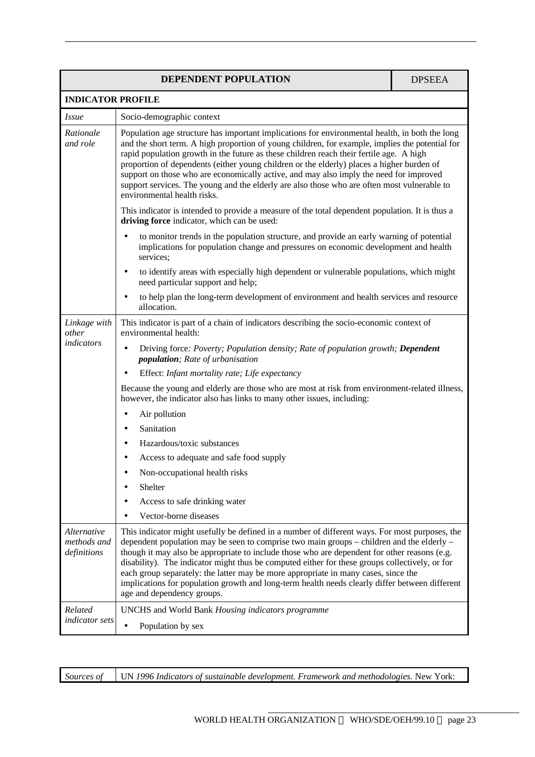| <b>DEPENDENT POPULATION</b><br><b>DPSEEA</b> |                                                                                                                                                                                                                                                                                                                                                                                                                                                                                                                                                                                                                     |  |  |
|----------------------------------------------|---------------------------------------------------------------------------------------------------------------------------------------------------------------------------------------------------------------------------------------------------------------------------------------------------------------------------------------------------------------------------------------------------------------------------------------------------------------------------------------------------------------------------------------------------------------------------------------------------------------------|--|--|
| <b>INDICATOR PROFILE</b>                     |                                                                                                                                                                                                                                                                                                                                                                                                                                                                                                                                                                                                                     |  |  |
| <i>Issue</i>                                 | Socio-demographic context                                                                                                                                                                                                                                                                                                                                                                                                                                                                                                                                                                                           |  |  |
| Rationale<br>and role                        | Population age structure has important implications for environmental health, in both the long<br>and the short term. A high proportion of young children, for example, implies the potential for<br>rapid population growth in the future as these children reach their fertile age. A high<br>proportion of dependents (either young children or the elderly) places a higher burden of<br>support on those who are economically active, and may also imply the need for improved<br>support services. The young and the elderly are also those who are often most vulnerable to<br>environmental health risks.   |  |  |
|                                              | This indicator is intended to provide a measure of the total dependent population. It is thus a<br>driving force indicator, which can be used:                                                                                                                                                                                                                                                                                                                                                                                                                                                                      |  |  |
|                                              | to monitor trends in the population structure, and provide an early warning of potential<br>implications for population change and pressures on economic development and health<br>services;                                                                                                                                                                                                                                                                                                                                                                                                                        |  |  |
|                                              | to identify areas with especially high dependent or vulnerable populations, which might<br>need particular support and help;                                                                                                                                                                                                                                                                                                                                                                                                                                                                                        |  |  |
|                                              | to help plan the long-term development of environment and health services and resource<br>allocation.                                                                                                                                                                                                                                                                                                                                                                                                                                                                                                               |  |  |
| Linkage with<br>other                        | This indicator is part of a chain of indicators describing the socio-economic context of<br>environmental health:                                                                                                                                                                                                                                                                                                                                                                                                                                                                                                   |  |  |
| indicators                                   | Driving force: Poverty; Population density; Rate of population growth; Dependent<br>$\bullet$<br>population; Rate of urbanisation                                                                                                                                                                                                                                                                                                                                                                                                                                                                                   |  |  |
|                                              | Effect: Infant mortality rate; Life expectancy                                                                                                                                                                                                                                                                                                                                                                                                                                                                                                                                                                      |  |  |
|                                              | Because the young and elderly are those who are most at risk from environment-related illness,<br>however, the indicator also has links to many other issues, including:                                                                                                                                                                                                                                                                                                                                                                                                                                            |  |  |
|                                              | Air pollution                                                                                                                                                                                                                                                                                                                                                                                                                                                                                                                                                                                                       |  |  |
|                                              | Sanitation                                                                                                                                                                                                                                                                                                                                                                                                                                                                                                                                                                                                          |  |  |
|                                              | Hazardous/toxic substances                                                                                                                                                                                                                                                                                                                                                                                                                                                                                                                                                                                          |  |  |
|                                              | Access to adequate and safe food supply                                                                                                                                                                                                                                                                                                                                                                                                                                                                                                                                                                             |  |  |
|                                              | Non-occupational health risks                                                                                                                                                                                                                                                                                                                                                                                                                                                                                                                                                                                       |  |  |
|                                              | Shelter                                                                                                                                                                                                                                                                                                                                                                                                                                                                                                                                                                                                             |  |  |
|                                              | Access to safe drinking water                                                                                                                                                                                                                                                                                                                                                                                                                                                                                                                                                                                       |  |  |
|                                              | Vector-borne diseases                                                                                                                                                                                                                                                                                                                                                                                                                                                                                                                                                                                               |  |  |
| Alternative<br>methods and<br>definitions    | This indicator might usefully be defined in a number of different ways. For most purposes, the<br>dependent population may be seen to comprise two main groups – children and the elderly –<br>though it may also be appropriate to include those who are dependent for other reasons (e.g.<br>disability). The indicator might thus be computed either for these groups collectively, or for<br>each group separately: the latter may be more appropriate in many cases, since the<br>implications for population growth and long-term health needs clearly differ between different<br>age and dependency groups. |  |  |
| Related                                      | UNCHS and World Bank Housing indicators programme                                                                                                                                                                                                                                                                                                                                                                                                                                                                                                                                                                   |  |  |
| indicator sets                               | Population by sex<br>$\bullet$                                                                                                                                                                                                                                                                                                                                                                                                                                                                                                                                                                                      |  |  |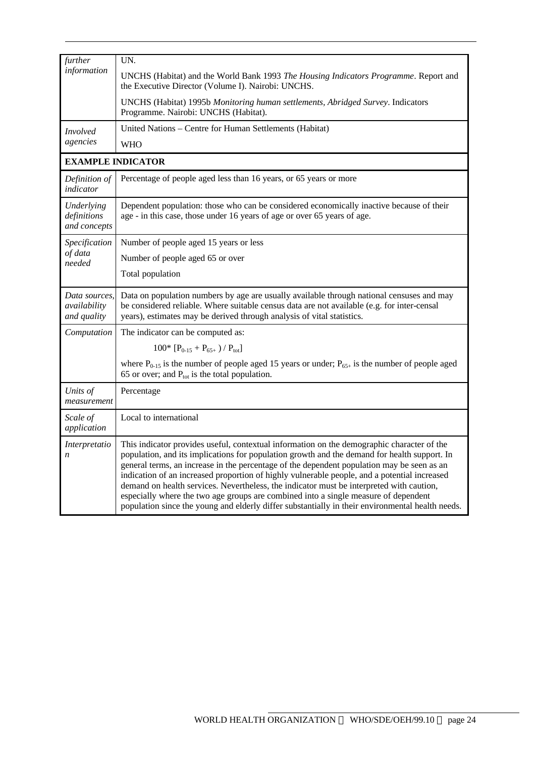| further                                      | UN.                                                                                                                                                                                                                                                                                                                                                                                                                                                                                                                                                                                                                                                                             |
|----------------------------------------------|---------------------------------------------------------------------------------------------------------------------------------------------------------------------------------------------------------------------------------------------------------------------------------------------------------------------------------------------------------------------------------------------------------------------------------------------------------------------------------------------------------------------------------------------------------------------------------------------------------------------------------------------------------------------------------|
| information                                  | UNCHS (Habitat) and the World Bank 1993 The Housing Indicators Programme. Report and<br>the Executive Director (Volume I). Nairobi: UNCHS.                                                                                                                                                                                                                                                                                                                                                                                                                                                                                                                                      |
|                                              | UNCHS (Habitat) 1995b Monitoring human settlements, Abridged Survey. Indicators<br>Programme. Nairobi: UNCHS (Habitat).                                                                                                                                                                                                                                                                                                                                                                                                                                                                                                                                                         |
| <b>Involved</b>                              | United Nations - Centre for Human Settlements (Habitat)                                                                                                                                                                                                                                                                                                                                                                                                                                                                                                                                                                                                                         |
| agencies                                     | <b>WHO</b>                                                                                                                                                                                                                                                                                                                                                                                                                                                                                                                                                                                                                                                                      |
| <b>EXAMPLE INDICATOR</b>                     |                                                                                                                                                                                                                                                                                                                                                                                                                                                                                                                                                                                                                                                                                 |
| Definition of<br>indicator                   | Percentage of people aged less than 16 years, or 65 years or more                                                                                                                                                                                                                                                                                                                                                                                                                                                                                                                                                                                                               |
| Underlying<br>definitions<br>and concepts    | Dependent population: those who can be considered economically inactive because of their<br>age - in this case, those under 16 years of age or over 65 years of age.                                                                                                                                                                                                                                                                                                                                                                                                                                                                                                            |
| Specification<br>of data<br>needed           | Number of people aged 15 years or less                                                                                                                                                                                                                                                                                                                                                                                                                                                                                                                                                                                                                                          |
|                                              | Number of people aged 65 or over                                                                                                                                                                                                                                                                                                                                                                                                                                                                                                                                                                                                                                                |
|                                              | Total population                                                                                                                                                                                                                                                                                                                                                                                                                                                                                                                                                                                                                                                                |
|                                              |                                                                                                                                                                                                                                                                                                                                                                                                                                                                                                                                                                                                                                                                                 |
| Data sources.<br>availability<br>and quality | Data on population numbers by age are usually available through national censuses and may<br>be considered reliable. Where suitable census data are not available (e.g. for inter-censal<br>years), estimates may be derived through analysis of vital statistics.                                                                                                                                                                                                                                                                                                                                                                                                              |
| Computation                                  | The indicator can be computed as:                                                                                                                                                                                                                                                                                                                                                                                                                                                                                                                                                                                                                                               |
|                                              | $100^*$ $[P_{0-15} + P_{65+} )/P_{tot}]$                                                                                                                                                                                                                                                                                                                                                                                                                                                                                                                                                                                                                                        |
|                                              | where $P_{0-15}$ is the number of people aged 15 years or under; $P_{65+}$ is the number of people aged<br>65 or over; and $P_{\text{tot}}$ is the total population.                                                                                                                                                                                                                                                                                                                                                                                                                                                                                                            |
| Units of<br>measurement                      | Percentage                                                                                                                                                                                                                                                                                                                                                                                                                                                                                                                                                                                                                                                                      |
| Scale of<br>application                      | Local to international                                                                                                                                                                                                                                                                                                                                                                                                                                                                                                                                                                                                                                                          |
| Interpretatio<br>n                           | This indicator provides useful, contextual information on the demographic character of the<br>population, and its implications for population growth and the demand for health support. In<br>general terms, an increase in the percentage of the dependent population may be seen as an<br>indication of an increased proportion of highly vulnerable people, and a potential increased<br>demand on health services. Nevertheless, the indicator must be interpreted with caution,<br>especially where the two age groups are combined into a single measure of dependent<br>population since the young and elderly differ substantially in their environmental health needs. |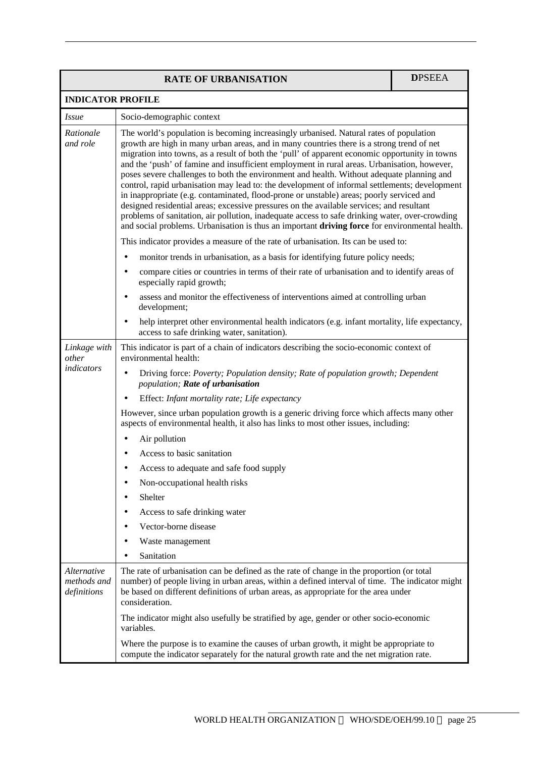|                                           | <b>RATE OF URBANISATION</b>                                                                                                                                                                                                                                                                                                                                                                                                                                                                                                                                                                                                                                                                                                                                                                                                                                                                                                                                                    | <b>DPSEEA</b> |  |
|-------------------------------------------|--------------------------------------------------------------------------------------------------------------------------------------------------------------------------------------------------------------------------------------------------------------------------------------------------------------------------------------------------------------------------------------------------------------------------------------------------------------------------------------------------------------------------------------------------------------------------------------------------------------------------------------------------------------------------------------------------------------------------------------------------------------------------------------------------------------------------------------------------------------------------------------------------------------------------------------------------------------------------------|---------------|--|
| <b>INDICATOR PROFILE</b>                  |                                                                                                                                                                                                                                                                                                                                                                                                                                                                                                                                                                                                                                                                                                                                                                                                                                                                                                                                                                                |               |  |
| <b>Issue</b>                              | Socio-demographic context                                                                                                                                                                                                                                                                                                                                                                                                                                                                                                                                                                                                                                                                                                                                                                                                                                                                                                                                                      |               |  |
| Rationale<br>and role                     | The world's population is becoming increasingly urbanised. Natural rates of population<br>growth are high in many urban areas, and in many countries there is a strong trend of net<br>migration into towns, as a result of both the 'pull' of apparent economic opportunity in towns<br>and the 'push' of famine and insufficient employment in rural areas. Urbanisation, however,<br>poses severe challenges to both the environment and health. Without adequate planning and<br>control, rapid urbanisation may lead to: the development of informal settlements; development<br>in inappropriate (e.g. contaminated, flood-prone or unstable) areas; poorly serviced and<br>designed residential areas; excessive pressures on the available services; and resultant<br>problems of sanitation, air pollution, inadequate access to safe drinking water, over-crowding<br>and social problems. Urbanisation is thus an important driving force for environmental health. |               |  |
|                                           | This indicator provides a measure of the rate of urbanisation. Its can be used to:                                                                                                                                                                                                                                                                                                                                                                                                                                                                                                                                                                                                                                                                                                                                                                                                                                                                                             |               |  |
|                                           | monitor trends in urbanisation, as a basis for identifying future policy needs;                                                                                                                                                                                                                                                                                                                                                                                                                                                                                                                                                                                                                                                                                                                                                                                                                                                                                                |               |  |
|                                           | compare cities or countries in terms of their rate of urbanisation and to identify areas of<br>especially rapid growth;                                                                                                                                                                                                                                                                                                                                                                                                                                                                                                                                                                                                                                                                                                                                                                                                                                                        |               |  |
|                                           | assess and monitor the effectiveness of interventions aimed at controlling urban<br>development;                                                                                                                                                                                                                                                                                                                                                                                                                                                                                                                                                                                                                                                                                                                                                                                                                                                                               |               |  |
|                                           | help interpret other environmental health indicators (e.g. infant mortality, life expectancy,<br>access to safe drinking water, sanitation).                                                                                                                                                                                                                                                                                                                                                                                                                                                                                                                                                                                                                                                                                                                                                                                                                                   |               |  |
| Linkage with<br>other<br>indicators       | This indicator is part of a chain of indicators describing the socio-economic context of<br>environmental health:<br>Driving force: Poverty; Population density; Rate of population growth; Dependent<br>population; Rate of urbanisation<br>Effect: Infant mortality rate; Life expectancy<br>However, since urban population growth is a generic driving force which affects many other<br>aspects of environmental health, it also has links to most other issues, including:<br>Air pollution                                                                                                                                                                                                                                                                                                                                                                                                                                                                              |               |  |
|                                           | Access to basic sanitation                                                                                                                                                                                                                                                                                                                                                                                                                                                                                                                                                                                                                                                                                                                                                                                                                                                                                                                                                     |               |  |
|                                           | Access to adequate and safe food supply                                                                                                                                                                                                                                                                                                                                                                                                                                                                                                                                                                                                                                                                                                                                                                                                                                                                                                                                        |               |  |
|                                           | Non-occupational health risks<br>Shelter                                                                                                                                                                                                                                                                                                                                                                                                                                                                                                                                                                                                                                                                                                                                                                                                                                                                                                                                       |               |  |
|                                           | Access to safe drinking water                                                                                                                                                                                                                                                                                                                                                                                                                                                                                                                                                                                                                                                                                                                                                                                                                                                                                                                                                  |               |  |
|                                           | Vector-borne disease                                                                                                                                                                                                                                                                                                                                                                                                                                                                                                                                                                                                                                                                                                                                                                                                                                                                                                                                                           |               |  |
|                                           | Waste management                                                                                                                                                                                                                                                                                                                                                                                                                                                                                                                                                                                                                                                                                                                                                                                                                                                                                                                                                               |               |  |
|                                           | Sanitation                                                                                                                                                                                                                                                                                                                                                                                                                                                                                                                                                                                                                                                                                                                                                                                                                                                                                                                                                                     |               |  |
| Alternative<br>methods and<br>definitions | The rate of urbanisation can be defined as the rate of change in the proportion (or total<br>number) of people living in urban areas, within a defined interval of time. The indicator might<br>be based on different definitions of urban areas, as appropriate for the area under<br>consideration.                                                                                                                                                                                                                                                                                                                                                                                                                                                                                                                                                                                                                                                                          |               |  |
|                                           | The indicator might also usefully be stratified by age, gender or other socio-economic<br>variables.                                                                                                                                                                                                                                                                                                                                                                                                                                                                                                                                                                                                                                                                                                                                                                                                                                                                           |               |  |
|                                           | Where the purpose is to examine the causes of urban growth, it might be appropriate to<br>compute the indicator separately for the natural growth rate and the net migration rate.                                                                                                                                                                                                                                                                                                                                                                                                                                                                                                                                                                                                                                                                                                                                                                                             |               |  |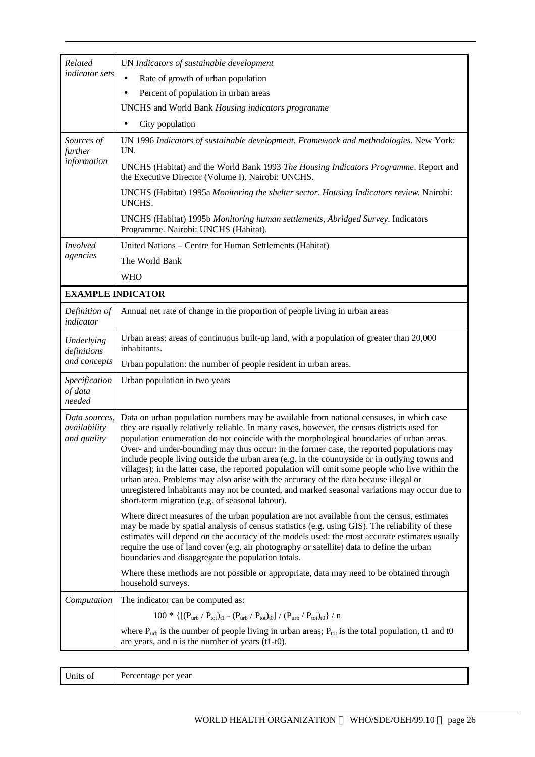| Related<br>indicator sets                    | UN Indicators of sustainable development                                                                                                                                                                                                                                                                                                                                                                                                                                                                                                                                                                                                                                                                                                                                                                                         |
|----------------------------------------------|----------------------------------------------------------------------------------------------------------------------------------------------------------------------------------------------------------------------------------------------------------------------------------------------------------------------------------------------------------------------------------------------------------------------------------------------------------------------------------------------------------------------------------------------------------------------------------------------------------------------------------------------------------------------------------------------------------------------------------------------------------------------------------------------------------------------------------|
|                                              | Rate of growth of urban population                                                                                                                                                                                                                                                                                                                                                                                                                                                                                                                                                                                                                                                                                                                                                                                               |
|                                              | Percent of population in urban areas                                                                                                                                                                                                                                                                                                                                                                                                                                                                                                                                                                                                                                                                                                                                                                                             |
|                                              | UNCHS and World Bank Housing indicators programme                                                                                                                                                                                                                                                                                                                                                                                                                                                                                                                                                                                                                                                                                                                                                                                |
|                                              | City population<br>٠                                                                                                                                                                                                                                                                                                                                                                                                                                                                                                                                                                                                                                                                                                                                                                                                             |
| Sources of<br>further                        | UN 1996 Indicators of sustainable development. Framework and methodologies. New York:<br>UN.                                                                                                                                                                                                                                                                                                                                                                                                                                                                                                                                                                                                                                                                                                                                     |
| information                                  | UNCHS (Habitat) and the World Bank 1993 The Housing Indicators Programme. Report and<br>the Executive Director (Volume I). Nairobi: UNCHS.                                                                                                                                                                                                                                                                                                                                                                                                                                                                                                                                                                                                                                                                                       |
|                                              | UNCHS (Habitat) 1995a Monitoring the shelter sector. Housing Indicators review. Nairobi:<br>UNCHS.                                                                                                                                                                                                                                                                                                                                                                                                                                                                                                                                                                                                                                                                                                                               |
|                                              | UNCHS (Habitat) 1995b Monitoring human settlements, Abridged Survey. Indicators<br>Programme. Nairobi: UNCHS (Habitat).                                                                                                                                                                                                                                                                                                                                                                                                                                                                                                                                                                                                                                                                                                          |
| <b>Involved</b>                              | United Nations - Centre for Human Settlements (Habitat)                                                                                                                                                                                                                                                                                                                                                                                                                                                                                                                                                                                                                                                                                                                                                                          |
| agencies                                     | The World Bank                                                                                                                                                                                                                                                                                                                                                                                                                                                                                                                                                                                                                                                                                                                                                                                                                   |
|                                              | <b>WHO</b>                                                                                                                                                                                                                                                                                                                                                                                                                                                                                                                                                                                                                                                                                                                                                                                                                       |
| <b>EXAMPLE INDICATOR</b>                     |                                                                                                                                                                                                                                                                                                                                                                                                                                                                                                                                                                                                                                                                                                                                                                                                                                  |
| Definition of<br>indicator                   | Annual net rate of change in the proportion of people living in urban areas                                                                                                                                                                                                                                                                                                                                                                                                                                                                                                                                                                                                                                                                                                                                                      |
| Underlying<br>definitions                    | Urban areas: areas of continuous built-up land, with a population of greater than 20,000<br>inhabitants.                                                                                                                                                                                                                                                                                                                                                                                                                                                                                                                                                                                                                                                                                                                         |
| and concepts                                 | Urban population: the number of people resident in urban areas.                                                                                                                                                                                                                                                                                                                                                                                                                                                                                                                                                                                                                                                                                                                                                                  |
| Specification<br>of data<br>needed           | Urban population in two years                                                                                                                                                                                                                                                                                                                                                                                                                                                                                                                                                                                                                                                                                                                                                                                                    |
| Data sources,<br>availability<br>and quality | Data on urban population numbers may be available from national censuses, in which case<br>they are usually relatively reliable. In many cases, however, the census districts used for<br>population enumeration do not coincide with the morphological boundaries of urban areas.<br>Over- and under-bounding may thus occur: in the former case, the reported populations may<br>include people living outside the urban area (e.g. in the countryside or in outlying towns and<br>villages); in the latter case, the reported population will omit some people who live within the<br>urban area. Problems may also arise with the accuracy of the data because illegal or<br>unregistered inhabitants may not be counted, and marked seasonal variations may occur due to<br>short-term migration (e.g. of seasonal labour). |
|                                              | Where direct measures of the urban population are not available from the census, estimates<br>may be made by spatial analysis of census statistics (e.g. using GIS). The reliability of these<br>estimates will depend on the accuracy of the models used: the most accurate estimates usually<br>require the use of land cover (e.g. air photography or satellite) data to define the urban<br>boundaries and disaggregate the population totals.                                                                                                                                                                                                                                                                                                                                                                               |
|                                              | Where these methods are not possible or appropriate, data may need to be obtained through<br>household surveys.                                                                                                                                                                                                                                                                                                                                                                                                                                                                                                                                                                                                                                                                                                                  |
| Computation                                  | The indicator can be computed as:                                                                                                                                                                                                                                                                                                                                                                                                                                                                                                                                                                                                                                                                                                                                                                                                |
|                                              | $100 * \{[(P_{urb} / P_{tot})_{t1} - (P_{urb} / P_{tot})_{t0}]/(P_{urb} / P_{tot})_{t0}\} / n$                                                                                                                                                                                                                                                                                                                                                                                                                                                                                                                                                                                                                                                                                                                                   |
|                                              | where $P_{urb}$ is the number of people living in urban areas; $P_{tot}$ is the total population, t1 and t0<br>are years, and $n$ is the number of years $(t1-t0)$ .                                                                                                                                                                                                                                                                                                                                                                                                                                                                                                                                                                                                                                                             |

| T         | year |
|-----------|------|
| its of    | ner  |
| l so      |      |
| ------ -- |      |
|           |      |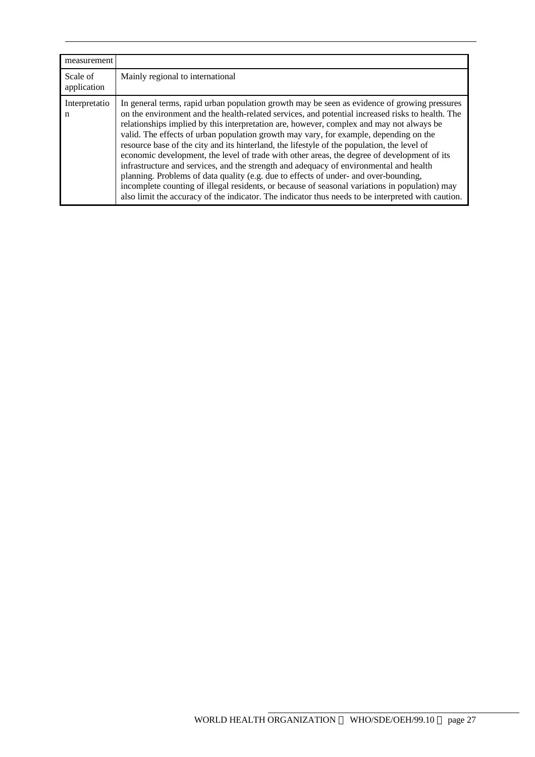| measurement             |                                                                                                                                                                                                                                                                                                                                                                                                                                                                                                                                                                                                                                                                                                                                                                                                                                                                                                                                                                               |
|-------------------------|-------------------------------------------------------------------------------------------------------------------------------------------------------------------------------------------------------------------------------------------------------------------------------------------------------------------------------------------------------------------------------------------------------------------------------------------------------------------------------------------------------------------------------------------------------------------------------------------------------------------------------------------------------------------------------------------------------------------------------------------------------------------------------------------------------------------------------------------------------------------------------------------------------------------------------------------------------------------------------|
| Scale of<br>application | Mainly regional to international                                                                                                                                                                                                                                                                                                                                                                                                                                                                                                                                                                                                                                                                                                                                                                                                                                                                                                                                              |
| Interpretatio<br>n      | In general terms, rapid urban population growth may be seen as evidence of growing pressures<br>on the environment and the health-related services, and potential increased risks to health. The<br>relationships implied by this interpretation are, however, complex and may not always be<br>valid. The effects of urban population growth may vary, for example, depending on the<br>resource base of the city and its hinterland, the lifestyle of the population, the level of<br>economic development, the level of trade with other areas, the degree of development of its<br>infrastructure and services, and the strength and adequacy of environmental and health<br>planning. Problems of data quality (e.g. due to effects of under- and over-bounding,<br>incomplete counting of illegal residents, or because of seasonal variations in population) may<br>also limit the accuracy of the indicator. The indicator thus needs to be interpreted with caution. |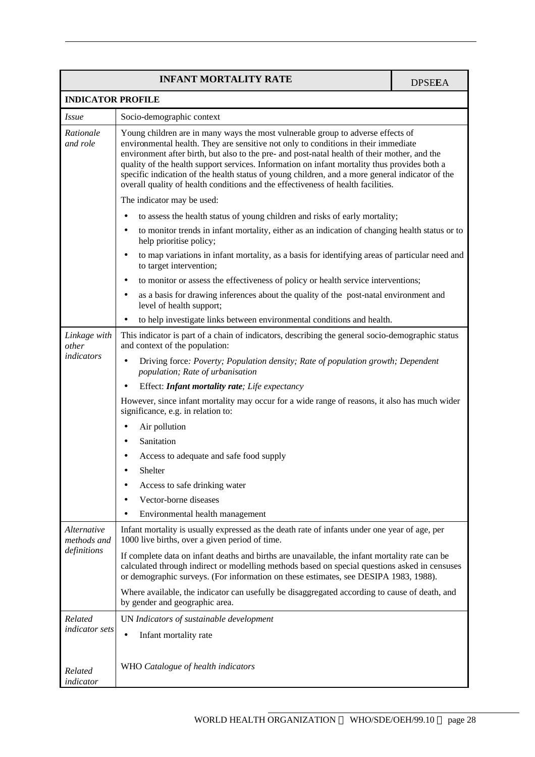|                                  | <b>INFANT MORTALITY RATE</b>                                                                                                                                                                                                                                                                                                                                                                                                                                                                                                                                 | <b>DPSEEA</b> |  |
|----------------------------------|--------------------------------------------------------------------------------------------------------------------------------------------------------------------------------------------------------------------------------------------------------------------------------------------------------------------------------------------------------------------------------------------------------------------------------------------------------------------------------------------------------------------------------------------------------------|---------------|--|
| <b>INDICATOR PROFILE</b>         |                                                                                                                                                                                                                                                                                                                                                                                                                                                                                                                                                              |               |  |
| <i>Issue</i>                     | Socio-demographic context                                                                                                                                                                                                                                                                                                                                                                                                                                                                                                                                    |               |  |
| Rationale<br>and role            | Young children are in many ways the most vulnerable group to adverse effects of<br>environmental health. They are sensitive not only to conditions in their immediate<br>environment after birth, but also to the pre- and post-natal health of their mother, and the<br>quality of the health support services. Information on infant mortality thus provides both a<br>specific indication of the health status of young children, and a more general indicator of the<br>overall quality of health conditions and the effectiveness of health facilities. |               |  |
|                                  | The indicator may be used:                                                                                                                                                                                                                                                                                                                                                                                                                                                                                                                                   |               |  |
|                                  | to assess the health status of young children and risks of early mortality;                                                                                                                                                                                                                                                                                                                                                                                                                                                                                  |               |  |
|                                  | to monitor trends in infant mortality, either as an indication of changing health status or to<br>help prioritise policy;                                                                                                                                                                                                                                                                                                                                                                                                                                    |               |  |
|                                  | to map variations in infant mortality, as a basis for identifying areas of particular need and<br>to target intervention;                                                                                                                                                                                                                                                                                                                                                                                                                                    |               |  |
|                                  | to monitor or assess the effectiveness of policy or health service interventions;<br>٠                                                                                                                                                                                                                                                                                                                                                                                                                                                                       |               |  |
|                                  | as a basis for drawing inferences about the quality of the post-natal environment and<br>level of health support;                                                                                                                                                                                                                                                                                                                                                                                                                                            |               |  |
|                                  | to help investigate links between environmental conditions and health.                                                                                                                                                                                                                                                                                                                                                                                                                                                                                       |               |  |
| Linkage with<br>other            | This indicator is part of a chain of indicators, describing the general socio-demographic status<br>and context of the population:                                                                                                                                                                                                                                                                                                                                                                                                                           |               |  |
| indicators                       | Driving force: Poverty; Population density; Rate of population growth; Dependent<br>$\bullet$<br>population; Rate of urbanisation                                                                                                                                                                                                                                                                                                                                                                                                                            |               |  |
|                                  | Effect: Infant mortality rate; Life expectancy                                                                                                                                                                                                                                                                                                                                                                                                                                                                                                               |               |  |
|                                  | However, since infant mortality may occur for a wide range of reasons, it also has much wider<br>significance, e.g. in relation to:                                                                                                                                                                                                                                                                                                                                                                                                                          |               |  |
|                                  | Air pollution                                                                                                                                                                                                                                                                                                                                                                                                                                                                                                                                                |               |  |
|                                  | Sanitation                                                                                                                                                                                                                                                                                                                                                                                                                                                                                                                                                   |               |  |
|                                  | Access to adequate and safe food supply                                                                                                                                                                                                                                                                                                                                                                                                                                                                                                                      |               |  |
|                                  | Shelter                                                                                                                                                                                                                                                                                                                                                                                                                                                                                                                                                      |               |  |
|                                  | Access to safe drinking water                                                                                                                                                                                                                                                                                                                                                                                                                                                                                                                                |               |  |
|                                  | Vector-borne diseases                                                                                                                                                                                                                                                                                                                                                                                                                                                                                                                                        |               |  |
|                                  | Environmental health management                                                                                                                                                                                                                                                                                                                                                                                                                                                                                                                              |               |  |
| Alternative<br>methods and       | Infant mortality is usually expressed as the death rate of infants under one year of age, per<br>1000 live births, over a given period of time.                                                                                                                                                                                                                                                                                                                                                                                                              |               |  |
| definitions                      | If complete data on infant deaths and births are unavailable, the infant mortality rate can be<br>calculated through indirect or modelling methods based on special questions asked in censuses<br>or demographic surveys. (For information on these estimates, see DESIPA 1983, 1988).                                                                                                                                                                                                                                                                      |               |  |
|                                  | Where available, the indicator can usefully be disaggregated according to cause of death, and<br>by gender and geographic area.                                                                                                                                                                                                                                                                                                                                                                                                                              |               |  |
| Related<br><i>indicator</i> sets | UN Indicators of sustainable development                                                                                                                                                                                                                                                                                                                                                                                                                                                                                                                     |               |  |
|                                  | Infant mortality rate                                                                                                                                                                                                                                                                                                                                                                                                                                                                                                                                        |               |  |
|                                  |                                                                                                                                                                                                                                                                                                                                                                                                                                                                                                                                                              |               |  |
| Related<br>indicator             | WHO Catalogue of health indicators                                                                                                                                                                                                                                                                                                                                                                                                                                                                                                                           |               |  |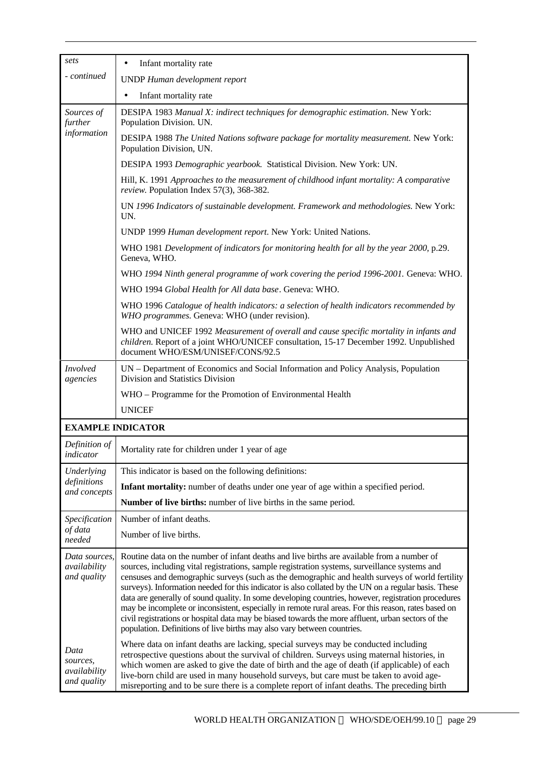| sets                                            | Infant mortality rate<br>$\bullet$                                                                                                                                                                                                                                                                                                                                                                                                                                                                                                                                                                                                                                                                                                                                                                     |
|-------------------------------------------------|--------------------------------------------------------------------------------------------------------------------------------------------------------------------------------------------------------------------------------------------------------------------------------------------------------------------------------------------------------------------------------------------------------------------------------------------------------------------------------------------------------------------------------------------------------------------------------------------------------------------------------------------------------------------------------------------------------------------------------------------------------------------------------------------------------|
| - continued                                     |                                                                                                                                                                                                                                                                                                                                                                                                                                                                                                                                                                                                                                                                                                                                                                                                        |
|                                                 | <b>UNDP</b> Human development report                                                                                                                                                                                                                                                                                                                                                                                                                                                                                                                                                                                                                                                                                                                                                                   |
|                                                 | Infant mortality rate                                                                                                                                                                                                                                                                                                                                                                                                                                                                                                                                                                                                                                                                                                                                                                                  |
| Sources of<br>further<br>information            | DESIPA 1983 Manual X: indirect techniques for demographic estimation. New York:<br>Population Division. UN.                                                                                                                                                                                                                                                                                                                                                                                                                                                                                                                                                                                                                                                                                            |
|                                                 | DESIPA 1988 The United Nations software package for mortality measurement. New York:<br>Population Division, UN.                                                                                                                                                                                                                                                                                                                                                                                                                                                                                                                                                                                                                                                                                       |
|                                                 | DESIPA 1993 Demographic yearbook. Statistical Division. New York: UN.                                                                                                                                                                                                                                                                                                                                                                                                                                                                                                                                                                                                                                                                                                                                  |
|                                                 | Hill, K. 1991 Approaches to the measurement of childhood infant mortality: A comparative<br>review. Population Index 57(3), 368-382.                                                                                                                                                                                                                                                                                                                                                                                                                                                                                                                                                                                                                                                                   |
|                                                 | UN 1996 Indicators of sustainable development. Framework and methodologies. New York:<br>UN.                                                                                                                                                                                                                                                                                                                                                                                                                                                                                                                                                                                                                                                                                                           |
|                                                 | UNDP 1999 Human development report. New York: United Nations.                                                                                                                                                                                                                                                                                                                                                                                                                                                                                                                                                                                                                                                                                                                                          |
|                                                 | WHO 1981 Development of indicators for monitoring health for all by the year 2000, p.29.<br>Geneva, WHO.                                                                                                                                                                                                                                                                                                                                                                                                                                                                                                                                                                                                                                                                                               |
|                                                 | WHO 1994 Ninth general programme of work covering the period 1996-2001. Geneva: WHO.                                                                                                                                                                                                                                                                                                                                                                                                                                                                                                                                                                                                                                                                                                                   |
|                                                 | WHO 1994 Global Health for All data base. Geneva: WHO.                                                                                                                                                                                                                                                                                                                                                                                                                                                                                                                                                                                                                                                                                                                                                 |
|                                                 | WHO 1996 Catalogue of health indicators: a selection of health indicators recommended by<br>WHO programmes. Geneva: WHO (under revision).                                                                                                                                                                                                                                                                                                                                                                                                                                                                                                                                                                                                                                                              |
|                                                 | WHO and UNICEF 1992 Measurement of overall and cause specific mortality in infants and<br>children. Report of a joint WHO/UNICEF consultation, 15-17 December 1992. Unpublished<br>document WHO/ESM/UNISEF/CONS/92.5                                                                                                                                                                                                                                                                                                                                                                                                                                                                                                                                                                                   |
| <b>Involved</b><br>agencies                     | UN – Department of Economics and Social Information and Policy Analysis, Population<br>Division and Statistics Division                                                                                                                                                                                                                                                                                                                                                                                                                                                                                                                                                                                                                                                                                |
|                                                 | WHO - Programme for the Promotion of Environmental Health                                                                                                                                                                                                                                                                                                                                                                                                                                                                                                                                                                                                                                                                                                                                              |
|                                                 | <b>UNICEF</b>                                                                                                                                                                                                                                                                                                                                                                                                                                                                                                                                                                                                                                                                                                                                                                                          |
| <b>EXAMPLE INDICATOR</b>                        |                                                                                                                                                                                                                                                                                                                                                                                                                                                                                                                                                                                                                                                                                                                                                                                                        |
| Definition of<br>indicator                      | Mortality rate for children under 1 year of age                                                                                                                                                                                                                                                                                                                                                                                                                                                                                                                                                                                                                                                                                                                                                        |
| Underlying                                      | This indicator is based on the following definitions:                                                                                                                                                                                                                                                                                                                                                                                                                                                                                                                                                                                                                                                                                                                                                  |
| definitions<br>and concepts                     | <b>Infant mortality:</b> number of deaths under one year of age within a specified period.                                                                                                                                                                                                                                                                                                                                                                                                                                                                                                                                                                                                                                                                                                             |
|                                                 | Number of live births: number of live births in the same period.                                                                                                                                                                                                                                                                                                                                                                                                                                                                                                                                                                                                                                                                                                                                       |
| Specification                                   | Number of infant deaths.                                                                                                                                                                                                                                                                                                                                                                                                                                                                                                                                                                                                                                                                                                                                                                               |
| of data<br>needed                               | Number of live births.                                                                                                                                                                                                                                                                                                                                                                                                                                                                                                                                                                                                                                                                                                                                                                                 |
| Data sources,<br>availability<br>and quality    | Routine data on the number of infant deaths and live births are available from a number of<br>sources, including vital registrations, sample registration systems, surveillance systems and<br>censuses and demographic surveys (such as the demographic and health surveys of world fertility<br>surveys). Information needed for this indicator is also collated by the UN on a regular basis. These<br>data are generally of sound quality. In some developing countries, however, registration procedures<br>may be incomplete or inconsistent, especially in remote rural areas. For this reason, rates based on<br>civil registrations or hospital data may be biased towards the more affluent, urban sectors of the<br>population. Definitions of live births may also vary between countries. |
| Data<br>sources,<br>availability<br>and quality | Where data on infant deaths are lacking, special surveys may be conducted including<br>retrospective questions about the survival of children. Surveys using maternal histories, in<br>which women are asked to give the date of birth and the age of death (if applicable) of each<br>live-born child are used in many household surveys, but care must be taken to avoid age-<br>misreporting and to be sure there is a complete report of infant deaths. The preceding birth                                                                                                                                                                                                                                                                                                                        |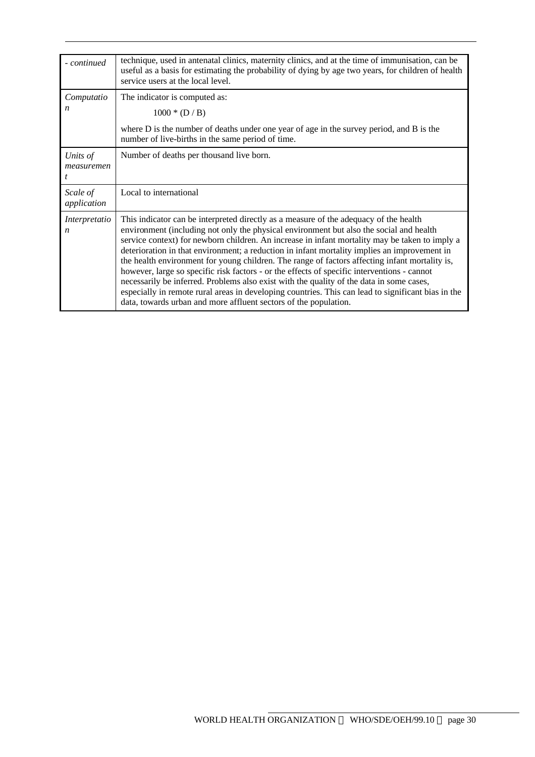| continued                    | technique, used in antenatal clinics, maternity clinics, and at the time of immunisation, can be<br>useful as a basis for estimating the probability of dying by age two years, for children of health<br>service users at the local level.                                                                                                                                                                                                                                                                                                                                                                                                                                                                                                                                                                                                               |
|------------------------------|-----------------------------------------------------------------------------------------------------------------------------------------------------------------------------------------------------------------------------------------------------------------------------------------------------------------------------------------------------------------------------------------------------------------------------------------------------------------------------------------------------------------------------------------------------------------------------------------------------------------------------------------------------------------------------------------------------------------------------------------------------------------------------------------------------------------------------------------------------------|
| Computatio<br>n              | The indicator is computed as:<br>$1000 * (D / B)$<br>where $D$ is the number of deaths under one year of age in the survey period, and $B$ is the<br>number of live-births in the same period of time.                                                                                                                                                                                                                                                                                                                                                                                                                                                                                                                                                                                                                                                    |
| Units of<br>measuremen<br>t. | Number of deaths per thousand live born.                                                                                                                                                                                                                                                                                                                                                                                                                                                                                                                                                                                                                                                                                                                                                                                                                  |
| Scale of<br>application      | Local to international                                                                                                                                                                                                                                                                                                                                                                                                                                                                                                                                                                                                                                                                                                                                                                                                                                    |
| Interpretatio<br>n           | This indicator can be interpreted directly as a measure of the adequacy of the health<br>environment (including not only the physical environment but also the social and health<br>service context) for newborn children. An increase in infant mortality may be taken to imply a<br>deterioration in that environment; a reduction in infant mortality implies an improvement in<br>the health environment for young children. The range of factors affecting infant mortality is,<br>however, large so specific risk factors - or the effects of specific interventions - cannot<br>necessarily be inferred. Problems also exist with the quality of the data in some cases,<br>especially in remote rural areas in developing countries. This can lead to significant bias in the<br>data, towards urban and more affluent sectors of the population. |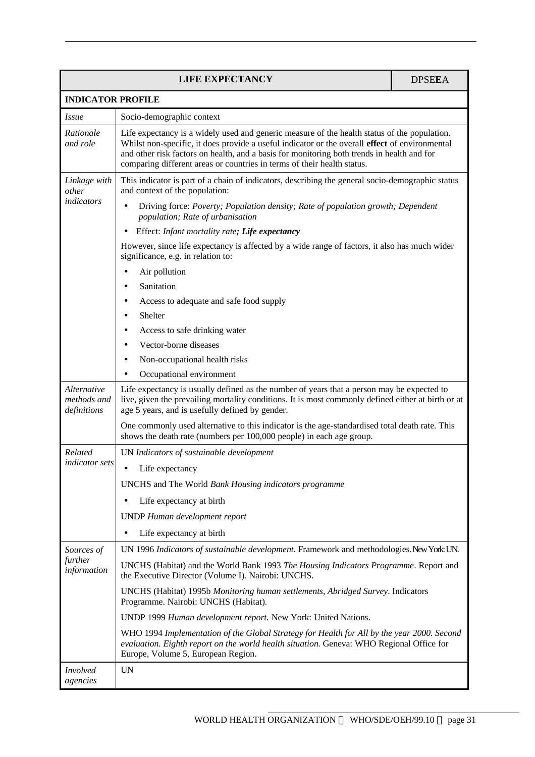|                                           | <b>DPSEEA</b>                                                                                                                                                                                                                                                                                                                                                           |  |  |  |
|-------------------------------------------|-------------------------------------------------------------------------------------------------------------------------------------------------------------------------------------------------------------------------------------------------------------------------------------------------------------------------------------------------------------------------|--|--|--|
| <b>INDICATOR PROFILE</b>                  |                                                                                                                                                                                                                                                                                                                                                                         |  |  |  |
| <i>Issue</i>                              | Socio-demographic context                                                                                                                                                                                                                                                                                                                                               |  |  |  |
| Rationale<br>and role                     | Life expectancy is a widely used and generic measure of the health status of the population.<br>Whilst non-specific, it does provide a useful indicator or the overall effect of environmental<br>and other risk factors on health, and a basis for monitoring both trends in health and for<br>comparing different areas or countries in terms of their health status. |  |  |  |
| Linkage with<br>other<br>indicators       | This indicator is part of a chain of indicators, describing the general socio-demographic status<br>and context of the population:                                                                                                                                                                                                                                      |  |  |  |
|                                           | Driving force: Poverty; Population density; Rate of population growth; Dependent<br>$\bullet$<br>population; Rate of urbanisation                                                                                                                                                                                                                                       |  |  |  |
|                                           | Effect: Infant mortality rate; Life expectancy                                                                                                                                                                                                                                                                                                                          |  |  |  |
|                                           | However, since life expectancy is affected by a wide range of factors, it also has much wider<br>significance, e.g. in relation to:                                                                                                                                                                                                                                     |  |  |  |
|                                           | Air pollution                                                                                                                                                                                                                                                                                                                                                           |  |  |  |
|                                           | Sanitation                                                                                                                                                                                                                                                                                                                                                              |  |  |  |
|                                           | Access to adequate and safe food supply                                                                                                                                                                                                                                                                                                                                 |  |  |  |
|                                           | Shelter                                                                                                                                                                                                                                                                                                                                                                 |  |  |  |
|                                           | Access to safe drinking water                                                                                                                                                                                                                                                                                                                                           |  |  |  |
|                                           | Vector-borne diseases                                                                                                                                                                                                                                                                                                                                                   |  |  |  |
|                                           | Non-occupational health risks                                                                                                                                                                                                                                                                                                                                           |  |  |  |
|                                           | Occupational environment                                                                                                                                                                                                                                                                                                                                                |  |  |  |
| Alternative<br>methods and<br>definitions | Life expectancy is usually defined as the number of years that a person may be expected to<br>live, given the prevailing mortality conditions. It is most commonly defined either at birth or at<br>age 5 years, and is usefully defined by gender.                                                                                                                     |  |  |  |
|                                           | One commonly used alternative to this indicator is the age-standardised total death rate. This<br>shows the death rate (numbers per 100,000 people) in each age group.                                                                                                                                                                                                  |  |  |  |
| Related                                   | UN Indicators of sustainable development                                                                                                                                                                                                                                                                                                                                |  |  |  |
| <i>indicator sets</i>                     | Life expectancy                                                                                                                                                                                                                                                                                                                                                         |  |  |  |
|                                           | UNCHS and The World Bank Housing indicators programme                                                                                                                                                                                                                                                                                                                   |  |  |  |
|                                           | Life expectancy at birth                                                                                                                                                                                                                                                                                                                                                |  |  |  |
|                                           | <b>UNDP</b> Human development report                                                                                                                                                                                                                                                                                                                                    |  |  |  |
|                                           | Life expectancy at birth<br>$\bullet$                                                                                                                                                                                                                                                                                                                                   |  |  |  |
| Sources of                                | UN 1996 Indicators of sustainable development. Framework and methodologies. New York: UN.                                                                                                                                                                                                                                                                               |  |  |  |
| further<br>information                    | UNCHS (Habitat) and the World Bank 1993 The Housing Indicators Programme. Report and<br>the Executive Director (Volume I). Nairobi: UNCHS.                                                                                                                                                                                                                              |  |  |  |
|                                           | UNCHS (Habitat) 1995b Monitoring human settlements, Abridged Survey. Indicators<br>Programme. Nairobi: UNCHS (Habitat).                                                                                                                                                                                                                                                 |  |  |  |
|                                           | UNDP 1999 Human development report. New York: United Nations.                                                                                                                                                                                                                                                                                                           |  |  |  |
|                                           | WHO 1994 Implementation of the Global Strategy for Health for All by the year 2000. Second<br>evaluation. Eighth report on the world health situation. Geneva: WHO Regional Office for<br>Europe, Volume 5, European Region.                                                                                                                                            |  |  |  |
| <i>Involved</i><br>agencies               | <b>UN</b>                                                                                                                                                                                                                                                                                                                                                               |  |  |  |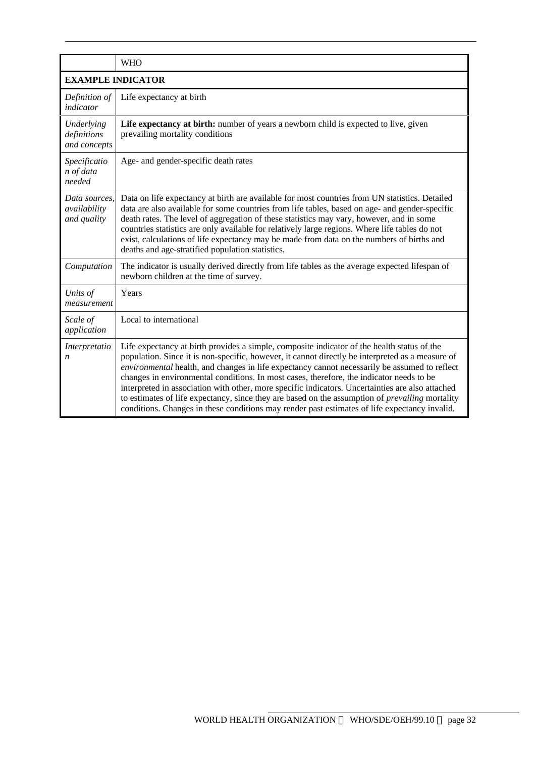|                                              | <b>WHO</b>                                                                                                                                                                                                                                                                                                                                                                                                                                                                                                                                                                                                                                                                                                  |  |
|----------------------------------------------|-------------------------------------------------------------------------------------------------------------------------------------------------------------------------------------------------------------------------------------------------------------------------------------------------------------------------------------------------------------------------------------------------------------------------------------------------------------------------------------------------------------------------------------------------------------------------------------------------------------------------------------------------------------------------------------------------------------|--|
| <b>EXAMPLE INDICATOR</b>                     |                                                                                                                                                                                                                                                                                                                                                                                                                                                                                                                                                                                                                                                                                                             |  |
| Definition of<br>indicator                   | Life expectancy at birth                                                                                                                                                                                                                                                                                                                                                                                                                                                                                                                                                                                                                                                                                    |  |
| Underlying<br>definitions<br>and concepts    | Life expectancy at birth: number of years a newborn child is expected to live, given<br>prevailing mortality conditions                                                                                                                                                                                                                                                                                                                                                                                                                                                                                                                                                                                     |  |
| Specificatio<br>n of data<br>needed          | Age- and gender-specific death rates                                                                                                                                                                                                                                                                                                                                                                                                                                                                                                                                                                                                                                                                        |  |
| Data sources,<br>availability<br>and quality | Data on life expectancy at birth are available for most countries from UN statistics. Detailed<br>data are also available for some countries from life tables, based on age- and gender-specific<br>death rates. The level of aggregation of these statistics may vary, however, and in some<br>countries statistics are only available for relatively large regions. Where life tables do not<br>exist, calculations of life expectancy may be made from data on the numbers of births and<br>deaths and age-stratified population statistics.                                                                                                                                                             |  |
| Computation                                  | The indicator is usually derived directly from life tables as the average expected lifespan of<br>newborn children at the time of survey.                                                                                                                                                                                                                                                                                                                                                                                                                                                                                                                                                                   |  |
| Units of<br>measurement                      | Years                                                                                                                                                                                                                                                                                                                                                                                                                                                                                                                                                                                                                                                                                                       |  |
| Scale of<br>application                      | Local to international                                                                                                                                                                                                                                                                                                                                                                                                                                                                                                                                                                                                                                                                                      |  |
| Interpretatio<br>$\boldsymbol{n}$            | Life expectancy at birth provides a simple, composite indicator of the health status of the<br>population. Since it is non-specific, however, it cannot directly be interpreted as a measure of<br>environmental health, and changes in life expectancy cannot necessarily be assumed to reflect<br>changes in environmental conditions. In most cases, therefore, the indicator needs to be<br>interpreted in association with other, more specific indicators. Uncertainties are also attached<br>to estimates of life expectancy, since they are based on the assumption of <i>prevailing</i> mortality<br>conditions. Changes in these conditions may render past estimates of life expectancy invalid. |  |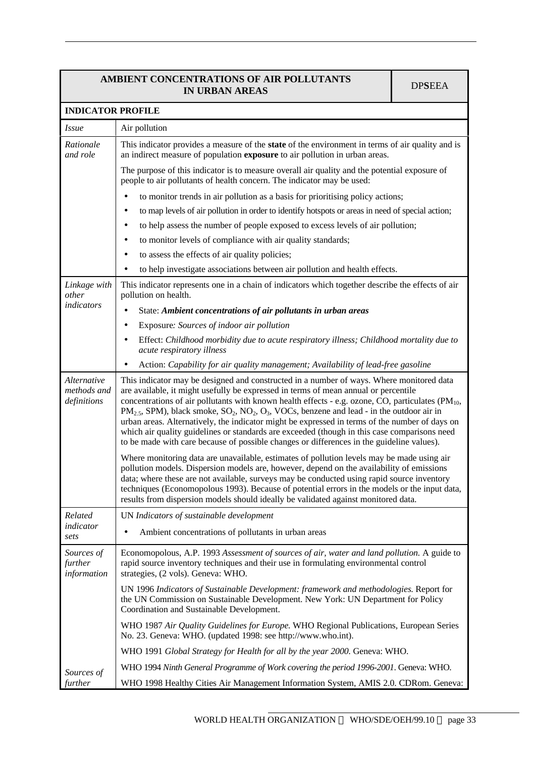## **AMBIENT CONCENTRATIONS OF AIR POLLUTANTS** IN URBAN AREAS

 $\overline{a}$ 

| <b>INDICATOR PROFILE</b>                  |                                                                                                                                                                                                                                                                                                                                                                                                                                                                                                                                                                                                                                                                                                             |  |
|-------------------------------------------|-------------------------------------------------------------------------------------------------------------------------------------------------------------------------------------------------------------------------------------------------------------------------------------------------------------------------------------------------------------------------------------------------------------------------------------------------------------------------------------------------------------------------------------------------------------------------------------------------------------------------------------------------------------------------------------------------------------|--|
| <b>Issue</b>                              | Air pollution                                                                                                                                                                                                                                                                                                                                                                                                                                                                                                                                                                                                                                                                                               |  |
| Rationale<br>and role                     | This indicator provides a measure of the <b>state</b> of the environment in terms of air quality and is<br>an indirect measure of population exposure to air pollution in urban areas.                                                                                                                                                                                                                                                                                                                                                                                                                                                                                                                      |  |
|                                           | The purpose of this indicator is to measure overall air quality and the potential exposure of<br>people to air pollutants of health concern. The indicator may be used:                                                                                                                                                                                                                                                                                                                                                                                                                                                                                                                                     |  |
|                                           | to monitor trends in air pollution as a basis for prioritising policy actions;                                                                                                                                                                                                                                                                                                                                                                                                                                                                                                                                                                                                                              |  |
|                                           | to map levels of air pollution in order to identify hotspots or areas in need of special action;                                                                                                                                                                                                                                                                                                                                                                                                                                                                                                                                                                                                            |  |
|                                           | to help assess the number of people exposed to excess levels of air pollution;<br>٠                                                                                                                                                                                                                                                                                                                                                                                                                                                                                                                                                                                                                         |  |
|                                           | to monitor levels of compliance with air quality standards;<br>٠                                                                                                                                                                                                                                                                                                                                                                                                                                                                                                                                                                                                                                            |  |
|                                           | to assess the effects of air quality policies;                                                                                                                                                                                                                                                                                                                                                                                                                                                                                                                                                                                                                                                              |  |
|                                           | to help investigate associations between air pollution and health effects.                                                                                                                                                                                                                                                                                                                                                                                                                                                                                                                                                                                                                                  |  |
| Linkage with<br>other                     | This indicator represents one in a chain of indicators which together describe the effects of air<br>pollution on health.                                                                                                                                                                                                                                                                                                                                                                                                                                                                                                                                                                                   |  |
| indicators                                | State: Ambient concentrations of air pollutants in urban areas                                                                                                                                                                                                                                                                                                                                                                                                                                                                                                                                                                                                                                              |  |
|                                           | Exposure: Sources of indoor air pollution                                                                                                                                                                                                                                                                                                                                                                                                                                                                                                                                                                                                                                                                   |  |
|                                           | Effect: Childhood morbidity due to acute respiratory illness; Childhood mortality due to<br>acute respiratory illness                                                                                                                                                                                                                                                                                                                                                                                                                                                                                                                                                                                       |  |
|                                           | Action: Capability for air quality management; Availability of lead-free gasoline                                                                                                                                                                                                                                                                                                                                                                                                                                                                                                                                                                                                                           |  |
| Alternative<br>methods and<br>definitions | This indicator may be designed and constructed in a number of ways. Where monitored data<br>are available, it might usefully be expressed in terms of mean annual or percentile<br>concentrations of air pollutants with known health effects - e.g. ozone, CO, particulates (PM <sub>10</sub> ,<br>$PM_{2.5}$ , SPM), black smoke, $SO_2$ , $NO_2$ , $O_3$ , VOCs, benzene and lead - in the outdoor air in<br>urban areas. Alternatively, the indicator might be expressed in terms of the number of days on<br>which air quality guidelines or standards are exceeded (though in this case comparisons need<br>to be made with care because of possible changes or differences in the guideline values). |  |
|                                           | Where monitoring data are unavailable, estimates of pollution levels may be made using air<br>pollution models. Dispersion models are, however, depend on the availability of emissions<br>data; where these are not available, surveys may be conducted using rapid source inventory<br>techniques (Economopolous 1993). Because of potential errors in the models or the input data,<br>results from dispersion models should ideally be validated against monitored data.                                                                                                                                                                                                                                |  |
| Related                                   | UN Indicators of sustainable development                                                                                                                                                                                                                                                                                                                                                                                                                                                                                                                                                                                                                                                                    |  |
| indicator<br>sets                         | Ambient concentrations of pollutants in urban areas                                                                                                                                                                                                                                                                                                                                                                                                                                                                                                                                                                                                                                                         |  |
| Sources of<br>further<br>information      | Economopolous, A.P. 1993 Assessment of sources of air, water and land pollution. A guide to<br>rapid source inventory techniques and their use in formulating environmental control<br>strategies, (2 vols). Geneva: WHO.                                                                                                                                                                                                                                                                                                                                                                                                                                                                                   |  |
|                                           | UN 1996 Indicators of Sustainable Development: framework and methodologies. Report for<br>the UN Commission on Sustainable Development. New York: UN Department for Policy<br>Coordination and Sustainable Development.                                                                                                                                                                                                                                                                                                                                                                                                                                                                                     |  |
|                                           | WHO 1987 Air Quality Guidelines for Europe. WHO Regional Publications, European Series<br>No. 23. Geneva: WHO. (updated 1998: see http://www.who.int).                                                                                                                                                                                                                                                                                                                                                                                                                                                                                                                                                      |  |
|                                           | WHO 1991 Global Strategy for Health for all by the year 2000. Geneva: WHO.                                                                                                                                                                                                                                                                                                                                                                                                                                                                                                                                                                                                                                  |  |
|                                           | WHO 1994 Ninth General Programme of Work covering the period 1996-2001. Geneva: WHO.                                                                                                                                                                                                                                                                                                                                                                                                                                                                                                                                                                                                                        |  |
| Sources of<br>further                     | WHO 1998 Healthy Cities Air Management Information System, AMIS 2.0. CDRom. Geneva:                                                                                                                                                                                                                                                                                                                                                                                                                                                                                                                                                                                                                         |  |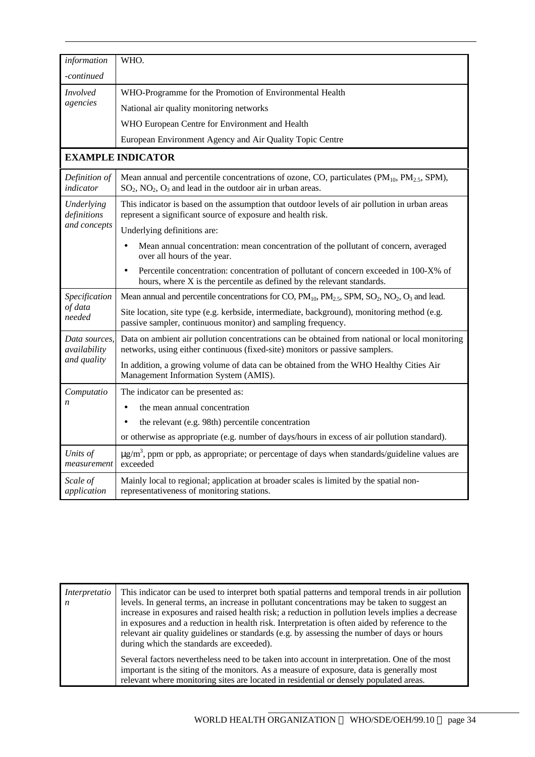| information                   | WHO.                                                                                                                                                                                      |
|-------------------------------|-------------------------------------------------------------------------------------------------------------------------------------------------------------------------------------------|
| -continued                    |                                                                                                                                                                                           |
| <b>Involved</b>               | WHO-Programme for the Promotion of Environmental Health                                                                                                                                   |
| agencies                      | National air quality monitoring networks                                                                                                                                                  |
|                               | WHO European Centre for Environment and Health                                                                                                                                            |
|                               | European Environment Agency and Air Quality Topic Centre                                                                                                                                  |
|                               | <b>EXAMPLE INDICATOR</b>                                                                                                                                                                  |
| Definition of<br>indicator    | Mean annual and percentile concentrations of ozone, CO, particulates (PM <sub>10</sub> , PM <sub>2.5</sub> , SPM),<br>$SO_2$ , $NO_2$ , $O_3$ and lead in the outdoor air in urban areas. |
| Underlying<br>definitions     | This indicator is based on the assumption that outdoor levels of air pollution in urban areas<br>represent a significant source of exposure and health risk.                              |
| and concepts                  | Underlying definitions are:                                                                                                                                                               |
|                               | Mean annual concentration: mean concentration of the pollutant of concern, averaged<br>$\bullet$<br>over all hours of the year.                                                           |
|                               | Percentile concentration: concentration of pollutant of concern exceeded in 100-X% of<br>$\bullet$<br>hours, where X is the percentile as defined by the relevant standards.              |
| Specification                 | Mean annual and percentile concentrations for CO, $PM_{10}$ , $PM_{2.5}$ , SPM, SO <sub>2</sub> , NO <sub>2</sub> , O <sub>3</sub> and lead.                                              |
| of data<br>needed             | Site location, site type (e.g. kerbside, intermediate, background), monitoring method (e.g.<br>passive sampler, continuous monitor) and sampling frequency.                               |
| Data sources.<br>availability | Data on ambient air pollution concentrations can be obtained from national or local monitoring<br>networks, using either continuous (fixed-site) monitors or passive samplers.            |
| and quality                   | In addition, a growing volume of data can be obtained from the WHO Healthy Cities Air<br>Management Information System (AMIS).                                                            |
| Computatio                    | The indicator can be presented as:                                                                                                                                                        |
| n                             | the mean annual concentration<br>$\bullet$                                                                                                                                                |
|                               | the relevant (e.g. 98th) percentile concentration                                                                                                                                         |
|                               | or otherwise as appropriate (e.g. number of days/hours in excess of air pollution standard).                                                                                              |
| Units of<br>measurement       | $\mu$ g/m <sup>3</sup> , ppm or ppb, as appropriate; or percentage of days when standards/guideline values are<br>exceeded                                                                |
| Scale of<br>application       | Mainly local to regional; application at broader scales is limited by the spatial non-<br>representativeness of monitoring stations.                                                      |

| Interpretatio<br>$\boldsymbol{n}$ | This indicator can be used to interpret both spatial patterns and temporal trends in air pollution<br>levels. In general terms, an increase in pollutant concentrations may be taken to suggest an<br>increase in exposures and raised health risk; a reduction in pollution levels implies a decrease<br>in exposures and a reduction in health risk. Interpretation is often aided by reference to the<br>relevant air quality guidelines or standards (e.g. by assessing the number of days or hours<br>during which the standards are exceeded). |
|-----------------------------------|------------------------------------------------------------------------------------------------------------------------------------------------------------------------------------------------------------------------------------------------------------------------------------------------------------------------------------------------------------------------------------------------------------------------------------------------------------------------------------------------------------------------------------------------------|
|                                   | Several factors nevertheless need to be taken into account in interpretation. One of the most<br>important is the siting of the monitors. As a measure of exposure, data is generally most<br>relevant where monitoring sites are located in residential or densely populated areas.                                                                                                                                                                                                                                                                 |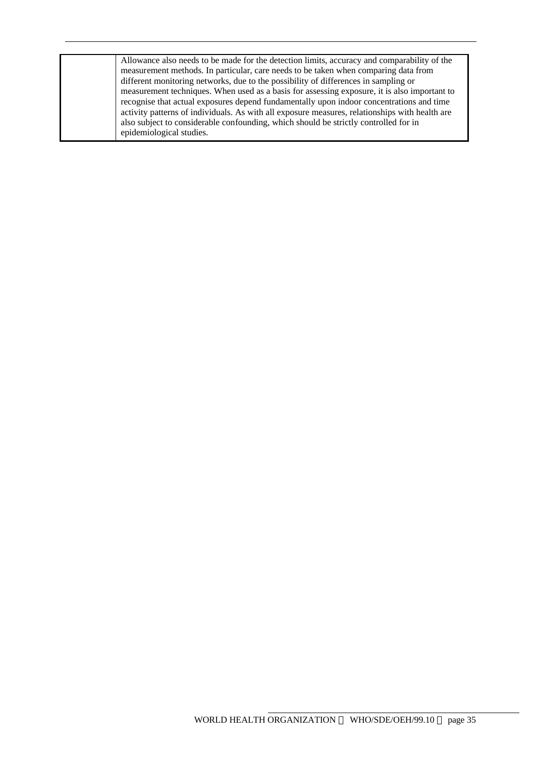| Allowance also needs to be made for the detection limits, accuracy and comparability of the    |
|------------------------------------------------------------------------------------------------|
| measurement methods. In particular, care needs to be taken when comparing data from            |
| different monitoring networks, due to the possibility of differences in sampling or            |
| measurement techniques. When used as a basis for assessing exposure, it is also important to   |
| recognise that actual exposures depend fundamentally upon indoor concentrations and time       |
| activity patterns of individuals. As with all exposure measures, relationships with health are |
| also subject to considerable confounding, which should be strictly controlled for in           |
| epidemiological studies.                                                                       |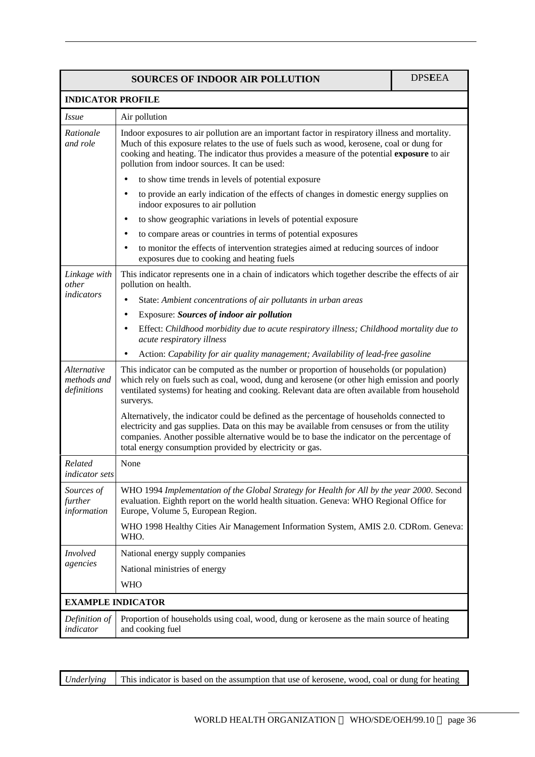|                                           | <b>DPSEEA</b><br><b>SOURCES OF INDOOR AIR POLLUTION</b>                                                                                                                                                                                                                                                                                                |  |
|-------------------------------------------|--------------------------------------------------------------------------------------------------------------------------------------------------------------------------------------------------------------------------------------------------------------------------------------------------------------------------------------------------------|--|
|                                           | <b>INDICATOR PROFILE</b>                                                                                                                                                                                                                                                                                                                               |  |
| <i>Issue</i>                              | Air pollution                                                                                                                                                                                                                                                                                                                                          |  |
| Rationale<br>and role                     | Indoor exposures to air pollution are an important factor in respiratory illness and mortality.<br>Much of this exposure relates to the use of fuels such as wood, kerosene, coal or dung for<br>cooking and heating. The indicator thus provides a measure of the potential exposure to air<br>pollution from indoor sources. It can be used:         |  |
|                                           | to show time trends in levels of potential exposure                                                                                                                                                                                                                                                                                                    |  |
|                                           | to provide an early indication of the effects of changes in domestic energy supplies on<br>indoor exposures to air pollution                                                                                                                                                                                                                           |  |
|                                           | to show geographic variations in levels of potential exposure<br>$\bullet$                                                                                                                                                                                                                                                                             |  |
|                                           | to compare areas or countries in terms of potential exposures                                                                                                                                                                                                                                                                                          |  |
|                                           | to monitor the effects of intervention strategies aimed at reducing sources of indoor<br>exposures due to cooking and heating fuels                                                                                                                                                                                                                    |  |
| Linkage with<br>other                     | This indicator represents one in a chain of indicators which together describe the effects of air<br>pollution on health.                                                                                                                                                                                                                              |  |
| indicators                                | State: Ambient concentrations of air pollutants in urban areas<br>٠                                                                                                                                                                                                                                                                                    |  |
|                                           | Exposure: Sources of indoor air pollution                                                                                                                                                                                                                                                                                                              |  |
|                                           | Effect: Childhood morbidity due to acute respiratory illness; Childhood mortality due to<br>acute respiratory illness                                                                                                                                                                                                                                  |  |
|                                           | Action: Capability for air quality management; Availability of lead-free gasoline                                                                                                                                                                                                                                                                      |  |
| Alternative<br>methods and<br>definitions | This indicator can be computed as the number or proportion of households (or population)<br>which rely on fuels such as coal, wood, dung and kerosene (or other high emission and poorly<br>ventilated systems) for heating and cooking. Relevant data are often available from household<br>surverys.                                                 |  |
|                                           | Alternatively, the indicator could be defined as the percentage of households connected to<br>electricity and gas supplies. Data on this may be available from censuses or from the utility<br>companies. Another possible alternative would be to base the indicator on the percentage of<br>total energy consumption provided by electricity or gas. |  |
| Related<br>indicator sets                 | None                                                                                                                                                                                                                                                                                                                                                   |  |
| Sources of<br>further<br>information      | WHO 1994 Implementation of the Global Strategy for Health for All by the year 2000. Second<br>evaluation. Eighth report on the world health situation. Geneva: WHO Regional Office for<br>Europe, Volume 5, European Region.                                                                                                                           |  |
|                                           | WHO 1998 Healthy Cities Air Management Information System, AMIS 2.0. CDRom. Geneva:<br>WHO.                                                                                                                                                                                                                                                            |  |
| <i>Involved</i><br>agencies               | National energy supply companies                                                                                                                                                                                                                                                                                                                       |  |
|                                           | National ministries of energy                                                                                                                                                                                                                                                                                                                          |  |
|                                           | <b>WHO</b>                                                                                                                                                                                                                                                                                                                                             |  |
| <b>EXAMPLE INDICATOR</b>                  |                                                                                                                                                                                                                                                                                                                                                        |  |
| Definition of<br>indicator                | Proportion of households using coal, wood, dung or kerosene as the main source of heating<br>and cooking fuel                                                                                                                                                                                                                                          |  |

|  |  | Underlying This indicator is based on the assumption that use of kerosene, wood, coal or dung for heating |
|--|--|-----------------------------------------------------------------------------------------------------------|
|--|--|-----------------------------------------------------------------------------------------------------------|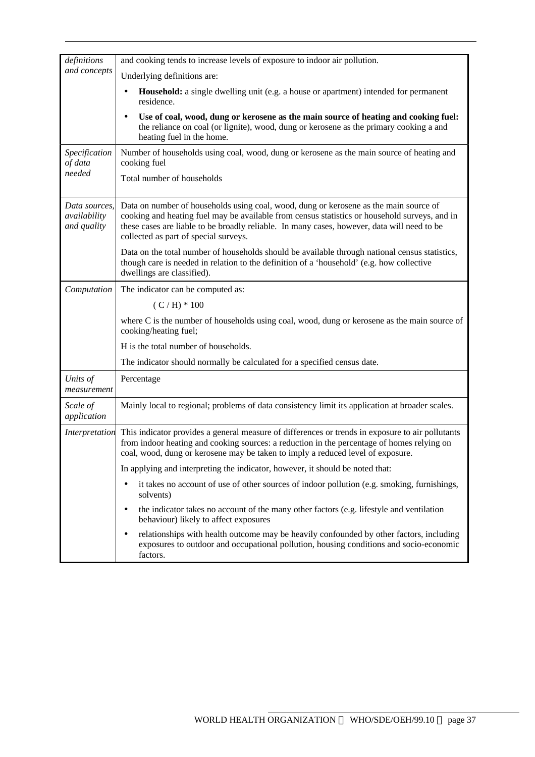| definitions                                  | and cooking tends to increase levels of exposure to indoor air pollution.                                                                                                                                                                                                                                                      |
|----------------------------------------------|--------------------------------------------------------------------------------------------------------------------------------------------------------------------------------------------------------------------------------------------------------------------------------------------------------------------------------|
| and concepts                                 | Underlying definitions are:                                                                                                                                                                                                                                                                                                    |
|                                              | <b>Household:</b> a single dwelling unit (e.g. a house or apartment) intended for permanent<br>residence.                                                                                                                                                                                                                      |
|                                              | Use of coal, wood, dung or kerosene as the main source of heating and cooking fuel:<br>٠<br>the reliance on coal (or lignite), wood, dung or kerosene as the primary cooking a and<br>heating fuel in the home.                                                                                                                |
| Specification<br>of data                     | Number of households using coal, wood, dung or kerosene as the main source of heating and<br>cooking fuel                                                                                                                                                                                                                      |
| needed                                       | Total number of households                                                                                                                                                                                                                                                                                                     |
| Data sources,<br>availability<br>and quality | Data on number of households using coal, wood, dung or kerosene as the main source of<br>cooking and heating fuel may be available from census statistics or household surveys, and in<br>these cases are liable to be broadly reliable. In many cases, however, data will need to be<br>collected as part of special surveys. |
|                                              | Data on the total number of households should be available through national census statistics,<br>though care is needed in relation to the definition of a 'household' (e.g. how collective<br>dwellings are classified).                                                                                                      |
| Computation                                  | The indicator can be computed as:                                                                                                                                                                                                                                                                                              |
|                                              | $(C/H) * 100$                                                                                                                                                                                                                                                                                                                  |
|                                              | where $C$ is the number of households using coal, wood, dung or kerosene as the main source of<br>cooking/heating fuel;                                                                                                                                                                                                        |
|                                              | H is the total number of households.                                                                                                                                                                                                                                                                                           |
|                                              | The indicator should normally be calculated for a specified census date.                                                                                                                                                                                                                                                       |
| Units of<br>measurement                      | Percentage                                                                                                                                                                                                                                                                                                                     |
| Scale of<br>application                      | Mainly local to regional; problems of data consistency limit its application at broader scales.                                                                                                                                                                                                                                |
| Interpretation                               | This indicator provides a general measure of differences or trends in exposure to air pollutants<br>from indoor heating and cooking sources: a reduction in the percentage of homes relying on<br>coal, wood, dung or kerosene may be taken to imply a reduced level of exposure.                                              |
|                                              | In applying and interpreting the indicator, however, it should be noted that:                                                                                                                                                                                                                                                  |
|                                              | it takes no account of use of other sources of indoor pollution (e.g. smoking, furnishings,<br>solvents)                                                                                                                                                                                                                       |
|                                              | the indicator takes no account of the many other factors (e.g. lifestyle and ventilation<br>٠<br>behaviour) likely to affect exposures                                                                                                                                                                                         |
|                                              | relationships with health outcome may be heavily confounded by other factors, including<br>exposures to outdoor and occupational pollution, housing conditions and socio-economic<br>factors.                                                                                                                                  |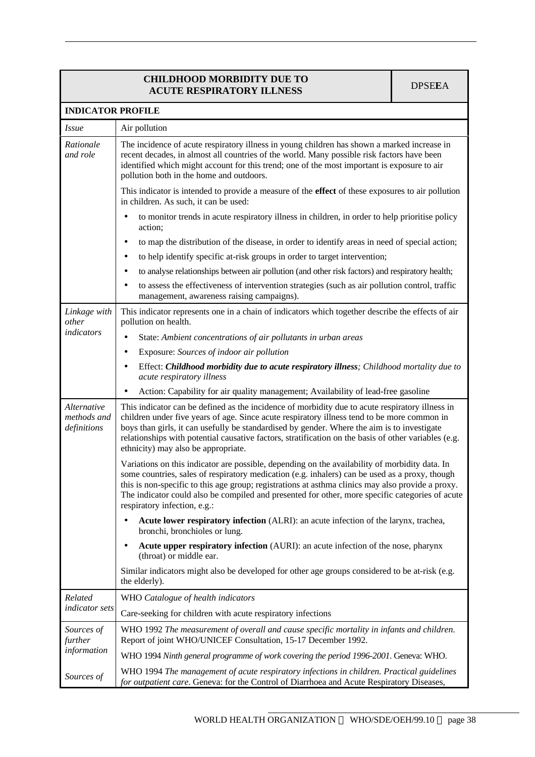# **CHILDHOOD MORBIDITY DUE TO ACUTE RESPIRATORY ILLNESS** DPSEEA

 $\overline{a}$ 

| <b>INDICATOR PROFILE</b>                  |                                                                                                                                                                                                                                                                                                                                                                                                                                              |
|-------------------------------------------|----------------------------------------------------------------------------------------------------------------------------------------------------------------------------------------------------------------------------------------------------------------------------------------------------------------------------------------------------------------------------------------------------------------------------------------------|
| <i>Issue</i>                              | Air pollution                                                                                                                                                                                                                                                                                                                                                                                                                                |
| Rationale<br>and role                     | The incidence of acute respiratory illness in young children has shown a marked increase in<br>recent decades, in almost all countries of the world. Many possible risk factors have been<br>identified which might account for this trend; one of the most important is exposure to air<br>pollution both in the home and outdoors.                                                                                                         |
|                                           | This indicator is intended to provide a measure of the effect of these exposures to air pollution<br>in children. As such, it can be used:                                                                                                                                                                                                                                                                                                   |
|                                           | to monitor trends in acute respiratory illness in children, in order to help prioritise policy<br>action;                                                                                                                                                                                                                                                                                                                                    |
|                                           | to map the distribution of the disease, in order to identify areas in need of special action;<br>٠                                                                                                                                                                                                                                                                                                                                           |
|                                           | to help identify specific at-risk groups in order to target intervention;<br>٠                                                                                                                                                                                                                                                                                                                                                               |
|                                           | to analyse relationships between air pollution (and other risk factors) and respiratory health;<br>٠                                                                                                                                                                                                                                                                                                                                         |
|                                           | to assess the effectiveness of intervention strategies (such as air pollution control, traffic<br>٠<br>management, awareness raising campaigns).                                                                                                                                                                                                                                                                                             |
| Linkage with<br>other                     | This indicator represents one in a chain of indicators which together describe the effects of air<br>pollution on health.                                                                                                                                                                                                                                                                                                                    |
| indicators                                | State: Ambient concentrations of air pollutants in urban areas                                                                                                                                                                                                                                                                                                                                                                               |
|                                           | Exposure: Sources of indoor air pollution<br>٠                                                                                                                                                                                                                                                                                                                                                                                               |
|                                           | Effect: Childhood morbidity due to acute respiratory illness; Childhood mortality due to<br>$\bullet$                                                                                                                                                                                                                                                                                                                                        |
|                                           | acute respiratory illness                                                                                                                                                                                                                                                                                                                                                                                                                    |
|                                           | Action: Capability for air quality management; Availability of lead-free gasoline                                                                                                                                                                                                                                                                                                                                                            |
| Alternative<br>methods and<br>definitions | This indicator can be defined as the incidence of morbidity due to acute respiratory illness in<br>children under five years of age. Since acute respiratory illness tend to be more common in<br>boys than girls, it can usefully be standardised by gender. Where the aim is to investigate<br>relationships with potential causative factors, stratification on the basis of other variables (e.g.<br>ethnicity) may also be appropriate. |
|                                           | Variations on this indicator are possible, depending on the availability of morbidity data. In<br>some countries, sales of respiratory medication (e.g. inhalers) can be used as a proxy, though<br>this is non-specific to this age group; registrations at asthma clinics may also provide a proxy.<br>The indicator could also be compiled and presented for other, more specific categories of acute<br>respiratory infection, e.g.:     |
|                                           | Acute lower respiratory infection (ALRI): an acute infection of the larynx, trachea,<br>bronchi, bronchioles or lung.                                                                                                                                                                                                                                                                                                                        |
|                                           | <b>Acute upper respiratory infection</b> (AURI): an acute infection of the nose, pharynx<br>$\bullet$<br>(throat) or middle ear.                                                                                                                                                                                                                                                                                                             |
|                                           | Similar indicators might also be developed for other age groups considered to be at-risk (e.g.<br>the elderly).                                                                                                                                                                                                                                                                                                                              |
| Related                                   | WHO Catalogue of health indicators                                                                                                                                                                                                                                                                                                                                                                                                           |
| <i>indicator</i> sets                     | Care-seeking for children with acute respiratory infections                                                                                                                                                                                                                                                                                                                                                                                  |
| Sources of<br>further                     | WHO 1992 The measurement of overall and cause specific mortality in infants and children.<br>Report of joint WHO/UNICEF Consultation, 15-17 December 1992.                                                                                                                                                                                                                                                                                   |
| information                               | WHO 1994 Ninth general programme of work covering the period 1996-2001. Geneva: WHO.                                                                                                                                                                                                                                                                                                                                                         |
| Sources of                                | WHO 1994 The management of acute respiratory infections in children. Practical guidelines<br>for outpatient care. Geneva: for the Control of Diarrhoea and Acute Respiratory Diseases,                                                                                                                                                                                                                                                       |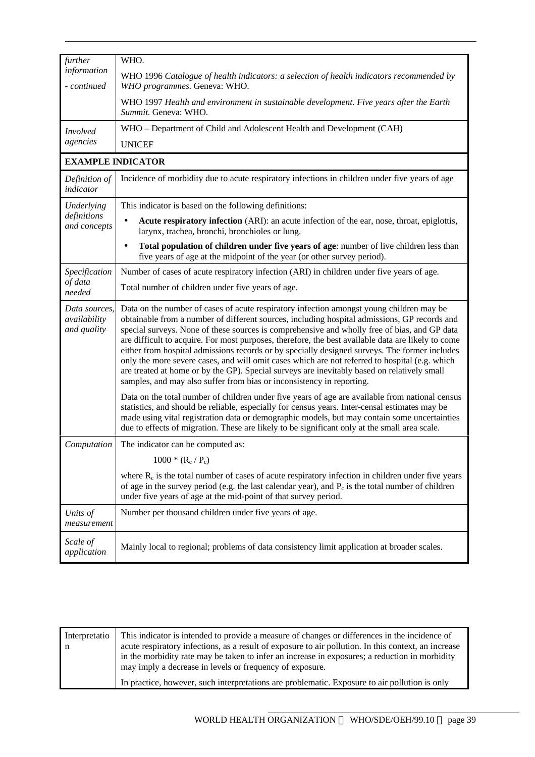|                                              | WHO.                                                                                                                                                                                                                                                                                                                                                                                                                                                                                                                                                                                                                                                                                                                                                                      |
|----------------------------------------------|---------------------------------------------------------------------------------------------------------------------------------------------------------------------------------------------------------------------------------------------------------------------------------------------------------------------------------------------------------------------------------------------------------------------------------------------------------------------------------------------------------------------------------------------------------------------------------------------------------------------------------------------------------------------------------------------------------------------------------------------------------------------------|
| further<br>information<br>- continued        | WHO 1996 Catalogue of health indicators: a selection of health indicators recommended by<br>WHO programmes. Geneva: WHO.                                                                                                                                                                                                                                                                                                                                                                                                                                                                                                                                                                                                                                                  |
|                                              | WHO 1997 Health and environment in sustainable development. Five years after the Earth<br><i>Summit.</i> Geneva: WHO.                                                                                                                                                                                                                                                                                                                                                                                                                                                                                                                                                                                                                                                     |
| <i>Involved</i>                              | WHO - Department of Child and Adolescent Health and Development (CAH)                                                                                                                                                                                                                                                                                                                                                                                                                                                                                                                                                                                                                                                                                                     |
| agencies                                     | <b>UNICEF</b>                                                                                                                                                                                                                                                                                                                                                                                                                                                                                                                                                                                                                                                                                                                                                             |
| <b>EXAMPLE INDICATOR</b>                     |                                                                                                                                                                                                                                                                                                                                                                                                                                                                                                                                                                                                                                                                                                                                                                           |
| Definition of<br>indicator                   | Incidence of morbidity due to acute respiratory infections in children under five years of age                                                                                                                                                                                                                                                                                                                                                                                                                                                                                                                                                                                                                                                                            |
| Underlying                                   | This indicator is based on the following definitions:                                                                                                                                                                                                                                                                                                                                                                                                                                                                                                                                                                                                                                                                                                                     |
| definitions<br>and concepts                  | Acute respiratory infection (ARI): an acute infection of the ear, nose, throat, epiglottis,<br>larynx, trachea, bronchi, bronchioles or lung.                                                                                                                                                                                                                                                                                                                                                                                                                                                                                                                                                                                                                             |
|                                              | Total population of children under five years of age: number of live children less than<br>five years of age at the midpoint of the year (or other survey period).                                                                                                                                                                                                                                                                                                                                                                                                                                                                                                                                                                                                        |
| Specification                                | Number of cases of acute respiratory infection (ARI) in children under five years of age.                                                                                                                                                                                                                                                                                                                                                                                                                                                                                                                                                                                                                                                                                 |
| of data<br>needed                            | Total number of children under five years of age.                                                                                                                                                                                                                                                                                                                                                                                                                                                                                                                                                                                                                                                                                                                         |
| Data sources.<br>availability<br>and quality | Data on the number of cases of acute respiratory infection amongst young children may be<br>obtainable from a number of different sources, including hospital admissions, GP records and<br>special surveys. None of these sources is comprehensive and wholly free of bias, and GP data<br>are difficult to acquire. For most purposes, therefore, the best available data are likely to come<br>either from hospital admissions records or by specially designed surveys. The former includes<br>only the more severe cases, and will omit cases which are not referred to hospital (e.g. which<br>are treated at home or by the GP). Special surveys are inevitably based on relatively small<br>samples, and may also suffer from bias or inconsistency in reporting. |
|                                              | Data on the total number of children under five years of age are available from national census<br>statistics, and should be reliable, especially for census years. Inter-censal estimates may be<br>made using vital registration data or demographic models, but may contain some uncertainties<br>due to effects of migration. These are likely to be significant only at the small area scale.                                                                                                                                                                                                                                                                                                                                                                        |
| Computation                                  | The indicator can be computed as:                                                                                                                                                                                                                                                                                                                                                                                                                                                                                                                                                                                                                                                                                                                                         |
|                                              | $1000 * (R_c / P_c)$                                                                                                                                                                                                                                                                                                                                                                                                                                                                                                                                                                                                                                                                                                                                                      |
|                                              | where $R_c$ is the total number of cases of acute respiratory infection in children under five years<br>of age in the survey period (e.g. the last calendar year), and P <sub>c</sub> is the total number of children<br>under five years of age at the mid-point of that survey period.                                                                                                                                                                                                                                                                                                                                                                                                                                                                                  |
| Units of<br>measurement                      | Number per thousand children under five years of age.                                                                                                                                                                                                                                                                                                                                                                                                                                                                                                                                                                                                                                                                                                                     |
| Scale of<br>application                      | Mainly local to regional; problems of data consistency limit application at broader scales.                                                                                                                                                                                                                                                                                                                                                                                                                                                                                                                                                                                                                                                                               |

| Interpretatio<br>n | This indicator is intended to provide a measure of changes or differences in the incidence of<br>acute respiratory infections, as a result of exposure to air pollution. In this context, an increase<br>in the morbidity rate may be taken to infer an increase in exposures; a reduction in morbidity<br>may imply a decrease in levels or frequency of exposure. |
|--------------------|---------------------------------------------------------------------------------------------------------------------------------------------------------------------------------------------------------------------------------------------------------------------------------------------------------------------------------------------------------------------|
|                    | In practice, however, such interpretations are problematic. Exposure to air pollution is only                                                                                                                                                                                                                                                                       |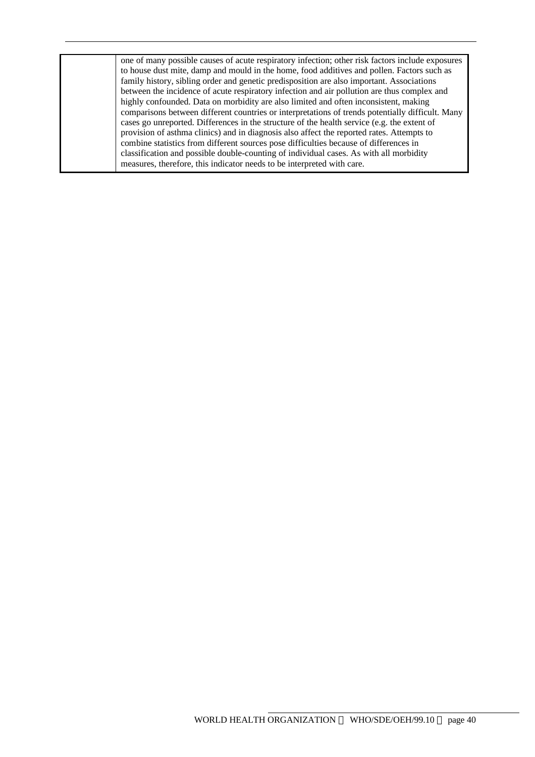| one of many possible causes of acute respiratory infection; other risk factors include exposures |
|--------------------------------------------------------------------------------------------------|
| to house dust mite, damp and mould in the home, food additives and pollen. Factors such as       |
| family history, sibling order and genetic predisposition are also important. Associations        |
| between the incidence of acute respiratory infection and air pollution are thus complex and      |
| highly confounded. Data on morbidity are also limited and often inconsistent, making             |
| comparisons between different countries or interpretations of trends potentially difficult. Many |
| cases go unreported. Differences in the structure of the health service (e.g. the extent of      |
| provision of asthma clinics) and in diagnosis also affect the reported rates. Attempts to        |
| combine statistics from different sources pose difficulties because of differences in            |
| classification and possible double-counting of individual cases. As with all morbidity           |
| measures, therefore, this indicator needs to be interpreted with care.                           |
|                                                                                                  |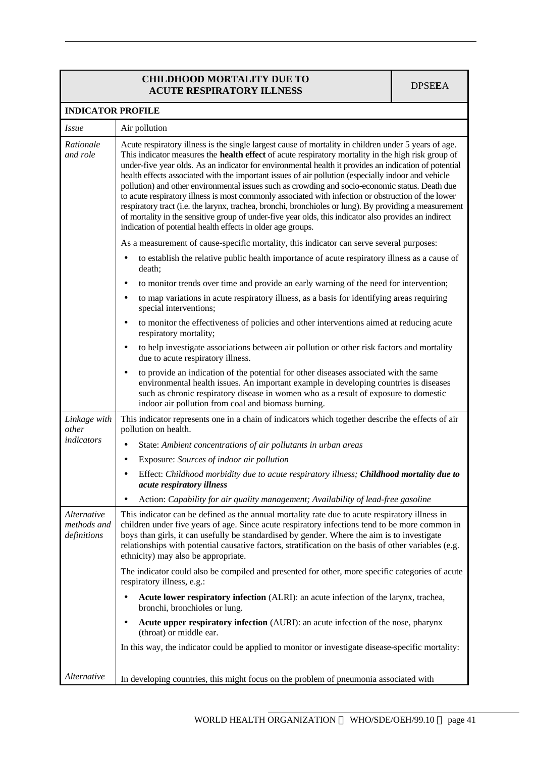# **CHILDHOOD MORTALITY DUE TO ACUTE RESPIRATORY ILLNESS** DPSEEA

 $\overline{a}$ 

|                                           | <b>INDICATOR PROFILE</b>                                                                                                                                                                                                                                                                                                                                                                                                                                                                                                                                                                                                                                                                                                                                                                                                                                                                                                      |  |
|-------------------------------------------|-------------------------------------------------------------------------------------------------------------------------------------------------------------------------------------------------------------------------------------------------------------------------------------------------------------------------------------------------------------------------------------------------------------------------------------------------------------------------------------------------------------------------------------------------------------------------------------------------------------------------------------------------------------------------------------------------------------------------------------------------------------------------------------------------------------------------------------------------------------------------------------------------------------------------------|--|
| <b>Issue</b>                              | Air pollution                                                                                                                                                                                                                                                                                                                                                                                                                                                                                                                                                                                                                                                                                                                                                                                                                                                                                                                 |  |
| Rationale<br>and role                     | Acute respiratory illness is the single largest cause of mortality in children under 5 years of age.<br>This indicator measures the <b>health effect</b> of acute respiratory mortality in the high risk group of<br>under-five year olds. As an indicator for environmental health it provides an indication of potential<br>health effects associated with the important issues of air pollution (especially indoor and vehicle<br>pollution) and other environmental issues such as crowding and socio-economic status. Death due<br>to acute respiratory illness is most commonly associated with infection or obstruction of the lower<br>respiratory tract (i.e. the larynx, trachea, bronchi, bronchioles or lung). By providing a measurement<br>of mortality in the sensitive group of under-five year olds, this indicator also provides an indirect<br>indication of potential health effects in older age groups. |  |
|                                           | As a measurement of cause-specific mortality, this indicator can serve several purposes:                                                                                                                                                                                                                                                                                                                                                                                                                                                                                                                                                                                                                                                                                                                                                                                                                                      |  |
|                                           | to establish the relative public health importance of acute respiratory illness as a cause of<br>death;                                                                                                                                                                                                                                                                                                                                                                                                                                                                                                                                                                                                                                                                                                                                                                                                                       |  |
|                                           | to monitor trends over time and provide an early warning of the need for intervention;<br>$\bullet$                                                                                                                                                                                                                                                                                                                                                                                                                                                                                                                                                                                                                                                                                                                                                                                                                           |  |
|                                           | to map variations in acute respiratory illness, as a basis for identifying areas requiring<br>$\bullet$<br>special interventions;                                                                                                                                                                                                                                                                                                                                                                                                                                                                                                                                                                                                                                                                                                                                                                                             |  |
|                                           | to monitor the effectiveness of policies and other interventions aimed at reducing acute<br>$\bullet$<br>respiratory mortality;                                                                                                                                                                                                                                                                                                                                                                                                                                                                                                                                                                                                                                                                                                                                                                                               |  |
|                                           | to help investigate associations between air pollution or other risk factors and mortality<br>$\bullet$<br>due to acute respiratory illness.                                                                                                                                                                                                                                                                                                                                                                                                                                                                                                                                                                                                                                                                                                                                                                                  |  |
|                                           | to provide an indication of the potential for other diseases associated with the same<br>environmental health issues. An important example in developing countries is diseases<br>such as chronic respiratory disease in women who as a result of exposure to domestic<br>indoor air pollution from coal and biomass burning.                                                                                                                                                                                                                                                                                                                                                                                                                                                                                                                                                                                                 |  |
| Linkage with<br>other                     | This indicator represents one in a chain of indicators which together describe the effects of air<br>pollution on health.                                                                                                                                                                                                                                                                                                                                                                                                                                                                                                                                                                                                                                                                                                                                                                                                     |  |
| indicators                                | State: Ambient concentrations of air pollutants in urban areas<br>٠                                                                                                                                                                                                                                                                                                                                                                                                                                                                                                                                                                                                                                                                                                                                                                                                                                                           |  |
|                                           | Exposure: Sources of indoor air pollution<br>٠                                                                                                                                                                                                                                                                                                                                                                                                                                                                                                                                                                                                                                                                                                                                                                                                                                                                                |  |
|                                           | Effect: Childhood morbidity due to acute respiratory illness; Childhood mortality due to<br>acute respiratory illness                                                                                                                                                                                                                                                                                                                                                                                                                                                                                                                                                                                                                                                                                                                                                                                                         |  |
|                                           | Action: Capability for air quality management; Availability of lead-free gasoline                                                                                                                                                                                                                                                                                                                                                                                                                                                                                                                                                                                                                                                                                                                                                                                                                                             |  |
| Alternative<br>methods and<br>definitions | This indicator can be defined as the annual mortality rate due to acute respiratory illness in<br>children under five years of age. Since acute respiratory infections tend to be more common in<br>boys than girls, it can usefully be standardised by gender. Where the aim is to investigate<br>relationships with potential causative factors, stratification on the basis of other variables (e.g.<br>ethnicity) may also be appropriate.                                                                                                                                                                                                                                                                                                                                                                                                                                                                                |  |
|                                           | The indicator could also be compiled and presented for other, more specific categories of acute<br>respiratory illness, e.g.:                                                                                                                                                                                                                                                                                                                                                                                                                                                                                                                                                                                                                                                                                                                                                                                                 |  |
|                                           | Acute lower respiratory infection (ALRI): an acute infection of the larynx, trachea,<br>bronchi, bronchioles or lung.                                                                                                                                                                                                                                                                                                                                                                                                                                                                                                                                                                                                                                                                                                                                                                                                         |  |
|                                           | Acute upper respiratory infection (AURI): an acute infection of the nose, pharynx<br>(throat) or middle ear.                                                                                                                                                                                                                                                                                                                                                                                                                                                                                                                                                                                                                                                                                                                                                                                                                  |  |
|                                           | In this way, the indicator could be applied to monitor or investigate disease-specific mortality:                                                                                                                                                                                                                                                                                                                                                                                                                                                                                                                                                                                                                                                                                                                                                                                                                             |  |
| Alternative                               | In developing countries, this might focus on the problem of pneumonia associated with                                                                                                                                                                                                                                                                                                                                                                                                                                                                                                                                                                                                                                                                                                                                                                                                                                         |  |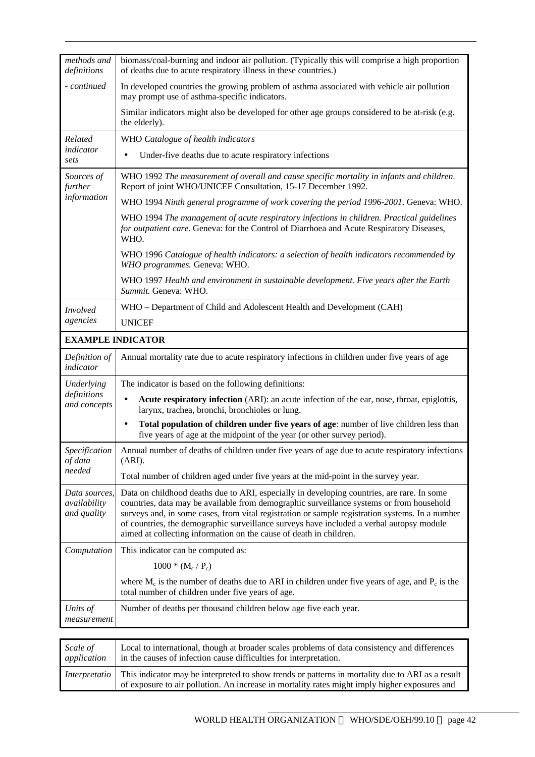| methods and<br>definitions                   | biomass/coal-burning and indoor air pollution. (Typically this will comprise a high proportion<br>of deaths due to acute respiratory illness in these countries.)                                                                                                                                                                                                                                                                                           |
|----------------------------------------------|-------------------------------------------------------------------------------------------------------------------------------------------------------------------------------------------------------------------------------------------------------------------------------------------------------------------------------------------------------------------------------------------------------------------------------------------------------------|
| continued                                    | In developed countries the growing problem of asthma associated with vehicle air pollution<br>may prompt use of asthma-specific indicators.                                                                                                                                                                                                                                                                                                                 |
|                                              | Similar indicators might also be developed for other age groups considered to be at-risk (e.g.<br>the elderly).                                                                                                                                                                                                                                                                                                                                             |
| Related                                      | WHO Catalogue of health indicators                                                                                                                                                                                                                                                                                                                                                                                                                          |
| indicator<br>sets                            | Under-five deaths due to acute respiratory infections<br>٠                                                                                                                                                                                                                                                                                                                                                                                                  |
| Sources of<br>further                        | WHO 1992 The measurement of overall and cause specific mortality in infants and children.<br>Report of joint WHO/UNICEF Consultation, 15-17 December 1992.                                                                                                                                                                                                                                                                                                  |
| information                                  | WHO 1994 Ninth general programme of work covering the period 1996-2001. Geneva: WHO.                                                                                                                                                                                                                                                                                                                                                                        |
|                                              | WHO 1994 The management of acute respiratory infections in children. Practical guidelines<br>for outpatient care. Geneva: for the Control of Diarrhoea and Acute Respiratory Diseases,<br>WHO.                                                                                                                                                                                                                                                              |
|                                              | WHO 1996 Catalogue of health indicators: a selection of health indicators recommended by<br>WHO programmes. Geneva: WHO.                                                                                                                                                                                                                                                                                                                                    |
|                                              | WHO 1997 Health and environment in sustainable development. Five years after the Earth<br>Summit. Geneva: WHO.                                                                                                                                                                                                                                                                                                                                              |
| <i>Involved</i>                              | WHO - Department of Child and Adolescent Health and Development (CAH)                                                                                                                                                                                                                                                                                                                                                                                       |
| agencies                                     | <b>UNICEF</b>                                                                                                                                                                                                                                                                                                                                                                                                                                               |
| <b>EXAMPLE INDICATOR</b>                     |                                                                                                                                                                                                                                                                                                                                                                                                                                                             |
| Definition of<br>indicator                   | Annual mortality rate due to acute respiratory infections in children under five years of age                                                                                                                                                                                                                                                                                                                                                               |
| Underlying                                   | The indicator is based on the following definitions:                                                                                                                                                                                                                                                                                                                                                                                                        |
| definitions<br>and concepts                  | <b>Acute respiratory infection</b> (ARI): an acute infection of the ear, nose, throat, epiglottis,<br>larynx, trachea, bronchi, bronchioles or lung.                                                                                                                                                                                                                                                                                                        |
|                                              | Total population of children under five years of age: number of live children less than<br>$\bullet$<br>five years of age at the midpoint of the year (or other survey period).                                                                                                                                                                                                                                                                             |
| Specification<br>of data                     | Annual number of deaths of children under five years of age due to acute respiratory infections<br>(ARI).                                                                                                                                                                                                                                                                                                                                                   |
| needed                                       | Total number of children aged under five years at the mid-point in the survey year.                                                                                                                                                                                                                                                                                                                                                                         |
| Data sources,<br>availability<br>and quality | Data on childhood deaths due to ARI, especially in developing countries, are rare. In some<br>countries, data may be available from demographic surveillance systems or from household<br>surveys and, in some cases, from vital registration or sample registration systems. In a number<br>of countries, the demographic surveillance surveys have included a verbal autopsy module<br>aimed at collecting information on the cause of death in children. |
| Computation                                  | This indicator can be computed as:                                                                                                                                                                                                                                                                                                                                                                                                                          |
|                                              | $1000 * (M_c / P_c)$                                                                                                                                                                                                                                                                                                                                                                                                                                        |
|                                              | where $M_c$ is the number of deaths due to ARI in children under five years of age, and $P_c$ is the<br>total number of children under five years of age.                                                                                                                                                                                                                                                                                                   |
| Units of<br>measurement                      | Number of deaths per thousand children below age five each year.                                                                                                                                                                                                                                                                                                                                                                                            |
|                                              |                                                                                                                                                                                                                                                                                                                                                                                                                                                             |
| Scale of<br>application                      | Local to international, though at broader scales problems of data consistency and differences<br>in the causes of infection cause difficulties for interpretation.                                                                                                                                                                                                                                                                                          |

| the property of the committee of the committee of the committee of the committee of the property of the committee of  |
|-----------------------------------------------------------------------------------------------------------------------|
| <i>Interpretatio</i> This indicator may be interpreted to show trends or patterns in mortality due to ARI as a result |
| of exposure to air pollution. An increase in mortality rates might imply higher exposures and                         |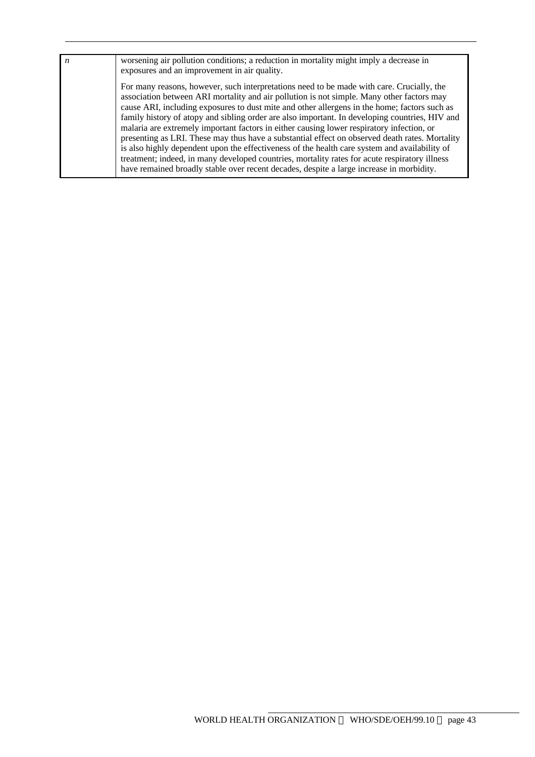| $\boldsymbol{n}$ | worsening air pollution conditions; a reduction in mortality might imply a decrease in<br>exposures and an improvement in air quality.                                                                                                                                                                                                                                                                                                                                                                                                                                                                                                                                                                                                                                                                                                                                                |
|------------------|---------------------------------------------------------------------------------------------------------------------------------------------------------------------------------------------------------------------------------------------------------------------------------------------------------------------------------------------------------------------------------------------------------------------------------------------------------------------------------------------------------------------------------------------------------------------------------------------------------------------------------------------------------------------------------------------------------------------------------------------------------------------------------------------------------------------------------------------------------------------------------------|
|                  | For many reasons, however, such interpretations need to be made with care. Crucially, the<br>association between ARI mortality and air pollution is not simple. Many other factors may<br>cause ARI, including exposures to dust mite and other allergens in the home; factors such as<br>family history of atopy and sibling order are also important. In developing countries, HIV and<br>malaria are extremely important factors in either causing lower respiratory infection, or<br>presenting as LRI. These may thus have a substantial effect on observed death rates. Mortality<br>is also highly dependent upon the effectiveness of the health care system and availability of<br>treatment; indeed, in many developed countries, mortality rates for acute respiratory illness<br>have remained broadly stable over recent decades, despite a large increase in morbidity. |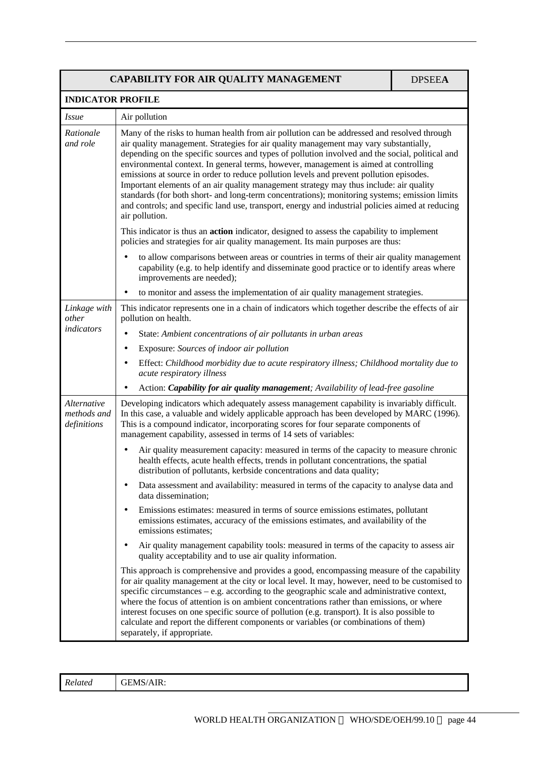| <b>CAPABILITY FOR AIR QUALITY MANAGEMENT</b> |  |  |  |
|----------------------------------------------|--|--|--|
|----------------------------------------------|--|--|--|

| <b>INDICATOR PROFILE</b>                  |                                                                                                                                                                                                                                                                                                                                                                                                                                                                                                                                                                                                                                                                                                                                                                                            |  |  |
|-------------------------------------------|--------------------------------------------------------------------------------------------------------------------------------------------------------------------------------------------------------------------------------------------------------------------------------------------------------------------------------------------------------------------------------------------------------------------------------------------------------------------------------------------------------------------------------------------------------------------------------------------------------------------------------------------------------------------------------------------------------------------------------------------------------------------------------------------|--|--|
| <i>Issue</i>                              | Air pollution                                                                                                                                                                                                                                                                                                                                                                                                                                                                                                                                                                                                                                                                                                                                                                              |  |  |
| Rationale<br>and role                     | Many of the risks to human health from air pollution can be addressed and resolved through<br>air quality management. Strategies for air quality management may vary substantially,<br>depending on the specific sources and types of pollution involved and the social, political and<br>environmental context. In general terms, however, management is aimed at controlling<br>emissions at source in order to reduce pollution levels and prevent pollution episodes.<br>Important elements of an air quality management strategy may thus include: air quality<br>standards (for both short- and long-term concentrations); monitoring systems; emission limits<br>and controls; and specific land use, transport, energy and industrial policies aimed at reducing<br>air pollution. |  |  |
|                                           | This indicator is thus an <b>action</b> indicator, designed to assess the capability to implement<br>policies and strategies for air quality management. Its main purposes are thus:                                                                                                                                                                                                                                                                                                                                                                                                                                                                                                                                                                                                       |  |  |
|                                           | to allow comparisons between areas or countries in terms of their air quality management<br>capability (e.g. to help identify and disseminate good practice or to identify areas where<br>improvements are needed);                                                                                                                                                                                                                                                                                                                                                                                                                                                                                                                                                                        |  |  |
|                                           | to monitor and assess the implementation of air quality management strategies.<br>٠                                                                                                                                                                                                                                                                                                                                                                                                                                                                                                                                                                                                                                                                                                        |  |  |
| Linkage with<br>other                     | This indicator represents one in a chain of indicators which together describe the effects of air<br>pollution on health.                                                                                                                                                                                                                                                                                                                                                                                                                                                                                                                                                                                                                                                                  |  |  |
| indicators                                | State: Ambient concentrations of air pollutants in urban areas<br>$\bullet$                                                                                                                                                                                                                                                                                                                                                                                                                                                                                                                                                                                                                                                                                                                |  |  |
|                                           | Exposure: Sources of indoor air pollution<br>$\bullet$                                                                                                                                                                                                                                                                                                                                                                                                                                                                                                                                                                                                                                                                                                                                     |  |  |
|                                           | Effect: Childhood morbidity due to acute respiratory illness; Childhood mortality due to<br>$\bullet$<br>acute respiratory illness                                                                                                                                                                                                                                                                                                                                                                                                                                                                                                                                                                                                                                                         |  |  |
|                                           | Action: Capability for air quality management; Availability of lead-free gasoline<br>٠                                                                                                                                                                                                                                                                                                                                                                                                                                                                                                                                                                                                                                                                                                     |  |  |
| Alternative<br>methods and<br>definitions | Developing indicators which adequately assess management capability is invariably difficult.<br>In this case, a valuable and widely applicable approach has been developed by MARC (1996).<br>This is a compound indicator, incorporating scores for four separate components of<br>management capability, assessed in terms of 14 sets of variables:                                                                                                                                                                                                                                                                                                                                                                                                                                      |  |  |
|                                           | Air quality measurement capacity: measured in terms of the capacity to measure chronic<br>$\bullet$<br>health effects, acute health effects, trends in pollutant concentrations, the spatial<br>distribution of pollutants, kerbside concentrations and data quality;                                                                                                                                                                                                                                                                                                                                                                                                                                                                                                                      |  |  |
|                                           | Data assessment and availability: measured in terms of the capacity to analyse data and<br>٠<br>data dissemination;                                                                                                                                                                                                                                                                                                                                                                                                                                                                                                                                                                                                                                                                        |  |  |
|                                           | Emissions estimates: measured in terms of source emissions estimates, pollutant<br>emissions estimates, accuracy of the emissions estimates, and availability of the<br>emissions estimates;                                                                                                                                                                                                                                                                                                                                                                                                                                                                                                                                                                                               |  |  |
|                                           | Air quality management capability tools: measured in terms of the capacity to assess air<br>٠<br>quality acceptability and to use air quality information.                                                                                                                                                                                                                                                                                                                                                                                                                                                                                                                                                                                                                                 |  |  |
|                                           | This approach is comprehensive and provides a good, encompassing measure of the capability<br>for air quality management at the city or local level. It may, however, need to be customised to<br>specific circumstances $-$ e.g. according to the geographic scale and administrative context,<br>where the focus of attention is on ambient concentrations rather than emissions, or where<br>interest focuses on one specific source of pollution (e.g. transport). It is also possible to<br>calculate and report the different components or variables (or combinations of them)<br>separately, if appropriate.                                                                                                                                                                       |  |  |

| Related | 'AIR.<br><b>GEMS</b> |
|---------|----------------------|
|         |                      |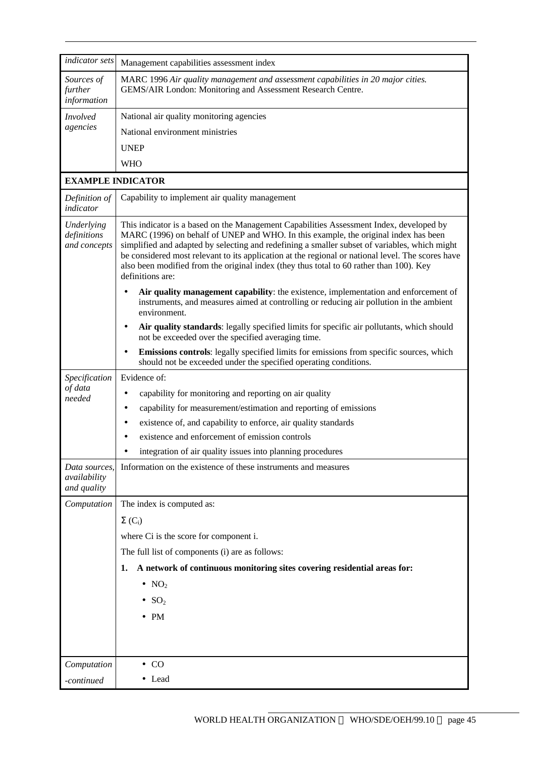| indicator sets                               | Management capabilities assessment index                                                                                                                                                                                                                                                                                                                                                                                                                                                            |
|----------------------------------------------|-----------------------------------------------------------------------------------------------------------------------------------------------------------------------------------------------------------------------------------------------------------------------------------------------------------------------------------------------------------------------------------------------------------------------------------------------------------------------------------------------------|
| Sources of<br>further<br>information         | MARC 1996 Air quality management and assessment capabilities in 20 major cities.<br>GEMS/AIR London: Monitoring and Assessment Research Centre.                                                                                                                                                                                                                                                                                                                                                     |
| <b>Involved</b>                              | National air quality monitoring agencies                                                                                                                                                                                                                                                                                                                                                                                                                                                            |
| agencies                                     | National environment ministries                                                                                                                                                                                                                                                                                                                                                                                                                                                                     |
|                                              | <b>UNEP</b>                                                                                                                                                                                                                                                                                                                                                                                                                                                                                         |
|                                              | <b>WHO</b>                                                                                                                                                                                                                                                                                                                                                                                                                                                                                          |
| <b>EXAMPLE INDICATOR</b>                     |                                                                                                                                                                                                                                                                                                                                                                                                                                                                                                     |
| Definition of<br>indicator                   | Capability to implement air quality management                                                                                                                                                                                                                                                                                                                                                                                                                                                      |
| Underlying<br>definitions<br>and concepts    | This indicator is a based on the Management Capabilities Assessment Index, developed by<br>MARC (1996) on behalf of UNEP and WHO. In this example, the original index has been<br>simplified and adapted by selecting and redefining a smaller subset of variables, which might<br>be considered most relevant to its application at the regional or national level. The scores have<br>also been modified from the original index (they thus total to 60 rather than 100). Key<br>definitions are: |
|                                              | Air quality management capability: the existence, implementation and enforcement of<br>instruments, and measures aimed at controlling or reducing air pollution in the ambient<br>environment.                                                                                                                                                                                                                                                                                                      |
|                                              | Air quality standards: legally specified limits for specific air pollutants, which should<br>$\bullet$<br>not be exceeded over the specified averaging time.                                                                                                                                                                                                                                                                                                                                        |
|                                              | <b>Emissions controls:</b> legally specified limits for emissions from specific sources, which<br>٠<br>should not be exceeded under the specified operating conditions.                                                                                                                                                                                                                                                                                                                             |
| Specification                                | Evidence of:                                                                                                                                                                                                                                                                                                                                                                                                                                                                                        |
| of data<br>needed                            | capability for monitoring and reporting on air quality<br>٠                                                                                                                                                                                                                                                                                                                                                                                                                                         |
|                                              | capability for measurement/estimation and reporting of emissions<br>$\bullet$                                                                                                                                                                                                                                                                                                                                                                                                                       |
|                                              | existence of, and capability to enforce, air quality standards                                                                                                                                                                                                                                                                                                                                                                                                                                      |
|                                              | existence and enforcement of emission controls                                                                                                                                                                                                                                                                                                                                                                                                                                                      |
|                                              | integration of air quality issues into planning procedures                                                                                                                                                                                                                                                                                                                                                                                                                                          |
| Data sources.<br>availability<br>and quality | Information on the existence of these instruments and measures                                                                                                                                                                                                                                                                                                                                                                                                                                      |
| Computation                                  | The index is computed as:                                                                                                                                                                                                                                                                                                                                                                                                                                                                           |
|                                              | $\Sigma(C_i)$                                                                                                                                                                                                                                                                                                                                                                                                                                                                                       |
|                                              | where Ci is the score for component i.                                                                                                                                                                                                                                                                                                                                                                                                                                                              |
|                                              | The full list of components (i) are as follows:                                                                                                                                                                                                                                                                                                                                                                                                                                                     |
|                                              | A network of continuous monitoring sites covering residential areas for:<br>1.                                                                                                                                                                                                                                                                                                                                                                                                                      |
|                                              | $\bullet$ NO <sub>2</sub>                                                                                                                                                                                                                                                                                                                                                                                                                                                                           |
|                                              | $\bullet$ SO <sub>2</sub>                                                                                                                                                                                                                                                                                                                                                                                                                                                                           |
|                                              | $\bullet$ PM                                                                                                                                                                                                                                                                                                                                                                                                                                                                                        |
|                                              |                                                                                                                                                                                                                                                                                                                                                                                                                                                                                                     |
|                                              |                                                                                                                                                                                                                                                                                                                                                                                                                                                                                                     |
| Computation                                  | $\bullet$ CO                                                                                                                                                                                                                                                                                                                                                                                                                                                                                        |
| -continued                                   | • Lead                                                                                                                                                                                                                                                                                                                                                                                                                                                                                              |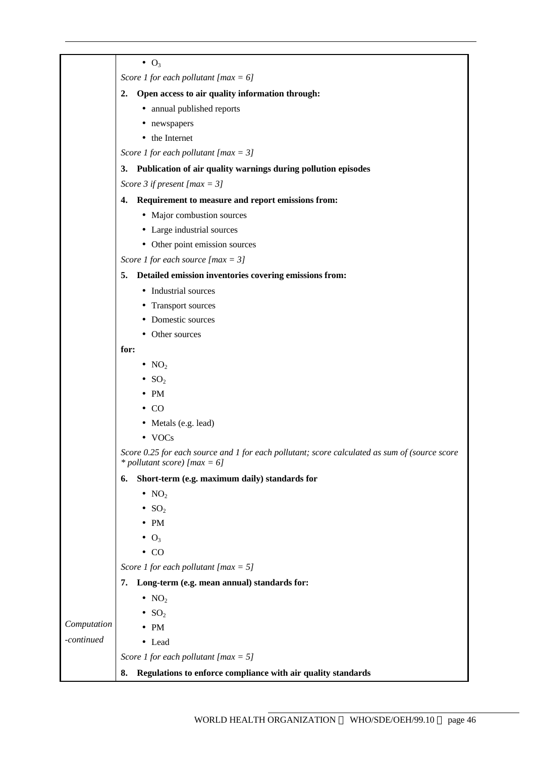|             | $\bullet$ O <sub>3</sub>                                                                                                          |
|-------------|-----------------------------------------------------------------------------------------------------------------------------------|
|             | Score 1 for each pollutant $[max = 6]$                                                                                            |
|             | Open access to air quality information through:<br>2.                                                                             |
|             | • annual published reports                                                                                                        |
|             | • newspapers                                                                                                                      |
|             | • the Internet                                                                                                                    |
|             | Score 1 for each pollutant $[max = 3]$                                                                                            |
|             | 3. Publication of air quality warnings during pollution episodes                                                                  |
|             | Score 3 if present [ $max = 3$ ]                                                                                                  |
|             | Requirement to measure and report emissions from:<br>4.                                                                           |
|             | • Major combustion sources                                                                                                        |
|             | • Large industrial sources                                                                                                        |
|             | • Other point emission sources                                                                                                    |
|             | Score 1 for each source $[max = 3]$                                                                                               |
|             | Detailed emission inventories covering emissions from:<br>5.                                                                      |
|             | • Industrial sources                                                                                                              |
|             | • Transport sources                                                                                                               |
|             | • Domestic sources                                                                                                                |
|             | • Other sources                                                                                                                   |
|             | for:                                                                                                                              |
|             | $\bullet$ NO <sub>2</sub>                                                                                                         |
|             | $\bullet$ SO <sub>2</sub>                                                                                                         |
|             | $\bullet$ PM                                                                                                                      |
|             | $\bullet$ CO                                                                                                                      |
|             | • Metals (e.g. lead)                                                                                                              |
|             | <b>VOCs</b>                                                                                                                       |
|             | Score 0.25 for each source and 1 for each pollutant; score calculated as sum of (source score<br>* pollutant score) [ $max = 6$ ] |
|             | Short-term (e.g. maximum daily) standards for<br>6.                                                                               |
|             | $\bullet$ NO <sub>2</sub>                                                                                                         |
|             | $\bullet$ SO <sub>2</sub>                                                                                                         |
|             | $\bullet$ PM                                                                                                                      |
|             | $\bullet$ O <sub>3</sub>                                                                                                          |
|             | $\bullet$ CO                                                                                                                      |
|             | Score 1 for each pollutant $[max = 5]$                                                                                            |
|             | Long-term (e.g. mean annual) standards for:<br>7.                                                                                 |
|             | $\bullet$ NO <sub>2</sub>                                                                                                         |
|             | $\bullet$ SO <sub>2</sub>                                                                                                         |
| Computation | $\bullet$ PM                                                                                                                      |
| -continued  | • Lead                                                                                                                            |
|             | Score 1 for each pollutant $[max = 5]$                                                                                            |
|             | Regulations to enforce compliance with air quality standards<br>8.                                                                |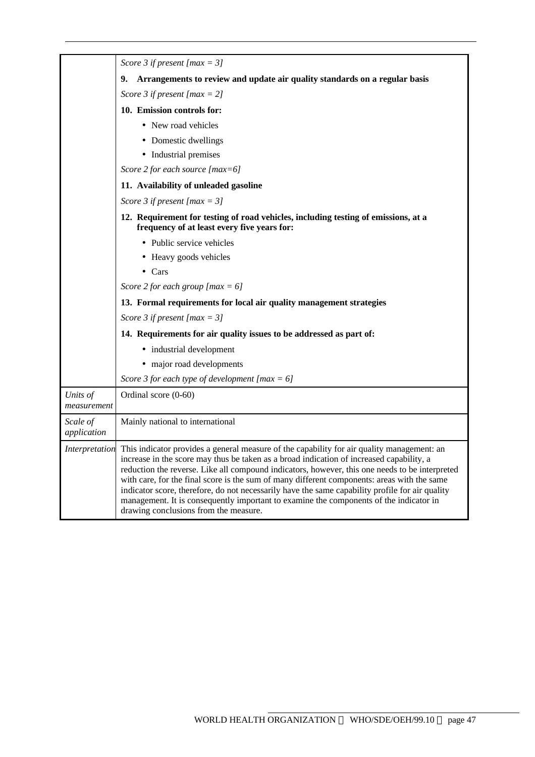|                         | Score 3 if present [ $max = 3$ ]                                                                                                                                                                                                                                                                                                                                                                                                                                                                                                                                                                                              |
|-------------------------|-------------------------------------------------------------------------------------------------------------------------------------------------------------------------------------------------------------------------------------------------------------------------------------------------------------------------------------------------------------------------------------------------------------------------------------------------------------------------------------------------------------------------------------------------------------------------------------------------------------------------------|
|                         | Arrangements to review and update air quality standards on a regular basis<br>9.                                                                                                                                                                                                                                                                                                                                                                                                                                                                                                                                              |
|                         | Score 3 if present [ $max = 2$ ]                                                                                                                                                                                                                                                                                                                                                                                                                                                                                                                                                                                              |
|                         | 10. Emission controls for:                                                                                                                                                                                                                                                                                                                                                                                                                                                                                                                                                                                                    |
|                         | • New road vehicles                                                                                                                                                                                                                                                                                                                                                                                                                                                                                                                                                                                                           |
|                         | • Domestic dwellings                                                                                                                                                                                                                                                                                                                                                                                                                                                                                                                                                                                                          |
|                         | • Industrial premises                                                                                                                                                                                                                                                                                                                                                                                                                                                                                                                                                                                                         |
|                         | Score 2 for each source [max=6]                                                                                                                                                                                                                                                                                                                                                                                                                                                                                                                                                                                               |
|                         | 11. Availability of unleaded gasoline                                                                                                                                                                                                                                                                                                                                                                                                                                                                                                                                                                                         |
|                         | Score 3 if present [ $max = 3$ ]                                                                                                                                                                                                                                                                                                                                                                                                                                                                                                                                                                                              |
|                         | 12. Requirement for testing of road vehicles, including testing of emissions, at a<br>frequency of at least every five years for:                                                                                                                                                                                                                                                                                                                                                                                                                                                                                             |
|                         | • Public service vehicles                                                                                                                                                                                                                                                                                                                                                                                                                                                                                                                                                                                                     |
|                         | • Heavy goods vehicles                                                                                                                                                                                                                                                                                                                                                                                                                                                                                                                                                                                                        |
|                         | $\bullet$ Cars                                                                                                                                                                                                                                                                                                                                                                                                                                                                                                                                                                                                                |
|                         | Score 2 for each group $[max = 6]$                                                                                                                                                                                                                                                                                                                                                                                                                                                                                                                                                                                            |
|                         | 13. Formal requirements for local air quality management strategies                                                                                                                                                                                                                                                                                                                                                                                                                                                                                                                                                           |
|                         | Score 3 if present [ $max = 3$ ]                                                                                                                                                                                                                                                                                                                                                                                                                                                                                                                                                                                              |
|                         | 14. Requirements for air quality issues to be addressed as part of:                                                                                                                                                                                                                                                                                                                                                                                                                                                                                                                                                           |
|                         | • industrial development                                                                                                                                                                                                                                                                                                                                                                                                                                                                                                                                                                                                      |
|                         | • major road developments                                                                                                                                                                                                                                                                                                                                                                                                                                                                                                                                                                                                     |
|                         | Score 3 for each type of development [ $max = 6$ ]                                                                                                                                                                                                                                                                                                                                                                                                                                                                                                                                                                            |
| Units of<br>measurement | Ordinal score (0-60)                                                                                                                                                                                                                                                                                                                                                                                                                                                                                                                                                                                                          |
| Scale of<br>application | Mainly national to international                                                                                                                                                                                                                                                                                                                                                                                                                                                                                                                                                                                              |
| Interpretation          | This indicator provides a general measure of the capability for air quality management: an<br>increase in the score may thus be taken as a broad indication of increased capability, a<br>reduction the reverse. Like all compound indicators, however, this one needs to be interpreted<br>with care, for the final score is the sum of many different components: areas with the same<br>indicator score, therefore, do not necessarily have the same capability profile for air quality<br>management. It is consequently important to examine the components of the indicator in<br>drawing conclusions from the measure. |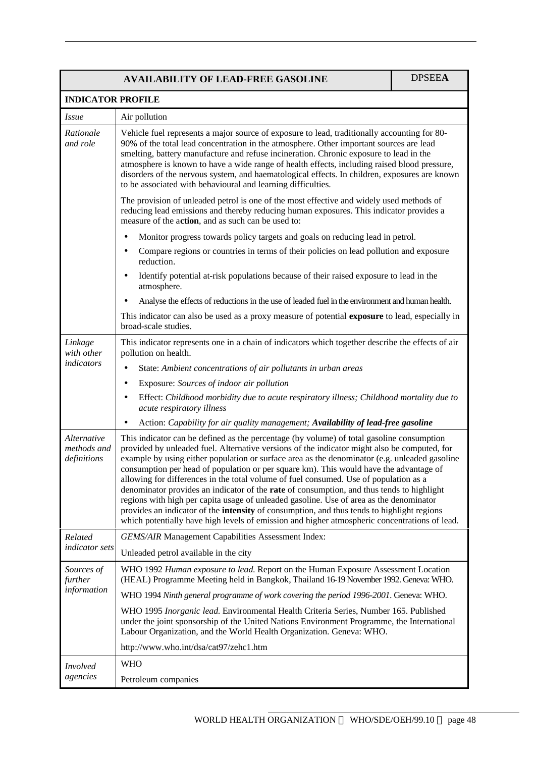| <b>AVAILABILITY OF LEAD-FREE GASOLINE</b> | <b>DPSEEA</b> |
|-------------------------------------------|---------------|
|-------------------------------------------|---------------|

| <b>INDICATOR PROFILE</b>                  |                                                                                                                                                                                                                                                                                                                                                                                                                                                                                                                                                                                                                                                                                                                                                                                                                                                                             |  |
|-------------------------------------------|-----------------------------------------------------------------------------------------------------------------------------------------------------------------------------------------------------------------------------------------------------------------------------------------------------------------------------------------------------------------------------------------------------------------------------------------------------------------------------------------------------------------------------------------------------------------------------------------------------------------------------------------------------------------------------------------------------------------------------------------------------------------------------------------------------------------------------------------------------------------------------|--|
| <b>Issue</b>                              | Air pollution                                                                                                                                                                                                                                                                                                                                                                                                                                                                                                                                                                                                                                                                                                                                                                                                                                                               |  |
| Rationale<br>and role                     | Vehicle fuel represents a major source of exposure to lead, traditionally accounting for 80-<br>90% of the total lead concentration in the atmosphere. Other important sources are lead<br>smelting, battery manufacture and refuse incineration. Chronic exposure to lead in the<br>atmosphere is known to have a wide range of health effects, including raised blood pressure,<br>disorders of the nervous system, and haematological effects. In children, exposures are known<br>to be associated with behavioural and learning difficulties.                                                                                                                                                                                                                                                                                                                          |  |
|                                           | The provision of unleaded petrol is one of the most effective and widely used methods of<br>reducing lead emissions and thereby reducing human exposures. This indicator provides a<br>measure of the action, and as such can be used to:                                                                                                                                                                                                                                                                                                                                                                                                                                                                                                                                                                                                                                   |  |
|                                           | Monitor progress towards policy targets and goals on reducing lead in petrol.<br>$\bullet$                                                                                                                                                                                                                                                                                                                                                                                                                                                                                                                                                                                                                                                                                                                                                                                  |  |
|                                           | Compare regions or countries in terms of their policies on lead pollution and exposure<br>$\bullet$<br>reduction.                                                                                                                                                                                                                                                                                                                                                                                                                                                                                                                                                                                                                                                                                                                                                           |  |
|                                           | Identify potential at-risk populations because of their raised exposure to lead in the<br>atmosphere.                                                                                                                                                                                                                                                                                                                                                                                                                                                                                                                                                                                                                                                                                                                                                                       |  |
|                                           | Analyse the effects of reductions in the use of leaded fuel in the environment and human health.<br>٠                                                                                                                                                                                                                                                                                                                                                                                                                                                                                                                                                                                                                                                                                                                                                                       |  |
|                                           | This indicator can also be used as a proxy measure of potential exposure to lead, especially in<br>broad-scale studies.                                                                                                                                                                                                                                                                                                                                                                                                                                                                                                                                                                                                                                                                                                                                                     |  |
| Linkage<br>with other                     | This indicator represents one in a chain of indicators which together describe the effects of air<br>pollution on health.                                                                                                                                                                                                                                                                                                                                                                                                                                                                                                                                                                                                                                                                                                                                                   |  |
| indicators                                | State: Ambient concentrations of air pollutants in urban areas                                                                                                                                                                                                                                                                                                                                                                                                                                                                                                                                                                                                                                                                                                                                                                                                              |  |
|                                           | Exposure: Sources of indoor air pollution<br>$\bullet$                                                                                                                                                                                                                                                                                                                                                                                                                                                                                                                                                                                                                                                                                                                                                                                                                      |  |
|                                           | Effect: Childhood morbidity due to acute respiratory illness; Childhood mortality due to<br>٠<br>acute respiratory illness                                                                                                                                                                                                                                                                                                                                                                                                                                                                                                                                                                                                                                                                                                                                                  |  |
|                                           | Action: Capability for air quality management; Availability of lead-free gasoline                                                                                                                                                                                                                                                                                                                                                                                                                                                                                                                                                                                                                                                                                                                                                                                           |  |
| Alternative<br>methods and<br>definitions | This indicator can be defined as the percentage (by volume) of total gasoline consumption<br>provided by unleaded fuel. Alternative versions of the indicator might also be computed, for<br>example by using either population or surface area as the denominator (e.g. unleaded gasoline<br>consumption per head of population or per square km). This would have the advantage of<br>allowing for differences in the total volume of fuel consumed. Use of population as a<br>denominator provides an indicator of the rate of consumption, and thus tends to highlight<br>regions with high per capita usage of unleaded gasoline. Use of area as the denominator<br>provides an indicator of the <b>intensity</b> of consumption, and thus tends to highlight regions<br>which potentially have high levels of emission and higher atmospheric concentrations of lead. |  |
| Related<br><i>indicator</i> sets          | <b>GEMS/AIR Management Capabilities Assessment Index:</b><br>Unleaded petrol available in the city                                                                                                                                                                                                                                                                                                                                                                                                                                                                                                                                                                                                                                                                                                                                                                          |  |
|                                           | WHO 1992 Human exposure to lead. Report on the Human Exposure Assessment Location                                                                                                                                                                                                                                                                                                                                                                                                                                                                                                                                                                                                                                                                                                                                                                                           |  |
| Sources of<br>further<br>information      | (HEAL) Programme Meeting held in Bangkok, Thailand 16-19 November 1992. Geneva: WHO.                                                                                                                                                                                                                                                                                                                                                                                                                                                                                                                                                                                                                                                                                                                                                                                        |  |
|                                           | WHO 1994 Ninth general programme of work covering the period 1996-2001. Geneva: WHO.                                                                                                                                                                                                                                                                                                                                                                                                                                                                                                                                                                                                                                                                                                                                                                                        |  |
|                                           | WHO 1995 Inorganic lead. Environmental Health Criteria Series, Number 165. Published<br>under the joint sponsorship of the United Nations Environment Programme, the International<br>Labour Organization, and the World Health Organization. Geneva: WHO.                                                                                                                                                                                                                                                                                                                                                                                                                                                                                                                                                                                                                  |  |
|                                           | http://www.who.int/dsa/cat97/zehc1.htm                                                                                                                                                                                                                                                                                                                                                                                                                                                                                                                                                                                                                                                                                                                                                                                                                                      |  |
| <b>Involved</b>                           | <b>WHO</b>                                                                                                                                                                                                                                                                                                                                                                                                                                                                                                                                                                                                                                                                                                                                                                                                                                                                  |  |
| agencies                                  | Petroleum companies                                                                                                                                                                                                                                                                                                                                                                                                                                                                                                                                                                                                                                                                                                                                                                                                                                                         |  |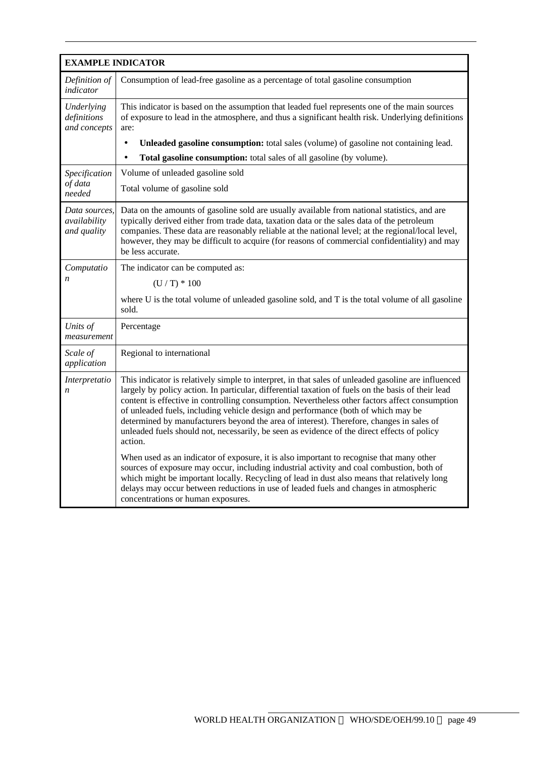| <b>EXAMPLE INDICATOR</b>                                                                                                                                                                                                                                       |                                                                                                                                                                                                                                                                                                                                                                                                                                                                                                                                                                                                        |  |
|----------------------------------------------------------------------------------------------------------------------------------------------------------------------------------------------------------------------------------------------------------------|--------------------------------------------------------------------------------------------------------------------------------------------------------------------------------------------------------------------------------------------------------------------------------------------------------------------------------------------------------------------------------------------------------------------------------------------------------------------------------------------------------------------------------------------------------------------------------------------------------|--|
| Definition of<br>indicator                                                                                                                                                                                                                                     | Consumption of lead-free gasoline as a percentage of total gasoline consumption                                                                                                                                                                                                                                                                                                                                                                                                                                                                                                                        |  |
| <b>Underlying</b><br>This indicator is based on the assumption that leaded fuel represents one of the main sources<br>of exposure to lead in the atmosphere, and thus a significant health risk. Underlying definitions<br>definitions<br>and concepts<br>are: |                                                                                                                                                                                                                                                                                                                                                                                                                                                                                                                                                                                                        |  |
|                                                                                                                                                                                                                                                                | Unleaded gasoline consumption: total sales (volume) of gasoline not containing lead.<br>$\bullet$                                                                                                                                                                                                                                                                                                                                                                                                                                                                                                      |  |
|                                                                                                                                                                                                                                                                | Total gasoline consumption: total sales of all gasoline (by volume).                                                                                                                                                                                                                                                                                                                                                                                                                                                                                                                                   |  |
| Specification                                                                                                                                                                                                                                                  | Volume of unleaded gasoline sold                                                                                                                                                                                                                                                                                                                                                                                                                                                                                                                                                                       |  |
| of data<br>needed                                                                                                                                                                                                                                              | Total volume of gasoline sold                                                                                                                                                                                                                                                                                                                                                                                                                                                                                                                                                                          |  |
| Data sources,<br>availability<br>and quality                                                                                                                                                                                                                   | Data on the amounts of gasoline sold are usually available from national statistics, and are<br>typically derived either from trade data, taxation data or the sales data of the petroleum<br>companies. These data are reasonably reliable at the national level; at the regional/local level,<br>however, they may be difficult to acquire (for reasons of commercial confidentiality) and may<br>be less accurate.                                                                                                                                                                                  |  |
| Computatio                                                                                                                                                                                                                                                     | The indicator can be computed as:                                                                                                                                                                                                                                                                                                                                                                                                                                                                                                                                                                      |  |
| n                                                                                                                                                                                                                                                              | $(U/T) * 100$                                                                                                                                                                                                                                                                                                                                                                                                                                                                                                                                                                                          |  |
|                                                                                                                                                                                                                                                                | where U is the total volume of unleaded gasoline sold, and T is the total volume of all gasoline<br>sold.                                                                                                                                                                                                                                                                                                                                                                                                                                                                                              |  |
| Units of<br>measurement                                                                                                                                                                                                                                        | Percentage                                                                                                                                                                                                                                                                                                                                                                                                                                                                                                                                                                                             |  |
| Scale of<br>application                                                                                                                                                                                                                                        | Regional to international                                                                                                                                                                                                                                                                                                                                                                                                                                                                                                                                                                              |  |
| Interpretatio<br>$\boldsymbol{n}$                                                                                                                                                                                                                              | This indicator is relatively simple to interpret, in that sales of unleaded gasoline are influenced<br>largely by policy action. In particular, differential taxation of fuels on the basis of their lead<br>content is effective in controlling consumption. Nevertheless other factors affect consumption<br>of unleaded fuels, including vehicle design and performance (both of which may be<br>determined by manufacturers beyond the area of interest). Therefore, changes in sales of<br>unleaded fuels should not, necessarily, be seen as evidence of the direct effects of policy<br>action. |  |
|                                                                                                                                                                                                                                                                | When used as an indicator of exposure, it is also important to recognise that many other<br>sources of exposure may occur, including industrial activity and coal combustion, both of<br>which might be important locally. Recycling of lead in dust also means that relatively long<br>delays may occur between reductions in use of leaded fuels and changes in atmospheric<br>concentrations or human exposures.                                                                                                                                                                                    |  |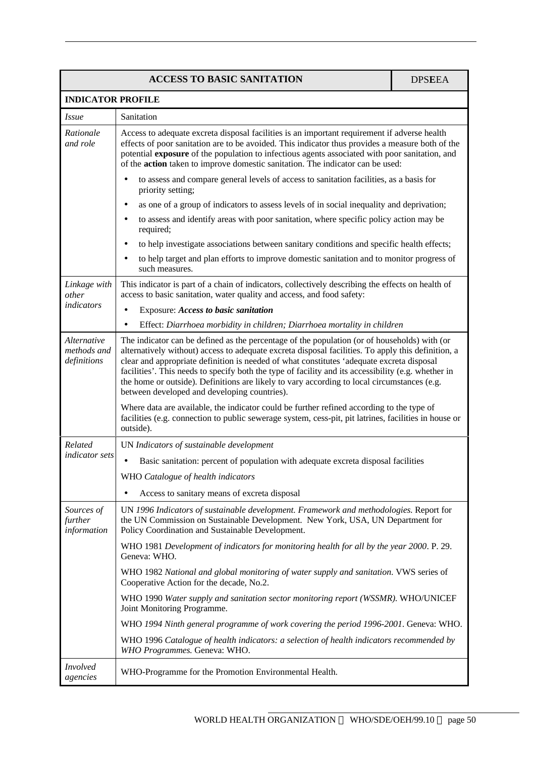| <b>ACCESS TO BASIC SANITATION</b><br><b>DPSEEA</b> |                                                                                                                                                                                                                                                                                                                                                                                                                                                                                                                                                       |  |  |
|----------------------------------------------------|-------------------------------------------------------------------------------------------------------------------------------------------------------------------------------------------------------------------------------------------------------------------------------------------------------------------------------------------------------------------------------------------------------------------------------------------------------------------------------------------------------------------------------------------------------|--|--|
| <b>INDICATOR PROFILE</b>                           |                                                                                                                                                                                                                                                                                                                                                                                                                                                                                                                                                       |  |  |
| <b>Issue</b>                                       | Sanitation                                                                                                                                                                                                                                                                                                                                                                                                                                                                                                                                            |  |  |
| Rationale<br>and role                              | Access to adequate excreta disposal facilities is an important requirement if adverse health<br>effects of poor sanitation are to be avoided. This indicator thus provides a measure both of the<br>potential exposure of the population to infectious agents associated with poor sanitation, and<br>of the action taken to improve domestic sanitation. The indicator can be used:                                                                                                                                                                  |  |  |
|                                                    | to assess and compare general levels of access to sanitation facilities, as a basis for<br>priority setting;                                                                                                                                                                                                                                                                                                                                                                                                                                          |  |  |
|                                                    | as one of a group of indicators to assess levels of in social inequality and deprivation;                                                                                                                                                                                                                                                                                                                                                                                                                                                             |  |  |
|                                                    | to assess and identify areas with poor sanitation, where specific policy action may be<br>required;                                                                                                                                                                                                                                                                                                                                                                                                                                                   |  |  |
|                                                    | to help investigate associations between sanitary conditions and specific health effects;                                                                                                                                                                                                                                                                                                                                                                                                                                                             |  |  |
|                                                    | to help target and plan efforts to improve domestic sanitation and to monitor progress of<br>such measures.                                                                                                                                                                                                                                                                                                                                                                                                                                           |  |  |
| Linkage with<br>other                              | This indicator is part of a chain of indicators, collectively describing the effects on health of<br>access to basic sanitation, water quality and access, and food safety:                                                                                                                                                                                                                                                                                                                                                                           |  |  |
| indicators                                         | Exposure: Access to basic sanitation<br>$\bullet$                                                                                                                                                                                                                                                                                                                                                                                                                                                                                                     |  |  |
|                                                    | Effect: Diarrhoea morbidity in children; Diarrhoea mortality in children                                                                                                                                                                                                                                                                                                                                                                                                                                                                              |  |  |
| Alternative<br>methods and<br>definitions          | The indicator can be defined as the percentage of the population (or of households) with (or<br>alternatively without) access to adequate excreta disposal facilities. To apply this definition, a<br>clear and appropriate definition is needed of what constitutes 'adequate excreta disposal<br>facilities'. This needs to specify both the type of facility and its accessibility (e.g. whether in<br>the home or outside). Definitions are likely to vary according to local circumstances (e.g.<br>between developed and developing countries). |  |  |
|                                                    | Where data are available, the indicator could be further refined according to the type of<br>facilities (e.g. connection to public sewerage system, cess-pit, pit latrines, facilities in house or<br>outside).                                                                                                                                                                                                                                                                                                                                       |  |  |
| Related                                            | UN Indicators of sustainable development                                                                                                                                                                                                                                                                                                                                                                                                                                                                                                              |  |  |
| <i>indicator sets</i>                              | Basic sanitation: percent of population with adequate excreta disposal facilities                                                                                                                                                                                                                                                                                                                                                                                                                                                                     |  |  |
|                                                    | WHO Catalogue of health indicators                                                                                                                                                                                                                                                                                                                                                                                                                                                                                                                    |  |  |
|                                                    | Access to sanitary means of excreta disposal                                                                                                                                                                                                                                                                                                                                                                                                                                                                                                          |  |  |
| Sources of<br>further<br>information               | UN 1996 Indicators of sustainable development. Framework and methodologies. Report for<br>the UN Commission on Sustainable Development. New York, USA, UN Department for<br>Policy Coordination and Sustainable Development.                                                                                                                                                                                                                                                                                                                          |  |  |
|                                                    | WHO 1981 Development of indicators for monitoring health for all by the year 2000. P. 29.<br>Geneva: WHO.                                                                                                                                                                                                                                                                                                                                                                                                                                             |  |  |
|                                                    | WHO 1982 National and global monitoring of water supply and sanitation. VWS series of<br>Cooperative Action for the decade, No.2.                                                                                                                                                                                                                                                                                                                                                                                                                     |  |  |
|                                                    | WHO 1990 Water supply and sanitation sector monitoring report (WSSMR). WHO/UNICEF<br>Joint Monitoring Programme.                                                                                                                                                                                                                                                                                                                                                                                                                                      |  |  |
|                                                    | WHO 1994 Ninth general programme of work covering the period 1996-2001. Geneva: WHO.                                                                                                                                                                                                                                                                                                                                                                                                                                                                  |  |  |
|                                                    | WHO 1996 Catalogue of health indicators: a selection of health indicators recommended by<br>WHO Programmes. Geneva: WHO.                                                                                                                                                                                                                                                                                                                                                                                                                              |  |  |
| <i>Involved</i><br>agencies                        | WHO-Programme for the Promotion Environmental Health.                                                                                                                                                                                                                                                                                                                                                                                                                                                                                                 |  |  |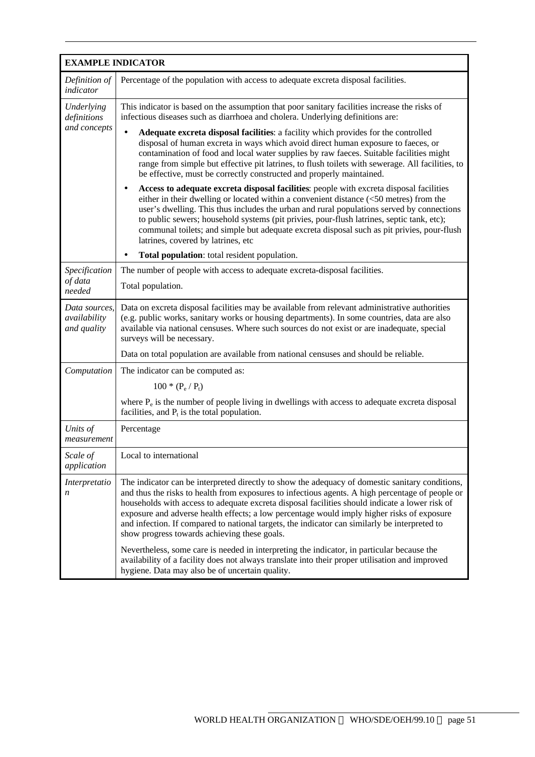| <b>EXAMPLE INDICATOR</b>                     |                                                                                                                                                                                                                                                                                                                                                                                                                                                                                                                                                      |  |
|----------------------------------------------|------------------------------------------------------------------------------------------------------------------------------------------------------------------------------------------------------------------------------------------------------------------------------------------------------------------------------------------------------------------------------------------------------------------------------------------------------------------------------------------------------------------------------------------------------|--|
| Definition of<br>indicator                   | Percentage of the population with access to adequate excreta disposal facilities.                                                                                                                                                                                                                                                                                                                                                                                                                                                                    |  |
| Underlying<br>definitions                    | This indicator is based on the assumption that poor sanitary facilities increase the risks of<br>infectious diseases such as diarrhoea and cholera. Underlying definitions are:                                                                                                                                                                                                                                                                                                                                                                      |  |
| and concepts                                 | Adequate excreta disposal facilities: a facility which provides for the controlled<br>$\bullet$<br>disposal of human excreta in ways which avoid direct human exposure to faeces, or<br>contamination of food and local water supplies by raw faeces. Suitable facilities might<br>range from simple but effective pit latrines, to flush toilets with sewerage. All facilities, to<br>be effective, must be correctly constructed and properly maintained.                                                                                          |  |
|                                              | Access to adequate excreta disposal facilities: people with excreta disposal facilities<br>either in their dwelling or located within a convenient distance $(<50$ metres) from the<br>user's dwelling. This thus includes the urban and rural populations served by connections<br>to public sewers; household systems (pit privies, pour-flush latrines, septic tank, etc);<br>communal toilets; and simple but adequate excreta disposal such as pit privies, pour-flush<br>latrines, covered by latrines, etc                                    |  |
|                                              | Total population: total resident population.                                                                                                                                                                                                                                                                                                                                                                                                                                                                                                         |  |
| Specification                                | The number of people with access to adequate excreta-disposal facilities.                                                                                                                                                                                                                                                                                                                                                                                                                                                                            |  |
| of data<br>needed                            | Total population.                                                                                                                                                                                                                                                                                                                                                                                                                                                                                                                                    |  |
| Data sources,<br>availability<br>and quality | Data on excreta disposal facilities may be available from relevant administrative authorities<br>(e.g. public works, sanitary works or housing departments). In some countries, data are also<br>available via national censuses. Where such sources do not exist or are inadequate, special<br>surveys will be necessary.                                                                                                                                                                                                                           |  |
|                                              | Data on total population are available from national censuses and should be reliable.                                                                                                                                                                                                                                                                                                                                                                                                                                                                |  |
| Computation                                  | The indicator can be computed as:                                                                                                                                                                                                                                                                                                                                                                                                                                                                                                                    |  |
|                                              | $100 * (P_e / P_t)$                                                                                                                                                                                                                                                                                                                                                                                                                                                                                                                                  |  |
|                                              | where $P_e$ is the number of people living in dwellings with access to adequate excreta disposal<br>facilities, and $P_t$ is the total population.                                                                                                                                                                                                                                                                                                                                                                                                   |  |
| Units of<br>measurement                      | Percentage                                                                                                                                                                                                                                                                                                                                                                                                                                                                                                                                           |  |
| Scale of<br>application                      | Local to international                                                                                                                                                                                                                                                                                                                                                                                                                                                                                                                               |  |
| Interpretatio<br>n                           | The indicator can be interpreted directly to show the adequacy of domestic sanitary conditions,<br>and thus the risks to health from exposures to infectious agents. A high percentage of people or<br>households with access to adequate excreta disposal facilities should indicate a lower risk of<br>exposure and adverse health effects; a low percentage would imply higher risks of exposure<br>and infection. If compared to national targets, the indicator can similarly be interpreted to<br>show progress towards achieving these goals. |  |
|                                              | Nevertheless, some care is needed in interpreting the indicator, in particular because the<br>availability of a facility does not always translate into their proper utilisation and improved<br>hygiene. Data may also be of uncertain quality.                                                                                                                                                                                                                                                                                                     |  |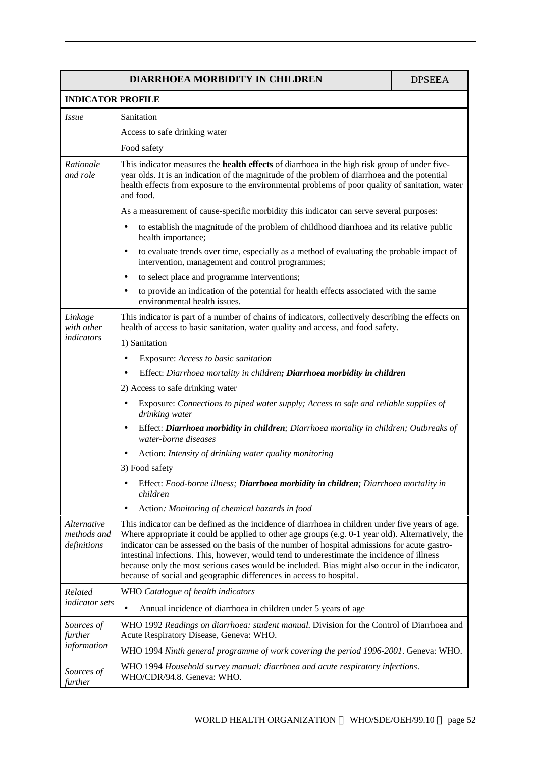| <b>DIARRHOEA MORBIDITY IN CHILDREN</b><br><b>DPSEEA</b> |                                                                                                                                                                                                                                                                                                                                                                                                                                                                                                                                                                               |  |  |
|---------------------------------------------------------|-------------------------------------------------------------------------------------------------------------------------------------------------------------------------------------------------------------------------------------------------------------------------------------------------------------------------------------------------------------------------------------------------------------------------------------------------------------------------------------------------------------------------------------------------------------------------------|--|--|
|                                                         | <b>INDICATOR PROFILE</b>                                                                                                                                                                                                                                                                                                                                                                                                                                                                                                                                                      |  |  |
| <i>Issue</i>                                            | Sanitation                                                                                                                                                                                                                                                                                                                                                                                                                                                                                                                                                                    |  |  |
|                                                         | Access to safe drinking water                                                                                                                                                                                                                                                                                                                                                                                                                                                                                                                                                 |  |  |
|                                                         | Food safety                                                                                                                                                                                                                                                                                                                                                                                                                                                                                                                                                                   |  |  |
| Rationale<br>and role                                   | This indicator measures the <b>health effects</b> of diarrhoea in the high risk group of under five-<br>year olds. It is an indication of the magnitude of the problem of diarrhoea and the potential<br>health effects from exposure to the environmental problems of poor quality of sanitation, water<br>and food.                                                                                                                                                                                                                                                         |  |  |
|                                                         | As a measurement of cause-specific morbidity this indicator can serve several purposes:                                                                                                                                                                                                                                                                                                                                                                                                                                                                                       |  |  |
|                                                         | to establish the magnitude of the problem of childhood diarrhoea and its relative public<br>health importance;                                                                                                                                                                                                                                                                                                                                                                                                                                                                |  |  |
|                                                         | to evaluate trends over time, especially as a method of evaluating the probable impact of<br>$\bullet$<br>intervention, management and control programmes;                                                                                                                                                                                                                                                                                                                                                                                                                    |  |  |
|                                                         | to select place and programme interventions;<br>٠                                                                                                                                                                                                                                                                                                                                                                                                                                                                                                                             |  |  |
|                                                         | to provide an indication of the potential for health effects associated with the same<br>environmental health issues.                                                                                                                                                                                                                                                                                                                                                                                                                                                         |  |  |
| Linkage<br>with other                                   | This indicator is part of a number of chains of indicators, collectively describing the effects on<br>health of access to basic sanitation, water quality and access, and food safety.                                                                                                                                                                                                                                                                                                                                                                                        |  |  |
| indicators                                              | 1) Sanitation                                                                                                                                                                                                                                                                                                                                                                                                                                                                                                                                                                 |  |  |
|                                                         | Exposure: Access to basic sanitation                                                                                                                                                                                                                                                                                                                                                                                                                                                                                                                                          |  |  |
|                                                         | Effect: Diarrhoea mortality in children; Diarrhoea morbidity in children                                                                                                                                                                                                                                                                                                                                                                                                                                                                                                      |  |  |
|                                                         | 2) Access to safe drinking water                                                                                                                                                                                                                                                                                                                                                                                                                                                                                                                                              |  |  |
|                                                         | Exposure: Connections to piped water supply; Access to safe and reliable supplies of<br>drinking water                                                                                                                                                                                                                                                                                                                                                                                                                                                                        |  |  |
|                                                         | Effect: Diarrhoea morbidity in children; Diarrhoea mortality in children; Outbreaks of<br>water-borne diseases                                                                                                                                                                                                                                                                                                                                                                                                                                                                |  |  |
|                                                         | Action: Intensity of drinking water quality monitoring                                                                                                                                                                                                                                                                                                                                                                                                                                                                                                                        |  |  |
|                                                         | 3) Food safety                                                                                                                                                                                                                                                                                                                                                                                                                                                                                                                                                                |  |  |
|                                                         | Effect: Food-borne illness; Diarrhoea morbidity in children; Diarrhoea mortality in<br>٠<br>children                                                                                                                                                                                                                                                                                                                                                                                                                                                                          |  |  |
|                                                         | Action: Monitoring of chemical hazards in food                                                                                                                                                                                                                                                                                                                                                                                                                                                                                                                                |  |  |
| Alternative<br>methods and<br>definitions               | This indicator can be defined as the incidence of diarrhoea in children under five years of age.<br>Where appropriate it could be applied to other age groups (e.g. 0-1 year old). Alternatively, the<br>indicator can be assessed on the basis of the number of hospital admissions for acute gastro-<br>intestinal infections. This, however, would tend to underestimate the incidence of illness<br>because only the most serious cases would be included. Bias might also occur in the indicator,<br>because of social and geographic differences in access to hospital. |  |  |
| Related                                                 | WHO Catalogue of health indicators                                                                                                                                                                                                                                                                                                                                                                                                                                                                                                                                            |  |  |
| indicator sets                                          | Annual incidence of diarrhoea in children under 5 years of age                                                                                                                                                                                                                                                                                                                                                                                                                                                                                                                |  |  |
| Sources of<br>further                                   | WHO 1992 Readings on diarrhoea: student manual. Division for the Control of Diarrhoea and<br>Acute Respiratory Disease, Geneva: WHO.                                                                                                                                                                                                                                                                                                                                                                                                                                          |  |  |
| information                                             | WHO 1994 Ninth general programme of work covering the period 1996-2001. Geneva: WHO.                                                                                                                                                                                                                                                                                                                                                                                                                                                                                          |  |  |
| Sources of<br>further                                   | WHO 1994 Household survey manual: diarrhoea and acute respiratory infections.<br>WHO/CDR/94.8. Geneva: WHO.                                                                                                                                                                                                                                                                                                                                                                                                                                                                   |  |  |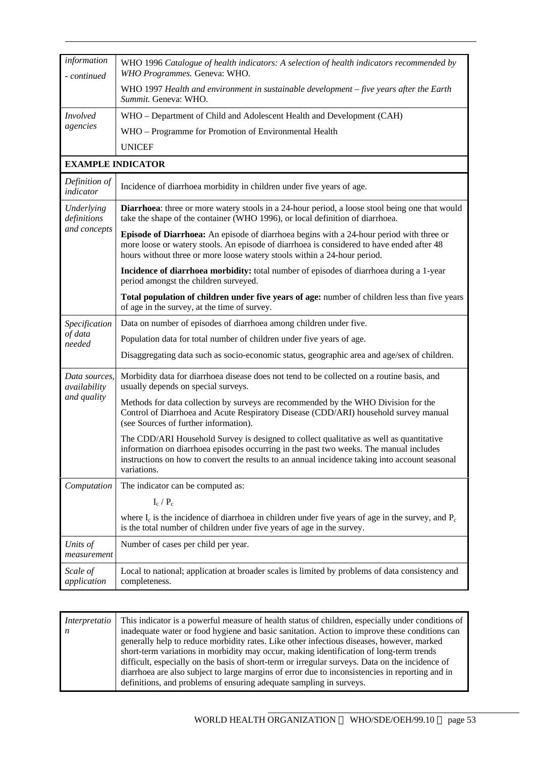| information                   |                                                                                                                                                                                                                                                                                                    |
|-------------------------------|----------------------------------------------------------------------------------------------------------------------------------------------------------------------------------------------------------------------------------------------------------------------------------------------------|
| continued                     | WHO 1996 Catalogue of health indicators: A selection of health indicators recommended by<br>WHO Programmes. Geneva: WHO.                                                                                                                                                                           |
|                               | WHO 1997 Health and environment in sustainable development – five years after the Earth<br>Summit. Geneva: WHO.                                                                                                                                                                                    |
| <i>Involved</i>               | WHO - Department of Child and Adolescent Health and Development (CAH)                                                                                                                                                                                                                              |
| agencies                      | WHO - Programme for Promotion of Environmental Health                                                                                                                                                                                                                                              |
|                               | <b>UNICEF</b>                                                                                                                                                                                                                                                                                      |
| <b>EXAMPLE INDICATOR</b>      |                                                                                                                                                                                                                                                                                                    |
| Definition of<br>indicator    | Incidence of diarrhoea morbidity in children under five years of age.                                                                                                                                                                                                                              |
| Underlying<br>definitions     | <b>Diarrhoea</b> : three or more watery stools in a 24-hour period, a loose stool being one that would<br>take the shape of the container (WHO 1996), or local definition of diarrhoea.                                                                                                            |
| and concepts                  | Episode of Diarrhoea: An episode of diarrhoea begins with a 24-hour period with three or<br>more loose or watery stools. An episode of diarrhoea is considered to have ended after 48<br>hours without three or more loose watery stools within a 24-hour period.                                  |
|                               | Incidence of diarrhoea morbidity: total number of episodes of diarrhoea during a 1-year<br>period amongst the children surveyed.                                                                                                                                                                   |
|                               | Total population of children under five years of age: number of children less than five years<br>of age in the survey, at the time of survey.                                                                                                                                                      |
| Specification                 | Data on number of episodes of diarrhoea among children under five.                                                                                                                                                                                                                                 |
| of data<br>needed             | Population data for total number of children under five years of age.                                                                                                                                                                                                                              |
|                               | Disaggregating data such as socio-economic status, geographic area and age/sex of children.                                                                                                                                                                                                        |
| Data sources,<br>availability | Morbidity data for diarrhoea disease does not tend to be collected on a routine basis, and<br>usually depends on special surveys.                                                                                                                                                                  |
| and quality                   | Methods for data collection by surveys are recommended by the WHO Division for the<br>Control of Diarrhoea and Acute Respiratory Disease (CDD/ARI) household survey manual<br>(see Sources of further information).                                                                                |
|                               | The CDD/ARI Household Survey is designed to collect qualitative as well as quantitative<br>information on diarrhoea episodes occurring in the past two weeks. The manual includes<br>instructions on how to convert the results to an annual incidence taking into account seasonal<br>variations. |
| Computation                   | The indicator can be computed as:                                                                                                                                                                                                                                                                  |
|                               | $I_c / P_c$                                                                                                                                                                                                                                                                                        |
|                               | where $I_c$ is the incidence of diarrhoea in children under five years of age in the survey, and $P_c$<br>is the total number of children under five years of age in the survey.                                                                                                                   |
| Units of<br>measurement       | Number of cases per child per year.                                                                                                                                                                                                                                                                |
| Scale of<br>application       | Local to national; application at broader scales is limited by problems of data consistency and<br>completeness.                                                                                                                                                                                   |

| Interpretatio    | This indicator is a powerful measure of health status of children, especially under conditions of |
|------------------|---------------------------------------------------------------------------------------------------|
| $\boldsymbol{n}$ | inadequate water or food hygiene and basic sanitation. Action to improve these conditions can     |
|                  | generally help to reduce morbidity rates. Like other infectious diseases, however, marked         |
|                  | short-term variations in morbidity may occur, making identification of long-term trends           |
|                  | difficult, especially on the basis of short-term or irregular surveys. Data on the incidence of   |
|                  | diarrhoea are also subject to large margins of error due to inconsistencies in reporting and in   |
|                  | definitions, and problems of ensuring adequate sampling in surveys.                               |
|                  |                                                                                                   |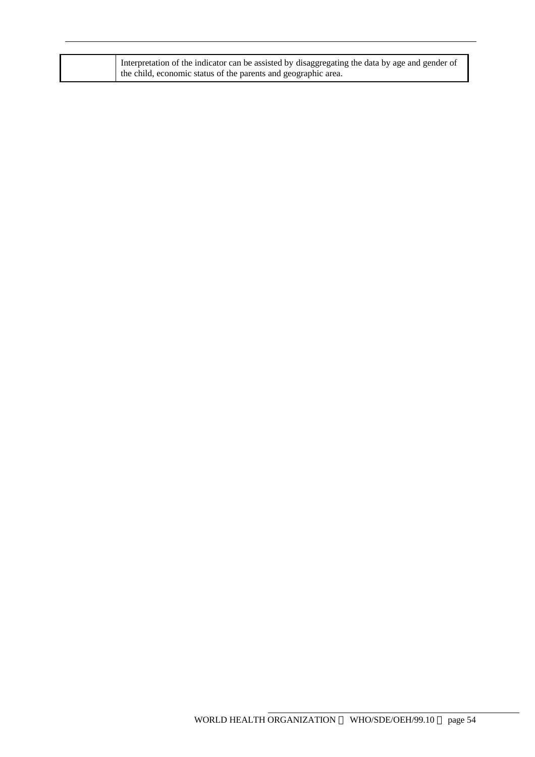|  | Interpretation of the indicator can be assisted by disaggregating the data by age and gender of |
|--|-------------------------------------------------------------------------------------------------|
|  | the child, economic status of the parents and geographic area.                                  |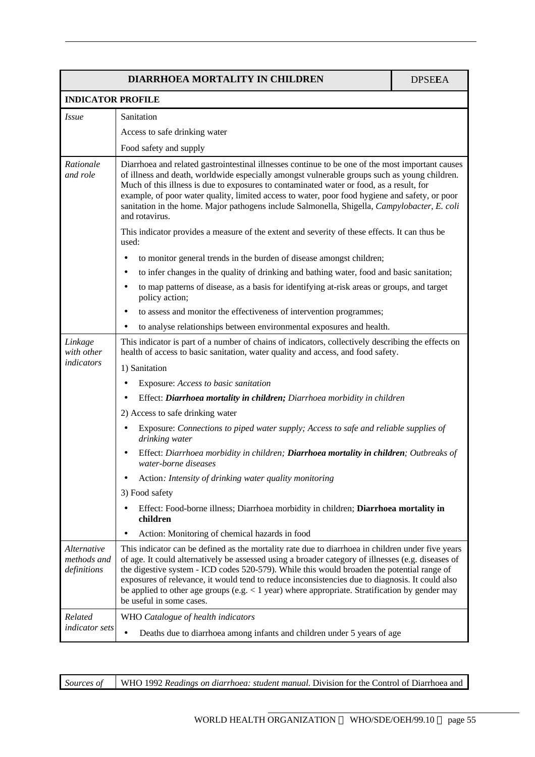|                                           | <b>DIARRHOEA MORTALITY IN CHILDREN</b>                                                                                                                                                                                                                                                                                                                                                                                                                                                                                                     | <b>DPSEEA</b> |  |
|-------------------------------------------|--------------------------------------------------------------------------------------------------------------------------------------------------------------------------------------------------------------------------------------------------------------------------------------------------------------------------------------------------------------------------------------------------------------------------------------------------------------------------------------------------------------------------------------------|---------------|--|
|                                           | <b>INDICATOR PROFILE</b>                                                                                                                                                                                                                                                                                                                                                                                                                                                                                                                   |               |  |
| Sanitation<br><i>Issue</i>                |                                                                                                                                                                                                                                                                                                                                                                                                                                                                                                                                            |               |  |
|                                           | Access to safe drinking water                                                                                                                                                                                                                                                                                                                                                                                                                                                                                                              |               |  |
|                                           | Food safety and supply                                                                                                                                                                                                                                                                                                                                                                                                                                                                                                                     |               |  |
| Rationale<br>and role                     | Diarrhoea and related gastrointestinal illnesses continue to be one of the most important causes<br>of illness and death, worldwide especially amongst vulnerable groups such as young children.<br>Much of this illness is due to exposures to contaminated water or food, as a result, for<br>example, of poor water quality, limited access to water, poor food hygiene and safety, or poor<br>sanitation in the home. Major pathogens include Salmonella, Shigella, Campylobacter, E. coli<br>and rotavirus.                           |               |  |
|                                           | This indicator provides a measure of the extent and severity of these effects. It can thus be<br>used:                                                                                                                                                                                                                                                                                                                                                                                                                                     |               |  |
|                                           | to monitor general trends in the burden of disease amongst children;                                                                                                                                                                                                                                                                                                                                                                                                                                                                       |               |  |
|                                           | to infer changes in the quality of drinking and bathing water, food and basic sanitation;                                                                                                                                                                                                                                                                                                                                                                                                                                                  |               |  |
|                                           | to map patterns of disease, as a basis for identifying at-risk areas or groups, and target<br>policy action;                                                                                                                                                                                                                                                                                                                                                                                                                               |               |  |
|                                           | to assess and monitor the effectiveness of intervention programmes;                                                                                                                                                                                                                                                                                                                                                                                                                                                                        |               |  |
|                                           | to analyse relationships between environmental exposures and health.                                                                                                                                                                                                                                                                                                                                                                                                                                                                       |               |  |
| Linkage<br>with other                     | This indicator is part of a number of chains of indicators, collectively describing the effects on<br>health of access to basic sanitation, water quality and access, and food safety.                                                                                                                                                                                                                                                                                                                                                     |               |  |
| indicators                                | 1) Sanitation                                                                                                                                                                                                                                                                                                                                                                                                                                                                                                                              |               |  |
|                                           | Exposure: Access to basic sanitation                                                                                                                                                                                                                                                                                                                                                                                                                                                                                                       |               |  |
|                                           | Effect: Diarrhoea mortality in children; Diarrhoea morbidity in children                                                                                                                                                                                                                                                                                                                                                                                                                                                                   |               |  |
|                                           | 2) Access to safe drinking water                                                                                                                                                                                                                                                                                                                                                                                                                                                                                                           |               |  |
|                                           | Exposure: Connections to piped water supply; Access to safe and reliable supplies of<br>drinking water                                                                                                                                                                                                                                                                                                                                                                                                                                     |               |  |
|                                           | Effect: Diarrhoea morbidity in children; Diarrhoea mortality in children; Outbreaks of<br>$\bullet$<br>water-borne diseases                                                                                                                                                                                                                                                                                                                                                                                                                |               |  |
|                                           | Action: Intensity of drinking water quality monitoring                                                                                                                                                                                                                                                                                                                                                                                                                                                                                     |               |  |
|                                           | 3) Food safety                                                                                                                                                                                                                                                                                                                                                                                                                                                                                                                             |               |  |
|                                           | Effect: Food-borne illness; Diarrhoea morbidity in children; Diarrhoea mortality in<br>children                                                                                                                                                                                                                                                                                                                                                                                                                                            |               |  |
|                                           | Action: Monitoring of chemical hazards in food                                                                                                                                                                                                                                                                                                                                                                                                                                                                                             |               |  |
| Alternative<br>methods and<br>definitions | This indicator can be defined as the mortality rate due to diarrhoea in children under five years<br>of age. It could alternatively be assessed using a broader category of illnesses (e.g. diseases of<br>the digestive system - ICD codes 520-579). While this would broaden the potential range of<br>exposures of relevance, it would tend to reduce inconsistencies due to diagnosis. It could also<br>be applied to other age groups (e.g. $\lt 1$ year) where appropriate. Stratification by gender may<br>be useful in some cases. |               |  |
| Related                                   | WHO Catalogue of health indicators                                                                                                                                                                                                                                                                                                                                                                                                                                                                                                         |               |  |
| <i>indicator</i> sets                     | Deaths due to diarrhoea among infants and children under 5 years of age                                                                                                                                                                                                                                                                                                                                                                                                                                                                    |               |  |

|  | Sources of | WHO 1992 Readings on diarrhoea: student manual. Division for the Control of Diarrhoea and |
|--|------------|-------------------------------------------------------------------------------------------|
|--|------------|-------------------------------------------------------------------------------------------|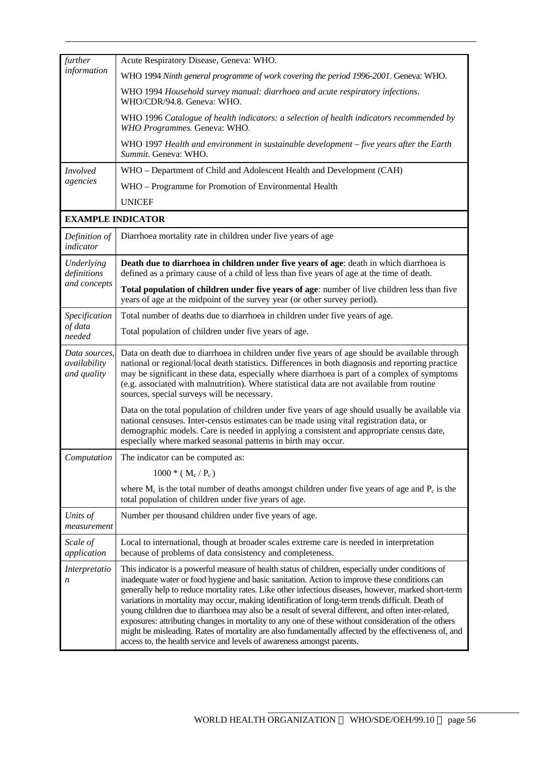| further                                      | Acute Respiratory Disease, Geneva: WHO.                                                                                                                                                                                                                                                                                                                                                                                                                                                                                                                                                                                                                                                                                                                                                                        |
|----------------------------------------------|----------------------------------------------------------------------------------------------------------------------------------------------------------------------------------------------------------------------------------------------------------------------------------------------------------------------------------------------------------------------------------------------------------------------------------------------------------------------------------------------------------------------------------------------------------------------------------------------------------------------------------------------------------------------------------------------------------------------------------------------------------------------------------------------------------------|
| information                                  | WHO 1994 Ninth general programme of work covering the period 1996-2001. Geneva: WHO.                                                                                                                                                                                                                                                                                                                                                                                                                                                                                                                                                                                                                                                                                                                           |
|                                              | WHO 1994 Household survey manual: diarrhoea and acute respiratory infections.<br>WHO/CDR/94.8. Geneva: WHO.                                                                                                                                                                                                                                                                                                                                                                                                                                                                                                                                                                                                                                                                                                    |
|                                              | WHO 1996 Catalogue of health indicators: a selection of health indicators recommended by<br>WHO Programmes. Geneva: WHO.                                                                                                                                                                                                                                                                                                                                                                                                                                                                                                                                                                                                                                                                                       |
|                                              | WHO 1997 Health and environment in sustainable development – five years after the Earth<br>Summit. Geneva: WHO.                                                                                                                                                                                                                                                                                                                                                                                                                                                                                                                                                                                                                                                                                                |
| <b>Involved</b>                              | WHO - Department of Child and Adolescent Health and Development (CAH)                                                                                                                                                                                                                                                                                                                                                                                                                                                                                                                                                                                                                                                                                                                                          |
| agencies                                     | WHO - Programme for Promotion of Environmental Health                                                                                                                                                                                                                                                                                                                                                                                                                                                                                                                                                                                                                                                                                                                                                          |
|                                              | <b>UNICEF</b>                                                                                                                                                                                                                                                                                                                                                                                                                                                                                                                                                                                                                                                                                                                                                                                                  |
| <b>EXAMPLE INDICATOR</b>                     |                                                                                                                                                                                                                                                                                                                                                                                                                                                                                                                                                                                                                                                                                                                                                                                                                |
| Definition of<br>indicator                   | Diarrhoea mortality rate in children under five years of age                                                                                                                                                                                                                                                                                                                                                                                                                                                                                                                                                                                                                                                                                                                                                   |
| Underlying<br>definitions                    | Death due to diarrhoea in children under five years of age: death in which diarrhoea is<br>defined as a primary cause of a child of less than five years of age at the time of death.                                                                                                                                                                                                                                                                                                                                                                                                                                                                                                                                                                                                                          |
| and concepts                                 | Total population of children under five years of age: number of live children less than five<br>years of age at the midpoint of the survey year (or other survey period).                                                                                                                                                                                                                                                                                                                                                                                                                                                                                                                                                                                                                                      |
| Specification                                | Total number of deaths due to diarrhoea in children under five years of age.                                                                                                                                                                                                                                                                                                                                                                                                                                                                                                                                                                                                                                                                                                                                   |
| of data<br>needed                            | Total population of children under five years of age.                                                                                                                                                                                                                                                                                                                                                                                                                                                                                                                                                                                                                                                                                                                                                          |
| Data sources.<br>availability<br>and quality | Data on death due to diarrhoea in children under five years of age should be available through<br>national or regional/local death statistics. Differences in both diagnosis and reporting practice<br>may be significant in these data, especially where diarrhoea is part of a complex of symptoms<br>(e.g. associated with malnutrition). Where statistical data are not available from routine<br>sources, special surveys will be necessary.                                                                                                                                                                                                                                                                                                                                                              |
|                                              | Data on the total population of children under five years of age should usually be available via<br>national censuses. Inter-census estimates can be made using vital registration data, or<br>demographic models. Care is needed in applying a consistent and appropriate census date,<br>especially where marked seasonal patterns in birth may occur.                                                                                                                                                                                                                                                                                                                                                                                                                                                       |
| Computation                                  | The indicator can be computed as:                                                                                                                                                                                                                                                                                                                                                                                                                                                                                                                                                                                                                                                                                                                                                                              |
|                                              | $1000 * (M_c / P_c)$                                                                                                                                                                                                                                                                                                                                                                                                                                                                                                                                                                                                                                                                                                                                                                                           |
|                                              | where $M_c$ is the total number of deaths amongst children under five years of age and $P_c$ is the<br>total population of children under five years of age.                                                                                                                                                                                                                                                                                                                                                                                                                                                                                                                                                                                                                                                   |
| Units of<br>measurement                      | Number per thousand children under five years of age.                                                                                                                                                                                                                                                                                                                                                                                                                                                                                                                                                                                                                                                                                                                                                          |
| Scale of<br>application                      | Local to international, though at broader scales extreme care is needed in interpretation<br>because of problems of data consistency and completeness.                                                                                                                                                                                                                                                                                                                                                                                                                                                                                                                                                                                                                                                         |
| Interpretatio<br>n                           | This indicator is a powerful measure of health status of children, especially under conditions of<br>inadequate water or food hygiene and basic sanitation. Action to improve these conditions can<br>generally help to reduce mortality rates. Like other infectious diseases, however, marked short-term<br>variations in mortality may occur, making identification of long-term trends difficult. Death of<br>young children due to diarrhoea may also be a result of several different, and often inter-related,<br>exposures: attributing changes in mortality to any one of these without consideration of the others<br>might be misleading. Rates of mortality are also fundamentally affected by the effectiveness of, and<br>access to, the health service and levels of awareness amongst parents. |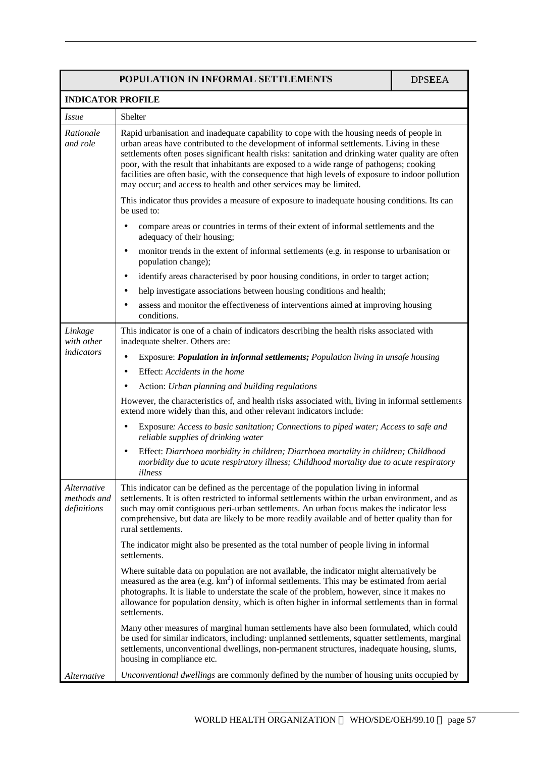| POPULATION IN INFORMAL SETTLEMENTS |  |  |  |
|------------------------------------|--|--|--|
|------------------------------------|--|--|--|

### **INDICATOR PROFILE**

 $\overline{a}$ 

| <i>Issue</i>                              | Shelter                                                                                                                                                                                                                                                                                                                                                                                                                                                                                                                                                          |
|-------------------------------------------|------------------------------------------------------------------------------------------------------------------------------------------------------------------------------------------------------------------------------------------------------------------------------------------------------------------------------------------------------------------------------------------------------------------------------------------------------------------------------------------------------------------------------------------------------------------|
| Rationale<br>and role                     | Rapid urbanisation and inadequate capability to cope with the housing needs of people in<br>urban areas have contributed to the development of informal settlements. Living in these<br>settlements often poses significant health risks: sanitation and drinking water quality are often<br>poor, with the result that inhabitants are exposed to a wide range of pathogens; cooking<br>facilities are often basic, with the consequence that high levels of exposure to indoor pollution<br>may occur; and access to health and other services may be limited. |
|                                           | This indicator thus provides a measure of exposure to inadequate housing conditions. Its can<br>be used to:                                                                                                                                                                                                                                                                                                                                                                                                                                                      |
|                                           | compare areas or countries in terms of their extent of informal settlements and the<br>adequacy of their housing;                                                                                                                                                                                                                                                                                                                                                                                                                                                |
|                                           | monitor trends in the extent of informal settlements (e.g. in response to urbanisation or<br>population change);                                                                                                                                                                                                                                                                                                                                                                                                                                                 |
|                                           | identify areas characterised by poor housing conditions, in order to target action;<br>٠                                                                                                                                                                                                                                                                                                                                                                                                                                                                         |
|                                           | help investigate associations between housing conditions and health;                                                                                                                                                                                                                                                                                                                                                                                                                                                                                             |
|                                           | assess and monitor the effectiveness of interventions aimed at improving housing<br>conditions.                                                                                                                                                                                                                                                                                                                                                                                                                                                                  |
| Linkage<br>with other                     | This indicator is one of a chain of indicators describing the health risks associated with<br>inadequate shelter. Others are:                                                                                                                                                                                                                                                                                                                                                                                                                                    |
| indicators                                | Exposure: Population in informal settlements; Population living in unsafe housing                                                                                                                                                                                                                                                                                                                                                                                                                                                                                |
|                                           | Effect: Accidents in the home                                                                                                                                                                                                                                                                                                                                                                                                                                                                                                                                    |
|                                           | Action: Urban planning and building regulations                                                                                                                                                                                                                                                                                                                                                                                                                                                                                                                  |
|                                           | However, the characteristics of, and health risks associated with, living in informal settlements<br>extend more widely than this, and other relevant indicators include:                                                                                                                                                                                                                                                                                                                                                                                        |
|                                           | Exposure: Access to basic sanitation; Connections to piped water; Access to safe and<br>reliable supplies of drinking water                                                                                                                                                                                                                                                                                                                                                                                                                                      |
|                                           | Effect: Diarrhoea morbidity in children; Diarrhoea mortality in children; Childhood<br>morbidity due to acute respiratory illness; Childhood mortality due to acute respiratory<br>illness                                                                                                                                                                                                                                                                                                                                                                       |
| Alternative<br>methods and<br>definitions | This indicator can be defined as the percentage of the population living in informal<br>settlements. It is often restricted to informal settlements within the urban environment, and as<br>such may omit contiguous peri-urban settlements. An urban focus makes the indicator less<br>comprehensive, but data are likely to be more readily available and of better quality than for<br>rural settlements.                                                                                                                                                     |
|                                           | The indicator might also be presented as the total number of people living in informal<br>settlements.                                                                                                                                                                                                                                                                                                                                                                                                                                                           |
|                                           | Where suitable data on population are not available, the indicator might alternatively be<br>measured as the area (e.g. $km^2$ ) of informal settlements. This may be estimated from aerial<br>photographs. It is liable to understate the scale of the problem, however, since it makes no<br>allowance for population density, which is often higher in informal settlements than in formal<br>settlements.                                                                                                                                                    |
|                                           | Many other measures of marginal human settlements have also been formulated, which could<br>be used for similar indicators, including: unplanned settlements, squatter settlements, marginal<br>settlements, unconventional dwellings, non-permanent structures, inadequate housing, slums,<br>housing in compliance etc.                                                                                                                                                                                                                                        |
| Alternative                               | Unconventional dwellings are commonly defined by the number of housing units occupied by                                                                                                                                                                                                                                                                                                                                                                                                                                                                         |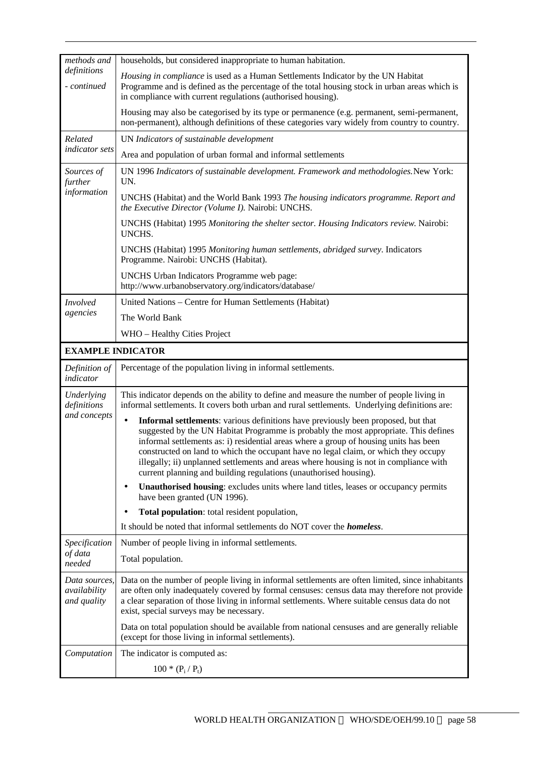| methods and                                  | households, but considered inappropriate to human habitation.                                                                                                                                                                                                                                                                                                                                                                                                                                                                         |
|----------------------------------------------|---------------------------------------------------------------------------------------------------------------------------------------------------------------------------------------------------------------------------------------------------------------------------------------------------------------------------------------------------------------------------------------------------------------------------------------------------------------------------------------------------------------------------------------|
| definitions<br>- continued                   | Housing in compliance is used as a Human Settlements Indicator by the UN Habitat<br>Programme and is defined as the percentage of the total housing stock in urban areas which is<br>in compliance with current regulations (authorised housing).                                                                                                                                                                                                                                                                                     |
|                                              | Housing may also be categorised by its type or permanence (e.g. permanent, semi-permanent,<br>non-permanent), although definitions of these categories vary widely from country to country.                                                                                                                                                                                                                                                                                                                                           |
| Related                                      | UN Indicators of sustainable development                                                                                                                                                                                                                                                                                                                                                                                                                                                                                              |
| indicator sets                               | Area and population of urban formal and informal settlements                                                                                                                                                                                                                                                                                                                                                                                                                                                                          |
| Sources of<br>further                        | UN 1996 Indicators of sustainable development. Framework and methodologies. New York:<br>UN.                                                                                                                                                                                                                                                                                                                                                                                                                                          |
| information                                  | UNCHS (Habitat) and the World Bank 1993 The housing indicators programme. Report and<br>the Executive Director (Volume I). Nairobi: UNCHS.                                                                                                                                                                                                                                                                                                                                                                                            |
|                                              | UNCHS (Habitat) 1995 Monitoring the shelter sector. Housing Indicators review. Nairobi:<br>UNCHS.                                                                                                                                                                                                                                                                                                                                                                                                                                     |
|                                              | UNCHS (Habitat) 1995 Monitoring human settlements, abridged survey. Indicators<br>Programme. Nairobi: UNCHS (Habitat).                                                                                                                                                                                                                                                                                                                                                                                                                |
|                                              | UNCHS Urban Indicators Programme web page:<br>http://www.urbanobservatory.org/indicators/database/                                                                                                                                                                                                                                                                                                                                                                                                                                    |
| <b>Involved</b>                              | United Nations - Centre for Human Settlements (Habitat)                                                                                                                                                                                                                                                                                                                                                                                                                                                                               |
| agencies                                     | The World Bank                                                                                                                                                                                                                                                                                                                                                                                                                                                                                                                        |
|                                              | WHO - Healthy Cities Project                                                                                                                                                                                                                                                                                                                                                                                                                                                                                                          |
| <b>EXAMPLE INDICATOR</b>                     |                                                                                                                                                                                                                                                                                                                                                                                                                                                                                                                                       |
| Definition of<br>indicator                   | Percentage of the population living in informal settlements.                                                                                                                                                                                                                                                                                                                                                                                                                                                                          |
|                                              |                                                                                                                                                                                                                                                                                                                                                                                                                                                                                                                                       |
| Underlying<br>definitions                    | This indicator depends on the ability to define and measure the number of people living in<br>informal settlements. It covers both urban and rural settlements. Underlying definitions are:                                                                                                                                                                                                                                                                                                                                           |
| and concepts                                 | Informal settlements: various definitions have previously been proposed, but that<br>$\bullet$<br>suggested by the UN Habitat Programme is probably the most appropriate. This defines<br>informal settlements as: i) residential areas where a group of housing units has been<br>constructed on land to which the occupant have no legal claim, or which they occupy<br>illegally; ii) unplanned settlements and areas where housing is not in compliance with<br>current planning and building regulations (unauthorised housing). |
|                                              | Unauthorised housing: excludes units where land titles, leases or occupancy permits<br>have been granted (UN 1996).                                                                                                                                                                                                                                                                                                                                                                                                                   |
|                                              | Total population: total resident population,<br>٠                                                                                                                                                                                                                                                                                                                                                                                                                                                                                     |
|                                              | It should be noted that informal settlements do NOT cover the <i>homeless</i> .                                                                                                                                                                                                                                                                                                                                                                                                                                                       |
| Specification                                | Number of people living in informal settlements.                                                                                                                                                                                                                                                                                                                                                                                                                                                                                      |
| of data<br>needed                            | Total population.                                                                                                                                                                                                                                                                                                                                                                                                                                                                                                                     |
| Data sources,<br>availability<br>and quality | Data on the number of people living in informal settlements are often limited, since inhabitants<br>are often only inadequately covered by formal censuses: census data may therefore not provide<br>a clear separation of those living in informal settlements. Where suitable census data do not<br>exist, special surveys may be necessary.                                                                                                                                                                                        |
|                                              | Data on total population should be available from national censuses and are generally reliable<br>(except for those living in informal settlements).                                                                                                                                                                                                                                                                                                                                                                                  |
| Computation                                  | The indicator is computed as:                                                                                                                                                                                                                                                                                                                                                                                                                                                                                                         |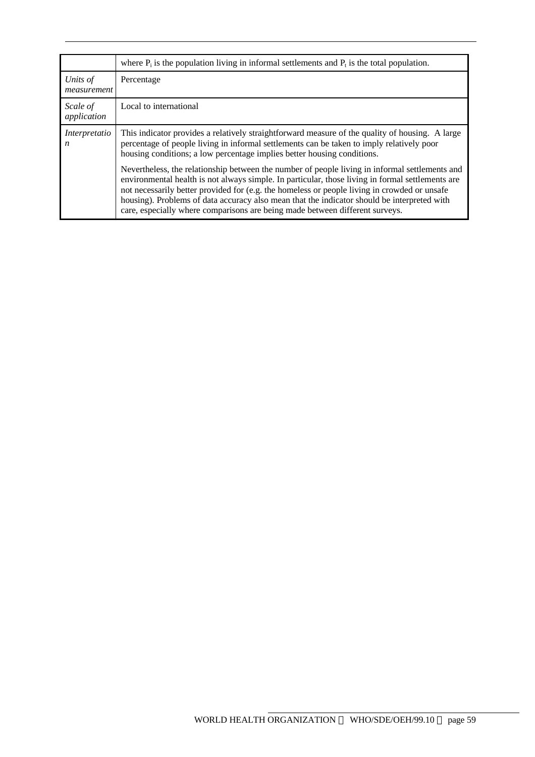|                         | where $P_i$ is the population living in informal settlements and $P_i$ is the total population.                                                                                                                                                                                                                                                                                                                                                                                   |
|-------------------------|-----------------------------------------------------------------------------------------------------------------------------------------------------------------------------------------------------------------------------------------------------------------------------------------------------------------------------------------------------------------------------------------------------------------------------------------------------------------------------------|
| Units of<br>measurement | Percentage                                                                                                                                                                                                                                                                                                                                                                                                                                                                        |
| Scale of<br>application | Local to international                                                                                                                                                                                                                                                                                                                                                                                                                                                            |
| Interpretatio<br>n      | This indicator provides a relatively straightforward measure of the quality of housing. A large<br>percentage of people living in informal settlements can be taken to imply relatively poor<br>housing conditions; a low percentage implies better housing conditions.                                                                                                                                                                                                           |
|                         | Nevertheless, the relationship between the number of people living in informal settlements and<br>environmental health is not always simple. In particular, those living in formal settlements are<br>not necessarily better provided for (e.g. the homeless or people living in crowded or unsafe<br>housing). Problems of data accuracy also mean that the indicator should be interpreted with<br>care, especially where comparisons are being made between different surveys. |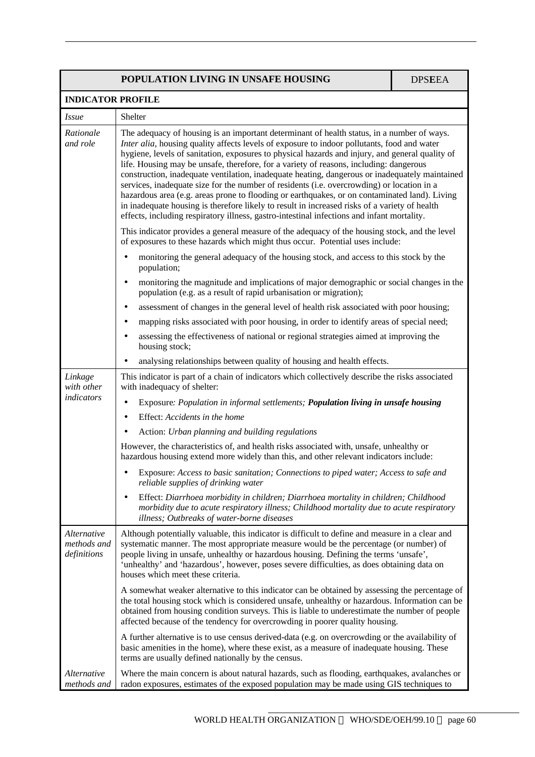### **POPULATION LIVING IN UNSAFE HOUSING** DPSEEA

#### **INDICATOR PROFILE**

 $\overline{a}$ 

| <b>Issue</b>                              | Shelter                                                                                                                                                                                                                                                                                                                                                                                                                                                                                                                                                                                                                                                                                                                                                                                                                                                                                        |
|-------------------------------------------|------------------------------------------------------------------------------------------------------------------------------------------------------------------------------------------------------------------------------------------------------------------------------------------------------------------------------------------------------------------------------------------------------------------------------------------------------------------------------------------------------------------------------------------------------------------------------------------------------------------------------------------------------------------------------------------------------------------------------------------------------------------------------------------------------------------------------------------------------------------------------------------------|
| Rationale<br>and role                     | The adequacy of housing is an important determinant of health status, in a number of ways.<br><i>Inter alia</i> , housing quality affects levels of exposure to indoor pollutants, food and water<br>hygiene, levels of sanitation, exposures to physical hazards and injury, and general quality of<br>life. Housing may be unsafe, therefore, for a variety of reasons, including: dangerous<br>construction, inadequate ventilation, inadequate heating, dangerous or inadequately maintained<br>services, inadequate size for the number of residents (i.e. overcrowding) or location in a<br>hazardous area (e.g. areas prone to flooding or earthquakes, or on contaminated land). Living<br>in inadequate housing is therefore likely to result in increased risks of a variety of health<br>effects, including respiratory illness, gastro-intestinal infections and infant mortality. |
|                                           | This indicator provides a general measure of the adequacy of the housing stock, and the level<br>of exposures to these hazards which might thus occur. Potential uses include:                                                                                                                                                                                                                                                                                                                                                                                                                                                                                                                                                                                                                                                                                                                 |
|                                           | monitoring the general adequacy of the housing stock, and access to this stock by the<br>population;                                                                                                                                                                                                                                                                                                                                                                                                                                                                                                                                                                                                                                                                                                                                                                                           |
|                                           | monitoring the magnitude and implications of major demographic or social changes in the<br>$\bullet$<br>population (e.g. as a result of rapid urbanisation or migration);                                                                                                                                                                                                                                                                                                                                                                                                                                                                                                                                                                                                                                                                                                                      |
|                                           | assessment of changes in the general level of health risk associated with poor housing;<br>$\bullet$                                                                                                                                                                                                                                                                                                                                                                                                                                                                                                                                                                                                                                                                                                                                                                                           |
|                                           | mapping risks associated with poor housing, in order to identify areas of special need;<br>٠                                                                                                                                                                                                                                                                                                                                                                                                                                                                                                                                                                                                                                                                                                                                                                                                   |
|                                           | assessing the effectiveness of national or regional strategies aimed at improving the<br>housing stock;                                                                                                                                                                                                                                                                                                                                                                                                                                                                                                                                                                                                                                                                                                                                                                                        |
|                                           | analysing relationships between quality of housing and health effects.                                                                                                                                                                                                                                                                                                                                                                                                                                                                                                                                                                                                                                                                                                                                                                                                                         |
| Linkage<br>with other                     | This indicator is part of a chain of indicators which collectively describe the risks associated<br>with inadequacy of shelter:                                                                                                                                                                                                                                                                                                                                                                                                                                                                                                                                                                                                                                                                                                                                                                |
| indicators                                | Exposure: Population in informal settlements; Population living in unsafe housing<br>$\bullet$                                                                                                                                                                                                                                                                                                                                                                                                                                                                                                                                                                                                                                                                                                                                                                                                 |
|                                           | Effect: Accidents in the home                                                                                                                                                                                                                                                                                                                                                                                                                                                                                                                                                                                                                                                                                                                                                                                                                                                                  |
|                                           | Action: Urban planning and building regulations                                                                                                                                                                                                                                                                                                                                                                                                                                                                                                                                                                                                                                                                                                                                                                                                                                                |
|                                           | However, the characteristics of, and health risks associated with, unsafe, unhealthy or<br>hazardous housing extend more widely than this, and other relevant indicators include:                                                                                                                                                                                                                                                                                                                                                                                                                                                                                                                                                                                                                                                                                                              |
|                                           | Exposure: Access to basic sanitation; Connections to piped water; Access to safe and<br>$\bullet$<br>reliable supplies of drinking water                                                                                                                                                                                                                                                                                                                                                                                                                                                                                                                                                                                                                                                                                                                                                       |
|                                           | Effect: Diarrhoea morbidity in children; Diarrhoea mortality in children; Childhood<br>morbidity due to acute respiratory illness; Childhood mortality due to acute respiratory<br>illness; Outbreaks of water-borne diseases                                                                                                                                                                                                                                                                                                                                                                                                                                                                                                                                                                                                                                                                  |
| Alternative<br>methods and<br>definitions | Although potentially valuable, this indicator is difficult to define and measure in a clear and<br>systematic manner. The most appropriate measure would be the percentage (or number) of<br>people living in unsafe, unhealthy or hazardous housing. Defining the terms 'unsafe',<br>'unhealthy' and 'hazardous', however, poses severe difficulties, as does obtaining data on<br>houses which meet these criteria.                                                                                                                                                                                                                                                                                                                                                                                                                                                                          |
|                                           | A somewhat weaker alternative to this indicator can be obtained by assessing the percentage of<br>the total housing stock which is considered unsafe, unhealthy or hazardous. Information can be<br>obtained from housing condition surveys. This is liable to underestimate the number of people<br>affected because of the tendency for overcrowding in poorer quality housing.                                                                                                                                                                                                                                                                                                                                                                                                                                                                                                              |
|                                           | A further alternative is to use census derived-data (e.g. on overcrowding or the availability of<br>basic amenities in the home), where these exist, as a measure of inadequate housing. These<br>terms are usually defined nationally by the census.                                                                                                                                                                                                                                                                                                                                                                                                                                                                                                                                                                                                                                          |
| Alternative<br>methods and                | Where the main concern is about natural hazards, such as flooding, earthquakes, avalanches or<br>radon exposures, estimates of the exposed population may be made using GIS techniques to                                                                                                                                                                                                                                                                                                                                                                                                                                                                                                                                                                                                                                                                                                      |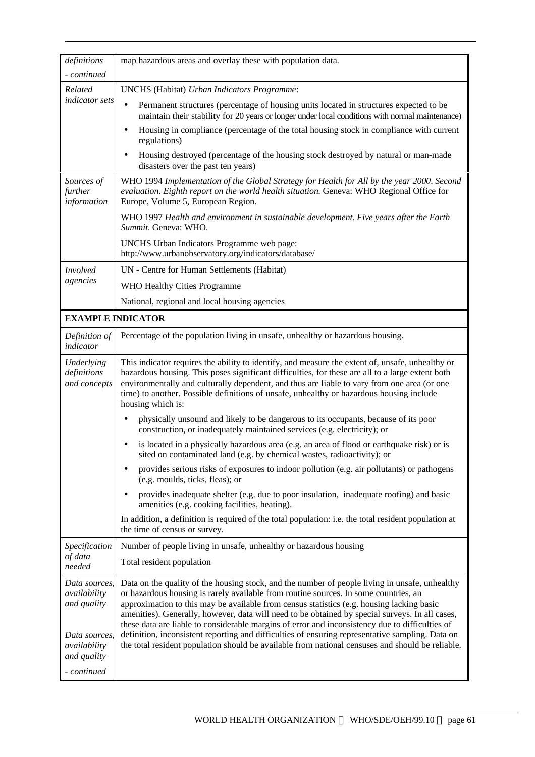| definitions                                  | map hazardous areas and overlay these with population data.                                                                                                                                                                                                                                                                                                                                                                                                                               |
|----------------------------------------------|-------------------------------------------------------------------------------------------------------------------------------------------------------------------------------------------------------------------------------------------------------------------------------------------------------------------------------------------------------------------------------------------------------------------------------------------------------------------------------------------|
| - continued                                  |                                                                                                                                                                                                                                                                                                                                                                                                                                                                                           |
| Related<br><i>indicator sets</i>             | UNCHS (Habitat) Urban Indicators Programme:                                                                                                                                                                                                                                                                                                                                                                                                                                               |
|                                              | Permanent structures (percentage of housing units located in structures expected to be<br>$\bullet$<br>maintain their stability for 20 years or longer under local conditions with normal maintenance)                                                                                                                                                                                                                                                                                    |
|                                              | Housing in compliance (percentage of the total housing stock in compliance with current<br>regulations)                                                                                                                                                                                                                                                                                                                                                                                   |
|                                              | Housing destroyed (percentage of the housing stock destroyed by natural or man-made<br>disasters over the past ten years)                                                                                                                                                                                                                                                                                                                                                                 |
| Sources of<br>further<br>information         | WHO 1994 Implementation of the Global Strategy for Health for All by the year 2000. Second<br>evaluation. Eighth report on the world health situation. Geneva: WHO Regional Office for<br>Europe, Volume 5, European Region.                                                                                                                                                                                                                                                              |
|                                              | WHO 1997 Health and environment in sustainable development. Five years after the Earth<br><i>Summit.</i> Geneva: WHO.                                                                                                                                                                                                                                                                                                                                                                     |
|                                              | UNCHS Urban Indicators Programme web page:<br>http://www.urbanobservatory.org/indicators/database/                                                                                                                                                                                                                                                                                                                                                                                        |
| <b>Involved</b>                              | UN - Centre for Human Settlements (Habitat)                                                                                                                                                                                                                                                                                                                                                                                                                                               |
| agencies                                     | WHO Healthy Cities Programme                                                                                                                                                                                                                                                                                                                                                                                                                                                              |
|                                              | National, regional and local housing agencies                                                                                                                                                                                                                                                                                                                                                                                                                                             |
| <b>EXAMPLE INDICATOR</b>                     |                                                                                                                                                                                                                                                                                                                                                                                                                                                                                           |
| Definition of<br>indicator                   | Percentage of the population living in unsafe, unhealthy or hazardous housing.                                                                                                                                                                                                                                                                                                                                                                                                            |
| Underlying<br>definitions<br>and concepts    | This indicator requires the ability to identify, and measure the extent of, unsafe, unhealthy or<br>hazardous housing. This poses significant difficulties, for these are all to a large extent both<br>environmentally and culturally dependent, and thus are liable to vary from one area (or one<br>time) to another. Possible definitions of unsafe, unhealthy or hazardous housing include<br>housing which is:                                                                      |
|                                              | physically unsound and likely to be dangerous to its occupants, because of its poor<br>construction, or inadequately maintained services (e.g. electricity); or                                                                                                                                                                                                                                                                                                                           |
|                                              | is located in a physically hazardous area (e.g. an area of flood or earthquake risk) or is<br>sited on contaminated land (e.g. by chemical wastes, radioactivity); or                                                                                                                                                                                                                                                                                                                     |
|                                              | provides serious risks of exposures to indoor pollution (e.g. air pollutants) or pathogens<br>(e.g. moulds, ticks, fleas); or                                                                                                                                                                                                                                                                                                                                                             |
|                                              | provides inadequate shelter (e.g. due to poor insulation, inadequate roofing) and basic<br>٠<br>amenities (e.g. cooking facilities, heating).                                                                                                                                                                                                                                                                                                                                             |
|                                              | In addition, a definition is required of the total population: i.e. the total resident population at<br>the time of census or survey.                                                                                                                                                                                                                                                                                                                                                     |
| Specification                                | Number of people living in unsafe, unhealthy or hazardous housing                                                                                                                                                                                                                                                                                                                                                                                                                         |
| of data<br>needed                            | Total resident population                                                                                                                                                                                                                                                                                                                                                                                                                                                                 |
| Data sources,<br>availability<br>and quality | Data on the quality of the housing stock, and the number of people living in unsafe, unhealthy<br>or hazardous housing is rarely available from routine sources. In some countries, an<br>approximation to this may be available from census statistics (e.g. housing lacking basic<br>amenities). Generally, however, data will need to be obtained by special surveys. In all cases,<br>these data are liable to considerable margins of error and inconsistency due to difficulties of |
| Data sources,<br>availability<br>and quality | definition, inconsistent reporting and difficulties of ensuring representative sampling. Data on<br>the total resident population should be available from national censuses and should be reliable.                                                                                                                                                                                                                                                                                      |
| - continued                                  |                                                                                                                                                                                                                                                                                                                                                                                                                                                                                           |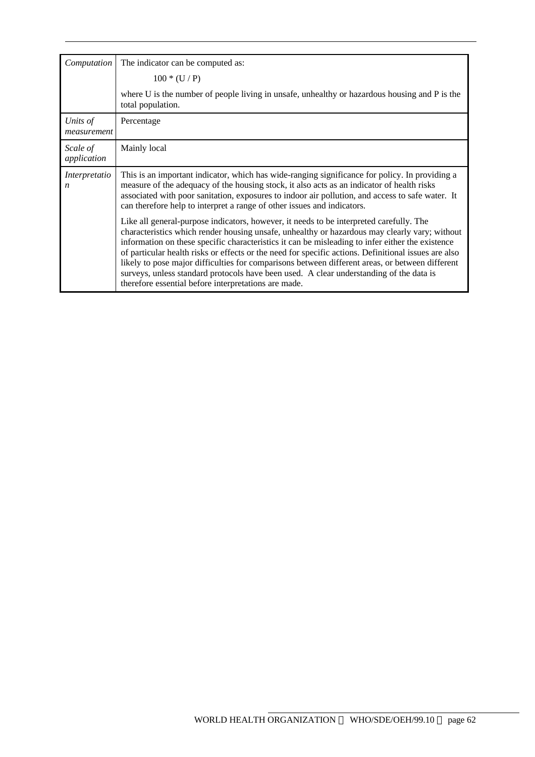| Computation                       | The indicator can be computed as:                                                                                                                                                                                                                                                                                                                                                                                                                                                                                                                                                                                                                          |
|-----------------------------------|------------------------------------------------------------------------------------------------------------------------------------------------------------------------------------------------------------------------------------------------------------------------------------------------------------------------------------------------------------------------------------------------------------------------------------------------------------------------------------------------------------------------------------------------------------------------------------------------------------------------------------------------------------|
|                                   | $100 * (U / P)$                                                                                                                                                                                                                                                                                                                                                                                                                                                                                                                                                                                                                                            |
|                                   | where U is the number of people living in unsafe, unhealthy or hazardous housing and P is the<br>total population.                                                                                                                                                                                                                                                                                                                                                                                                                                                                                                                                         |
| Units of<br>measurement           | Percentage                                                                                                                                                                                                                                                                                                                                                                                                                                                                                                                                                                                                                                                 |
| Scale of<br>application           | Mainly local                                                                                                                                                                                                                                                                                                                                                                                                                                                                                                                                                                                                                                               |
| Interpretatio<br>$\boldsymbol{n}$ | This is an important indicator, which has wide-ranging significance for policy. In providing a<br>measure of the adequacy of the housing stock, it also acts as an indicator of health risks<br>associated with poor sanitation, exposures to indoor air pollution, and access to safe water. It<br>can therefore help to interpret a range of other issues and indicators.                                                                                                                                                                                                                                                                                |
|                                   | Like all general-purpose indicators, however, it needs to be interpreted carefully. The<br>characteristics which render housing unsafe, unhealthy or hazardous may clearly vary; without<br>information on these specific characteristics it can be misleading to infer either the existence<br>of particular health risks or effects or the need for specific actions. Definitional issues are also<br>likely to pose major difficulties for comparisons between different areas, or between different<br>surveys, unless standard protocols have been used. A clear understanding of the data is<br>therefore essential before interpretations are made. |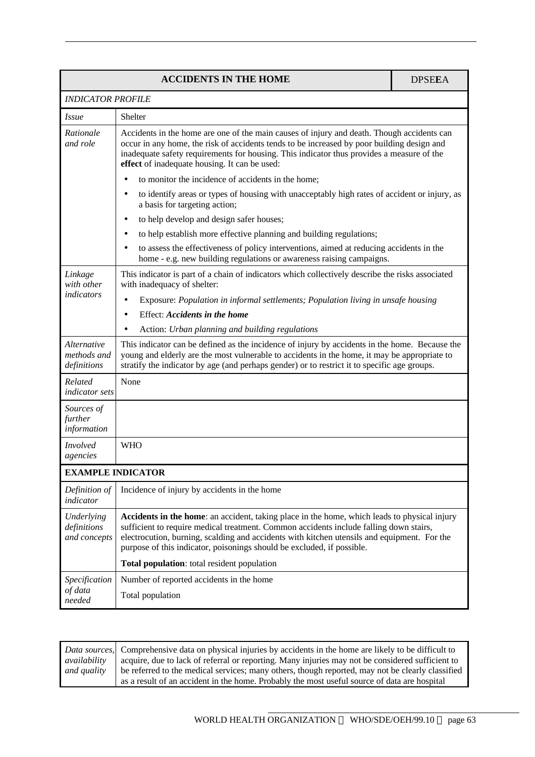|                                           | <b>ACCIDENTS IN THE HOME</b>                                                                                                                                                                                                                                                                                                                                    | <b>DPSEEA</b> |
|-------------------------------------------|-----------------------------------------------------------------------------------------------------------------------------------------------------------------------------------------------------------------------------------------------------------------------------------------------------------------------------------------------------------------|---------------|
| <b>INDICATOR PROFILE</b>                  |                                                                                                                                                                                                                                                                                                                                                                 |               |
| Issue                                     | Shelter                                                                                                                                                                                                                                                                                                                                                         |               |
| Rationale<br>and role                     | Accidents in the home are one of the main causes of injury and death. Though accidents can<br>occur in any home, the risk of accidents tends to be increased by poor building design and<br>inadequate safety requirements for housing. This indicator thus provides a measure of the<br>effect of inadequate housing. It can be used:                          |               |
|                                           | to monitor the incidence of accidents in the home;                                                                                                                                                                                                                                                                                                              |               |
|                                           | to identify areas or types of housing with unacceptably high rates of accident or injury, as<br>$\bullet$<br>a basis for targeting action;                                                                                                                                                                                                                      |               |
|                                           | to help develop and design safer houses;                                                                                                                                                                                                                                                                                                                        |               |
|                                           | to help establish more effective planning and building regulations;                                                                                                                                                                                                                                                                                             |               |
|                                           | to assess the effectiveness of policy interventions, aimed at reducing accidents in the<br>home - e.g. new building regulations or awareness raising campaigns.                                                                                                                                                                                                 |               |
| Linkage<br>with other                     | This indicator is part of a chain of indicators which collectively describe the risks associated<br>with inadequacy of shelter:                                                                                                                                                                                                                                 |               |
| indicators                                | Exposure: Population in informal settlements; Population living in unsafe housing                                                                                                                                                                                                                                                                               |               |
|                                           | Effect: Accidents in the home                                                                                                                                                                                                                                                                                                                                   |               |
|                                           | Action: Urban planning and building regulations                                                                                                                                                                                                                                                                                                                 |               |
| Alternative<br>methods and<br>definitions | This indicator can be defined as the incidence of injury by accidents in the home. Because the<br>young and elderly are the most vulnerable to accidents in the home, it may be appropriate to<br>stratify the indicator by age (and perhaps gender) or to restrict it to specific age groups.                                                                  |               |
| Related<br><i>indicator sets</i>          | None                                                                                                                                                                                                                                                                                                                                                            |               |
| Sources of<br>further<br>information      |                                                                                                                                                                                                                                                                                                                                                                 |               |
| <i>Involved</i><br>agencies               | <b>WHO</b>                                                                                                                                                                                                                                                                                                                                                      |               |
| <b>EXAMPLE INDICATOR</b>                  |                                                                                                                                                                                                                                                                                                                                                                 |               |
| Definition of<br>indicator                | Incidence of injury by accidents in the home                                                                                                                                                                                                                                                                                                                    |               |
| Underlying<br>definitions<br>and concepts | Accidents in the home: an accident, taking place in the home, which leads to physical injury<br>sufficient to require medical treatment. Common accidents include falling down stairs,<br>electrocution, burning, scalding and accidents with kitchen utensils and equipment. For the<br>purpose of this indicator, poisonings should be excluded, if possible. |               |
|                                           | Total population: total resident population                                                                                                                                                                                                                                                                                                                     |               |
| Specification                             | Number of reported accidents in the home                                                                                                                                                                                                                                                                                                                        |               |
| of data<br>needed                         | Total population                                                                                                                                                                                                                                                                                                                                                |               |

|              | Data sources, Comprehensive data on physical injuries by accidents in the home are likely to be difficult to |
|--------------|--------------------------------------------------------------------------------------------------------------|
| availability | acquire, due to lack of referral or reporting. Many injuries may not be considered sufficient to             |
| and quality  | be referred to the medical services; many others, though reported, may not be clearly classified             |
|              | as a result of an accident in the home. Probably the most useful source of data are hospital                 |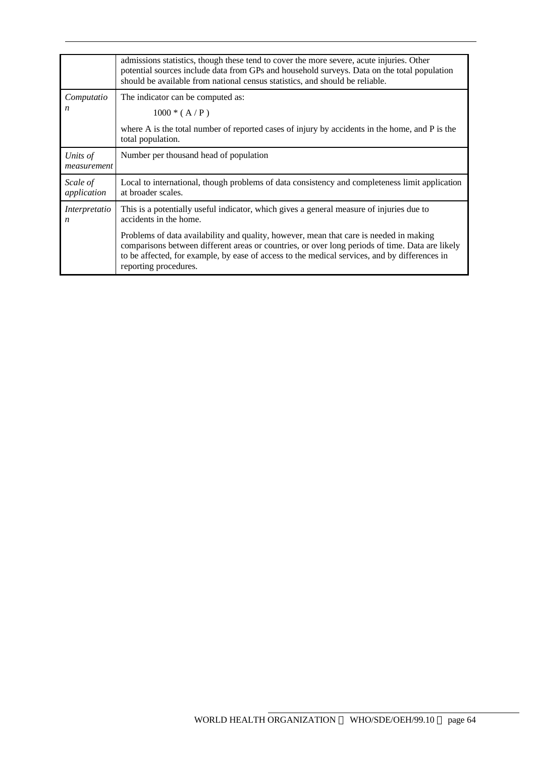|                                   | admissions statistics, though these tend to cover the more severe, acute injuries. Other<br>potential sources include data from GPs and household surveys. Data on the total population<br>should be available from national census statistics, and should be reliable.                                             |
|-----------------------------------|---------------------------------------------------------------------------------------------------------------------------------------------------------------------------------------------------------------------------------------------------------------------------------------------------------------------|
| Computatio                        | The indicator can be computed as:                                                                                                                                                                                                                                                                                   |
| n                                 | $1000 * (A/P)$                                                                                                                                                                                                                                                                                                      |
|                                   | where A is the total number of reported cases of injury by accidents in the home, and P is the<br>total population.                                                                                                                                                                                                 |
| Units of<br>measurement           | Number per thousand head of population                                                                                                                                                                                                                                                                              |
| Scale of<br>application           | Local to international, though problems of data consistency and completeness limit application<br>at broader scales.                                                                                                                                                                                                |
| Interpretatio<br>$\boldsymbol{n}$ | This is a potentially useful indicator, which gives a general measure of injuries due to<br>accidents in the home.                                                                                                                                                                                                  |
|                                   | Problems of data availability and quality, however, mean that care is needed in making<br>comparisons between different areas or countries, or over long periods of time. Data are likely<br>to be affected, for example, by ease of access to the medical services, and by differences in<br>reporting procedures. |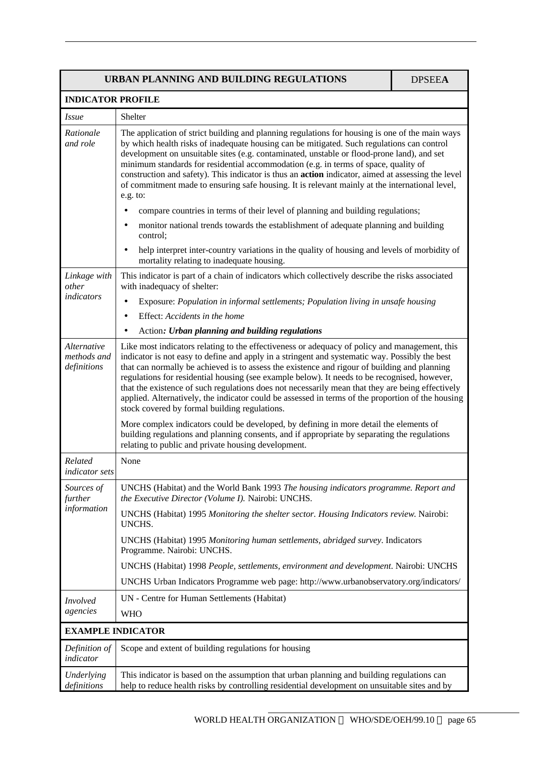| URBAN PLANNING AND BUILDING REGULATIONS |  |
|-----------------------------------------|--|
|                                         |  |

### **INDICATOR PROFILE**

 $\overline{a}$ 

| <i>Issue</i>                              | Shelter                                                                                                                                                                                                                                                                                                                                                                                                                                                                                                                                                                                                                                                                                                                                             |
|-------------------------------------------|-----------------------------------------------------------------------------------------------------------------------------------------------------------------------------------------------------------------------------------------------------------------------------------------------------------------------------------------------------------------------------------------------------------------------------------------------------------------------------------------------------------------------------------------------------------------------------------------------------------------------------------------------------------------------------------------------------------------------------------------------------|
| Rationale<br>and role                     | The application of strict building and planning regulations for housing is one of the main ways<br>by which health risks of inadequate housing can be mitigated. Such regulations can control<br>development on unsuitable sites (e.g. contaminated, unstable or flood-prone land), and set<br>minimum standards for residential accommodation (e.g. in terms of space, quality of<br>construction and safety). This indicator is thus an action indicator, aimed at assessing the level<br>of commitment made to ensuring safe housing. It is relevant mainly at the international level,<br>e.g. to:<br>compare countries in terms of their level of planning and building regulations;                                                           |
|                                           | monitor national trends towards the establishment of adequate planning and building<br>control;                                                                                                                                                                                                                                                                                                                                                                                                                                                                                                                                                                                                                                                     |
|                                           | help interpret inter-country variations in the quality of housing and levels of morbidity of<br>mortality relating to inadequate housing.                                                                                                                                                                                                                                                                                                                                                                                                                                                                                                                                                                                                           |
| Linkage with<br>other                     | This indicator is part of a chain of indicators which collectively describe the risks associated<br>with inadequacy of shelter:                                                                                                                                                                                                                                                                                                                                                                                                                                                                                                                                                                                                                     |
| indicators                                | Exposure: Population in informal settlements; Population living in unsafe housing<br>٠                                                                                                                                                                                                                                                                                                                                                                                                                                                                                                                                                                                                                                                              |
|                                           | Effect: Accidents in the home                                                                                                                                                                                                                                                                                                                                                                                                                                                                                                                                                                                                                                                                                                                       |
|                                           | Action: Urban planning and building regulations                                                                                                                                                                                                                                                                                                                                                                                                                                                                                                                                                                                                                                                                                                     |
| Alternative<br>methods and<br>definitions | Like most indicators relating to the effectiveness or adequacy of policy and management, this<br>indicator is not easy to define and apply in a stringent and systematic way. Possibly the best<br>that can normally be achieved is to assess the existence and rigour of building and planning<br>regulations for residential housing (see example below). It needs to be recognised, however,<br>that the existence of such regulations does not necessarily mean that they are being effectively<br>applied. Alternatively, the indicator could be assessed in terms of the proportion of the housing<br>stock covered by formal building regulations.<br>More complex indicators could be developed, by defining in more detail the elements of |
|                                           | building regulations and planning consents, and if appropriate by separating the regulations<br>relating to public and private housing development.                                                                                                                                                                                                                                                                                                                                                                                                                                                                                                                                                                                                 |
| Related<br>indicator sets                 | None                                                                                                                                                                                                                                                                                                                                                                                                                                                                                                                                                                                                                                                                                                                                                |
| Sources of<br>further                     | UNCHS (Habitat) and the World Bank 1993 The housing indicators programme. Report and<br>the Executive Director (Volume I). Nairobi: UNCHS.                                                                                                                                                                                                                                                                                                                                                                                                                                                                                                                                                                                                          |
| information                               | UNCHS (Habitat) 1995 Monitoring the shelter sector. Housing Indicators review. Nairobi:<br>UNCHS.                                                                                                                                                                                                                                                                                                                                                                                                                                                                                                                                                                                                                                                   |
|                                           | UNCHS (Habitat) 1995 Monitoring human settlements, abridged survey. Indicators<br>Programme. Nairobi: UNCHS.                                                                                                                                                                                                                                                                                                                                                                                                                                                                                                                                                                                                                                        |
|                                           | UNCHS (Habitat) 1998 People, settlements, environment and development. Nairobi: UNCHS                                                                                                                                                                                                                                                                                                                                                                                                                                                                                                                                                                                                                                                               |
|                                           | UNCHS Urban Indicators Programme web page: http://www.urbanobservatory.org/indicators/                                                                                                                                                                                                                                                                                                                                                                                                                                                                                                                                                                                                                                                              |
| <b>Involved</b>                           | UN - Centre for Human Settlements (Habitat)                                                                                                                                                                                                                                                                                                                                                                                                                                                                                                                                                                                                                                                                                                         |
| agencies                                  | <b>WHO</b>                                                                                                                                                                                                                                                                                                                                                                                                                                                                                                                                                                                                                                                                                                                                          |
| <b>EXAMPLE INDICATOR</b>                  |                                                                                                                                                                                                                                                                                                                                                                                                                                                                                                                                                                                                                                                                                                                                                     |
| Definition of<br>indicator                | Scope and extent of building regulations for housing                                                                                                                                                                                                                                                                                                                                                                                                                                                                                                                                                                                                                                                                                                |
| Underlying<br>definitions                 | This indicator is based on the assumption that urban planning and building regulations can<br>help to reduce health risks by controlling residential development on unsuitable sites and by                                                                                                                                                                                                                                                                                                                                                                                                                                                                                                                                                         |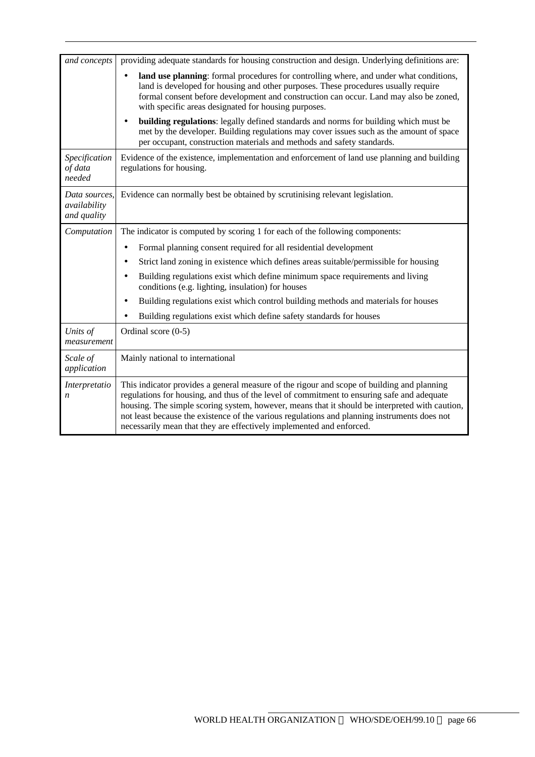| and concepts                                 | providing adequate standards for housing construction and design. Underlying definitions are:                                                                                                                                                                                                                                                                                                                                                                      |
|----------------------------------------------|--------------------------------------------------------------------------------------------------------------------------------------------------------------------------------------------------------------------------------------------------------------------------------------------------------------------------------------------------------------------------------------------------------------------------------------------------------------------|
|                                              | land use planning: formal procedures for controlling where, and under what conditions,<br>land is developed for housing and other purposes. These procedures usually require<br>formal consent before development and construction can occur. Land may also be zoned,<br>with specific areas designated for housing purposes.                                                                                                                                      |
|                                              | building regulations: legally defined standards and norms for building which must be<br>met by the developer. Building regulations may cover issues such as the amount of space<br>per occupant, construction materials and methods and safety standards.                                                                                                                                                                                                          |
| Specification<br>of data<br>needed           | Evidence of the existence, implementation and enforcement of land use planning and building<br>regulations for housing.                                                                                                                                                                                                                                                                                                                                            |
| Data sources.<br>availability<br>and quality | Evidence can normally best be obtained by scrutinising relevant legislation.                                                                                                                                                                                                                                                                                                                                                                                       |
| Computation                                  | The indicator is computed by scoring 1 for each of the following components:                                                                                                                                                                                                                                                                                                                                                                                       |
|                                              | Formal planning consent required for all residential development                                                                                                                                                                                                                                                                                                                                                                                                   |
|                                              | Strict land zoning in existence which defines areas suitable/permissible for housing                                                                                                                                                                                                                                                                                                                                                                               |
|                                              | Building regulations exist which define minimum space requirements and living<br>conditions (e.g. lighting, insulation) for houses                                                                                                                                                                                                                                                                                                                                 |
|                                              | Building regulations exist which control building methods and materials for houses<br>$\bullet$                                                                                                                                                                                                                                                                                                                                                                    |
|                                              | Building regulations exist which define safety standards for houses                                                                                                                                                                                                                                                                                                                                                                                                |
| Units of<br>measurement                      | Ordinal score $(0-5)$                                                                                                                                                                                                                                                                                                                                                                                                                                              |
| Scale of<br>application                      | Mainly national to international                                                                                                                                                                                                                                                                                                                                                                                                                                   |
| Interpretatio<br>n                           | This indicator provides a general measure of the rigour and scope of building and planning<br>regulations for housing, and thus of the level of commitment to ensuring safe and adequate<br>housing. The simple scoring system, however, means that it should be interpreted with caution,<br>not least because the existence of the various regulations and planning instruments does not<br>necessarily mean that they are effectively implemented and enforced. |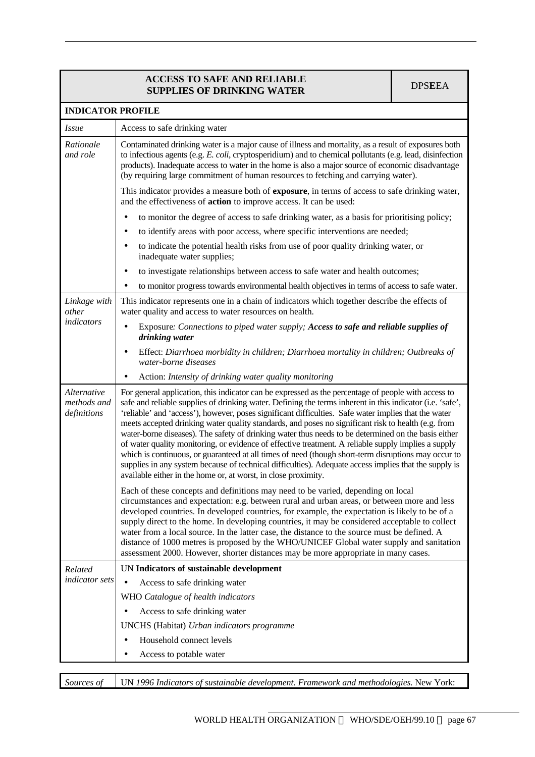# **ACCESS TO SAFE AND RELIABLE SUPPLIES OF DRINKING WATER** DPSEEA

 $\overline{a}$ 

| <b>INDICATOR PROFILE</b>                  |                                                                                                                                                                                                                                                                                                                                                                                                                                                                                                                                                                                                                                                                                                                                                                                                                                                                                                                                 |
|-------------------------------------------|---------------------------------------------------------------------------------------------------------------------------------------------------------------------------------------------------------------------------------------------------------------------------------------------------------------------------------------------------------------------------------------------------------------------------------------------------------------------------------------------------------------------------------------------------------------------------------------------------------------------------------------------------------------------------------------------------------------------------------------------------------------------------------------------------------------------------------------------------------------------------------------------------------------------------------|
| <i>Issue</i>                              | Access to safe drinking water                                                                                                                                                                                                                                                                                                                                                                                                                                                                                                                                                                                                                                                                                                                                                                                                                                                                                                   |
| Rationale<br>and role                     | Contaminated drinking water is a major cause of illness and mortality, as a result of exposures both<br>to infectious agents (e.g. E. coli, cryptosperidium) and to chemical pollutants (e.g. lead, disinfection<br>products). Inadequate access to water in the home is also a major source of economic disadvantage<br>(by requiring large commitment of human resources to fetching and carrying water).                                                                                                                                                                                                                                                                                                                                                                                                                                                                                                                     |
|                                           | This indicator provides a measure both of <b>exposure</b> , in terms of access to safe drinking water,<br>and the effectiveness of <b>action</b> to improve access. It can be used:                                                                                                                                                                                                                                                                                                                                                                                                                                                                                                                                                                                                                                                                                                                                             |
|                                           | to monitor the degree of access to safe drinking water, as a basis for prioritising policy;                                                                                                                                                                                                                                                                                                                                                                                                                                                                                                                                                                                                                                                                                                                                                                                                                                     |
|                                           | to identify areas with poor access, where specific interventions are needed;<br>$\bullet$                                                                                                                                                                                                                                                                                                                                                                                                                                                                                                                                                                                                                                                                                                                                                                                                                                       |
|                                           | to indicate the potential health risks from use of poor quality drinking water, or<br>$\bullet$<br>inadequate water supplies;                                                                                                                                                                                                                                                                                                                                                                                                                                                                                                                                                                                                                                                                                                                                                                                                   |
|                                           | to investigate relationships between access to safe water and health outcomes;<br>٠                                                                                                                                                                                                                                                                                                                                                                                                                                                                                                                                                                                                                                                                                                                                                                                                                                             |
|                                           | to monitor progress towards environmental health objectives in terms of access to safe water.                                                                                                                                                                                                                                                                                                                                                                                                                                                                                                                                                                                                                                                                                                                                                                                                                                   |
| Linkage with<br>other                     | This indicator represents one in a chain of indicators which together describe the effects of<br>water quality and access to water resources on health.                                                                                                                                                                                                                                                                                                                                                                                                                                                                                                                                                                                                                                                                                                                                                                         |
| indicators                                | Exposure: Connections to piped water supply; Access to safe and reliable supplies of<br>$\bullet$<br>drinking water                                                                                                                                                                                                                                                                                                                                                                                                                                                                                                                                                                                                                                                                                                                                                                                                             |
|                                           | Effect: Diarrhoea morbidity in children; Diarrhoea mortality in children; Outbreaks of<br>water-borne diseases                                                                                                                                                                                                                                                                                                                                                                                                                                                                                                                                                                                                                                                                                                                                                                                                                  |
|                                           | Action: Intensity of drinking water quality monitoring<br>٠                                                                                                                                                                                                                                                                                                                                                                                                                                                                                                                                                                                                                                                                                                                                                                                                                                                                     |
| Alternative<br>methods and<br>definitions | For general application, this indicator can be expressed as the percentage of people with access to<br>safe and reliable supplies of drinking water. Defining the terms inherent in this indicator (i.e. 'safe',<br>'reliable' and 'access'), however, poses significant difficulties. Safe water implies that the water<br>meets accepted drinking water quality standards, and poses no significant risk to health (e.g. from<br>water-borne diseases). The safety of drinking water thus needs to be determined on the basis either<br>of water quality monitoring, or evidence of effective treatment. A reliable supply implies a supply<br>which is continuous, or guaranteed at all times of need (though short-term disruptions may occur to<br>supplies in any system because of technical difficulties). Adequate access implies that the supply is<br>available either in the home or, at worst, in close proximity. |
|                                           | Each of these concepts and definitions may need to be varied, depending on local<br>circumstances and expectation: e.g. between rural and urban areas, or between more and less<br>developed countries. In developed countries, for example, the expectation is likely to be of a<br>supply direct to the home. In developing countries, it may be considered acceptable to collect<br>water from a local source. In the latter case, the distance to the source must be defined. A<br>distance of 1000 metres is proposed by the WHO/UNICEF Global water supply and sanitation<br>assessment 2000. However, shorter distances may be more appropriate in many cases.                                                                                                                                                                                                                                                           |
| Related                                   | UN Indicators of sustainable development                                                                                                                                                                                                                                                                                                                                                                                                                                                                                                                                                                                                                                                                                                                                                                                                                                                                                        |
| indicator sets                            | $\bullet$<br>Access to safe drinking water                                                                                                                                                                                                                                                                                                                                                                                                                                                                                                                                                                                                                                                                                                                                                                                                                                                                                      |
|                                           | WHO Catalogue of health indicators                                                                                                                                                                                                                                                                                                                                                                                                                                                                                                                                                                                                                                                                                                                                                                                                                                                                                              |
|                                           | Access to safe drinking water                                                                                                                                                                                                                                                                                                                                                                                                                                                                                                                                                                                                                                                                                                                                                                                                                                                                                                   |
|                                           | <b>UNCHS</b> (Habitat) Urban indicators programme                                                                                                                                                                                                                                                                                                                                                                                                                                                                                                                                                                                                                                                                                                                                                                                                                                                                               |
|                                           | Household connect levels                                                                                                                                                                                                                                                                                                                                                                                                                                                                                                                                                                                                                                                                                                                                                                                                                                                                                                        |
|                                           | Access to potable water                                                                                                                                                                                                                                                                                                                                                                                                                                                                                                                                                                                                                                                                                                                                                                                                                                                                                                         |
|                                           |                                                                                                                                                                                                                                                                                                                                                                                                                                                                                                                                                                                                                                                                                                                                                                                                                                                                                                                                 |
| Sources of                                | UN 1996 Indicators of sustainable development. Framework and methodologies. New York:                                                                                                                                                                                                                                                                                                                                                                                                                                                                                                                                                                                                                                                                                                                                                                                                                                           |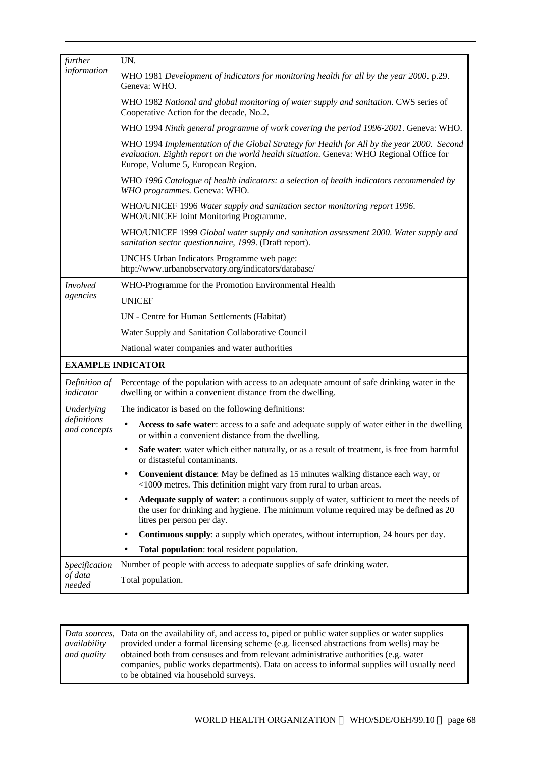| further                     | UN.                                                                                                                                                                                                                          |
|-----------------------------|------------------------------------------------------------------------------------------------------------------------------------------------------------------------------------------------------------------------------|
| information                 | WHO 1981 Development of indicators for monitoring health for all by the year 2000. p.29.<br>Geneva: WHO.                                                                                                                     |
|                             | WHO 1982 National and global monitoring of water supply and sanitation. CWS series of<br>Cooperative Action for the decade, No.2.                                                                                            |
|                             | WHO 1994 Ninth general programme of work covering the period 1996-2001. Geneva: WHO.                                                                                                                                         |
|                             | WHO 1994 Implementation of the Global Strategy for Health for All by the year 2000. Second<br>evaluation. Eighth report on the world health situation. Geneva: WHO Regional Office for<br>Europe, Volume 5, European Region. |
|                             | WHO 1996 Catalogue of health indicators: a selection of health indicators recommended by<br>WHO programmes. Geneva: WHO.                                                                                                     |
|                             | WHO/UNICEF 1996 Water supply and sanitation sector monitoring report 1996.<br>WHO/UNICEF Joint Monitoring Programme.                                                                                                         |
|                             | WHO/UNICEF 1999 Global water supply and sanitation assessment 2000. Water supply and<br>sanitation sector questionnaire, 1999. (Draft report).                                                                               |
|                             | UNCHS Urban Indicators Programme web page:<br>http://www.urbanobservatory.org/indicators/database/                                                                                                                           |
| <b>Involved</b>             | WHO-Programme for the Promotion Environmental Health                                                                                                                                                                         |
| agencies                    | <b>UNICEF</b>                                                                                                                                                                                                                |
|                             | UN - Centre for Human Settlements (Habitat)                                                                                                                                                                                  |
|                             | Water Supply and Sanitation Collaborative Council                                                                                                                                                                            |
|                             | National water companies and water authorities                                                                                                                                                                               |
| <b>EXAMPLE INDICATOR</b>    |                                                                                                                                                                                                                              |
| Definition of<br>indicator  | Percentage of the population with access to an adequate amount of safe drinking water in the<br>dwelling or within a convenient distance from the dwelling.                                                                  |
| Underlying                  | The indicator is based on the following definitions:                                                                                                                                                                         |
| definitions<br>and concepts | Access to safe water: access to a safe and adequate supply of water either in the dwelling<br>or within a convenient distance from the dwelling.                                                                             |
|                             | Safe water: water which either naturally, or as a result of treatment, is free from harmful<br>$\bullet$<br>or distasteful contaminants.                                                                                     |
|                             | <b>Convenient distance</b> : May be defined as 15 minutes walking distance each way, or<br>$\bullet$<br><1000 metres. This definition might vary from rural to urban areas.                                                  |
|                             | <b>Adequate supply of water:</b> a continuous supply of water, sufficient to meet the needs of<br>the user for drinking and hygiene. The minimum volume required may be defined as 20<br>litres per person per day.          |
|                             | <b>Continuous supply</b> : a supply which operates, without interruption, 24 hours per day.<br>$\bullet$                                                                                                                     |
|                             | Total population: total resident population.                                                                                                                                                                                 |
| Specification               | Number of people with access to adequate supplies of safe drinking water.                                                                                                                                                    |
| of data<br>needed           | Total population.                                                                                                                                                                                                            |

| Data sources, Data on the availability of, and access to, piped or public water supplies or water supplies<br>provided under a formal licensing scheme (e.g. licensed abstractions from wells) may be<br>availability<br>obtained both from censuses and from relevant administrative authorities (e.g. water<br>and quality<br>companies, public works departments). Data on access to informal supplies will usually need<br>to be obtained via household surveys. |  |
|----------------------------------------------------------------------------------------------------------------------------------------------------------------------------------------------------------------------------------------------------------------------------------------------------------------------------------------------------------------------------------------------------------------------------------------------------------------------|--|
|----------------------------------------------------------------------------------------------------------------------------------------------------------------------------------------------------------------------------------------------------------------------------------------------------------------------------------------------------------------------------------------------------------------------------------------------------------------------|--|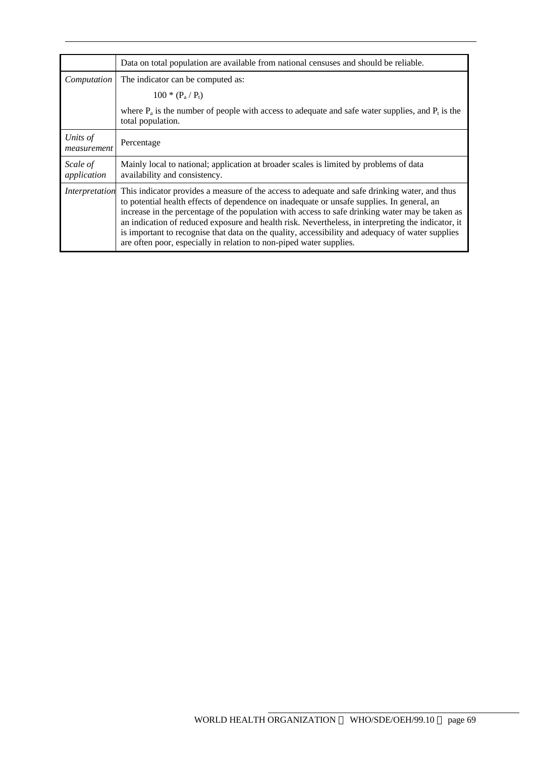|                         | Data on total population are available from national censuses and should be reliable.                                                                                                                                                                                                                                                                                                                                                                                                                                                                                           |
|-------------------------|---------------------------------------------------------------------------------------------------------------------------------------------------------------------------------------------------------------------------------------------------------------------------------------------------------------------------------------------------------------------------------------------------------------------------------------------------------------------------------------------------------------------------------------------------------------------------------|
| Computation             | The indicator can be computed as:                                                                                                                                                                                                                                                                                                                                                                                                                                                                                                                                               |
|                         | $100 * (P_a / P_t)$                                                                                                                                                                                                                                                                                                                                                                                                                                                                                                                                                             |
|                         | where $P_a$ is the number of people with access to adequate and safe water supplies, and $P_t$ is the<br>total population.                                                                                                                                                                                                                                                                                                                                                                                                                                                      |
| Units of<br>measurement | Percentage                                                                                                                                                                                                                                                                                                                                                                                                                                                                                                                                                                      |
| Scale of<br>application | Mainly local to national; application at broader scales is limited by problems of data<br>availability and consistency.                                                                                                                                                                                                                                                                                                                                                                                                                                                         |
| Interpretation          | This indicator provides a measure of the access to adequate and safe drinking water, and thus<br>to potential health effects of dependence on inadequate or unsafe supplies. In general, an<br>increase in the percentage of the population with access to safe drinking water may be taken as<br>an indication of reduced exposure and health risk. Nevertheless, in interpreting the indicator, it<br>is important to recognise that data on the quality, accessibility and adequacy of water supplies<br>are often poor, especially in relation to non-piped water supplies. |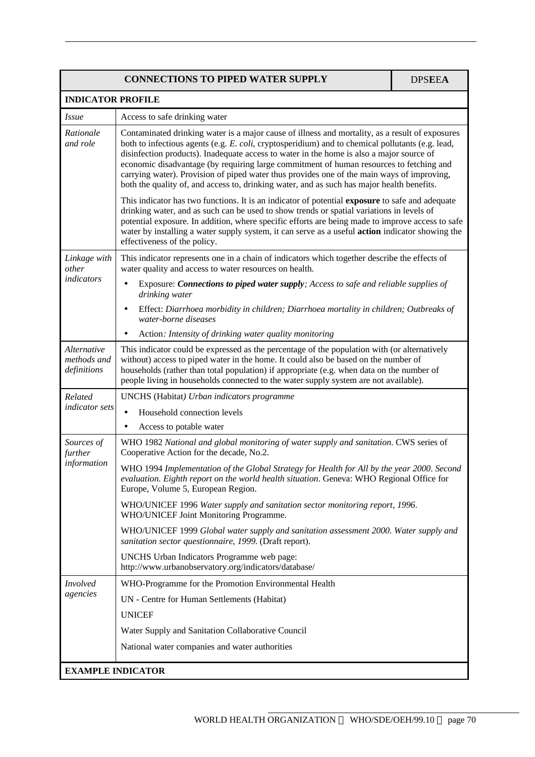|                                           | <b>CONNECTIONS TO PIPED WATER SUPPLY</b>                                                                                                                                                                                                                                                                                                                                                                                                                                                                                                                                               | <b>DPSEEA</b> |
|-------------------------------------------|----------------------------------------------------------------------------------------------------------------------------------------------------------------------------------------------------------------------------------------------------------------------------------------------------------------------------------------------------------------------------------------------------------------------------------------------------------------------------------------------------------------------------------------------------------------------------------------|---------------|
| <b>INDICATOR PROFILE</b>                  |                                                                                                                                                                                                                                                                                                                                                                                                                                                                                                                                                                                        |               |
| <i>Issue</i>                              | Access to safe drinking water                                                                                                                                                                                                                                                                                                                                                                                                                                                                                                                                                          |               |
| Rationale<br>and role                     | Contaminated drinking water is a major cause of illness and mortality, as a result of exposures<br>both to infectious agents (e.g. E. coli, cryptosperidium) and to chemical pollutants (e.g. lead,<br>disinfection products). Inadequate access to water in the home is also a major source of<br>economic disadvantage (by requiring large commitment of human resources to fetching and<br>carrying water). Provision of piped water thus provides one of the main ways of improving,<br>both the quality of, and access to, drinking water, and as such has major health benefits. |               |
|                                           | This indicator has two functions. It is an indicator of potential exposure to safe and adequate<br>drinking water, and as such can be used to show trends or spatial variations in levels of<br>potential exposure. In addition, where specific efforts are being made to improve access to safe<br>water by installing a water supply system, it can serve as a useful action indicator showing the<br>effectiveness of the policy.                                                                                                                                                   |               |
| Linkage with<br>other                     | This indicator represents one in a chain of indicators which together describe the effects of<br>water quality and access to water resources on health.                                                                                                                                                                                                                                                                                                                                                                                                                                |               |
| indicators                                | Exposure: Connections to piped water supply; Access to safe and reliable supplies of<br>$\bullet$<br>drinking water                                                                                                                                                                                                                                                                                                                                                                                                                                                                    |               |
|                                           | Effect: Diarrhoea morbidity in children; Diarrhoea mortality in children; Outbreaks of<br>water-borne diseases                                                                                                                                                                                                                                                                                                                                                                                                                                                                         |               |
|                                           | Action: Intensity of drinking water quality monitoring<br>٠                                                                                                                                                                                                                                                                                                                                                                                                                                                                                                                            |               |
| Alternative<br>methods and<br>definitions | This indicator could be expressed as the percentage of the population with (or alternatively<br>without) access to piped water in the home. It could also be based on the number of<br>households (rather than total population) if appropriate (e.g. when data on the number of<br>people living in households connected to the water supply system are not available).                                                                                                                                                                                                               |               |
| Related                                   | UNCHS (Habitat) Urban indicators programme                                                                                                                                                                                                                                                                                                                                                                                                                                                                                                                                             |               |
| indicator sets                            | Household connection levels                                                                                                                                                                                                                                                                                                                                                                                                                                                                                                                                                            |               |
|                                           | Access to potable water                                                                                                                                                                                                                                                                                                                                                                                                                                                                                                                                                                |               |
| Sources of<br>further                     | WHO 1982 National and global monitoring of water supply and sanitation. CWS series of<br>Cooperative Action for the decade, No.2.                                                                                                                                                                                                                                                                                                                                                                                                                                                      |               |
| information                               | WHO 1994 Implementation of the Global Strategy for Health for All by the year 2000. Second<br>evaluation. Eighth report on the world health situation. Geneva: WHO Regional Office for<br>Europe, Volume 5, European Region.                                                                                                                                                                                                                                                                                                                                                           |               |
|                                           | WHO/UNICEF 1996 Water supply and sanitation sector monitoring report, 1996.<br>WHO/UNICEF Joint Monitoring Programme.                                                                                                                                                                                                                                                                                                                                                                                                                                                                  |               |
|                                           | WHO/UNICEF 1999 Global water supply and sanitation assessment 2000. Water supply and<br>sanitation sector questionnaire, 1999. (Draft report).                                                                                                                                                                                                                                                                                                                                                                                                                                         |               |
|                                           | UNCHS Urban Indicators Programme web page:<br>http://www.urbanobservatory.org/indicators/database/                                                                                                                                                                                                                                                                                                                                                                                                                                                                                     |               |
| <b>Involved</b>                           | WHO-Programme for the Promotion Environmental Health                                                                                                                                                                                                                                                                                                                                                                                                                                                                                                                                   |               |
| agencies                                  | UN - Centre for Human Settlements (Habitat)                                                                                                                                                                                                                                                                                                                                                                                                                                                                                                                                            |               |
|                                           | <b>UNICEF</b>                                                                                                                                                                                                                                                                                                                                                                                                                                                                                                                                                                          |               |
|                                           | Water Supply and Sanitation Collaborative Council                                                                                                                                                                                                                                                                                                                                                                                                                                                                                                                                      |               |
|                                           | National water companies and water authorities                                                                                                                                                                                                                                                                                                                                                                                                                                                                                                                                         |               |
| <b>EXAMPLE INDICATOR</b>                  |                                                                                                                                                                                                                                                                                                                                                                                                                                                                                                                                                                                        |               |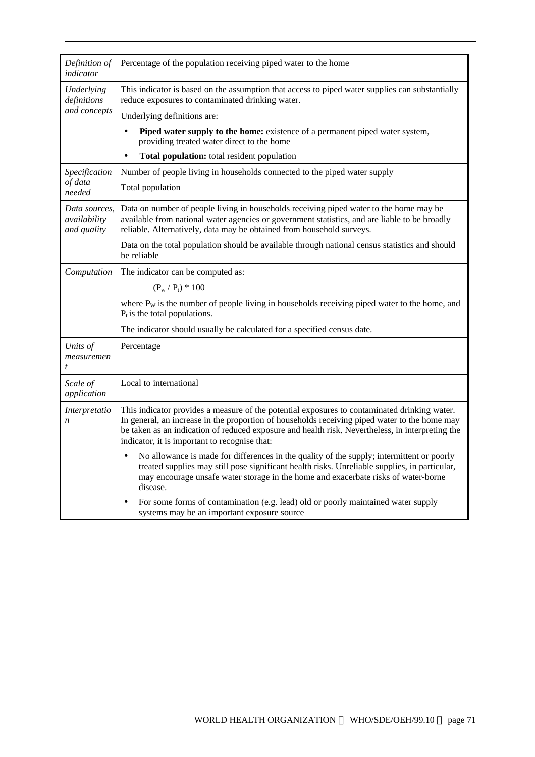| Definition of<br>indicator                   | Percentage of the population receiving piped water to the home                                                                                                                                                                                                                                                                                     |
|----------------------------------------------|----------------------------------------------------------------------------------------------------------------------------------------------------------------------------------------------------------------------------------------------------------------------------------------------------------------------------------------------------|
| Underlying<br>definitions                    | This indicator is based on the assumption that access to piped water supplies can substantially<br>reduce exposures to contaminated drinking water.                                                                                                                                                                                                |
| and concepts                                 | Underlying definitions are:                                                                                                                                                                                                                                                                                                                        |
|                                              | Piped water supply to the home: existence of a permanent piped water system,<br>providing treated water direct to the home                                                                                                                                                                                                                         |
|                                              | Total population: total resident population                                                                                                                                                                                                                                                                                                        |
| Specification                                | Number of people living in households connected to the piped water supply                                                                                                                                                                                                                                                                          |
| of data<br>needed                            | Total population                                                                                                                                                                                                                                                                                                                                   |
| Data sources,<br>availability<br>and quality | Data on number of people living in households receiving piped water to the home may be<br>available from national water agencies or government statistics, and are liable to be broadly<br>reliable. Alternatively, data may be obtained from household surveys.                                                                                   |
|                                              | Data on the total population should be available through national census statistics and should<br>be reliable                                                                                                                                                                                                                                      |
| Computation                                  | The indicator can be computed as:                                                                                                                                                                                                                                                                                                                  |
|                                              | $(P_w / P_t) * 100$                                                                                                                                                                                                                                                                                                                                |
|                                              | where $P_W$ is the number of people living in households receiving piped water to the home, and<br>$P_t$ is the total populations.                                                                                                                                                                                                                 |
|                                              | The indicator should usually be calculated for a specified census date.                                                                                                                                                                                                                                                                            |
| Units of<br>measuremen<br>t                  | Percentage                                                                                                                                                                                                                                                                                                                                         |
| Scale of<br>application                      | Local to international                                                                                                                                                                                                                                                                                                                             |
| Interpretatio<br>$\boldsymbol{n}$            | This indicator provides a measure of the potential exposures to contaminated drinking water.<br>In general, an increase in the proportion of households receiving piped water to the home may<br>be taken as an indication of reduced exposure and health risk. Nevertheless, in interpreting the<br>indicator, it is important to recognise that: |
|                                              | No allowance is made for differences in the quality of the supply; intermittent or poorly<br>$\bullet$<br>treated supplies may still pose significant health risks. Unreliable supplies, in particular,<br>may encourage unsafe water storage in the home and exacerbate risks of water-borne<br>disease.                                          |
|                                              | For some forms of contamination (e.g. lead) old or poorly maintained water supply<br>systems may be an important exposure source                                                                                                                                                                                                                   |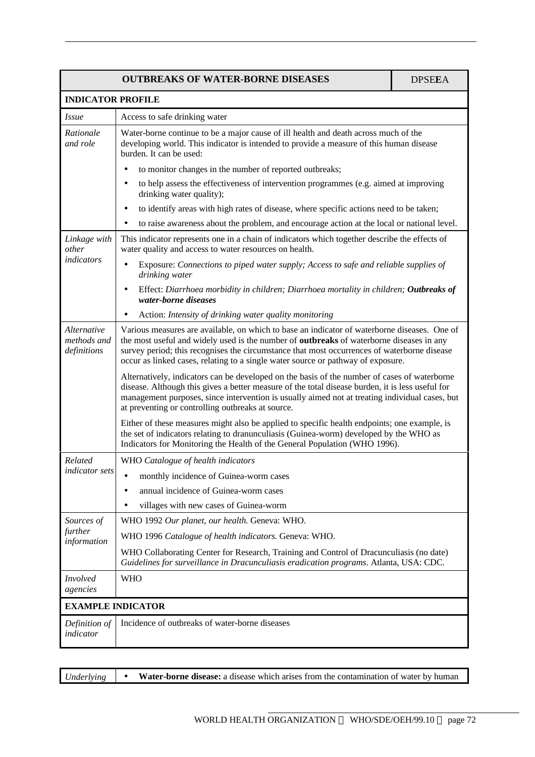|                                               | <b>OUTBREAKS OF WATER-BORNE DISEASES</b>                                                                                                                                                                                                                                                                                                                                           | <b>DPSEEA</b> |  |  |
|-----------------------------------------------|------------------------------------------------------------------------------------------------------------------------------------------------------------------------------------------------------------------------------------------------------------------------------------------------------------------------------------------------------------------------------------|---------------|--|--|
| <b>INDICATOR PROFILE</b>                      |                                                                                                                                                                                                                                                                                                                                                                                    |               |  |  |
| <i>Issue</i>                                  | Access to safe drinking water                                                                                                                                                                                                                                                                                                                                                      |               |  |  |
| Rationale<br>and role                         | Water-borne continue to be a major cause of ill health and death across much of the<br>developing world. This indicator is intended to provide a measure of this human disease<br>burden. It can be used:                                                                                                                                                                          |               |  |  |
|                                               | to monitor changes in the number of reported outbreaks;                                                                                                                                                                                                                                                                                                                            |               |  |  |
|                                               | to help assess the effectiveness of intervention programmes (e.g. aimed at improving<br>$\bullet$<br>drinking water quality);                                                                                                                                                                                                                                                      |               |  |  |
|                                               | to identify areas with high rates of disease, where specific actions need to be taken;<br>$\bullet$                                                                                                                                                                                                                                                                                |               |  |  |
|                                               | to raise awareness about the problem, and encourage action at the local or national level.                                                                                                                                                                                                                                                                                         |               |  |  |
| Linkage with<br>other                         | This indicator represents one in a chain of indicators which together describe the effects of<br>water quality and access to water resources on health.                                                                                                                                                                                                                            |               |  |  |
| indicators                                    | Exposure: Connections to piped water supply; Access to safe and reliable supplies of<br>$\bullet$<br>drinking water                                                                                                                                                                                                                                                                |               |  |  |
|                                               | Effect: Diarrhoea morbidity in children; Diarrhoea mortality in children; Outbreaks of<br>٠<br>water-borne diseases                                                                                                                                                                                                                                                                |               |  |  |
|                                               | Action: Intensity of drinking water quality monitoring                                                                                                                                                                                                                                                                                                                             |               |  |  |
| Alternative<br>methods and<br>definitions     | Various measures are available, on which to base an indicator of waterborne diseases. One of<br>the most useful and widely used is the number of <b>outbreaks</b> of waterborne diseases in any<br>survey period; this recognises the circumstance that most occurrences of waterborne disease<br>occur as linked cases, relating to a single water source or pathway of exposure. |               |  |  |
|                                               | Alternatively, indicators can be developed on the basis of the number of cases of waterborne<br>disease. Although this gives a better measure of the total disease burden, it is less useful for<br>management purposes, since intervention is usually aimed not at treating individual cases, but<br>at preventing or controlling outbreaks at source.                            |               |  |  |
|                                               | Either of these measures might also be applied to specific health endpoints; one example, is<br>the set of indicators relating to dranunculiasis (Guinea-worm) developed by the WHO as<br>Indicators for Monitoring the Health of the General Population (WHO 1996).                                                                                                               |               |  |  |
| WHO Catalogue of health indicators<br>Related |                                                                                                                                                                                                                                                                                                                                                                                    |               |  |  |
| indicator sets                                | monthly incidence of Guinea-worm cases                                                                                                                                                                                                                                                                                                                                             |               |  |  |
|                                               | annual incidence of Guinea-worm cases                                                                                                                                                                                                                                                                                                                                              |               |  |  |
|                                               | villages with new cases of Guinea-worm                                                                                                                                                                                                                                                                                                                                             |               |  |  |
| Sources of                                    | WHO 1992 Our planet, our health. Geneva: WHO.                                                                                                                                                                                                                                                                                                                                      |               |  |  |
| further<br>information                        | WHO 1996 Catalogue of health indicators. Geneva: WHO.                                                                                                                                                                                                                                                                                                                              |               |  |  |
|                                               | WHO Collaborating Center for Research, Training and Control of Dracunculiasis (no date)<br>Guidelines for surveillance in Dracunculiasis eradication programs. Atlanta, USA: CDC.                                                                                                                                                                                                  |               |  |  |
| <i>Involved</i><br>agencies                   | <b>WHO</b>                                                                                                                                                                                                                                                                                                                                                                         |               |  |  |
|                                               | <b>EXAMPLE INDICATOR</b>                                                                                                                                                                                                                                                                                                                                                           |               |  |  |
| Definition of<br>indicator                    | Incidence of outbreaks of water-borne diseases                                                                                                                                                                                                                                                                                                                                     |               |  |  |

|--|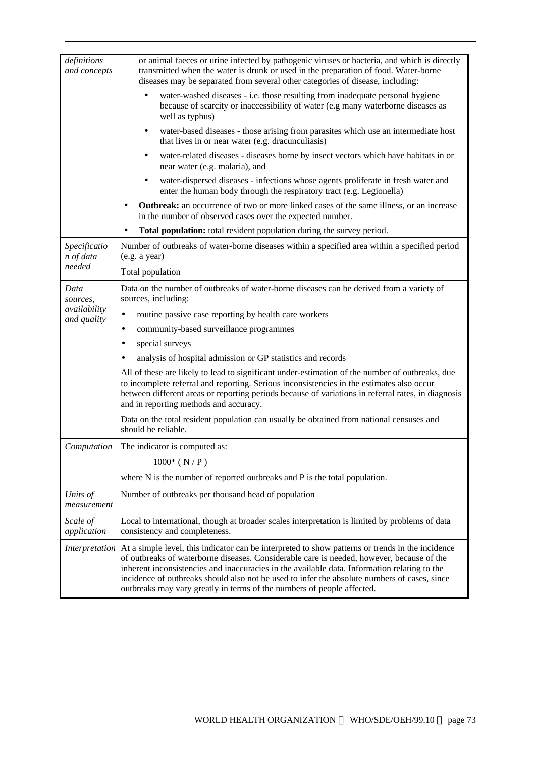| definitions<br>and concepts | or animal faeces or urine infected by pathogenic viruses or bacteria, and which is directly<br>transmitted when the water is drunk or used in the preparation of food. Water-borne<br>diseases may be separated from several other categories of disease, including:                                                                                                                                                                                                    |
|-----------------------------|-------------------------------------------------------------------------------------------------------------------------------------------------------------------------------------------------------------------------------------------------------------------------------------------------------------------------------------------------------------------------------------------------------------------------------------------------------------------------|
|                             | water-washed diseases - i.e. those resulting from inadequate personal hygiene<br>because of scarcity or inaccessibility of water (e.g many waterborne diseases as<br>well as typhus)                                                                                                                                                                                                                                                                                    |
|                             | water-based diseases - those arising from parasites which use an intermediate host<br>٠<br>that lives in or near water (e.g. dracunculiasis)                                                                                                                                                                                                                                                                                                                            |
|                             | water-related diseases - diseases borne by insect vectors which have habitats in or<br>٠<br>near water (e.g. malaria), and                                                                                                                                                                                                                                                                                                                                              |
|                             | water-dispersed diseases - infections whose agents proliferate in fresh water and<br>٠<br>enter the human body through the respiratory tract (e.g. Legionella)                                                                                                                                                                                                                                                                                                          |
|                             | <b>Outbreak:</b> an occurrence of two or more linked cases of the same illness, or an increase<br>in the number of observed cases over the expected number.                                                                                                                                                                                                                                                                                                             |
|                             | Total population: total resident population during the survey period.                                                                                                                                                                                                                                                                                                                                                                                                   |
| Specificatio<br>n of data   | Number of outbreaks of water-borne diseases within a specified area within a specified period<br>(e.g. a year)                                                                                                                                                                                                                                                                                                                                                          |
| needed                      | Total population                                                                                                                                                                                                                                                                                                                                                                                                                                                        |
| Data<br>sources,            | Data on the number of outbreaks of water-borne diseases can be derived from a variety of<br>sources, including:                                                                                                                                                                                                                                                                                                                                                         |
| availability<br>and quality | routine passive case reporting by health care workers<br>$\bullet$                                                                                                                                                                                                                                                                                                                                                                                                      |
|                             | community-based surveillance programmes<br>٠                                                                                                                                                                                                                                                                                                                                                                                                                            |
|                             | special surveys<br>$\bullet$                                                                                                                                                                                                                                                                                                                                                                                                                                            |
|                             | analysis of hospital admission or GP statistics and records                                                                                                                                                                                                                                                                                                                                                                                                             |
|                             | All of these are likely to lead to significant under-estimation of the number of outbreaks, due<br>to incomplete referral and reporting. Serious inconsistencies in the estimates also occur<br>between different areas or reporting periods because of variations in referral rates, in diagnosis<br>and in reporting methods and accuracy.                                                                                                                            |
|                             | Data on the total resident population can usually be obtained from national censuses and<br>should be reliable.                                                                                                                                                                                                                                                                                                                                                         |
| Computation                 | The indicator is computed as:                                                                                                                                                                                                                                                                                                                                                                                                                                           |
|                             | $1000^*$ (N/P)                                                                                                                                                                                                                                                                                                                                                                                                                                                          |
|                             | where $N$ is the number of reported outbreaks and $P$ is the total population.                                                                                                                                                                                                                                                                                                                                                                                          |
| Units of<br>measurement     | Number of outbreaks per thousand head of population                                                                                                                                                                                                                                                                                                                                                                                                                     |
| Scale of<br>application     | Local to international, though at broader scales interpretation is limited by problems of data<br>consistency and completeness.                                                                                                                                                                                                                                                                                                                                         |
| Interpretation              | At a simple level, this indicator can be interpreted to show patterns or trends in the incidence<br>of outbreaks of waterborne diseases. Considerable care is needed, however, because of the<br>inherent inconsistencies and inaccuracies in the available data. Information relating to the<br>incidence of outbreaks should also not be used to infer the absolute numbers of cases, since<br>outbreaks may vary greatly in terms of the numbers of people affected. |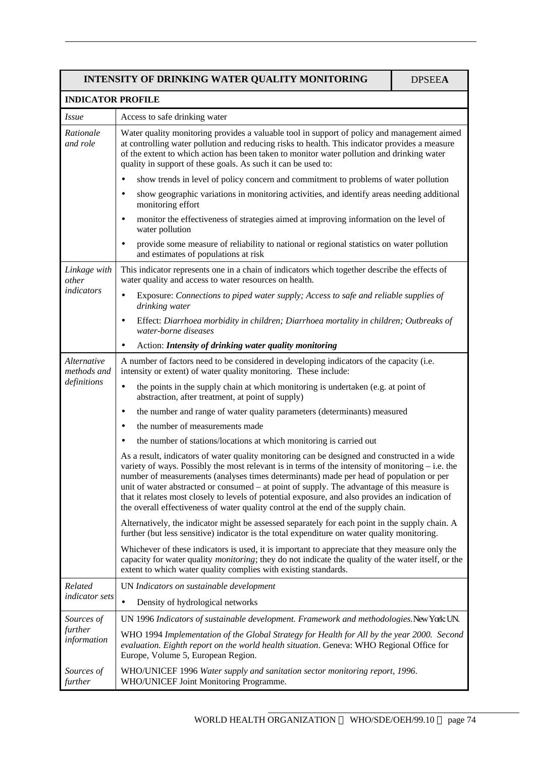|                            | <b>INTENSITY OF DRINKING WATER QUALITY MONITORING</b>                                                                                                                                                                                                                                                                                                                                                                                                                                                                                                                                    | <b>DPSEEA</b> |  |
|----------------------------|------------------------------------------------------------------------------------------------------------------------------------------------------------------------------------------------------------------------------------------------------------------------------------------------------------------------------------------------------------------------------------------------------------------------------------------------------------------------------------------------------------------------------------------------------------------------------------------|---------------|--|
| <b>INDICATOR PROFILE</b>   |                                                                                                                                                                                                                                                                                                                                                                                                                                                                                                                                                                                          |               |  |
| <i>Issue</i>               | Access to safe drinking water                                                                                                                                                                                                                                                                                                                                                                                                                                                                                                                                                            |               |  |
| Rationale<br>and role      | Water quality monitoring provides a valuable tool in support of policy and management aimed<br>at controlling water pollution and reducing risks to health. This indicator provides a measure<br>of the extent to which action has been taken to monitor water pollution and drinking water<br>quality in support of these goals. As such it can be used to:                                                                                                                                                                                                                             |               |  |
|                            | show trends in level of policy concern and commitment to problems of water pollution<br>٠                                                                                                                                                                                                                                                                                                                                                                                                                                                                                                |               |  |
|                            | show geographic variations in monitoring activities, and identify areas needing additional<br>monitoring effort                                                                                                                                                                                                                                                                                                                                                                                                                                                                          |               |  |
|                            | monitor the effectiveness of strategies aimed at improving information on the level of<br>٠<br>water pollution                                                                                                                                                                                                                                                                                                                                                                                                                                                                           |               |  |
|                            | provide some measure of reliability to national or regional statistics on water pollution<br>$\bullet$<br>and estimates of populations at risk                                                                                                                                                                                                                                                                                                                                                                                                                                           |               |  |
| Linkage with<br>other      | This indicator represents one in a chain of indicators which together describe the effects of<br>water quality and access to water resources on health.                                                                                                                                                                                                                                                                                                                                                                                                                                  |               |  |
| indicators                 | Exposure: Connections to piped water supply; Access to safe and reliable supplies of<br>drinking water                                                                                                                                                                                                                                                                                                                                                                                                                                                                                   |               |  |
|                            | Effect: Diarrhoea morbidity in children; Diarrhoea mortality in children; Outbreaks of<br>water-borne diseases                                                                                                                                                                                                                                                                                                                                                                                                                                                                           |               |  |
|                            | Action: Intensity of drinking water quality monitoring<br>٠                                                                                                                                                                                                                                                                                                                                                                                                                                                                                                                              |               |  |
| Alternative<br>methods and | A number of factors need to be considered in developing indicators of the capacity (i.e.<br>intensity or extent) of water quality monitoring. These include:                                                                                                                                                                                                                                                                                                                                                                                                                             |               |  |
| definitions                | the points in the supply chain at which monitoring is undertaken (e.g. at point of<br>$\bullet$<br>abstraction, after treatment, at point of supply)                                                                                                                                                                                                                                                                                                                                                                                                                                     |               |  |
|                            | the number and range of water quality parameters (determinants) measured<br>$\bullet$                                                                                                                                                                                                                                                                                                                                                                                                                                                                                                    |               |  |
|                            | the number of measurements made                                                                                                                                                                                                                                                                                                                                                                                                                                                                                                                                                          |               |  |
|                            | the number of stations/locations at which monitoring is carried out                                                                                                                                                                                                                                                                                                                                                                                                                                                                                                                      |               |  |
|                            | As a result, indicators of water quality monitoring can be designed and constructed in a wide<br>variety of ways. Possibly the most relevant is in terms of the intensity of monitoring $-$ i.e. the<br>number of measurements (analyses times determinants) made per head of population or per<br>unit of water abstracted or consumed – at point of supply. The advantage of this measure is<br>that it relates most closely to levels of potential exposure, and also provides an indication of<br>the overall effectiveness of water quality control at the end of the supply chain. |               |  |
|                            | Alternatively, the indicator might be assessed separately for each point in the supply chain. A<br>further (but less sensitive) indicator is the total expenditure on water quality monitoring.                                                                                                                                                                                                                                                                                                                                                                                          |               |  |
|                            | Whichever of these indicators is used, it is important to appreciate that they measure only the<br>capacity for water quality <i>monitoring</i> ; they do not indicate the quality of the water itself, or the<br>extent to which water quality complies with existing standards.                                                                                                                                                                                                                                                                                                        |               |  |
| Related                    | UN Indicators on sustainable development                                                                                                                                                                                                                                                                                                                                                                                                                                                                                                                                                 |               |  |
| <i>indicator</i> sets      | Density of hydrological networks<br>$\bullet$                                                                                                                                                                                                                                                                                                                                                                                                                                                                                                                                            |               |  |
| Sources of                 | UN 1996 Indicators of sustainable development. Framework and methodologies. New York: UN.                                                                                                                                                                                                                                                                                                                                                                                                                                                                                                |               |  |
| further<br>information     | WHO 1994 Implementation of the Global Strategy for Health for All by the year 2000. Second<br>evaluation. Eighth report on the world health situation. Geneva: WHO Regional Office for<br>Europe, Volume 5, European Region.                                                                                                                                                                                                                                                                                                                                                             |               |  |
| Sources of<br>further      | WHO/UNICEF 1996 Water supply and sanitation sector monitoring report, 1996.<br>WHO/UNICEF Joint Monitoring Programme.                                                                                                                                                                                                                                                                                                                                                                                                                                                                    |               |  |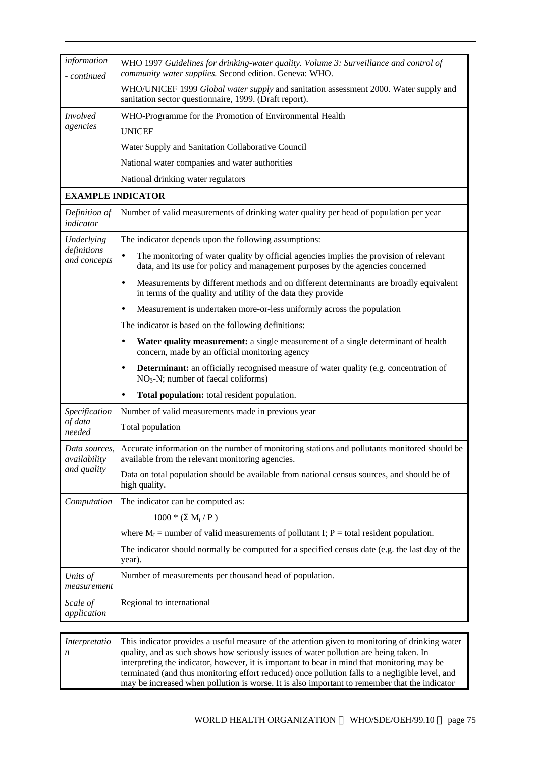| information<br>- continued  | WHO 1997 Guidelines for drinking-water quality. Volume 3: Surveillance and control of<br>community water supplies. Second edition. Geneva: WHO.                                       |
|-----------------------------|---------------------------------------------------------------------------------------------------------------------------------------------------------------------------------------|
|                             | WHO/UNICEF 1999 Global water supply and sanitation assessment 2000. Water supply and<br>sanitation sector questionnaire, 1999. (Draft report).                                        |
| <i>Involved</i>             | WHO-Programme for the Promotion of Environmental Health                                                                                                                               |
| agencies                    | <b>UNICEF</b>                                                                                                                                                                         |
|                             | Water Supply and Sanitation Collaborative Council                                                                                                                                     |
|                             | National water companies and water authorities                                                                                                                                        |
|                             | National drinking water regulators                                                                                                                                                    |
| <b>EXAMPLE INDICATOR</b>    |                                                                                                                                                                                       |
| Definition of<br>indicator  | Number of valid measurements of drinking water quality per head of population per year                                                                                                |
| Underlying                  | The indicator depends upon the following assumptions:                                                                                                                                 |
| definitions<br>and concepts | The monitoring of water quality by official agencies implies the provision of relevant<br>$\bullet$<br>data, and its use for policy and management purposes by the agencies concerned |
|                             | Measurements by different methods and on different determinants are broadly equivalent<br>$\bullet$<br>in terms of the quality and utility of the data they provide                   |
|                             | Measurement is undertaken more-or-less uniformly across the population<br>$\bullet$                                                                                                   |
|                             | The indicator is based on the following definitions:                                                                                                                                  |
|                             | <b>Water quality measurement:</b> a single measurement of a single determinant of health<br>$\bullet$<br>concern, made by an official monitoring agency                               |
|                             | <b>Determinant:</b> an officially recognised measure of water quality (e.g. concentration of<br>٠<br>$NO3$ -N; number of faecal coliforms)                                            |
|                             | Total population: total resident population.<br>$\bullet$                                                                                                                             |
| Specification               | Number of valid measurements made in previous year                                                                                                                                    |
| of data<br>needed           | Total population                                                                                                                                                                      |
| availability                | Data sources, Accurate information on the number of monitoring stations and pollutants monitored should be<br>available from the relevant monitoring agencies.                        |
| and quality                 | Data on total population should be available from national census sources, and should be of<br>high quality.                                                                          |
| Computation                 | The indicator can be computed as:                                                                                                                                                     |
|                             | $1000 * (\Sigma M_i / P)$                                                                                                                                                             |
|                             | where $M_I$ = number of valid measurements of pollutant I; P = total resident population.                                                                                             |
|                             | The indicator should normally be computed for a specified census date (e.g. the last day of the<br>year).                                                                             |
| Units of<br>measurement     | Number of measurements per thousand head of population.                                                                                                                               |
| Scale of<br>application     | Regional to international                                                                                                                                                             |
|                             |                                                                                                                                                                                       |
| Interpretatio               | This indicator provides a useful measure of the attention given to monitoring of drinking water                                                                                       |

|   | <i>Interpretatio</i> This indicator provides a useful measure of the attention given to monitoring of drinking water |
|---|----------------------------------------------------------------------------------------------------------------------|
| n | quality, and as such shows how seriously issues of water pollution are being taken. In                               |
|   | interpreting the indicator, however, it is important to bear in mind that monitoring may be                          |
|   | terminated (and thus monitoring effort reduced) once pollution falls to a negligible level, and                      |
|   | may be increased when pollution is worse. It is also important to remember that the indicator                        |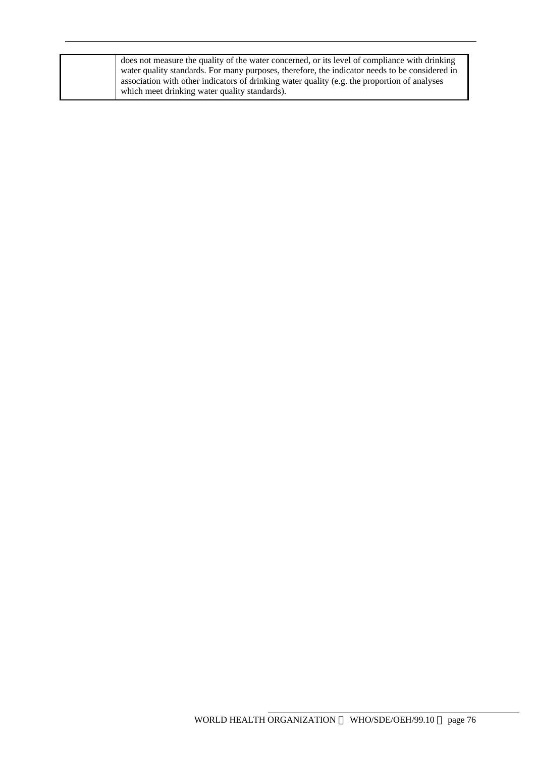| does not measure the quality of the water concerned, or its level of compliance with drinking  |
|------------------------------------------------------------------------------------------------|
| water quality standards. For many purposes, therefore, the indicator needs to be considered in |
| association with other indicators of drinking water quality (e.g. the proportion of analyses   |
| which meet drinking water quality standards).                                                  |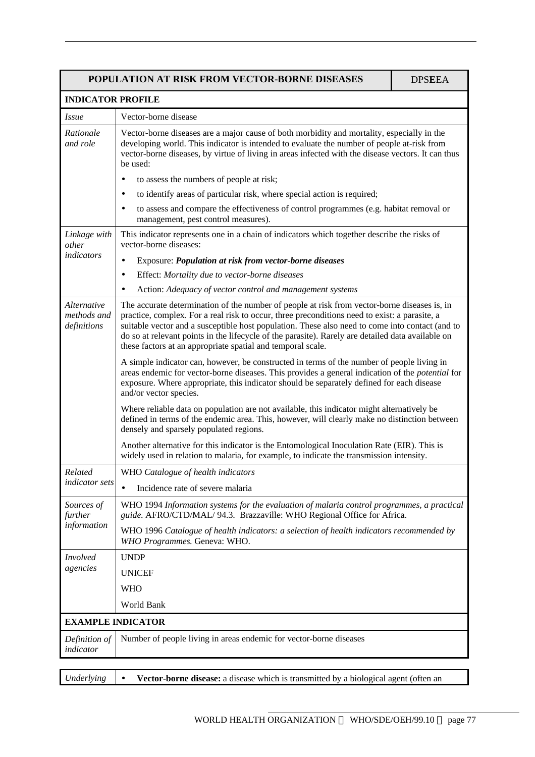|                                           | POPULATION AT RISK FROM VECTOR-BORNE DISEASES                                                                                                                                                                                                                                                                                                                                                                                                                        | <b>DPSEEA</b> |  |  |
|-------------------------------------------|----------------------------------------------------------------------------------------------------------------------------------------------------------------------------------------------------------------------------------------------------------------------------------------------------------------------------------------------------------------------------------------------------------------------------------------------------------------------|---------------|--|--|
|                                           | <b>INDICATOR PROFILE</b>                                                                                                                                                                                                                                                                                                                                                                                                                                             |               |  |  |
| <i>Issue</i>                              | Vector-borne disease                                                                                                                                                                                                                                                                                                                                                                                                                                                 |               |  |  |
| Rationale<br>and role                     | Vector-borne diseases are a major cause of both morbidity and mortality, especially in the<br>developing world. This indicator is intended to evaluate the number of people at-risk from<br>vector-borne diseases, by virtue of living in areas infected with the disease vectors. It can thus<br>be used:                                                                                                                                                           |               |  |  |
|                                           | to assess the numbers of people at risk;<br>٠                                                                                                                                                                                                                                                                                                                                                                                                                        |               |  |  |
|                                           | to identify areas of particular risk, where special action is required;<br>$\bullet$                                                                                                                                                                                                                                                                                                                                                                                 |               |  |  |
|                                           | to assess and compare the effectiveness of control programmes (e.g. habitat removal or<br>management, pest control measures).                                                                                                                                                                                                                                                                                                                                        |               |  |  |
| Linkage with<br>other                     | This indicator represents one in a chain of indicators which together describe the risks of<br>vector-borne diseases:                                                                                                                                                                                                                                                                                                                                                |               |  |  |
| indicators                                | Exposure: Population at risk from vector-borne diseases<br>$\bullet$                                                                                                                                                                                                                                                                                                                                                                                                 |               |  |  |
|                                           | Effect: Mortality due to vector-borne diseases<br>$\bullet$                                                                                                                                                                                                                                                                                                                                                                                                          |               |  |  |
|                                           | Action: Adequacy of vector control and management systems                                                                                                                                                                                                                                                                                                                                                                                                            |               |  |  |
| Alternative<br>methods and<br>definitions | The accurate determination of the number of people at risk from vector-borne diseases is, in<br>practice, complex. For a real risk to occur, three preconditions need to exist: a parasite, a<br>suitable vector and a susceptible host population. These also need to come into contact (and to<br>do so at relevant points in the lifecycle of the parasite). Rarely are detailed data available on<br>these factors at an appropriate spatial and temporal scale. |               |  |  |
|                                           | A simple indicator can, however, be constructed in terms of the number of people living in<br>areas endemic for vector-borne diseases. This provides a general indication of the potential for<br>exposure. Where appropriate, this indicator should be separately defined for each disease<br>and/or vector species.                                                                                                                                                |               |  |  |
|                                           | Where reliable data on population are not available, this indicator might alternatively be<br>defined in terms of the endemic area. This, however, will clearly make no distinction between<br>densely and sparsely populated regions.                                                                                                                                                                                                                               |               |  |  |
|                                           | Another alternative for this indicator is the Entomological Inoculation Rate (EIR). This is<br>widely used in relation to malaria, for example, to indicate the transmission intensity.                                                                                                                                                                                                                                                                              |               |  |  |
| Related                                   | WHO Catalogue of health indicators                                                                                                                                                                                                                                                                                                                                                                                                                                   |               |  |  |
| <i>indicator sets</i>                     | Incidence rate of severe malaria<br>$\bullet$                                                                                                                                                                                                                                                                                                                                                                                                                        |               |  |  |
| Sources of<br>further                     | WHO 1994 Information systems for the evaluation of malaria control programmes, a practical<br>guide. AFRO/CTD/MAL/ 94.3. Brazzaville: WHO Regional Office for Africa.                                                                                                                                                                                                                                                                                                |               |  |  |
| information                               | WHO 1996 Catalogue of health indicators: a selection of health indicators recommended by<br>WHO Programmes. Geneva: WHO.                                                                                                                                                                                                                                                                                                                                             |               |  |  |
| <i>Involved</i>                           | <b>UNDP</b>                                                                                                                                                                                                                                                                                                                                                                                                                                                          |               |  |  |
| agencies                                  | <b>UNICEF</b>                                                                                                                                                                                                                                                                                                                                                                                                                                                        |               |  |  |
|                                           | <b>WHO</b>                                                                                                                                                                                                                                                                                                                                                                                                                                                           |               |  |  |
|                                           | World Bank                                                                                                                                                                                                                                                                                                                                                                                                                                                           |               |  |  |
|                                           | <b>EXAMPLE INDICATOR</b>                                                                                                                                                                                                                                                                                                                                                                                                                                             |               |  |  |
| Definition of<br>indicator                | Number of people living in areas endemic for vector-borne diseases                                                                                                                                                                                                                                                                                                                                                                                                   |               |  |  |
|                                           |                                                                                                                                                                                                                                                                                                                                                                                                                                                                      |               |  |  |
| Underlying                                | Vector-borne disease: a disease which is transmitted by a biological agent (often an<br>$\bullet$                                                                                                                                                                                                                                                                                                                                                                    |               |  |  |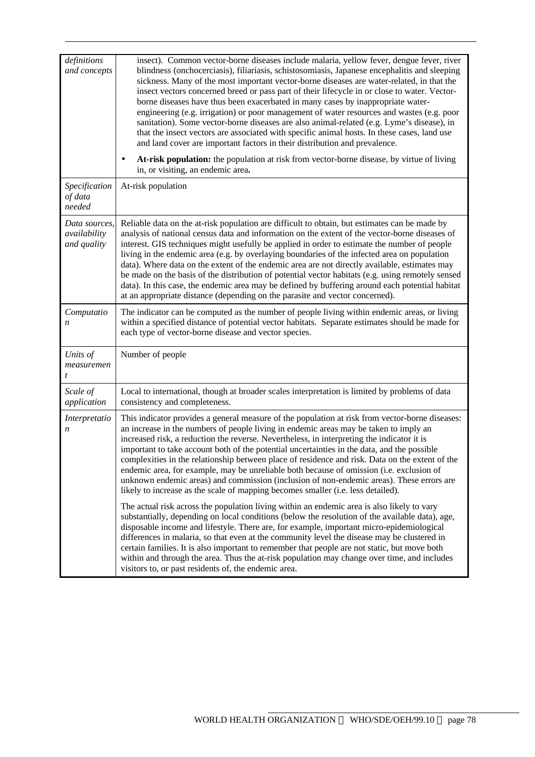| definitions<br>and concepts                  | insect). Common vector-borne diseases include malaria, yellow fever, dengue fever, river<br>blindness (onchocerciasis), filiariasis, schistosomiasis, Japanese encephalitis and sleeping<br>sickness. Many of the most important vector-borne diseases are water-related, in that the<br>insect vectors concerned breed or pass part of their lifecycle in or close to water. Vector-<br>borne diseases have thus been exacerbated in many cases by inappropriate water-<br>engineering (e.g. irrigation) or poor management of water resources and wastes (e.g. poor<br>sanitation). Some vector-borne diseases are also animal-related (e.g. Lyme's disease), in<br>that the insect vectors are associated with specific animal hosts. In these cases, land use<br>and land cover are important factors in their distribution and prevalence. |
|----------------------------------------------|-------------------------------------------------------------------------------------------------------------------------------------------------------------------------------------------------------------------------------------------------------------------------------------------------------------------------------------------------------------------------------------------------------------------------------------------------------------------------------------------------------------------------------------------------------------------------------------------------------------------------------------------------------------------------------------------------------------------------------------------------------------------------------------------------------------------------------------------------|
|                                              | At-risk population: the population at risk from vector-borne disease, by virtue of living<br>٠<br>in, or visiting, an endemic area.                                                                                                                                                                                                                                                                                                                                                                                                                                                                                                                                                                                                                                                                                                             |
| Specification<br>of data<br>needed           | At-risk population                                                                                                                                                                                                                                                                                                                                                                                                                                                                                                                                                                                                                                                                                                                                                                                                                              |
| Data sources,<br>availability<br>and quality | Reliable data on the at-risk population are difficult to obtain, but estimates can be made by<br>analysis of national census data and information on the extent of the vector-borne diseases of<br>interest. GIS techniques might usefully be applied in order to estimate the number of people<br>living in the endemic area (e.g. by overlaying boundaries of the infected area on population<br>data). Where data on the extent of the endemic area are not directly available, estimates may<br>be made on the basis of the distribution of potential vector habitats (e.g. using remotely sensed<br>data). In this case, the endemic area may be defined by buffering around each potential habitat<br>at an appropriate distance (depending on the parasite and vector concerned).                                                        |
| Computatio<br>n                              | The indicator can be computed as the number of people living within endemic areas, or living<br>within a specified distance of potential vector habitats. Separate estimates should be made for<br>each type of vector-borne disease and vector species.                                                                                                                                                                                                                                                                                                                                                                                                                                                                                                                                                                                        |
| Units of<br>measuremen<br>t                  | Number of people                                                                                                                                                                                                                                                                                                                                                                                                                                                                                                                                                                                                                                                                                                                                                                                                                                |
| Scale of<br>application                      | Local to international, though at broader scales interpretation is limited by problems of data<br>consistency and completeness.                                                                                                                                                                                                                                                                                                                                                                                                                                                                                                                                                                                                                                                                                                                 |
| Interpretatio<br>n                           | This indicator provides a general measure of the population at risk from vector-borne diseases:<br>an increase in the numbers of people living in endemic areas may be taken to imply an<br>increased risk, a reduction the reverse. Nevertheless, in interpreting the indicator it is<br>important to take account both of the potential uncertainties in the data, and the possible<br>complexities in the relationship between place of residence and risk. Data on the extent of the<br>endemic area, for example, may be unreliable both because of omission (i.e. exclusion of<br>unknown endemic areas) and commission (inclusion of non-endemic areas). These errors are<br>likely to increase as the scale of mapping becomes smaller (i.e. less detailed).                                                                            |
|                                              | The actual risk across the population living within an endemic area is also likely to vary<br>substantially, depending on local conditions (below the resolution of the available data), age,<br>disposable income and lifestyle. There are, for example, important micro-epidemiological<br>differences in malaria, so that even at the community level the disease may be clustered in<br>certain families. It is also important to remember that people are not static, but move both<br>within and through the area. Thus the at-risk population may change over time, and includes<br>visitors to, or past residents of, the endemic area.                                                                                                                                                                                                 |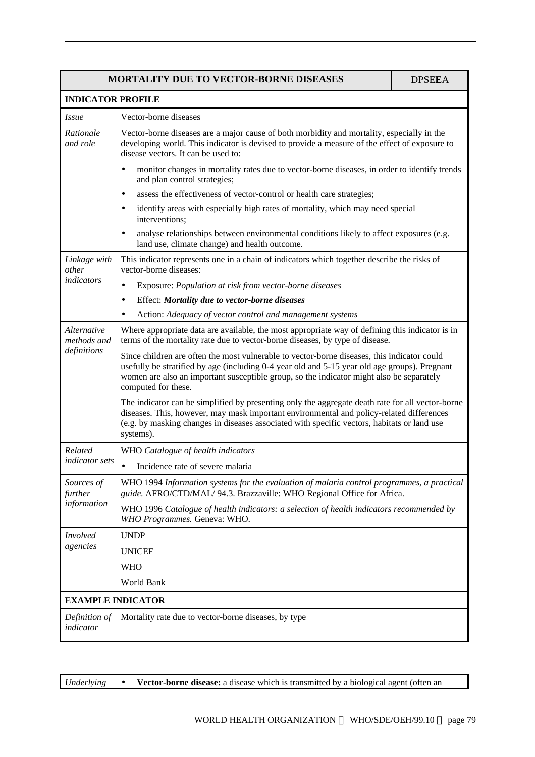|                            | <b>MORTALITY DUE TO VECTOR-BORNE DISEASES</b><br><b>DPSEEA</b>                                                                                                                                                                                                                                                  |  |  |  |  |
|----------------------------|-----------------------------------------------------------------------------------------------------------------------------------------------------------------------------------------------------------------------------------------------------------------------------------------------------------------|--|--|--|--|
|                            | <b>INDICATOR PROFILE</b>                                                                                                                                                                                                                                                                                        |  |  |  |  |
| <i>Issue</i>               | Vector-borne diseases                                                                                                                                                                                                                                                                                           |  |  |  |  |
| Rationale<br>and role      | Vector-borne diseases are a major cause of both morbidity and mortality, especially in the<br>developing world. This indicator is devised to provide a measure of the effect of exposure to<br>disease vectors. It can be used to:                                                                              |  |  |  |  |
|                            | monitor changes in mortality rates due to vector-borne diseases, in order to identify trends<br>$\bullet$<br>and plan control strategies;                                                                                                                                                                       |  |  |  |  |
|                            | assess the effectiveness of vector-control or health care strategies;<br>$\bullet$                                                                                                                                                                                                                              |  |  |  |  |
|                            | identify areas with especially high rates of mortality, which may need special<br>$\bullet$<br>interventions;                                                                                                                                                                                                   |  |  |  |  |
|                            | analyse relationships between environmental conditions likely to affect exposures (e.g.<br>$\bullet$<br>land use, climate change) and health outcome.                                                                                                                                                           |  |  |  |  |
| Linkage with<br>other      | This indicator represents one in a chain of indicators which together describe the risks of<br>vector-borne diseases:                                                                                                                                                                                           |  |  |  |  |
| <i>indicators</i>          | Exposure: Population at risk from vector-borne diseases<br>$\bullet$                                                                                                                                                                                                                                            |  |  |  |  |
|                            | Effect: Mortality due to vector-borne diseases<br>$\bullet$                                                                                                                                                                                                                                                     |  |  |  |  |
|                            | Action: Adequacy of vector control and management systems                                                                                                                                                                                                                                                       |  |  |  |  |
| Alternative<br>methods and | Where appropriate data are available, the most appropriate way of defining this indicator is in<br>terms of the mortality rate due to vector-borne diseases, by type of disease.                                                                                                                                |  |  |  |  |
| definitions                | Since children are often the most vulnerable to vector-borne diseases, this indicator could<br>usefully be stratified by age (including 0-4 year old and 5-15 year old age groups). Pregnant<br>women are also an important susceptible group, so the indicator might also be separately<br>computed for these. |  |  |  |  |
|                            | The indicator can be simplified by presenting only the aggregate death rate for all vector-borne<br>diseases. This, however, may mask important environmental and policy-related differences<br>(e.g. by masking changes in diseases associated with specific vectors, habitats or land use<br>systems).        |  |  |  |  |
| Related                    | WHO Catalogue of health indicators                                                                                                                                                                                                                                                                              |  |  |  |  |
| <i>indicator sets</i>      | Incidence rate of severe malaria<br>$\bullet$                                                                                                                                                                                                                                                                   |  |  |  |  |
| Sources of<br>further      | WHO 1994 Information systems for the evaluation of malaria control programmes, a practical<br>guide. AFRO/CTD/MAL/ 94.3. Brazzaville: WHO Regional Office for Africa.                                                                                                                                           |  |  |  |  |
| information                | WHO 1996 Catalogue of health indicators: a selection of health indicators recommended by<br>WHO Programmes. Geneva: WHO.                                                                                                                                                                                        |  |  |  |  |
| <i>Involved</i>            | <b>UNDP</b>                                                                                                                                                                                                                                                                                                     |  |  |  |  |
| agencies                   | <b>UNICEF</b>                                                                                                                                                                                                                                                                                                   |  |  |  |  |
|                            | <b>WHO</b>                                                                                                                                                                                                                                                                                                      |  |  |  |  |
|                            | World Bank                                                                                                                                                                                                                                                                                                      |  |  |  |  |
| <b>EXAMPLE INDICATOR</b>   |                                                                                                                                                                                                                                                                                                                 |  |  |  |  |
| Definition of<br>indicator | Mortality rate due to vector-borne diseases, by type                                                                                                                                                                                                                                                            |  |  |  |  |
|                            |                                                                                                                                                                                                                                                                                                                 |  |  |  |  |

| Underlying $\bullet$ | <b>Vector-borne disease:</b> a disease which is transmitted by a biological agent (often an |
|----------------------|---------------------------------------------------------------------------------------------|
|                      |                                                                                             |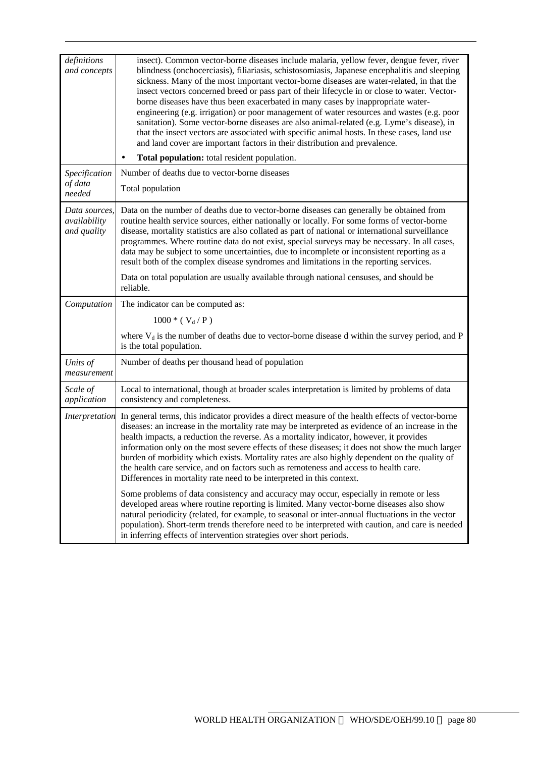| definitions<br>and concepts                  | insect). Common vector-borne diseases include malaria, yellow fever, dengue fever, river<br>blindness (onchocerciasis), filiariasis, schistosomiasis, Japanese encephalitis and sleeping<br>sickness. Many of the most important vector-borne diseases are water-related, in that the<br>insect vectors concerned breed or pass part of their lifecycle in or close to water. Vector-<br>borne diseases have thus been exacerbated in many cases by inappropriate water-<br>engineering (e.g. irrigation) or poor management of water resources and wastes (e.g. poor<br>sanitation). Some vector-borne diseases are also animal-related (e.g. Lyme's disease), in<br>that the insect vectors are associated with specific animal hosts. In these cases, land use<br>and land cover are important factors in their distribution and prevalence.<br>Total population: total resident population.                                                                                                                                                                                                                                             |
|----------------------------------------------|---------------------------------------------------------------------------------------------------------------------------------------------------------------------------------------------------------------------------------------------------------------------------------------------------------------------------------------------------------------------------------------------------------------------------------------------------------------------------------------------------------------------------------------------------------------------------------------------------------------------------------------------------------------------------------------------------------------------------------------------------------------------------------------------------------------------------------------------------------------------------------------------------------------------------------------------------------------------------------------------------------------------------------------------------------------------------------------------------------------------------------------------|
| Specification                                | Number of deaths due to vector-borne diseases                                                                                                                                                                                                                                                                                                                                                                                                                                                                                                                                                                                                                                                                                                                                                                                                                                                                                                                                                                                                                                                                                               |
| of data<br>needed                            | Total population                                                                                                                                                                                                                                                                                                                                                                                                                                                                                                                                                                                                                                                                                                                                                                                                                                                                                                                                                                                                                                                                                                                            |
| Data sources.<br>availability<br>and quality | Data on the number of deaths due to vector-borne diseases can generally be obtained from<br>routine health service sources, either nationally or locally. For some forms of vector-borne<br>disease, mortality statistics are also collated as part of national or international surveillance<br>programmes. Where routine data do not exist, special surveys may be necessary. In all cases,<br>data may be subject to some uncertainties, due to incomplete or inconsistent reporting as a<br>result both of the complex disease syndromes and limitations in the reporting services.                                                                                                                                                                                                                                                                                                                                                                                                                                                                                                                                                     |
|                                              | Data on total population are usually available through national censuses, and should be<br>reliable.                                                                                                                                                                                                                                                                                                                                                                                                                                                                                                                                                                                                                                                                                                                                                                                                                                                                                                                                                                                                                                        |
| Computation                                  | The indicator can be computed as:                                                                                                                                                                                                                                                                                                                                                                                                                                                                                                                                                                                                                                                                                                                                                                                                                                                                                                                                                                                                                                                                                                           |
|                                              | $1000 * (V_d / P)$                                                                                                                                                                                                                                                                                                                                                                                                                                                                                                                                                                                                                                                                                                                                                                                                                                                                                                                                                                                                                                                                                                                          |
|                                              | where $V_d$ is the number of deaths due to vector-borne disease d within the survey period, and P<br>is the total population.                                                                                                                                                                                                                                                                                                                                                                                                                                                                                                                                                                                                                                                                                                                                                                                                                                                                                                                                                                                                               |
| Units of<br>measurement                      | Number of deaths per thousand head of population                                                                                                                                                                                                                                                                                                                                                                                                                                                                                                                                                                                                                                                                                                                                                                                                                                                                                                                                                                                                                                                                                            |
| Scale of<br>application                      | Local to international, though at broader scales interpretation is limited by problems of data<br>consistency and completeness.                                                                                                                                                                                                                                                                                                                                                                                                                                                                                                                                                                                                                                                                                                                                                                                                                                                                                                                                                                                                             |
| Interpretation                               | In general terms, this indicator provides a direct measure of the health effects of vector-borne<br>diseases: an increase in the mortality rate may be interpreted as evidence of an increase in the<br>health impacts, a reduction the reverse. As a mortality indicator, however, it provides<br>information only on the most severe effects of these diseases; it does not show the much larger<br>burden of morbidity which exists. Mortality rates are also highly dependent on the quality of<br>the health care service, and on factors such as remoteness and access to health care.<br>Differences in mortality rate need to be interpreted in this context.<br>Some problems of data consistency and accuracy may occur, especially in remote or less<br>developed areas where routine reporting is limited. Many vector-borne diseases also show<br>natural periodicity (related, for example, to seasonal or inter-annual fluctuations in the vector<br>population). Short-term trends therefore need to be interpreted with caution, and care is needed<br>in inferring effects of intervention strategies over short periods. |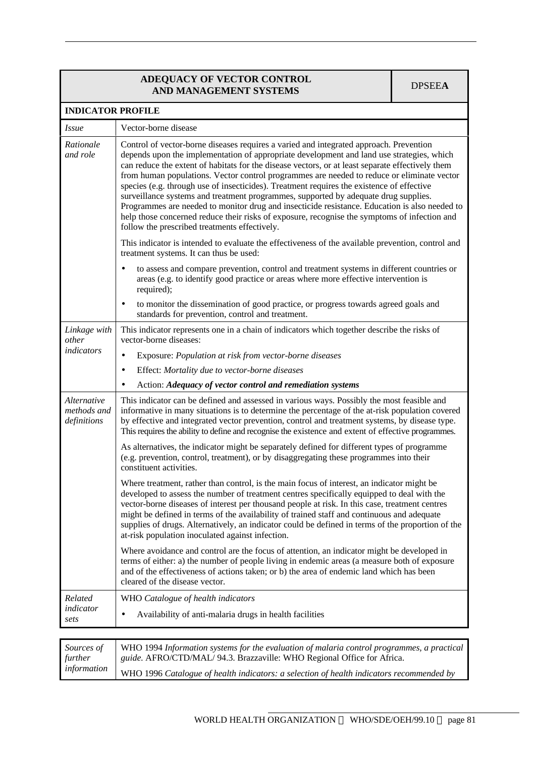## **ADEQUACY OF VECTOR CONTROL AND MANAGEMENT SYSTEMS** DPSEE**<sup>A</sup>**

 $\overline{a}$ 

| <b>INDICATOR PROFILE</b>                  |                                                                                                                                                                                                                                                                                                                                                                                                                                                                                                                                                                                                                                                                                                                                                                                                                             |  |  |
|-------------------------------------------|-----------------------------------------------------------------------------------------------------------------------------------------------------------------------------------------------------------------------------------------------------------------------------------------------------------------------------------------------------------------------------------------------------------------------------------------------------------------------------------------------------------------------------------------------------------------------------------------------------------------------------------------------------------------------------------------------------------------------------------------------------------------------------------------------------------------------------|--|--|
| <b>Issue</b>                              | Vector-borne disease                                                                                                                                                                                                                                                                                                                                                                                                                                                                                                                                                                                                                                                                                                                                                                                                        |  |  |
| Rationale<br>and role                     | Control of vector-borne diseases requires a varied and integrated approach. Prevention<br>depends upon the implementation of appropriate development and land use strategies, which<br>can reduce the extent of habitats for the disease vectors, or at least separate effectively them<br>from human populations. Vector control programmes are needed to reduce or eliminate vector<br>species (e.g. through use of insecticides). Treatment requires the existence of effective<br>surveillance systems and treatment programmes, supported by adequate drug supplies.<br>Programmes are needed to monitor drug and insecticide resistance. Education is also needed to<br>help those concerned reduce their risks of exposure, recognise the symptoms of infection and<br>follow the prescribed treatments effectively. |  |  |
|                                           | This indicator is intended to evaluate the effectiveness of the available prevention, control and<br>treatment systems. It can thus be used:                                                                                                                                                                                                                                                                                                                                                                                                                                                                                                                                                                                                                                                                                |  |  |
|                                           | to assess and compare prevention, control and treatment systems in different countries or<br>areas (e.g. to identify good practice or areas where more effective intervention is<br>required);                                                                                                                                                                                                                                                                                                                                                                                                                                                                                                                                                                                                                              |  |  |
|                                           | to monitor the dissemination of good practice, or progress towards agreed goals and<br>٠<br>standards for prevention, control and treatment.                                                                                                                                                                                                                                                                                                                                                                                                                                                                                                                                                                                                                                                                                |  |  |
| Linkage with<br>other                     | This indicator represents one in a chain of indicators which together describe the risks of<br>vector-borne diseases:                                                                                                                                                                                                                                                                                                                                                                                                                                                                                                                                                                                                                                                                                                       |  |  |
| indicators                                | Exposure: Population at risk from vector-borne diseases<br>$\bullet$                                                                                                                                                                                                                                                                                                                                                                                                                                                                                                                                                                                                                                                                                                                                                        |  |  |
|                                           | Effect: Mortality due to vector-borne diseases<br>$\bullet$                                                                                                                                                                                                                                                                                                                                                                                                                                                                                                                                                                                                                                                                                                                                                                 |  |  |
|                                           | Action: Adequacy of vector control and remediation systems                                                                                                                                                                                                                                                                                                                                                                                                                                                                                                                                                                                                                                                                                                                                                                  |  |  |
| Alternative<br>methods and<br>definitions | This indicator can be defined and assessed in various ways. Possibly the most feasible and<br>informative in many situations is to determine the percentage of the at-risk population covered<br>by effective and integrated vector prevention, control and treatment systems, by disease type.<br>This requires the ability to define and recognise the existence and extent of effective programmes.                                                                                                                                                                                                                                                                                                                                                                                                                      |  |  |
|                                           | As alternatives, the indicator might be separately defined for different types of programme<br>(e.g. prevention, control, treatment), or by disaggregating these programmes into their<br>constituent activities.                                                                                                                                                                                                                                                                                                                                                                                                                                                                                                                                                                                                           |  |  |
|                                           | Where treatment, rather than control, is the main focus of interest, an indicator might be<br>developed to assess the number of treatment centres specifically equipped to deal with the<br>vector-borne diseases of interest per thousand people at risk. In this case, treatment centres<br>might be defined in terms of the availability of trained staff and continuous and adequate<br>supplies of drugs. Alternatively, an indicator could be defined in terms of the proportion of the<br>at-risk population inoculated against infection.                                                                                                                                                                                                                                                                           |  |  |
|                                           | Where avoidance and control are the focus of attention, an indicator might be developed in<br>terms of either: a) the number of people living in endemic areas (a measure both of exposure<br>and of the effectiveness of actions taken; or b) the area of endemic land which has been<br>cleared of the disease vector.                                                                                                                                                                                                                                                                                                                                                                                                                                                                                                    |  |  |
| Related<br>indicator<br>sets              | WHO Catalogue of health indicators                                                                                                                                                                                                                                                                                                                                                                                                                                                                                                                                                                                                                                                                                                                                                                                          |  |  |
|                                           | Availability of anti-malaria drugs in health facilities<br>$\bullet$                                                                                                                                                                                                                                                                                                                                                                                                                                                                                                                                                                                                                                                                                                                                                        |  |  |
|                                           |                                                                                                                                                                                                                                                                                                                                                                                                                                                                                                                                                                                                                                                                                                                                                                                                                             |  |  |
| Sources of<br>further<br>information      | WHO 1994 Information systems for the evaluation of malaria control programmes, a practical<br>guide. AFRO/CTD/MAL/ 94.3. Brazzaville: WHO Regional Office for Africa.<br>WHO 1996 Catalogue of health indicators: a selection of health indicators recommended by                                                                                                                                                                                                                                                                                                                                                                                                                                                                                                                                                           |  |  |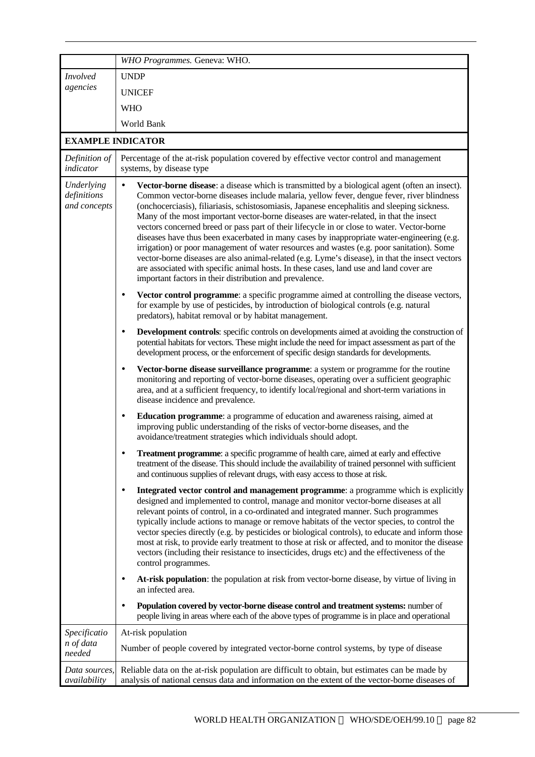|                                           | WHO Programmes. Geneva: WHO.                                                                                                                                                                                                                                                                                                                                                                                                                                                                                                                                                                                                                                                                                                                                                                                                                                                                                                                       |  |  |
|-------------------------------------------|----------------------------------------------------------------------------------------------------------------------------------------------------------------------------------------------------------------------------------------------------------------------------------------------------------------------------------------------------------------------------------------------------------------------------------------------------------------------------------------------------------------------------------------------------------------------------------------------------------------------------------------------------------------------------------------------------------------------------------------------------------------------------------------------------------------------------------------------------------------------------------------------------------------------------------------------------|--|--|
| <b>Involved</b><br>agencies               | <b>UNDP</b>                                                                                                                                                                                                                                                                                                                                                                                                                                                                                                                                                                                                                                                                                                                                                                                                                                                                                                                                        |  |  |
|                                           | <b>UNICEF</b>                                                                                                                                                                                                                                                                                                                                                                                                                                                                                                                                                                                                                                                                                                                                                                                                                                                                                                                                      |  |  |
|                                           | <b>WHO</b>                                                                                                                                                                                                                                                                                                                                                                                                                                                                                                                                                                                                                                                                                                                                                                                                                                                                                                                                         |  |  |
|                                           | World Bank                                                                                                                                                                                                                                                                                                                                                                                                                                                                                                                                                                                                                                                                                                                                                                                                                                                                                                                                         |  |  |
|                                           | <b>EXAMPLE INDICATOR</b>                                                                                                                                                                                                                                                                                                                                                                                                                                                                                                                                                                                                                                                                                                                                                                                                                                                                                                                           |  |  |
| Definition of<br>indicator                | Percentage of the at-risk population covered by effective vector control and management<br>systems, by disease type                                                                                                                                                                                                                                                                                                                                                                                                                                                                                                                                                                                                                                                                                                                                                                                                                                |  |  |
| Underlying<br>definitions<br>and concepts | Vector-borne disease: a disease which is transmitted by a biological agent (often an insect).<br>$\bullet$<br>Common vector-borne diseases include malaria, yellow fever, dengue fever, river blindness<br>(onchocerciasis), filiariasis, schistosomiasis, Japanese encephalitis and sleeping sickness.<br>Many of the most important vector-borne diseases are water-related, in that the insect<br>vectors concerned breed or pass part of their lifecycle in or close to water. Vector-borne<br>diseases have thus been exacerbated in many cases by inappropriate water-engineering (e.g.<br>irrigation) or poor management of water resources and wastes (e.g. poor sanitation). Some<br>vector-borne diseases are also animal-related (e.g. Lyme's disease), in that the insect vectors<br>are associated with specific animal hosts. In these cases, land use and land cover are<br>important factors in their distribution and prevalence. |  |  |
|                                           | Vector control programme: a specific programme aimed at controlling the disease vectors,<br>٠<br>for example by use of pesticides, by introduction of biological controls (e.g. natural<br>predators), habitat removal or by habitat management.                                                                                                                                                                                                                                                                                                                                                                                                                                                                                                                                                                                                                                                                                                   |  |  |
|                                           | Development controls: specific controls on developments aimed at avoiding the construction of<br>$\bullet$<br>potential habitats for vectors. These might include the need for impact assessment as part of the<br>development process, or the enforcement of specific design standards for developments.                                                                                                                                                                                                                                                                                                                                                                                                                                                                                                                                                                                                                                          |  |  |
|                                           | Vector-borne disease surveillance programme: a system or programme for the routine<br>$\bullet$<br>monitoring and reporting of vector-borne diseases, operating over a sufficient geographic<br>area, and at a sufficient frequency, to identify local/regional and short-term variations in<br>disease incidence and prevalence.                                                                                                                                                                                                                                                                                                                                                                                                                                                                                                                                                                                                                  |  |  |
|                                           | Education programme: a programme of education and awareness raising, aimed at<br>$\bullet$<br>improving public understanding of the risks of vector-borne diseases, and the<br>avoidance/treatment strategies which individuals should adopt.                                                                                                                                                                                                                                                                                                                                                                                                                                                                                                                                                                                                                                                                                                      |  |  |
|                                           | Treatment programme: a specific programme of health care, aimed at early and effective<br>treatment of the disease. This should include the availability of trained personnel with sufficient<br>and continuous supplies of relevant drugs, with easy access to those at risk.                                                                                                                                                                                                                                                                                                                                                                                                                                                                                                                                                                                                                                                                     |  |  |
|                                           | Integrated vector control and management programme: a programme which is explicitly<br>$\bullet$<br>designed and implemented to control, manage and monitor vector-borne diseases at all<br>relevant points of control, in a co-ordinated and integrated manner. Such programmes<br>typically include actions to manage or remove habitats of the vector species, to control the<br>vector species directly (e.g. by pesticides or biological controls), to educate and inform those<br>most at risk, to provide early treatment to those at risk or affected, and to monitor the disease<br>vectors (including their resistance to insecticides, drugs etc) and the effectiveness of the<br>control programmes.                                                                                                                                                                                                                                   |  |  |
|                                           | At-risk population: the population at risk from vector-borne disease, by virtue of living in<br>$\bullet$<br>an infected area.                                                                                                                                                                                                                                                                                                                                                                                                                                                                                                                                                                                                                                                                                                                                                                                                                     |  |  |
|                                           | Population covered by vector-borne disease control and treatment systems: number of<br>people living in areas where each of the above types of programme is in place and operational                                                                                                                                                                                                                                                                                                                                                                                                                                                                                                                                                                                                                                                                                                                                                               |  |  |
| Specificatio                              | At-risk population                                                                                                                                                                                                                                                                                                                                                                                                                                                                                                                                                                                                                                                                                                                                                                                                                                                                                                                                 |  |  |
| n of data<br>needed                       | Number of people covered by integrated vector-borne control systems, by type of disease                                                                                                                                                                                                                                                                                                                                                                                                                                                                                                                                                                                                                                                                                                                                                                                                                                                            |  |  |
| Data sources,<br>availability             | Reliable data on the at-risk population are difficult to obtain, but estimates can be made by<br>analysis of national census data and information on the extent of the vector-borne diseases of                                                                                                                                                                                                                                                                                                                                                                                                                                                                                                                                                                                                                                                                                                                                                    |  |  |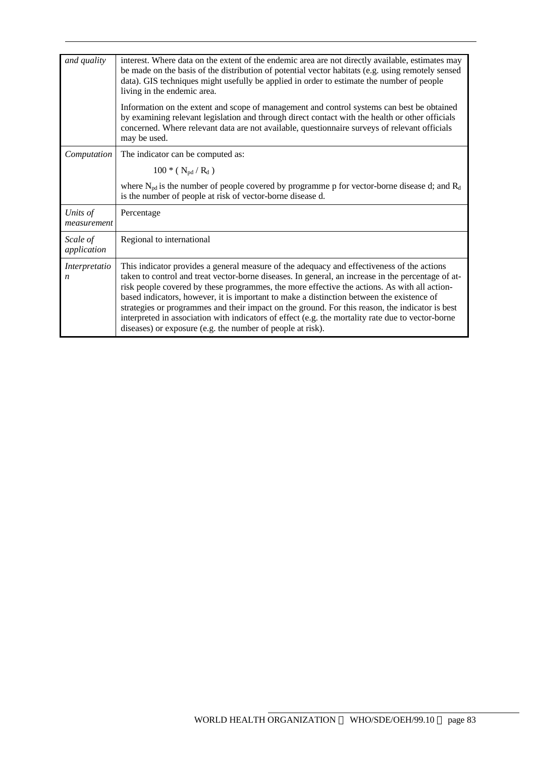| and quality                       | interest. Where data on the extent of the endemic area are not directly available, estimates may<br>be made on the basis of the distribution of potential vector habitats (e.g. using remotely sensed<br>data). GIS techniques might usefully be applied in order to estimate the number of people<br>living in the endemic area.                                                                                                                                                                                                                                                                                                                                   |  |  |
|-----------------------------------|---------------------------------------------------------------------------------------------------------------------------------------------------------------------------------------------------------------------------------------------------------------------------------------------------------------------------------------------------------------------------------------------------------------------------------------------------------------------------------------------------------------------------------------------------------------------------------------------------------------------------------------------------------------------|--|--|
|                                   | Information on the extent and scope of management and control systems can best be obtained<br>by examining relevant legislation and through direct contact with the health or other officials<br>concerned. Where relevant data are not available, questionnaire surveys of relevant officials<br>may be used.                                                                                                                                                                                                                                                                                                                                                      |  |  |
| Computation                       | The indicator can be computed as:                                                                                                                                                                                                                                                                                                                                                                                                                                                                                                                                                                                                                                   |  |  |
|                                   | $100 * (N_{pd} / R_d)$                                                                                                                                                                                                                                                                                                                                                                                                                                                                                                                                                                                                                                              |  |  |
|                                   | where $N_{\text{nd}}$ is the number of people covered by programme p for vector-borne disease d; and $R_{\text{d}}$<br>is the number of people at risk of vector-borne disease d.                                                                                                                                                                                                                                                                                                                                                                                                                                                                                   |  |  |
| Units of<br>measurement           | Percentage                                                                                                                                                                                                                                                                                                                                                                                                                                                                                                                                                                                                                                                          |  |  |
| Scale of<br>application           | Regional to international                                                                                                                                                                                                                                                                                                                                                                                                                                                                                                                                                                                                                                           |  |  |
| Interpretatio<br>$\boldsymbol{n}$ | This indicator provides a general measure of the adequacy and effectiveness of the actions<br>taken to control and treat vector-borne diseases. In general, an increase in the percentage of at-<br>risk people covered by these programmes, the more effective the actions. As with all action-<br>based indicators, however, it is important to make a distinction between the existence of<br>strategies or programmes and their impact on the ground. For this reason, the indicator is best<br>interpreted in association with indicators of effect (e.g. the mortality rate due to vector-borne<br>diseases) or exposure (e.g. the number of people at risk). |  |  |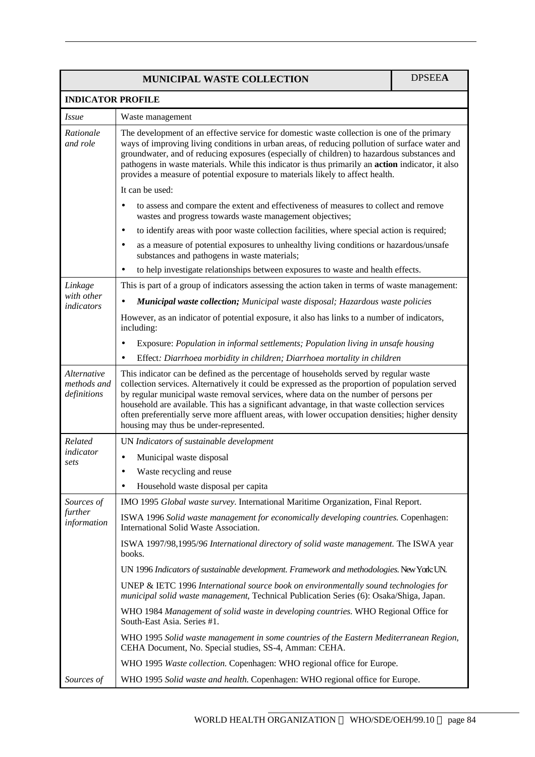| <b>DPSEEA</b><br><b>MUNICIPAL WASTE COLLECTION</b> |                                                                                                                                                                                                                                                                                                                                                                                                                                                                                                                               |  |  |
|----------------------------------------------------|-------------------------------------------------------------------------------------------------------------------------------------------------------------------------------------------------------------------------------------------------------------------------------------------------------------------------------------------------------------------------------------------------------------------------------------------------------------------------------------------------------------------------------|--|--|
| <b>INDICATOR PROFILE</b>                           |                                                                                                                                                                                                                                                                                                                                                                                                                                                                                                                               |  |  |
| <i>Issue</i>                                       | Waste management                                                                                                                                                                                                                                                                                                                                                                                                                                                                                                              |  |  |
| Rationale<br>and role                              | The development of an effective service for domestic waste collection is one of the primary<br>ways of improving living conditions in urban areas, of reducing pollution of surface water and<br>groundwater, and of reducing exposures (especially of children) to hazardous substances and<br>pathogens in waste materials. While this indicator is thus primarily an action indicator, it also<br>provides a measure of potential exposure to materials likely to affect health.                                           |  |  |
|                                                    | It can be used:                                                                                                                                                                                                                                                                                                                                                                                                                                                                                                               |  |  |
|                                                    | to assess and compare the extent and effectiveness of measures to collect and remove<br>wastes and progress towards waste management objectives;                                                                                                                                                                                                                                                                                                                                                                              |  |  |
|                                                    | to identify areas with poor waste collection facilities, where special action is required;<br>$\bullet$                                                                                                                                                                                                                                                                                                                                                                                                                       |  |  |
|                                                    | as a measure of potential exposures to unhealthy living conditions or hazardous/unsafe<br>substances and pathogens in waste materials;                                                                                                                                                                                                                                                                                                                                                                                        |  |  |
|                                                    | to help investigate relationships between exposures to waste and health effects.                                                                                                                                                                                                                                                                                                                                                                                                                                              |  |  |
| Linkage                                            | This is part of a group of indicators assessing the action taken in terms of waste management:                                                                                                                                                                                                                                                                                                                                                                                                                                |  |  |
| with other<br>indicators                           | Municipal waste collection; Municipal waste disposal; Hazardous waste policies                                                                                                                                                                                                                                                                                                                                                                                                                                                |  |  |
|                                                    | However, as an indicator of potential exposure, it also has links to a number of indicators,<br>including:                                                                                                                                                                                                                                                                                                                                                                                                                    |  |  |
|                                                    | Exposure: Population in informal settlements; Population living in unsafe housing<br>$\bullet$                                                                                                                                                                                                                                                                                                                                                                                                                                |  |  |
|                                                    | Effect: Diarrhoea morbidity in children; Diarrhoea mortality in children                                                                                                                                                                                                                                                                                                                                                                                                                                                      |  |  |
| Alternative<br>methods and<br>definitions          | This indicator can be defined as the percentage of households served by regular waste<br>collection services. Alternatively it could be expressed as the proportion of population served<br>by regular municipal waste removal services, where data on the number of persons per<br>household are available. This has a significant advantage, in that waste collection services<br>often preferentially serve more affluent areas, with lower occupation densities; higher density<br>housing may thus be under-represented. |  |  |
| Related                                            | UN Indicators of sustainable development                                                                                                                                                                                                                                                                                                                                                                                                                                                                                      |  |  |
| indicator<br>sets                                  | Municipal waste disposal<br>$\bullet$                                                                                                                                                                                                                                                                                                                                                                                                                                                                                         |  |  |
|                                                    | Waste recycling and reuse                                                                                                                                                                                                                                                                                                                                                                                                                                                                                                     |  |  |
|                                                    | Household waste disposal per capita                                                                                                                                                                                                                                                                                                                                                                                                                                                                                           |  |  |
| Sources of                                         | IMO 1995 Global waste survey. International Maritime Organization, Final Report.                                                                                                                                                                                                                                                                                                                                                                                                                                              |  |  |
| further<br>information                             | ISWA 1996 Solid waste management for economically developing countries. Copenhagen:<br>International Solid Waste Association.                                                                                                                                                                                                                                                                                                                                                                                                 |  |  |
|                                                    | ISWA 1997/98,1995/96 International directory of solid waste management. The ISWA year<br>books.                                                                                                                                                                                                                                                                                                                                                                                                                               |  |  |
|                                                    | UN 1996 Indicators of sustainable development. Framework and methodologies. New York: UN.                                                                                                                                                                                                                                                                                                                                                                                                                                     |  |  |
|                                                    | UNEP & IETC 1996 International source book on environmentally sound technologies for<br>municipal solid waste management, Technical Publication Series (6): Osaka/Shiga, Japan.                                                                                                                                                                                                                                                                                                                                               |  |  |
|                                                    | WHO 1984 Management of solid waste in developing countries. WHO Regional Office for<br>South-East Asia. Series #1.                                                                                                                                                                                                                                                                                                                                                                                                            |  |  |
|                                                    | WHO 1995 Solid waste management in some countries of the Eastern Mediterranean Region,<br>CEHA Document, No. Special studies, SS-4, Amman: CEHA.                                                                                                                                                                                                                                                                                                                                                                              |  |  |
|                                                    | WHO 1995 Waste collection. Copenhagen: WHO regional office for Europe.                                                                                                                                                                                                                                                                                                                                                                                                                                                        |  |  |
| Sources of                                         | WHO 1995 Solid waste and health. Copenhagen: WHO regional office for Europe.                                                                                                                                                                                                                                                                                                                                                                                                                                                  |  |  |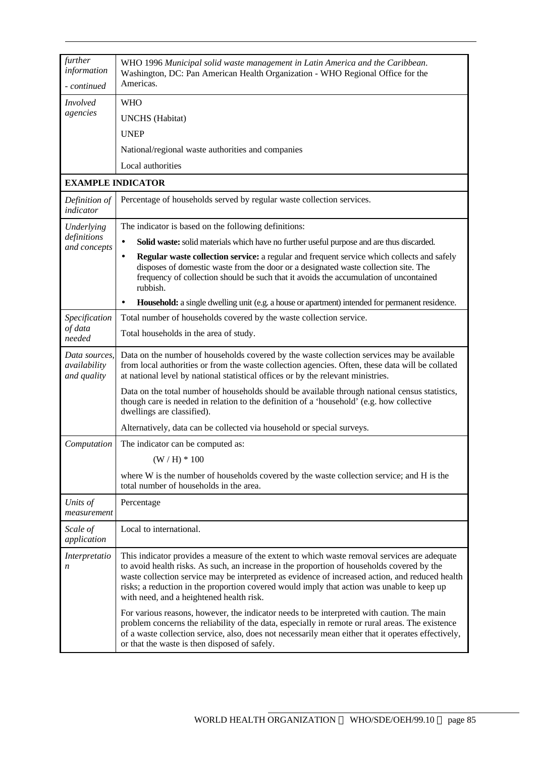| further<br>information<br>- continued        | WHO 1996 Municipal solid waste management in Latin America and the Caribbean.<br>Washington, DC: Pan American Health Organization - WHO Regional Office for the<br>Americas.                                                                                                                                                                                                                                                            |  |
|----------------------------------------------|-----------------------------------------------------------------------------------------------------------------------------------------------------------------------------------------------------------------------------------------------------------------------------------------------------------------------------------------------------------------------------------------------------------------------------------------|--|
| <b>Involved</b><br>agencies                  | <b>WHO</b><br><b>UNCHS</b> (Habitat)                                                                                                                                                                                                                                                                                                                                                                                                    |  |
|                                              | <b>UNEP</b>                                                                                                                                                                                                                                                                                                                                                                                                                             |  |
|                                              | National/regional waste authorities and companies                                                                                                                                                                                                                                                                                                                                                                                       |  |
|                                              | Local authorities                                                                                                                                                                                                                                                                                                                                                                                                                       |  |
| <b>EXAMPLE INDICATOR</b>                     |                                                                                                                                                                                                                                                                                                                                                                                                                                         |  |
| Definition of<br>indicator                   | Percentage of households served by regular waste collection services.                                                                                                                                                                                                                                                                                                                                                                   |  |
| Underlying                                   | The indicator is based on the following definitions:                                                                                                                                                                                                                                                                                                                                                                                    |  |
| definitions<br>and concepts                  | Solid waste: solid materials which have no further useful purpose and are thus discarded.<br>$\bullet$                                                                                                                                                                                                                                                                                                                                  |  |
|                                              | <b>Regular waste collection service:</b> a regular and frequent service which collects and safely<br>$\bullet$<br>disposes of domestic waste from the door or a designated waste collection site. The<br>frequency of collection should be such that it avoids the accumulation of uncontained<br>rubbish.                                                                                                                              |  |
|                                              | Household: a single dwelling unit (e.g. a house or apartment) intended for permanent residence.<br>$\bullet$                                                                                                                                                                                                                                                                                                                            |  |
| Specification                                | Total number of households covered by the waste collection service.                                                                                                                                                                                                                                                                                                                                                                     |  |
| of data<br>needed                            | Total households in the area of study.                                                                                                                                                                                                                                                                                                                                                                                                  |  |
| Data sources.<br>availability<br>and quality | Data on the number of households covered by the waste collection services may be available<br>from local authorities or from the waste collection agencies. Often, these data will be collated<br>at national level by national statistical offices or by the relevant ministries.                                                                                                                                                      |  |
|                                              | Data on the total number of households should be available through national census statistics,<br>though care is needed in relation to the definition of a 'household' (e.g. how collective<br>dwellings are classified).                                                                                                                                                                                                               |  |
|                                              | Alternatively, data can be collected via household or special surveys.                                                                                                                                                                                                                                                                                                                                                                  |  |
| Computation                                  | The indicator can be computed as:                                                                                                                                                                                                                                                                                                                                                                                                       |  |
|                                              | $(W/H) * 100$                                                                                                                                                                                                                                                                                                                                                                                                                           |  |
|                                              | where W is the number of households covered by the waste collection service; and H is the<br>total number of households in the area.                                                                                                                                                                                                                                                                                                    |  |
| Units of<br>measurement                      | Percentage                                                                                                                                                                                                                                                                                                                                                                                                                              |  |
| Scale of<br>application                      | Local to international.                                                                                                                                                                                                                                                                                                                                                                                                                 |  |
| Interpretatio<br>n                           | This indicator provides a measure of the extent to which waste removal services are adequate<br>to avoid health risks. As such, an increase in the proportion of households covered by the<br>waste collection service may be interpreted as evidence of increased action, and reduced health<br>risks; a reduction in the proportion covered would imply that action was unable to keep up<br>with need, and a heightened health risk. |  |
|                                              | For various reasons, however, the indicator needs to be interpreted with caution. The main<br>problem concerns the reliability of the data, especially in remote or rural areas. The existence<br>of a waste collection service, also, does not necessarily mean either that it operates effectively,<br>or that the waste is then disposed of safely.                                                                                  |  |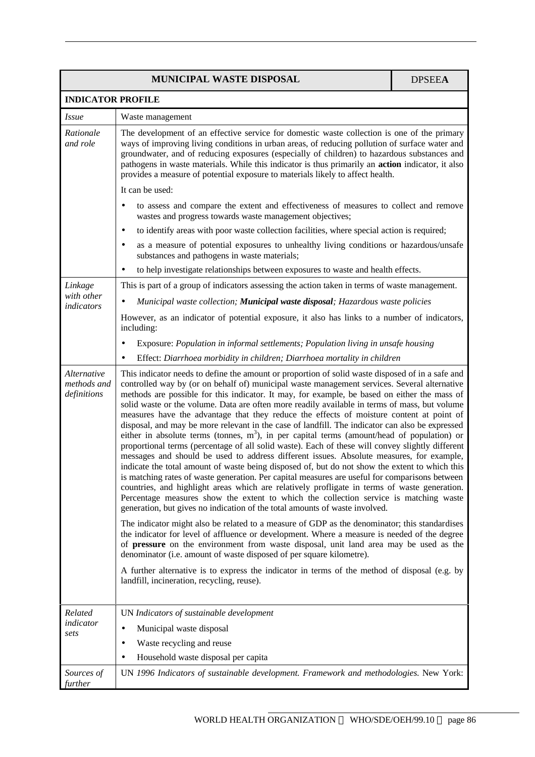| MUNICIPAL WASTE DISPOSAL<br><b>DPSEEA</b> |                                                                                                                                                                                                                                                                                                                                                                                                                                                                                                                                                                                                                                                                                                                                                                                                                                                                                                                                                                                                                                                                                                                                                                                                                                                                                                                                                                                                                                                                                                                                                                                                                                                                                                                                                                                                                                                                                                 |  |  |
|-------------------------------------------|-------------------------------------------------------------------------------------------------------------------------------------------------------------------------------------------------------------------------------------------------------------------------------------------------------------------------------------------------------------------------------------------------------------------------------------------------------------------------------------------------------------------------------------------------------------------------------------------------------------------------------------------------------------------------------------------------------------------------------------------------------------------------------------------------------------------------------------------------------------------------------------------------------------------------------------------------------------------------------------------------------------------------------------------------------------------------------------------------------------------------------------------------------------------------------------------------------------------------------------------------------------------------------------------------------------------------------------------------------------------------------------------------------------------------------------------------------------------------------------------------------------------------------------------------------------------------------------------------------------------------------------------------------------------------------------------------------------------------------------------------------------------------------------------------------------------------------------------------------------------------------------------------|--|--|
| <b>INDICATOR PROFILE</b>                  |                                                                                                                                                                                                                                                                                                                                                                                                                                                                                                                                                                                                                                                                                                                                                                                                                                                                                                                                                                                                                                                                                                                                                                                                                                                                                                                                                                                                                                                                                                                                                                                                                                                                                                                                                                                                                                                                                                 |  |  |
| <i>Issue</i>                              | Waste management                                                                                                                                                                                                                                                                                                                                                                                                                                                                                                                                                                                                                                                                                                                                                                                                                                                                                                                                                                                                                                                                                                                                                                                                                                                                                                                                                                                                                                                                                                                                                                                                                                                                                                                                                                                                                                                                                |  |  |
| Rationale<br>and role                     | The development of an effective service for domestic waste collection is one of the primary<br>ways of improving living conditions in urban areas, of reducing pollution of surface water and<br>groundwater, and of reducing exposures (especially of children) to hazardous substances and<br>pathogens in waste materials. While this indicator is thus primarily an action indicator, it also<br>provides a measure of potential exposure to materials likely to affect health.                                                                                                                                                                                                                                                                                                                                                                                                                                                                                                                                                                                                                                                                                                                                                                                                                                                                                                                                                                                                                                                                                                                                                                                                                                                                                                                                                                                                             |  |  |
|                                           | It can be used:                                                                                                                                                                                                                                                                                                                                                                                                                                                                                                                                                                                                                                                                                                                                                                                                                                                                                                                                                                                                                                                                                                                                                                                                                                                                                                                                                                                                                                                                                                                                                                                                                                                                                                                                                                                                                                                                                 |  |  |
|                                           | to assess and compare the extent and effectiveness of measures to collect and remove<br>wastes and progress towards waste management objectives;                                                                                                                                                                                                                                                                                                                                                                                                                                                                                                                                                                                                                                                                                                                                                                                                                                                                                                                                                                                                                                                                                                                                                                                                                                                                                                                                                                                                                                                                                                                                                                                                                                                                                                                                                |  |  |
|                                           | to identify areas with poor waste collection facilities, where special action is required;<br>$\bullet$                                                                                                                                                                                                                                                                                                                                                                                                                                                                                                                                                                                                                                                                                                                                                                                                                                                                                                                                                                                                                                                                                                                                                                                                                                                                                                                                                                                                                                                                                                                                                                                                                                                                                                                                                                                         |  |  |
|                                           | as a measure of potential exposures to unhealthy living conditions or hazardous/unsafe<br>٠<br>substances and pathogens in waste materials;                                                                                                                                                                                                                                                                                                                                                                                                                                                                                                                                                                                                                                                                                                                                                                                                                                                                                                                                                                                                                                                                                                                                                                                                                                                                                                                                                                                                                                                                                                                                                                                                                                                                                                                                                     |  |  |
|                                           | to help investigate relationships between exposures to waste and health effects.<br>٠                                                                                                                                                                                                                                                                                                                                                                                                                                                                                                                                                                                                                                                                                                                                                                                                                                                                                                                                                                                                                                                                                                                                                                                                                                                                                                                                                                                                                                                                                                                                                                                                                                                                                                                                                                                                           |  |  |
| Linkage                                   | This is part of a group of indicators assessing the action taken in terms of waste management.                                                                                                                                                                                                                                                                                                                                                                                                                                                                                                                                                                                                                                                                                                                                                                                                                                                                                                                                                                                                                                                                                                                                                                                                                                                                                                                                                                                                                                                                                                                                                                                                                                                                                                                                                                                                  |  |  |
| with other<br>indicators                  | Municipal waste collection; Municipal waste disposal; Hazardous waste policies<br>$\bullet$                                                                                                                                                                                                                                                                                                                                                                                                                                                                                                                                                                                                                                                                                                                                                                                                                                                                                                                                                                                                                                                                                                                                                                                                                                                                                                                                                                                                                                                                                                                                                                                                                                                                                                                                                                                                     |  |  |
|                                           | However, as an indicator of potential exposure, it also has links to a number of indicators,<br>including:                                                                                                                                                                                                                                                                                                                                                                                                                                                                                                                                                                                                                                                                                                                                                                                                                                                                                                                                                                                                                                                                                                                                                                                                                                                                                                                                                                                                                                                                                                                                                                                                                                                                                                                                                                                      |  |  |
|                                           | Exposure: Population in informal settlements; Population living in unsafe housing                                                                                                                                                                                                                                                                                                                                                                                                                                                                                                                                                                                                                                                                                                                                                                                                                                                                                                                                                                                                                                                                                                                                                                                                                                                                                                                                                                                                                                                                                                                                                                                                                                                                                                                                                                                                               |  |  |
|                                           | Effect: Diarrhoea morbidity in children; Diarrhoea mortality in children                                                                                                                                                                                                                                                                                                                                                                                                                                                                                                                                                                                                                                                                                                                                                                                                                                                                                                                                                                                                                                                                                                                                                                                                                                                                                                                                                                                                                                                                                                                                                                                                                                                                                                                                                                                                                        |  |  |
| Alternative<br>methods and<br>definitions | This indicator needs to define the amount or proportion of solid waste disposed of in a safe and<br>controlled way by (or on behalf of) municipal waste management services. Several alternative<br>methods are possible for this indicator. It may, for example, be based on either the mass of<br>solid waste or the volume. Data are often more readily available in terms of mass, but volume<br>measures have the advantage that they reduce the effects of moisture content at point of<br>disposal, and may be more relevant in the case of landfill. The indicator can also be expressed<br>either in absolute terms (tonnes, $m^3$ ), in per capital terms (amount/head of population) or<br>proportional terms (percentage of all solid waste). Each of these will convey slightly different<br>messages and should be used to address different issues. Absolute measures, for example,<br>indicate the total amount of waste being disposed of, but do not show the extent to which this<br>is matching rates of waste generation. Per capital measures are useful for comparisons between<br>countries, and highlight areas which are relatively profligate in terms of waste generation.<br>Percentage measures show the extent to which the collection service is matching waste<br>generation, but gives no indication of the total amounts of waste involved.<br>The indicator might also be related to a measure of GDP as the denominator; this standardises<br>the indicator for level of affluence or development. Where a measure is needed of the degree<br>of pressure on the environment from waste disposal, unit land area may be used as the<br>denominator (i.e. amount of waste disposed of per square kilometre).<br>A further alternative is to express the indicator in terms of the method of disposal (e.g. by<br>landfill, incineration, recycling, reuse). |  |  |
| Related                                   | UN Indicators of sustainable development                                                                                                                                                                                                                                                                                                                                                                                                                                                                                                                                                                                                                                                                                                                                                                                                                                                                                                                                                                                                                                                                                                                                                                                                                                                                                                                                                                                                                                                                                                                                                                                                                                                                                                                                                                                                                                                        |  |  |
| indicator<br>sets                         | Municipal waste disposal<br>$\bullet$                                                                                                                                                                                                                                                                                                                                                                                                                                                                                                                                                                                                                                                                                                                                                                                                                                                                                                                                                                                                                                                                                                                                                                                                                                                                                                                                                                                                                                                                                                                                                                                                                                                                                                                                                                                                                                                           |  |  |
|                                           | Waste recycling and reuse                                                                                                                                                                                                                                                                                                                                                                                                                                                                                                                                                                                                                                                                                                                                                                                                                                                                                                                                                                                                                                                                                                                                                                                                                                                                                                                                                                                                                                                                                                                                                                                                                                                                                                                                                                                                                                                                       |  |  |
|                                           | Household waste disposal per capita<br>٠                                                                                                                                                                                                                                                                                                                                                                                                                                                                                                                                                                                                                                                                                                                                                                                                                                                                                                                                                                                                                                                                                                                                                                                                                                                                                                                                                                                                                                                                                                                                                                                                                                                                                                                                                                                                                                                        |  |  |
| Sources of<br>further                     | UN 1996 Indicators of sustainable development. Framework and methodologies. New York:                                                                                                                                                                                                                                                                                                                                                                                                                                                                                                                                                                                                                                                                                                                                                                                                                                                                                                                                                                                                                                                                                                                                                                                                                                                                                                                                                                                                                                                                                                                                                                                                                                                                                                                                                                                                           |  |  |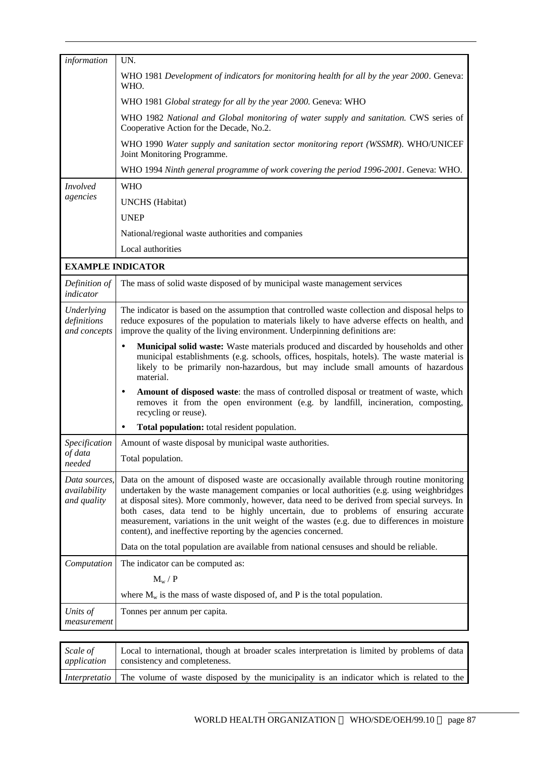| information                                  | UN.                                                                                                                                                                                                                                                                                                                                                                                                                                                                                                                                               |
|----------------------------------------------|---------------------------------------------------------------------------------------------------------------------------------------------------------------------------------------------------------------------------------------------------------------------------------------------------------------------------------------------------------------------------------------------------------------------------------------------------------------------------------------------------------------------------------------------------|
|                                              | WHO 1981 Development of indicators for monitoring health for all by the year 2000. Geneva:<br>WHO.                                                                                                                                                                                                                                                                                                                                                                                                                                                |
|                                              | WHO 1981 Global strategy for all by the year 2000. Geneva: WHO                                                                                                                                                                                                                                                                                                                                                                                                                                                                                    |
|                                              | WHO 1982 National and Global monitoring of water supply and sanitation. CWS series of<br>Cooperative Action for the Decade, No.2.                                                                                                                                                                                                                                                                                                                                                                                                                 |
|                                              | WHO 1990 Water supply and sanitation sector monitoring report (WSSMR). WHO/UNICEF<br>Joint Monitoring Programme.                                                                                                                                                                                                                                                                                                                                                                                                                                  |
|                                              | WHO 1994 Ninth general programme of work covering the period 1996-2001. Geneva: WHO.                                                                                                                                                                                                                                                                                                                                                                                                                                                              |
| <i>Involved</i>                              | <b>WHO</b>                                                                                                                                                                                                                                                                                                                                                                                                                                                                                                                                        |
| agencies                                     | <b>UNCHS</b> (Habitat)                                                                                                                                                                                                                                                                                                                                                                                                                                                                                                                            |
|                                              | <b>UNEP</b>                                                                                                                                                                                                                                                                                                                                                                                                                                                                                                                                       |
|                                              | National/regional waste authorities and companies                                                                                                                                                                                                                                                                                                                                                                                                                                                                                                 |
|                                              | Local authorities                                                                                                                                                                                                                                                                                                                                                                                                                                                                                                                                 |
| <b>EXAMPLE INDICATOR</b>                     |                                                                                                                                                                                                                                                                                                                                                                                                                                                                                                                                                   |
|                                              |                                                                                                                                                                                                                                                                                                                                                                                                                                                                                                                                                   |
| Definition of<br>indicator                   | The mass of solid waste disposed of by municipal waste management services                                                                                                                                                                                                                                                                                                                                                                                                                                                                        |
| Underlying<br>definitions<br>and concepts    | The indicator is based on the assumption that controlled waste collection and disposal helps to<br>reduce exposures of the population to materials likely to have adverse effects on health, and<br>improve the quality of the living environment. Underpinning definitions are:                                                                                                                                                                                                                                                                  |
|                                              | Municipal solid waste: Waste materials produced and discarded by households and other<br>municipal establishments (e.g. schools, offices, hospitals, hotels). The waste material is<br>likely to be primarily non-hazardous, but may include small amounts of hazardous<br>material.                                                                                                                                                                                                                                                              |
|                                              | Amount of disposed waste: the mass of controlled disposal or treatment of waste, which<br>$\bullet$<br>removes it from the open environment (e.g. by landfill, incineration, composting,<br>recycling or reuse).                                                                                                                                                                                                                                                                                                                                  |
|                                              | Total population: total resident population.                                                                                                                                                                                                                                                                                                                                                                                                                                                                                                      |
| Specification                                | Amount of waste disposal by municipal waste authorities.                                                                                                                                                                                                                                                                                                                                                                                                                                                                                          |
| of data<br>needed                            | Total population.                                                                                                                                                                                                                                                                                                                                                                                                                                                                                                                                 |
| Data sources,<br>availability<br>and quality | Data on the amount of disposed waste are occasionally available through routine monitoring<br>undertaken by the waste management companies or local authorities (e.g. using weighbridges<br>at disposal sites). More commonly, however, data need to be derived from special surveys. In<br>both cases, data tend to be highly uncertain, due to problems of ensuring accurate<br>measurement, variations in the unit weight of the wastes (e.g. due to differences in moisture<br>content), and ineffective reporting by the agencies concerned. |
|                                              | Data on the total population are available from national censuses and should be reliable.                                                                                                                                                                                                                                                                                                                                                                                                                                                         |
| Computation                                  | The indicator can be computed as:                                                                                                                                                                                                                                                                                                                                                                                                                                                                                                                 |
|                                              | $M_w / P$                                                                                                                                                                                                                                                                                                                                                                                                                                                                                                                                         |
|                                              | where $M_w$ is the mass of waste disposed of, and P is the total population.                                                                                                                                                                                                                                                                                                                                                                                                                                                                      |
| Units of<br>measurement                      | Tonnes per annum per capita.                                                                                                                                                                                                                                                                                                                                                                                                                                                                                                                      |
|                                              |                                                                                                                                                                                                                                                                                                                                                                                                                                                                                                                                                   |
|                                              |                                                                                                                                                                                                                                                                                                                                                                                                                                                                                                                                                   |

| Scale of | Local to international, though at broader scales interpretation is limited by problems of data<br><i>application</i> consistency and completeness. |
|----------|----------------------------------------------------------------------------------------------------------------------------------------------------|
|          | <i>Interpretatio</i> The volume of waste disposed by the municipality is an indicator which is related to the                                      |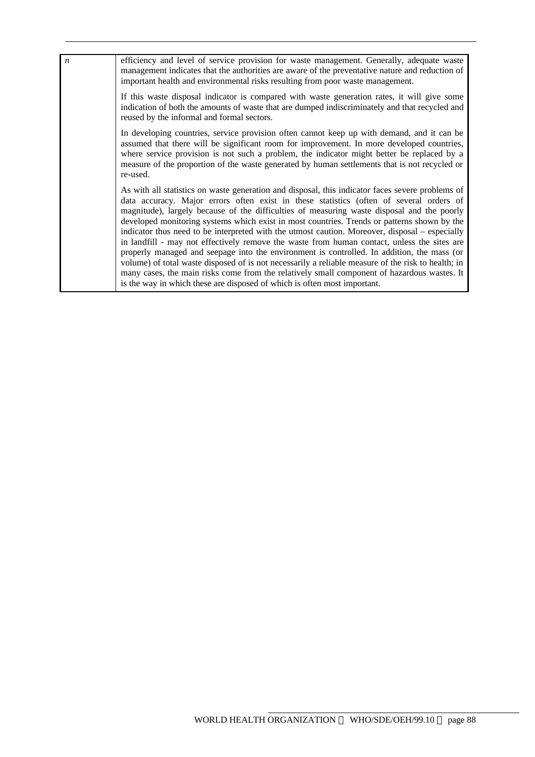| $\boldsymbol{n}$ | efficiency and level of service provision for waste management. Generally, adequate waste<br>management indicates that the authorities are aware of the preventative nature and reduction of<br>important health and environmental risks resulting from poor waste management.                                                                                                                                                                                                                                                                                                                                                                                                                                                                                                                                                                                                                                                                                           |
|------------------|--------------------------------------------------------------------------------------------------------------------------------------------------------------------------------------------------------------------------------------------------------------------------------------------------------------------------------------------------------------------------------------------------------------------------------------------------------------------------------------------------------------------------------------------------------------------------------------------------------------------------------------------------------------------------------------------------------------------------------------------------------------------------------------------------------------------------------------------------------------------------------------------------------------------------------------------------------------------------|
|                  | If this waste disposal indicator is compared with waste generation rates, it will give some<br>indication of both the amounts of waste that are dumped indiscriminately and that recycled and<br>reused by the informal and formal sectors.                                                                                                                                                                                                                                                                                                                                                                                                                                                                                                                                                                                                                                                                                                                              |
|                  | In developing countries, service provision often cannot keep up with demand, and it can be<br>assumed that there will be significant room for improvement. In more developed countries,<br>where service provision is not such a problem, the indicator might better be replaced by a<br>measure of the proportion of the waste generated by human settlements that is not recycled or<br>re-used.                                                                                                                                                                                                                                                                                                                                                                                                                                                                                                                                                                       |
|                  | As with all statistics on waste generation and disposal, this indicator faces severe problems of<br>data accuracy. Major errors often exist in these statistics (often of several orders of<br>magnitude), largely because of the difficulties of measuring waste disposal and the poorly<br>developed monitoring systems which exist in most countries. Trends or patterns shown by the<br>indicator thus need to be interpreted with the utmost caution. Moreover, disposal – especially<br>in landfill - may not effectively remove the waste from human contact, unless the sites are<br>properly managed and seepage into the environment is controlled. In addition, the mass (or<br>volume) of total waste disposed of is not necessarily a reliable measure of the risk to health; in<br>many cases, the main risks come from the relatively small component of hazardous wastes. It<br>is the way in which these are disposed of which is often most important. |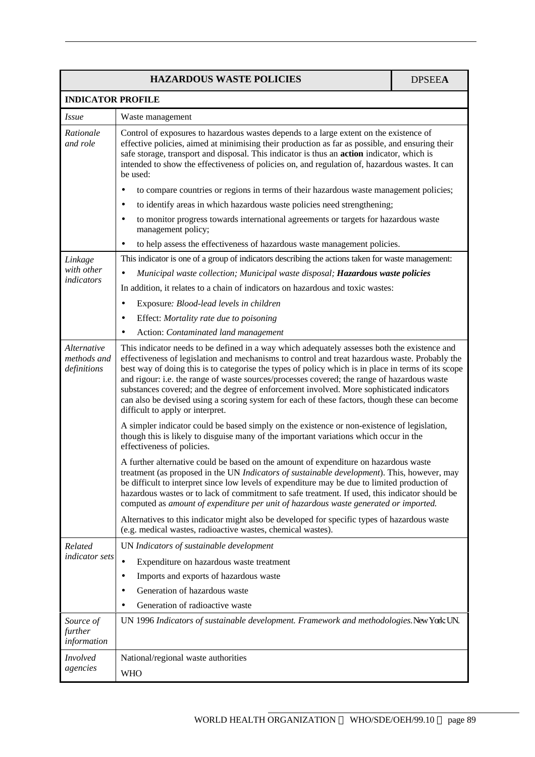| <b>HAZARDOUS WASTE POLICIES</b><br><b>DPSEEA</b> |                                                                                                                                                                                                                                                                                                                                                                                                                                                                                                                                                                                                                                        |  |  |
|--------------------------------------------------|----------------------------------------------------------------------------------------------------------------------------------------------------------------------------------------------------------------------------------------------------------------------------------------------------------------------------------------------------------------------------------------------------------------------------------------------------------------------------------------------------------------------------------------------------------------------------------------------------------------------------------------|--|--|
| <b>INDICATOR PROFILE</b>                         |                                                                                                                                                                                                                                                                                                                                                                                                                                                                                                                                                                                                                                        |  |  |
| <i>Issue</i>                                     | Waste management                                                                                                                                                                                                                                                                                                                                                                                                                                                                                                                                                                                                                       |  |  |
| Rationale<br>and role                            | Control of exposures to hazardous wastes depends to a large extent on the existence of<br>effective policies, aimed at minimising their production as far as possible, and ensuring their<br>safe storage, transport and disposal. This indicator is thus an action indicator, which is<br>intended to show the effectiveness of policies on, and regulation of, hazardous wastes. It can<br>be used:                                                                                                                                                                                                                                  |  |  |
|                                                  | to compare countries or regions in terms of their hazardous waste management policies;                                                                                                                                                                                                                                                                                                                                                                                                                                                                                                                                                 |  |  |
|                                                  | to identify areas in which hazardous waste policies need strengthening;                                                                                                                                                                                                                                                                                                                                                                                                                                                                                                                                                                |  |  |
|                                                  | to monitor progress towards international agreements or targets for hazardous waste<br>management policy;                                                                                                                                                                                                                                                                                                                                                                                                                                                                                                                              |  |  |
|                                                  | to help assess the effectiveness of hazardous waste management policies.                                                                                                                                                                                                                                                                                                                                                                                                                                                                                                                                                               |  |  |
| Linkage                                          | This indicator is one of a group of indicators describing the actions taken for waste management:                                                                                                                                                                                                                                                                                                                                                                                                                                                                                                                                      |  |  |
| with other<br>indicators                         | Municipal waste collection; Municipal waste disposal; Hazardous waste policies<br>$\bullet$                                                                                                                                                                                                                                                                                                                                                                                                                                                                                                                                            |  |  |
|                                                  | In addition, it relates to a chain of indicators on hazardous and toxic wastes:                                                                                                                                                                                                                                                                                                                                                                                                                                                                                                                                                        |  |  |
|                                                  | Exposure: Blood-lead levels in children                                                                                                                                                                                                                                                                                                                                                                                                                                                                                                                                                                                                |  |  |
|                                                  | Effect: Mortality rate due to poisoning                                                                                                                                                                                                                                                                                                                                                                                                                                                                                                                                                                                                |  |  |
|                                                  | Action: Contaminated land management                                                                                                                                                                                                                                                                                                                                                                                                                                                                                                                                                                                                   |  |  |
| Alternative<br>methods and<br>definitions        | This indicator needs to be defined in a way which adequately assesses both the existence and<br>effectiveness of legislation and mechanisms to control and treat hazardous waste. Probably the<br>best way of doing this is to categorise the types of policy which is in place in terms of its scope<br>and rigour: i.e. the range of waste sources/processes covered; the range of hazardous waste<br>substances covered; and the degree of enforcement involved. More sophisticated indicators<br>can also be devised using a scoring system for each of these factors, though these can become<br>difficult to apply or interpret. |  |  |
|                                                  | A simpler indicator could be based simply on the existence or non-existence of legislation,<br>though this is likely to disguise many of the important variations which occur in the<br>effectiveness of policies.                                                                                                                                                                                                                                                                                                                                                                                                                     |  |  |
|                                                  | A further alternative could be based on the amount of expenditure on hazardous waste<br>treatment (as proposed in the UN Indicators of sustainable development). This, however, may<br>be difficult to interpret since low levels of expenditure may be due to limited production of<br>hazardous wastes or to lack of commitment to safe treatment. If used, this indicator should be<br>computed as amount of expenditure per unit of hazardous waste generated or imported.                                                                                                                                                         |  |  |
|                                                  | Alternatives to this indicator might also be developed for specific types of hazardous waste<br>(e.g. medical wastes, radioactive wastes, chemical wastes).                                                                                                                                                                                                                                                                                                                                                                                                                                                                            |  |  |
| Related                                          | UN Indicators of sustainable development                                                                                                                                                                                                                                                                                                                                                                                                                                                                                                                                                                                               |  |  |
| <i>indicator</i> sets                            | Expenditure on hazardous waste treatment<br>$\bullet$                                                                                                                                                                                                                                                                                                                                                                                                                                                                                                                                                                                  |  |  |
|                                                  | Imports and exports of hazardous waste                                                                                                                                                                                                                                                                                                                                                                                                                                                                                                                                                                                                 |  |  |
|                                                  | Generation of hazardous waste                                                                                                                                                                                                                                                                                                                                                                                                                                                                                                                                                                                                          |  |  |
|                                                  | Generation of radioactive waste                                                                                                                                                                                                                                                                                                                                                                                                                                                                                                                                                                                                        |  |  |
| Source of<br>further<br>information              | UN 1996 Indicators of sustainable development. Framework and methodologies. New York: UN.                                                                                                                                                                                                                                                                                                                                                                                                                                                                                                                                              |  |  |
| <i>Involved</i>                                  | National/regional waste authorities                                                                                                                                                                                                                                                                                                                                                                                                                                                                                                                                                                                                    |  |  |
| agencies                                         | WHO                                                                                                                                                                                                                                                                                                                                                                                                                                                                                                                                                                                                                                    |  |  |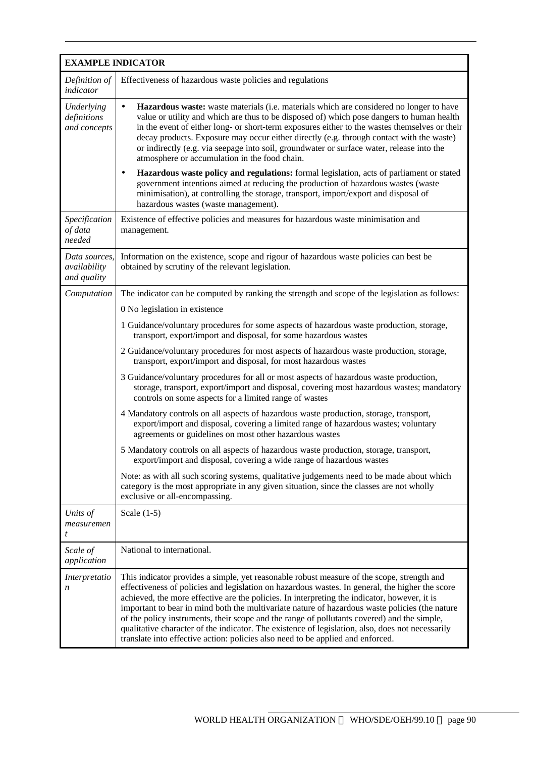| <b>EXAMPLE INDICATOR</b>                     |                                                                                                                                                                                                                                                                                                                                                                                                                                                                                                                                                                                                                                                                                       |
|----------------------------------------------|---------------------------------------------------------------------------------------------------------------------------------------------------------------------------------------------------------------------------------------------------------------------------------------------------------------------------------------------------------------------------------------------------------------------------------------------------------------------------------------------------------------------------------------------------------------------------------------------------------------------------------------------------------------------------------------|
| Definition of<br>indicator                   | Effectiveness of hazardous waste policies and regulations                                                                                                                                                                                                                                                                                                                                                                                                                                                                                                                                                                                                                             |
| Underlying<br>definitions<br>and concepts    | Hazardous waste: waste materials (i.e. materials which are considered no longer to have<br>$\bullet$<br>value or utility and which are thus to be disposed of) which pose dangers to human health<br>in the event of either long- or short-term exposures either to the wastes themselves or their<br>decay products. Exposure may occur either directly (e.g. through contact with the waste)<br>or indirectly (e.g. via seepage into soil, groundwater or surface water, release into the<br>atmosphere or accumulation in the food chain.                                                                                                                                          |
|                                              | Hazardous waste policy and regulations: formal legislation, acts of parliament or stated<br>٠<br>government intentions aimed at reducing the production of hazardous wastes (waste<br>minimisation), at controlling the storage, transport, import/export and disposal of<br>hazardous wastes (waste management).                                                                                                                                                                                                                                                                                                                                                                     |
| Specification<br>of data<br>needed           | Existence of effective policies and measures for hazardous waste minimisation and<br>management.                                                                                                                                                                                                                                                                                                                                                                                                                                                                                                                                                                                      |
| Data sources,<br>availability<br>and quality | Information on the existence, scope and rigour of hazardous waste policies can best be<br>obtained by scrutiny of the relevant legislation.                                                                                                                                                                                                                                                                                                                                                                                                                                                                                                                                           |
| Computation                                  | The indicator can be computed by ranking the strength and scope of the legislation as follows:                                                                                                                                                                                                                                                                                                                                                                                                                                                                                                                                                                                        |
|                                              | 0 No legislation in existence                                                                                                                                                                                                                                                                                                                                                                                                                                                                                                                                                                                                                                                         |
|                                              | 1 Guidance/voluntary procedures for some aspects of hazardous waste production, storage,<br>transport, export/import and disposal, for some hazardous wastes                                                                                                                                                                                                                                                                                                                                                                                                                                                                                                                          |
|                                              | 2 Guidance/voluntary procedures for most aspects of hazardous waste production, storage,<br>transport, export/import and disposal, for most hazardous wastes                                                                                                                                                                                                                                                                                                                                                                                                                                                                                                                          |
|                                              | 3 Guidance/voluntary procedures for all or most aspects of hazardous waste production,<br>storage, transport, export/import and disposal, covering most hazardous wastes; mandatory<br>controls on some aspects for a limited range of wastes                                                                                                                                                                                                                                                                                                                                                                                                                                         |
|                                              | 4 Mandatory controls on all aspects of hazardous waste production, storage, transport,<br>export/import and disposal, covering a limited range of hazardous wastes; voluntary<br>agreements or guidelines on most other hazardous wastes                                                                                                                                                                                                                                                                                                                                                                                                                                              |
|                                              | 5 Mandatory controls on all aspects of hazardous waste production, storage, transport,<br>export/import and disposal, covering a wide range of hazardous wastes                                                                                                                                                                                                                                                                                                                                                                                                                                                                                                                       |
|                                              | Note: as with all such scoring systems, qualitative judgements need to be made about which<br>category is the most appropriate in any given situation, since the classes are not wholly<br>exclusive or all-encompassing.                                                                                                                                                                                                                                                                                                                                                                                                                                                             |
| Units of<br>measuremen<br>t                  | Scale $(1-5)$                                                                                                                                                                                                                                                                                                                                                                                                                                                                                                                                                                                                                                                                         |
| Scale of<br>application                      | National to international.                                                                                                                                                                                                                                                                                                                                                                                                                                                                                                                                                                                                                                                            |
| Interpretatio<br>n                           | This indicator provides a simple, yet reasonable robust measure of the scope, strength and<br>effectiveness of policies and legislation on hazardous wastes. In general, the higher the score<br>achieved, the more effective are the policies. In interpreting the indicator, however, it is<br>important to bear in mind both the multivariate nature of hazardous waste policies (the nature<br>of the policy instruments, their scope and the range of pollutants covered) and the simple,<br>qualitative character of the indicator. The existence of legislation, also, does not necessarily<br>translate into effective action: policies also need to be applied and enforced. |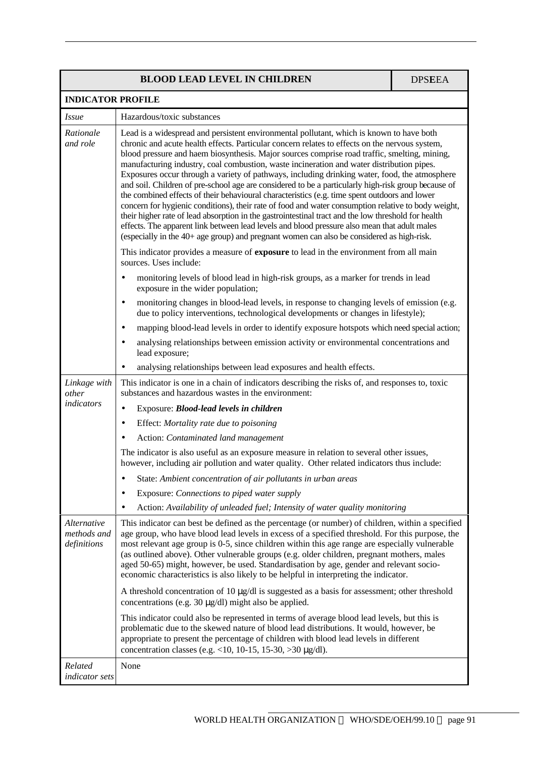|                                           | <b>BLOOD LEAD LEVEL IN CHILDREN</b>                                                                                                                                                                                                                                                                                                                                                                                                                                                                                                                                                                                                                                                                                                                                                                                                                                                                                                                                                                                                                                                                         | <b>DPSEEA</b> |
|-------------------------------------------|-------------------------------------------------------------------------------------------------------------------------------------------------------------------------------------------------------------------------------------------------------------------------------------------------------------------------------------------------------------------------------------------------------------------------------------------------------------------------------------------------------------------------------------------------------------------------------------------------------------------------------------------------------------------------------------------------------------------------------------------------------------------------------------------------------------------------------------------------------------------------------------------------------------------------------------------------------------------------------------------------------------------------------------------------------------------------------------------------------------|---------------|
| <b>INDICATOR PROFILE</b>                  |                                                                                                                                                                                                                                                                                                                                                                                                                                                                                                                                                                                                                                                                                                                                                                                                                                                                                                                                                                                                                                                                                                             |               |
| <i>Issue</i>                              | Hazardous/toxic substances                                                                                                                                                                                                                                                                                                                                                                                                                                                                                                                                                                                                                                                                                                                                                                                                                                                                                                                                                                                                                                                                                  |               |
| Rationale<br>and role                     | Lead is a widespread and persistent environmental pollutant, which is known to have both<br>chronic and acute health effects. Particular concern relates to effects on the nervous system,<br>blood pressure and haem biosynthesis. Major sources comprise road traffic, smelting, mining,<br>manufacturing industry, coal combustion, waste incineration and water distribution pipes.<br>Exposures occur through a variety of pathways, including drinking water, food, the atmosphere<br>and soil. Children of pre-school age are considered to be a particularly high-risk group because of<br>the combined effects of their behavioural characteristics (e.g. time spent outdoors and lower<br>concern for hygienic conditions), their rate of food and water consumption relative to body weight,<br>their higher rate of lead absorption in the gastrointestinal tract and the low threshold for health<br>effects. The apparent link between lead levels and blood pressure also mean that adult males<br>(especially in the 40+ age group) and pregnant women can also be considered as high-risk. |               |
|                                           | This indicator provides a measure of <b>exposure</b> to lead in the environment from all main<br>sources. Uses include:                                                                                                                                                                                                                                                                                                                                                                                                                                                                                                                                                                                                                                                                                                                                                                                                                                                                                                                                                                                     |               |
|                                           | monitoring levels of blood lead in high-risk groups, as a marker for trends in lead<br>exposure in the wider population;                                                                                                                                                                                                                                                                                                                                                                                                                                                                                                                                                                                                                                                                                                                                                                                                                                                                                                                                                                                    |               |
|                                           | monitoring changes in blood-lead levels, in response to changing levels of emission (e.g.<br>٠<br>due to policy interventions, technological developments or changes in lifestyle);                                                                                                                                                                                                                                                                                                                                                                                                                                                                                                                                                                                                                                                                                                                                                                                                                                                                                                                         |               |
|                                           | mapping blood-lead levels in order to identify exposure hotspots which need special action;<br>٠                                                                                                                                                                                                                                                                                                                                                                                                                                                                                                                                                                                                                                                                                                                                                                                                                                                                                                                                                                                                            |               |
|                                           | analysing relationships between emission activity or environmental concentrations and<br>lead exposure;                                                                                                                                                                                                                                                                                                                                                                                                                                                                                                                                                                                                                                                                                                                                                                                                                                                                                                                                                                                                     |               |
|                                           | analysing relationships between lead exposures and health effects.                                                                                                                                                                                                                                                                                                                                                                                                                                                                                                                                                                                                                                                                                                                                                                                                                                                                                                                                                                                                                                          |               |
| Linkage with<br>other                     | This indicator is one in a chain of indicators describing the risks of, and responses to, toxic<br>substances and hazardous wastes in the environment:                                                                                                                                                                                                                                                                                                                                                                                                                                                                                                                                                                                                                                                                                                                                                                                                                                                                                                                                                      |               |
| indicators                                | Exposure: Blood-lead levels in children                                                                                                                                                                                                                                                                                                                                                                                                                                                                                                                                                                                                                                                                                                                                                                                                                                                                                                                                                                                                                                                                     |               |
|                                           | Effect: Mortality rate due to poisoning                                                                                                                                                                                                                                                                                                                                                                                                                                                                                                                                                                                                                                                                                                                                                                                                                                                                                                                                                                                                                                                                     |               |
|                                           | Action: Contaminated land management                                                                                                                                                                                                                                                                                                                                                                                                                                                                                                                                                                                                                                                                                                                                                                                                                                                                                                                                                                                                                                                                        |               |
|                                           | The indicator is also useful as an exposure measure in relation to several other issues,<br>however, including air pollution and water quality. Other related indicators thus include:                                                                                                                                                                                                                                                                                                                                                                                                                                                                                                                                                                                                                                                                                                                                                                                                                                                                                                                      |               |
|                                           | State: Ambient concentration of air pollutants in urban areas<br>٠                                                                                                                                                                                                                                                                                                                                                                                                                                                                                                                                                                                                                                                                                                                                                                                                                                                                                                                                                                                                                                          |               |
|                                           | Exposure: Connections to piped water supply<br>٠                                                                                                                                                                                                                                                                                                                                                                                                                                                                                                                                                                                                                                                                                                                                                                                                                                                                                                                                                                                                                                                            |               |
|                                           | Action: Availability of unleaded fuel; Intensity of water quality monitoring                                                                                                                                                                                                                                                                                                                                                                                                                                                                                                                                                                                                                                                                                                                                                                                                                                                                                                                                                                                                                                |               |
| Alternative<br>methods and<br>definitions | This indicator can best be defined as the percentage (or number) of children, within a specified<br>age group, who have blood lead levels in excess of a specified threshold. For this purpose, the<br>most relevant age group is 0-5, since children within this age range are especially vulnerable<br>(as outlined above). Other vulnerable groups (e.g. older children, pregnant mothers, males<br>aged 50-65) might, however, be used. Standardisation by age, gender and relevant socio-<br>economic characteristics is also likely to be helpful in interpreting the indicator.                                                                                                                                                                                                                                                                                                                                                                                                                                                                                                                      |               |
|                                           | A threshold concentration of 10 $\mu$ g/dl is suggested as a basis for assessment; other threshold<br>concentrations (e.g. $30 \mu g/dl$ ) might also be applied.                                                                                                                                                                                                                                                                                                                                                                                                                                                                                                                                                                                                                                                                                                                                                                                                                                                                                                                                           |               |
|                                           | This indicator could also be represented in terms of average blood lead levels, but this is<br>problematic due to the skewed nature of blood lead distributions. It would, however, be<br>appropriate to present the percentage of children with blood lead levels in different<br>concentration classes (e.g. <10, 10-15, 15-30, >30 $\mu$ g/dl).                                                                                                                                                                                                                                                                                                                                                                                                                                                                                                                                                                                                                                                                                                                                                          |               |
| Related<br><i>indicator</i> sets          | None                                                                                                                                                                                                                                                                                                                                                                                                                                                                                                                                                                                                                                                                                                                                                                                                                                                                                                                                                                                                                                                                                                        |               |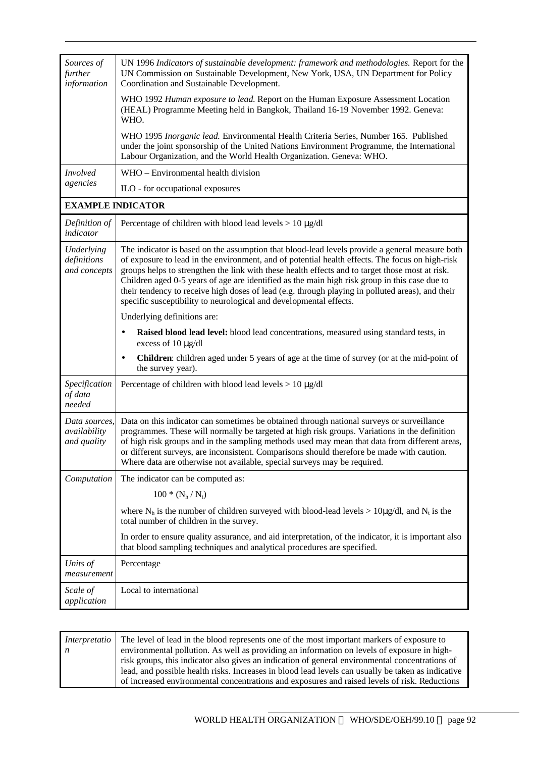| Sources of<br>further<br>information         | UN 1996 Indicators of sustainable development: framework and methodologies. Report for the<br>UN Commission on Sustainable Development, New York, USA, UN Department for Policy<br>Coordination and Sustainable Development.                                                                                                                                                                                                                                                                                                                                                    |
|----------------------------------------------|---------------------------------------------------------------------------------------------------------------------------------------------------------------------------------------------------------------------------------------------------------------------------------------------------------------------------------------------------------------------------------------------------------------------------------------------------------------------------------------------------------------------------------------------------------------------------------|
|                                              | WHO 1992 Human exposure to lead. Report on the Human Exposure Assessment Location<br>(HEAL) Programme Meeting held in Bangkok, Thailand 16-19 November 1992. Geneva:<br>WHO.                                                                                                                                                                                                                                                                                                                                                                                                    |
|                                              | WHO 1995 Inorganic lead. Environmental Health Criteria Series, Number 165. Published<br>under the joint sponsorship of the United Nations Environment Programme, the International<br>Labour Organization, and the World Health Organization. Geneva: WHO.                                                                                                                                                                                                                                                                                                                      |
| <b>Involved</b>                              | WHO - Environmental health division                                                                                                                                                                                                                                                                                                                                                                                                                                                                                                                                             |
| agencies                                     | ILO - for occupational exposures                                                                                                                                                                                                                                                                                                                                                                                                                                                                                                                                                |
| <b>EXAMPLE INDICATOR</b>                     |                                                                                                                                                                                                                                                                                                                                                                                                                                                                                                                                                                                 |
| Definition of<br>indicator                   | Percentage of children with blood lead levels $> 10 \mu g/dl$                                                                                                                                                                                                                                                                                                                                                                                                                                                                                                                   |
| Underlying<br>definitions<br>and concepts    | The indicator is based on the assumption that blood-lead levels provide a general measure both<br>of exposure to lead in the environment, and of potential health effects. The focus on high-risk<br>groups helps to strengthen the link with these health effects and to target those most at risk.<br>Children aged 0-5 years of age are identified as the main high risk group in this case due to<br>their tendency to receive high doses of lead (e.g. through playing in polluted areas), and their<br>specific susceptibility to neurological and developmental effects. |
|                                              | Underlying definitions are:                                                                                                                                                                                                                                                                                                                                                                                                                                                                                                                                                     |
|                                              | Raised blood lead level: blood lead concentrations, measured using standard tests, in<br>excess of $10 \mu g/dl$                                                                                                                                                                                                                                                                                                                                                                                                                                                                |
|                                              | <b>Children</b> : children aged under 5 years of age at the time of survey (or at the mid-point of<br>$\bullet$<br>the survey year).                                                                                                                                                                                                                                                                                                                                                                                                                                            |
| Specification<br>of data<br>needed           | Percentage of children with blood lead levels $> 10 \mu g/dl$                                                                                                                                                                                                                                                                                                                                                                                                                                                                                                                   |
| Data sources,<br>availability<br>and quality | Data on this indicator can sometimes be obtained through national surveys or surveillance<br>programmes. These will normally be targeted at high risk groups. Variations in the definition<br>of high risk groups and in the sampling methods used may mean that data from different areas,<br>or different surveys, are inconsistent. Comparisons should therefore be made with caution.<br>Where data are otherwise not available, special surveys may be required.                                                                                                           |
| Computation                                  | The indicator can be computed as:                                                                                                                                                                                                                                                                                                                                                                                                                                                                                                                                               |
|                                              | $100 * (N_h / N_t)$                                                                                                                                                                                                                                                                                                                                                                                                                                                                                                                                                             |
|                                              | where $N_h$ is the number of children surveyed with blood-lead levels > 10 $\mu$ g/dl, and $N_t$ is the<br>total number of children in the survey.                                                                                                                                                                                                                                                                                                                                                                                                                              |
|                                              | In order to ensure quality assurance, and aid interpretation, of the indicator, it is important also<br>that blood sampling techniques and analytical procedures are specified.                                                                                                                                                                                                                                                                                                                                                                                                 |
| Units of<br>measurement                      | Percentage                                                                                                                                                                                                                                                                                                                                                                                                                                                                                                                                                                      |
| Scale of<br>application                      | Local to international                                                                                                                                                                                                                                                                                                                                                                                                                                                                                                                                                          |

| <i>Interpretatio</i> | The level of lead in the blood represents one of the most important markers of exposure to         |
|----------------------|----------------------------------------------------------------------------------------------------|
| n                    | environmental pollution. As well as providing an information on levels of exposure in high-        |
|                      | risk groups, this indicator also gives an indication of general environmental concentrations of    |
|                      | lead, and possible health risks. Increases in blood lead levels can usually be taken as indicative |
|                      | of increased environmental concentrations and exposures and raised levels of risk. Reductions      |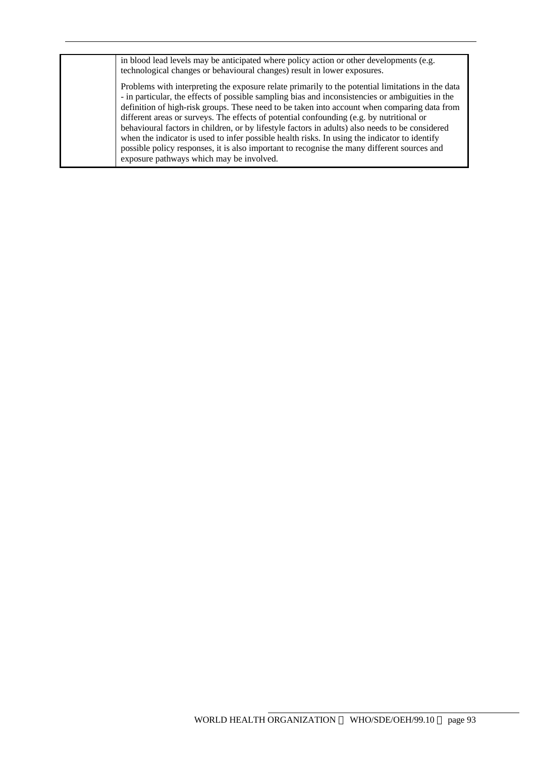| in blood lead levels may be anticipated where policy action or other developments (e.g.<br>technological changes or behavioural changes) result in lower exposures.                                                                                                                                                                                                                                                                                                                                                                                                                                                                                                                                                                              |
|--------------------------------------------------------------------------------------------------------------------------------------------------------------------------------------------------------------------------------------------------------------------------------------------------------------------------------------------------------------------------------------------------------------------------------------------------------------------------------------------------------------------------------------------------------------------------------------------------------------------------------------------------------------------------------------------------------------------------------------------------|
| Problems with interpreting the exposure relate primarily to the potential limitations in the data<br>- in particular, the effects of possible sampling bias and inconsistencies or ambiguities in the<br>definition of high-risk groups. These need to be taken into account when comparing data from<br>different areas or surveys. The effects of potential confounding (e.g. by nutritional or<br>behavioural factors in children, or by lifestyle factors in adults) also needs to be considered<br>when the indicator is used to infer possible health risks. In using the indicator to identify<br>possible policy responses, it is also important to recognise the many different sources and<br>exposure pathways which may be involved. |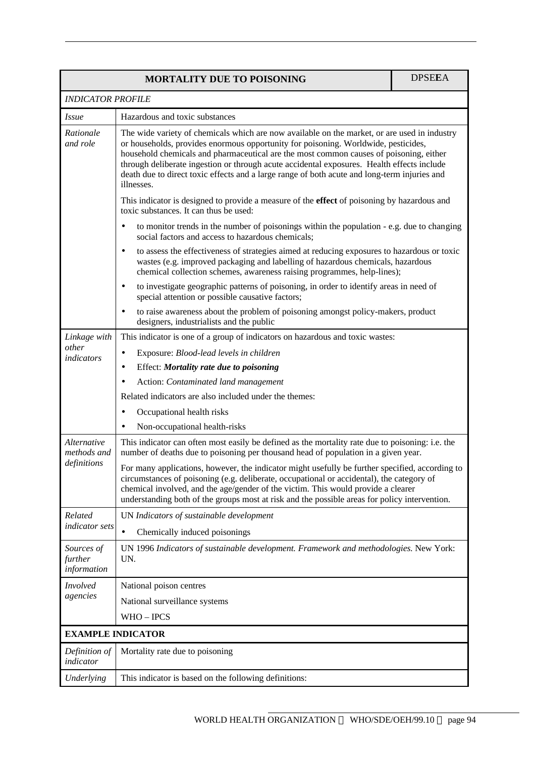|                                      | <b>MORTALITY DUE TO POISONING</b>                                                                                                                                                                                                                                                                                                                                                                                                                                                        | <b>DPSEEA</b> |
|--------------------------------------|------------------------------------------------------------------------------------------------------------------------------------------------------------------------------------------------------------------------------------------------------------------------------------------------------------------------------------------------------------------------------------------------------------------------------------------------------------------------------------------|---------------|
| <b>INDICATOR PROFILE</b>             |                                                                                                                                                                                                                                                                                                                                                                                                                                                                                          |               |
| <i>Issue</i>                         | Hazardous and toxic substances                                                                                                                                                                                                                                                                                                                                                                                                                                                           |               |
| Rationale<br>and role                | The wide variety of chemicals which are now available on the market, or are used in industry<br>or households, provides enormous opportunity for poisoning. Worldwide, pesticides,<br>household chemicals and pharmaceutical are the most common causes of poisoning, either<br>through deliberate ingestion or through acute accidental exposures. Health effects include<br>death due to direct toxic effects and a large range of both acute and long-term injuries and<br>illnesses. |               |
|                                      | This indicator is designed to provide a measure of the <b>effect</b> of poisoning by hazardous and<br>toxic substances. It can thus be used:                                                                                                                                                                                                                                                                                                                                             |               |
|                                      | to monitor trends in the number of poisonings within the population - e.g. due to changing<br>social factors and access to hazardous chemicals;                                                                                                                                                                                                                                                                                                                                          |               |
|                                      | to assess the effectiveness of strategies aimed at reducing exposures to hazardous or toxic<br>٠<br>wastes (e.g. improved packaging and labelling of hazardous chemicals, hazardous<br>chemical collection schemes, awareness raising programmes, help-lines);                                                                                                                                                                                                                           |               |
|                                      | to investigate geographic patterns of poisoning, in order to identify areas in need of<br>$\bullet$<br>special attention or possible causative factors;                                                                                                                                                                                                                                                                                                                                  |               |
|                                      | to raise awareness about the problem of poisoning amongst policy-makers, product<br>designers, industrialists and the public                                                                                                                                                                                                                                                                                                                                                             |               |
| Linkage with                         | This indicator is one of a group of indicators on hazardous and toxic wastes:                                                                                                                                                                                                                                                                                                                                                                                                            |               |
| other<br>indicators                  | Exposure: Blood-lead levels in children                                                                                                                                                                                                                                                                                                                                                                                                                                                  |               |
|                                      | <b>Effect: Mortality rate due to poisoning</b><br>٠                                                                                                                                                                                                                                                                                                                                                                                                                                      |               |
|                                      | Action: Contaminated land management                                                                                                                                                                                                                                                                                                                                                                                                                                                     |               |
|                                      | Related indicators are also included under the themes:                                                                                                                                                                                                                                                                                                                                                                                                                                   |               |
|                                      | Occupational health risks                                                                                                                                                                                                                                                                                                                                                                                                                                                                |               |
|                                      | Non-occupational health-risks                                                                                                                                                                                                                                                                                                                                                                                                                                                            |               |
| Alternative<br>methods and           | This indicator can often most easily be defined as the mortality rate due to poisoning: i.e. the<br>number of deaths due to poisoning per thousand head of population in a given year.                                                                                                                                                                                                                                                                                                   |               |
| definitions                          | For many applications, however, the indicator might usefully be further specified, according to<br>circumstances of poisoning (e.g. deliberate, occupational or accidental), the category of<br>chemical involved, and the age/gender of the victim. This would provide a clearer<br>understanding both of the groups most at risk and the possible areas for policy intervention.                                                                                                       |               |
| Related                              | UN Indicators of sustainable development                                                                                                                                                                                                                                                                                                                                                                                                                                                 |               |
| <i>indicator</i> sets                | Chemically induced poisonings<br>$\bullet$                                                                                                                                                                                                                                                                                                                                                                                                                                               |               |
| Sources of<br>further<br>information | UN 1996 Indicators of sustainable development. Framework and methodologies. New York:<br>UN.                                                                                                                                                                                                                                                                                                                                                                                             |               |
| <i>Involved</i>                      | National poison centres                                                                                                                                                                                                                                                                                                                                                                                                                                                                  |               |
| agencies                             | National surveillance systems                                                                                                                                                                                                                                                                                                                                                                                                                                                            |               |
|                                      | WHO-IPCS                                                                                                                                                                                                                                                                                                                                                                                                                                                                                 |               |
| <b>EXAMPLE INDICATOR</b>             |                                                                                                                                                                                                                                                                                                                                                                                                                                                                                          |               |
| Definition of<br>indicator           | Mortality rate due to poisoning                                                                                                                                                                                                                                                                                                                                                                                                                                                          |               |
| Underlying                           | This indicator is based on the following definitions:                                                                                                                                                                                                                                                                                                                                                                                                                                    |               |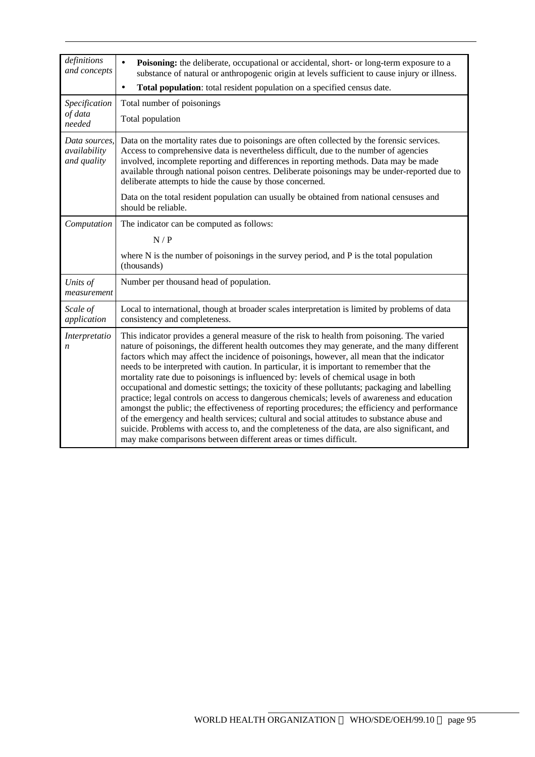| definitions<br>and concepts                  | Poisoning: the deliberate, occupational or accidental, short- or long-term exposure to a<br>$\bullet$<br>substance of natural or anthropogenic origin at levels sufficient to cause injury or illness.                                                                                                                                                                                                                                                                                                                                                                                                                                                                                                                                                                                                                                                                                                                                                                                                                                             |
|----------------------------------------------|----------------------------------------------------------------------------------------------------------------------------------------------------------------------------------------------------------------------------------------------------------------------------------------------------------------------------------------------------------------------------------------------------------------------------------------------------------------------------------------------------------------------------------------------------------------------------------------------------------------------------------------------------------------------------------------------------------------------------------------------------------------------------------------------------------------------------------------------------------------------------------------------------------------------------------------------------------------------------------------------------------------------------------------------------|
|                                              | Total population: total resident population on a specified census date.<br>$\bullet$                                                                                                                                                                                                                                                                                                                                                                                                                                                                                                                                                                                                                                                                                                                                                                                                                                                                                                                                                               |
| Specification<br>of data<br>needed           | Total number of poisonings                                                                                                                                                                                                                                                                                                                                                                                                                                                                                                                                                                                                                                                                                                                                                                                                                                                                                                                                                                                                                         |
|                                              | Total population                                                                                                                                                                                                                                                                                                                                                                                                                                                                                                                                                                                                                                                                                                                                                                                                                                                                                                                                                                                                                                   |
| Data sources,<br>availability<br>and quality | Data on the mortality rates due to poisonings are often collected by the forensic services.<br>Access to comprehensive data is nevertheless difficult, due to the number of agencies<br>involved, incomplete reporting and differences in reporting methods. Data may be made<br>available through national poison centres. Deliberate poisonings may be under-reported due to<br>deliberate attempts to hide the cause by those concerned.                                                                                                                                                                                                                                                                                                                                                                                                                                                                                                                                                                                                        |
|                                              | Data on the total resident population can usually be obtained from national censuses and<br>should be reliable.                                                                                                                                                                                                                                                                                                                                                                                                                                                                                                                                                                                                                                                                                                                                                                                                                                                                                                                                    |
| Computation                                  | The indicator can be computed as follows:                                                                                                                                                                                                                                                                                                                                                                                                                                                                                                                                                                                                                                                                                                                                                                                                                                                                                                                                                                                                          |
|                                              | N/P                                                                                                                                                                                                                                                                                                                                                                                                                                                                                                                                                                                                                                                                                                                                                                                                                                                                                                                                                                                                                                                |
|                                              | where $N$ is the number of poisonings in the survey period, and $P$ is the total population<br>(thousands)                                                                                                                                                                                                                                                                                                                                                                                                                                                                                                                                                                                                                                                                                                                                                                                                                                                                                                                                         |
| Units of<br>measurement                      | Number per thousand head of population.                                                                                                                                                                                                                                                                                                                                                                                                                                                                                                                                                                                                                                                                                                                                                                                                                                                                                                                                                                                                            |
| Scale of<br>application                      | Local to international, though at broader scales interpretation is limited by problems of data<br>consistency and completeness.                                                                                                                                                                                                                                                                                                                                                                                                                                                                                                                                                                                                                                                                                                                                                                                                                                                                                                                    |
| Interpretatio<br>$\boldsymbol{n}$            | This indicator provides a general measure of the risk to health from poisoning. The varied<br>nature of poisonings, the different health outcomes they may generate, and the many different<br>factors which may affect the incidence of poisonings, however, all mean that the indicator<br>needs to be interpreted with caution. In particular, it is important to remember that the<br>mortality rate due to poisonings is influenced by: levels of chemical usage in both<br>occupational and domestic settings; the toxicity of these pollutants; packaging and labelling<br>practice; legal controls on access to dangerous chemicals; levels of awareness and education<br>amongst the public; the effectiveness of reporting procedures; the efficiency and performance<br>of the emergency and health services; cultural and social attitudes to substance abuse and<br>suicide. Problems with access to, and the completeness of the data, are also significant, and<br>may make comparisons between different areas or times difficult. |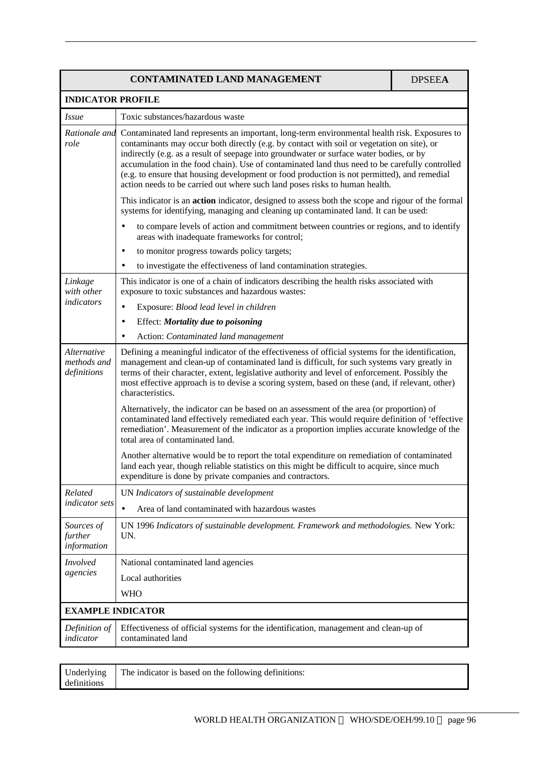| <b>CONTAMINATED LAND MANAGEMENT</b><br><b>DPSEEA</b> |                                                                                                                                                                                                                                                                                                                                                                                                                                                                                                                                                                       |  |
|------------------------------------------------------|-----------------------------------------------------------------------------------------------------------------------------------------------------------------------------------------------------------------------------------------------------------------------------------------------------------------------------------------------------------------------------------------------------------------------------------------------------------------------------------------------------------------------------------------------------------------------|--|
| <b>INDICATOR PROFILE</b>                             |                                                                                                                                                                                                                                                                                                                                                                                                                                                                                                                                                                       |  |
| <i>Issue</i>                                         | Toxic substances/hazardous waste                                                                                                                                                                                                                                                                                                                                                                                                                                                                                                                                      |  |
| Rationale and<br>role                                | Contaminated land represents an important, long-term environmental health risk. Exposures to<br>contaminants may occur both directly (e.g. by contact with soil or vegetation on site), or<br>indirectly (e.g. as a result of seepage into groundwater or surface water bodies, or by<br>accumulation in the food chain). Use of contaminated land thus need to be carefully controlled<br>(e.g. to ensure that housing development or food production is not permitted), and remedial<br>action needs to be carried out where such land poses risks to human health. |  |
|                                                      | This indicator is an <b>action</b> indicator, designed to assess both the scope and rigour of the formal<br>systems for identifying, managing and cleaning up contaminated land. It can be used:                                                                                                                                                                                                                                                                                                                                                                      |  |
|                                                      | to compare levels of action and commitment between countries or regions, and to identify<br>$\bullet$<br>areas with inadequate frameworks for control;                                                                                                                                                                                                                                                                                                                                                                                                                |  |
|                                                      | to monitor progress towards policy targets;<br>٠                                                                                                                                                                                                                                                                                                                                                                                                                                                                                                                      |  |
|                                                      | to investigate the effectiveness of land contamination strategies.<br>$\bullet$                                                                                                                                                                                                                                                                                                                                                                                                                                                                                       |  |
| Linkage<br>with other                                | This indicator is one of a chain of indicators describing the health risks associated with<br>exposure to toxic substances and hazardous wastes:                                                                                                                                                                                                                                                                                                                                                                                                                      |  |
| indicators                                           | Exposure: Blood lead level in children<br>$\bullet$                                                                                                                                                                                                                                                                                                                                                                                                                                                                                                                   |  |
|                                                      | <b>Effect: Mortality due to poisoning</b><br>$\bullet$                                                                                                                                                                                                                                                                                                                                                                                                                                                                                                                |  |
|                                                      | Action: Contaminated land management                                                                                                                                                                                                                                                                                                                                                                                                                                                                                                                                  |  |
| Alternative<br>methods and<br>definitions            | Defining a meaningful indicator of the effectiveness of official systems for the identification,<br>management and clean-up of contaminated land is difficult, for such systems vary greatly in<br>terms of their character, extent, legislative authority and level of enforcement. Possibly the<br>most effective approach is to devise a scoring system, based on these (and, if relevant, other)<br>characteristics.                                                                                                                                              |  |
|                                                      | Alternatively, the indicator can be based on an assessment of the area (or proportion) of<br>contaminated land effectively remediated each year. This would require definition of 'effective<br>remediation'. Measurement of the indicator as a proportion implies accurate knowledge of the<br>total area of contaminated land.                                                                                                                                                                                                                                      |  |
|                                                      | Another alternative would be to report the total expenditure on remediation of contaminated<br>land each year, though reliable statistics on this might be difficult to acquire, since much<br>expenditure is done by private companies and contractors.                                                                                                                                                                                                                                                                                                              |  |
| Related                                              | UN Indicators of sustainable development                                                                                                                                                                                                                                                                                                                                                                                                                                                                                                                              |  |
| <i>indicator sets</i>                                | Area of land contaminated with hazardous wastes<br>$\bullet$                                                                                                                                                                                                                                                                                                                                                                                                                                                                                                          |  |
| Sources of<br>further<br>information                 | UN 1996 Indicators of sustainable development. Framework and methodologies. New York:<br>UN.                                                                                                                                                                                                                                                                                                                                                                                                                                                                          |  |
| <i>Involved</i><br>agencies                          | National contaminated land agencies                                                                                                                                                                                                                                                                                                                                                                                                                                                                                                                                   |  |
|                                                      | Local authorities                                                                                                                                                                                                                                                                                                                                                                                                                                                                                                                                                     |  |
|                                                      | <b>WHO</b>                                                                                                                                                                                                                                                                                                                                                                                                                                                                                                                                                            |  |
| <b>EXAMPLE INDICATOR</b>                             |                                                                                                                                                                                                                                                                                                                                                                                                                                                                                                                                                                       |  |
| Definition of<br>indicator                           | Effectiveness of official systems for the identification, management and clean-up of<br>contaminated land                                                                                                                                                                                                                                                                                                                                                                                                                                                             |  |

| Underlying  | The indicator is based on the following definitions: |
|-------------|------------------------------------------------------|
| definitions |                                                      |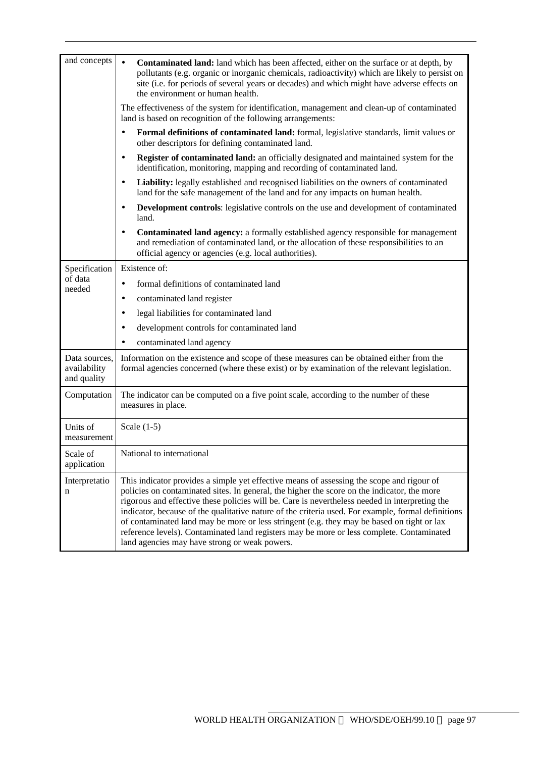| and concepts                                 | <b>Contaminated land:</b> land which has been affected, either on the surface or at depth, by<br>$\bullet$<br>pollutants (e.g. organic or inorganic chemicals, radioactivity) which are likely to persist on<br>site (i.e. for periods of several years or decades) and which might have adverse effects on<br>the environment or human health.                                                                                                                                                                                                                                                                                              |  |
|----------------------------------------------|----------------------------------------------------------------------------------------------------------------------------------------------------------------------------------------------------------------------------------------------------------------------------------------------------------------------------------------------------------------------------------------------------------------------------------------------------------------------------------------------------------------------------------------------------------------------------------------------------------------------------------------------|--|
|                                              | The effectiveness of the system for identification, management and clean-up of contaminated<br>land is based on recognition of the following arrangements:                                                                                                                                                                                                                                                                                                                                                                                                                                                                                   |  |
|                                              | <b>Formal definitions of contaminated land:</b> formal, legislative standards, limit values or<br>$\bullet$<br>other descriptors for defining contaminated land.                                                                                                                                                                                                                                                                                                                                                                                                                                                                             |  |
|                                              | <b>Register of contaminated land:</b> an officially designated and maintained system for the<br>$\bullet$<br>identification, monitoring, mapping and recording of contaminated land.                                                                                                                                                                                                                                                                                                                                                                                                                                                         |  |
|                                              | Liability: legally established and recognised liabilities on the owners of contaminated<br>$\bullet$<br>land for the safe management of the land and for any impacts on human health.                                                                                                                                                                                                                                                                                                                                                                                                                                                        |  |
|                                              | <b>Development controls:</b> legislative controls on the use and development of contaminated<br>$\bullet$<br>land.                                                                                                                                                                                                                                                                                                                                                                                                                                                                                                                           |  |
|                                              | <b>Contaminated land agency:</b> a formally established agency responsible for management<br>$\bullet$<br>and remediation of contaminated land, or the allocation of these responsibilities to an<br>official agency or agencies (e.g. local authorities).                                                                                                                                                                                                                                                                                                                                                                                   |  |
| Specification                                | Existence of:                                                                                                                                                                                                                                                                                                                                                                                                                                                                                                                                                                                                                                |  |
| of data<br>needed                            | formal definitions of contaminated land<br>$\bullet$                                                                                                                                                                                                                                                                                                                                                                                                                                                                                                                                                                                         |  |
|                                              | contaminated land register<br>$\bullet$                                                                                                                                                                                                                                                                                                                                                                                                                                                                                                                                                                                                      |  |
|                                              | legal liabilities for contaminated land<br>$\bullet$                                                                                                                                                                                                                                                                                                                                                                                                                                                                                                                                                                                         |  |
|                                              | development controls for contaminated land<br>$\bullet$                                                                                                                                                                                                                                                                                                                                                                                                                                                                                                                                                                                      |  |
|                                              | contaminated land agency                                                                                                                                                                                                                                                                                                                                                                                                                                                                                                                                                                                                                     |  |
| Data sources,<br>availability<br>and quality | Information on the existence and scope of these measures can be obtained either from the<br>formal agencies concerned (where these exist) or by examination of the relevant legislation.                                                                                                                                                                                                                                                                                                                                                                                                                                                     |  |
| Computation                                  | The indicator can be computed on a five point scale, according to the number of these<br>measures in place.                                                                                                                                                                                                                                                                                                                                                                                                                                                                                                                                  |  |
| Units of<br>measurement                      | Scale $(1-5)$                                                                                                                                                                                                                                                                                                                                                                                                                                                                                                                                                                                                                                |  |
| Scale of<br>application                      | National to international                                                                                                                                                                                                                                                                                                                                                                                                                                                                                                                                                                                                                    |  |
| Interpretatio<br>n                           | This indicator provides a simple yet effective means of assessing the scope and rigour of<br>policies on contaminated sites. In general, the higher the score on the indicator, the more<br>rigorous and effective these policies will be. Care is nevertheless needed in interpreting the<br>indicator, because of the qualitative nature of the criteria used. For example, formal definitions<br>of contaminated land may be more or less stringent (e.g. they may be based on tight or lax<br>reference levels). Contaminated land registers may be more or less complete. Contaminated<br>land agencies may have strong or weak powers. |  |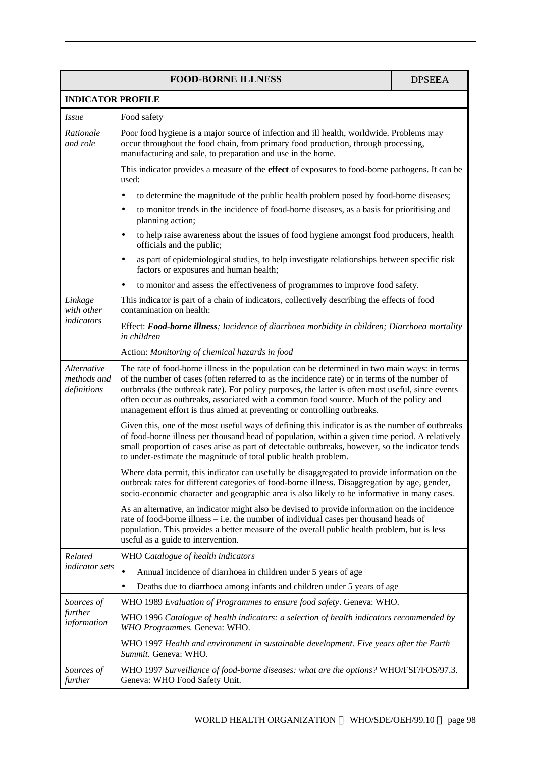| <b>FOOD-BORNE ILLNESS</b><br><b>DPSEEA</b> |                                                                                                                                                                                                                                                                                                                                                                                                                                                                          |  |  |
|--------------------------------------------|--------------------------------------------------------------------------------------------------------------------------------------------------------------------------------------------------------------------------------------------------------------------------------------------------------------------------------------------------------------------------------------------------------------------------------------------------------------------------|--|--|
|                                            | <b>INDICATOR PROFILE</b>                                                                                                                                                                                                                                                                                                                                                                                                                                                 |  |  |
| <i>Issue</i>                               | Food safety                                                                                                                                                                                                                                                                                                                                                                                                                                                              |  |  |
| Rationale<br>and role                      | Poor food hygiene is a major source of infection and ill health, worldwide. Problems may<br>occur throughout the food chain, from primary food production, through processing,<br>manufacturing and sale, to preparation and use in the home.                                                                                                                                                                                                                            |  |  |
|                                            | This indicator provides a measure of the <b>effect</b> of exposures to food-borne pathogens. It can be<br>used:                                                                                                                                                                                                                                                                                                                                                          |  |  |
|                                            | to determine the magnitude of the public health problem posed by food-borne diseases;<br>٠                                                                                                                                                                                                                                                                                                                                                                               |  |  |
|                                            | to monitor trends in the incidence of food-borne diseases, as a basis for prioritising and<br>٠<br>planning action;                                                                                                                                                                                                                                                                                                                                                      |  |  |
|                                            | to help raise awareness about the issues of food hygiene amongst food producers, health<br>$\bullet$<br>officials and the public;                                                                                                                                                                                                                                                                                                                                        |  |  |
|                                            | as part of epidemiological studies, to help investigate relationships between specific risk<br>$\bullet$<br>factors or exposures and human health;                                                                                                                                                                                                                                                                                                                       |  |  |
|                                            | to monitor and assess the effectiveness of programmes to improve food safety.<br>$\bullet$                                                                                                                                                                                                                                                                                                                                                                               |  |  |
| Linkage<br>with other                      | This indicator is part of a chain of indicators, collectively describing the effects of food<br>contamination on health:                                                                                                                                                                                                                                                                                                                                                 |  |  |
| indicators                                 | Effect: Food-borne illness; Incidence of diarrhoea morbidity in children; Diarrhoea mortality<br>in children                                                                                                                                                                                                                                                                                                                                                             |  |  |
|                                            | Action: Monitoring of chemical hazards in food                                                                                                                                                                                                                                                                                                                                                                                                                           |  |  |
| Alternative<br>methods and<br>definitions  | The rate of food-borne illness in the population can be determined in two main ways: in terms<br>of the number of cases (often referred to as the incidence rate) or in terms of the number of<br>outbreaks (the outbreak rate). For policy purposes, the latter is often most useful, since events<br>often occur as outbreaks, associated with a common food source. Much of the policy and<br>management effort is thus aimed at preventing or controlling outbreaks. |  |  |
|                                            | Given this, one of the most useful ways of defining this indicator is as the number of outbreaks<br>of food-borne illness per thousand head of population, within a given time period. A relatively<br>small proportion of cases arise as part of detectable outbreaks, however, so the indicator tends<br>to under-estimate the magnitude of total public health problem.                                                                                               |  |  |
|                                            | Where data permit, this indicator can usefully be disaggregated to provide information on the<br>outbreak rates for different categories of food-borne illness. Disaggregation by age, gender,<br>socio-economic character and geographic area is also likely to be informative in many cases.                                                                                                                                                                           |  |  |
|                                            | As an alternative, an indicator might also be devised to provide information on the incidence<br>rate of food-borne illness $-$ i.e. the number of individual cases per thousand heads of<br>population. This provides a better measure of the overall public health problem, but is less<br>useful as a guide to intervention.                                                                                                                                          |  |  |
| Related                                    | WHO Catalogue of health indicators                                                                                                                                                                                                                                                                                                                                                                                                                                       |  |  |
| <i>indicator</i> sets                      | Annual incidence of diarrhoea in children under 5 years of age<br>$\bullet$                                                                                                                                                                                                                                                                                                                                                                                              |  |  |
|                                            | Deaths due to diarrhoea among infants and children under 5 years of age<br>٠                                                                                                                                                                                                                                                                                                                                                                                             |  |  |
| Sources of                                 | WHO 1989 Evaluation of Programmes to ensure food safety. Geneva: WHO.                                                                                                                                                                                                                                                                                                                                                                                                    |  |  |
| further<br>information                     | WHO 1996 Catalogue of health indicators: a selection of health indicators recommended by<br>WHO Programmes. Geneva: WHO.                                                                                                                                                                                                                                                                                                                                                 |  |  |
|                                            | WHO 1997 Health and environment in sustainable development. Five years after the Earth<br>Summit. Geneva: WHO.                                                                                                                                                                                                                                                                                                                                                           |  |  |
| Sources of<br>further                      | WHO 1997 Surveillance of food-borne diseases: what are the options? WHO/FSF/FOS/97.3.<br>Geneva: WHO Food Safety Unit.                                                                                                                                                                                                                                                                                                                                                   |  |  |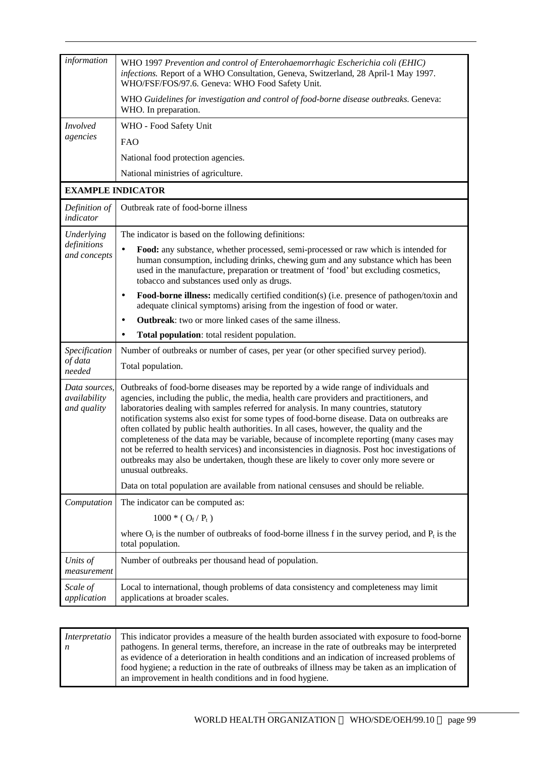| WHO 1997 Prevention and control of Enterohaemorrhagic Escherichia coli (EHIC)<br>infections. Report of a WHO Consultation, Geneva, Switzerland, 28 April-1 May 1997.<br>WHO/FSF/FOS/97.6. Geneva: WHO Food Safety Unit.                                                                                                                                                                                                                                                                                                                                                                                                                                                                                                                                                                                                            |  |
|------------------------------------------------------------------------------------------------------------------------------------------------------------------------------------------------------------------------------------------------------------------------------------------------------------------------------------------------------------------------------------------------------------------------------------------------------------------------------------------------------------------------------------------------------------------------------------------------------------------------------------------------------------------------------------------------------------------------------------------------------------------------------------------------------------------------------------|--|
| WHO Guidelines for investigation and control of food-borne disease outbreaks. Geneva:<br>WHO. In preparation.                                                                                                                                                                                                                                                                                                                                                                                                                                                                                                                                                                                                                                                                                                                      |  |
| WHO - Food Safety Unit                                                                                                                                                                                                                                                                                                                                                                                                                                                                                                                                                                                                                                                                                                                                                                                                             |  |
| <b>FAO</b>                                                                                                                                                                                                                                                                                                                                                                                                                                                                                                                                                                                                                                                                                                                                                                                                                         |  |
| National food protection agencies.                                                                                                                                                                                                                                                                                                                                                                                                                                                                                                                                                                                                                                                                                                                                                                                                 |  |
| National ministries of agriculture.                                                                                                                                                                                                                                                                                                                                                                                                                                                                                                                                                                                                                                                                                                                                                                                                |  |
| <b>EXAMPLE INDICATOR</b>                                                                                                                                                                                                                                                                                                                                                                                                                                                                                                                                                                                                                                                                                                                                                                                                           |  |
| Outbreak rate of food-borne illness                                                                                                                                                                                                                                                                                                                                                                                                                                                                                                                                                                                                                                                                                                                                                                                                |  |
| The indicator is based on the following definitions:                                                                                                                                                                                                                                                                                                                                                                                                                                                                                                                                                                                                                                                                                                                                                                               |  |
| Food: any substance, whether processed, semi-processed or raw which is intended for<br>$\bullet$<br>human consumption, including drinks, chewing gum and any substance which has been<br>used in the manufacture, preparation or treatment of 'food' but excluding cosmetics,<br>tobacco and substances used only as drugs.                                                                                                                                                                                                                                                                                                                                                                                                                                                                                                        |  |
| <b>Food-borne illness:</b> medically certified condition(s) (i.e. presence of pathogen/toxin and<br>$\bullet$<br>adequate clinical symptoms) arising from the ingestion of food or water.                                                                                                                                                                                                                                                                                                                                                                                                                                                                                                                                                                                                                                          |  |
| <b>Outbreak:</b> two or more linked cases of the same illness.<br>$\bullet$                                                                                                                                                                                                                                                                                                                                                                                                                                                                                                                                                                                                                                                                                                                                                        |  |
| Total population: total resident population.<br>$\bullet$                                                                                                                                                                                                                                                                                                                                                                                                                                                                                                                                                                                                                                                                                                                                                                          |  |
| Number of outbreaks or number of cases, per year (or other specified survey period).                                                                                                                                                                                                                                                                                                                                                                                                                                                                                                                                                                                                                                                                                                                                               |  |
| Total population.                                                                                                                                                                                                                                                                                                                                                                                                                                                                                                                                                                                                                                                                                                                                                                                                                  |  |
| Outbreaks of food-borne diseases may be reported by a wide range of individuals and<br>Data sources,<br>agencies, including the public, the media, health care providers and practitioners, and<br>availability<br>laboratories dealing with samples referred for analysis. In many countries, statutory<br>and quality<br>notification systems also exist for some types of food-borne disease. Data on outbreaks are<br>often collated by public health authorities. In all cases, however, the quality and the<br>completeness of the data may be variable, because of incomplete reporting (many cases may<br>not be referred to health services) and inconsistencies in diagnosis. Post hoc investigations of<br>outbreaks may also be undertaken, though these are likely to cover only more severe or<br>unusual outbreaks. |  |
| Data on total population are available from national censuses and should be reliable.                                                                                                                                                                                                                                                                                                                                                                                                                                                                                                                                                                                                                                                                                                                                              |  |
| The indicator can be computed as:                                                                                                                                                                                                                                                                                                                                                                                                                                                                                                                                                                                                                                                                                                                                                                                                  |  |
| $1000 * (O_f / P_t)$                                                                                                                                                                                                                                                                                                                                                                                                                                                                                                                                                                                                                                                                                                                                                                                                               |  |
| where $O_f$ is the number of outbreaks of food-borne illness f in the survey period, and $P_t$ is the<br>total population.                                                                                                                                                                                                                                                                                                                                                                                                                                                                                                                                                                                                                                                                                                         |  |
| Number of outbreaks per thousand head of population.                                                                                                                                                                                                                                                                                                                                                                                                                                                                                                                                                                                                                                                                                                                                                                               |  |
| Local to international, though problems of data consistency and completeness may limit<br>applications at broader scales.                                                                                                                                                                                                                                                                                                                                                                                                                                                                                                                                                                                                                                                                                                          |  |
|                                                                                                                                                                                                                                                                                                                                                                                                                                                                                                                                                                                                                                                                                                                                                                                                                                    |  |

*Interpretatio n* This indicator provides a measure of the health burden associated with exposure to food-borne pathogens. In general terms, therefore, an increase in the rate of outbreaks may be interpreted as evidence of a deterioration in health conditions and an indication of increased problems of food hygiene; a reduction in the rate of outbreaks of illness may be taken as an implication of an improvement in health conditions and in food hygiene.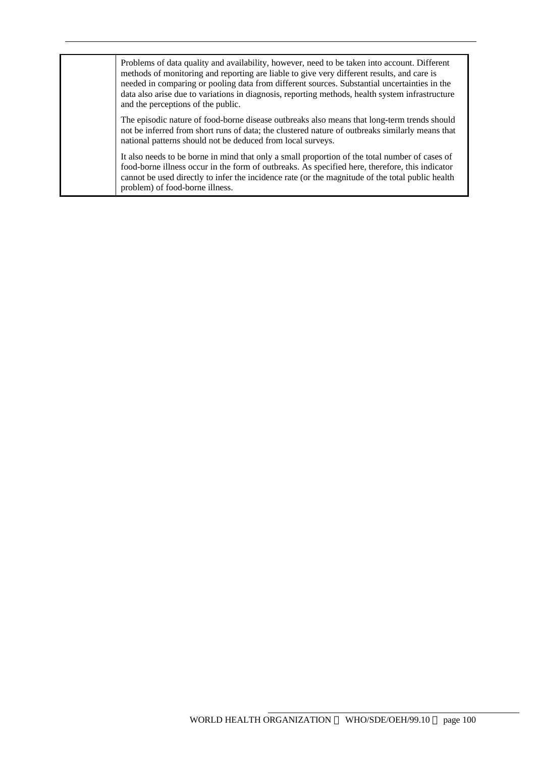Problems of data quality and availability, however, need to be taken into account. Different methods of monitoring and reporting are liable to give very different results, and care is needed in comparing or pooling data from different sources. Substantial uncertainties in the data also arise due to variations in diagnosis, reporting methods, health system infrastructure and the perceptions of the public.

 $\overline{a}$ 

The episodic nature of food-borne disease outbreaks also means that long-term trends should not be inferred from short runs of data; the clustered nature of outbreaks similarly means that national patterns should not be deduced from local surveys.

It also needs to be borne in mind that only a small proportion of the total number of cases of food-borne illness occur in the form of outbreaks. As specified here, therefore, this indicator cannot be used directly to infer the incidence rate (or the magnitude of the total public health problem) of food-borne illness.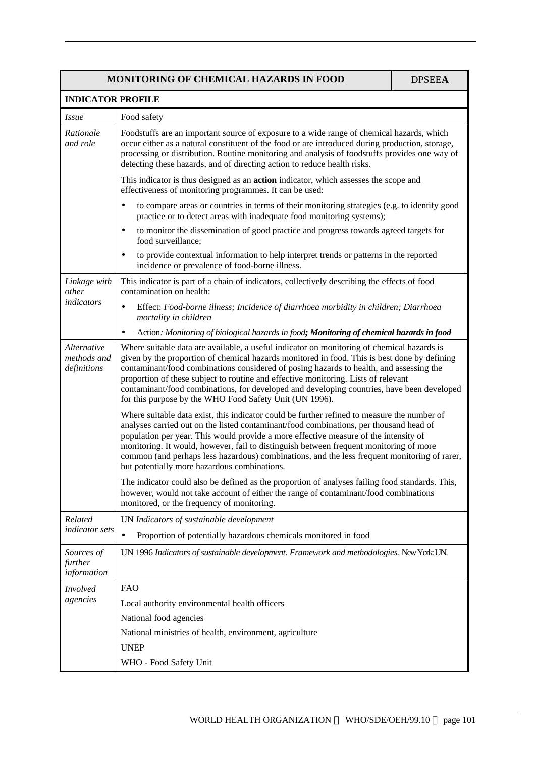## **MONITORING OF CHEMICAL HAZARDS IN FOOD** DPSEE**A**

 $\overline{a}$ 

## **INDICATOR PROFILE** *Issue* Food safety *Rationale and role* Foodstuffs are an important source of exposure to a wide range of chemical hazards, which occur either as a natural constituent of the food or are introduced during production, storage, processing or distribution. Routine monitoring and analysis of foodstuffs provides one way of detecting these hazards, and of directing action to reduce health risks. This indicator is thus designed as an **action** indicator, which assesses the scope and effectiveness of monitoring programmes. It can be used: • to compare areas or countries in terms of their monitoring strategies (e.g. to identify good practice or to detect areas with inadequate food monitoring systems); • to monitor the dissemination of good practice and progress towards agreed targets for food surveillance; • to provide contextual information to help interpret trends or patterns in the reported incidence or prevalence of food-borne illness. *Linkage with other indicators* This indicator is part of a chain of indicators, collectively describing the effects of food contamination on health: • Effect: *Food-borne illness; Incidence of diarrhoea morbidity in children; Diarrhoea mortality in children* • Action*: Monitoring of biological hazards in food; Monitoring of chemical hazards in food Alternative methods and definitions* Where suitable data are available, a useful indicator on monitoring of chemical hazards is given by the proportion of chemical hazards monitored in food. This is best done by defining contaminant/food combinations considered of posing hazards to health, and assessing the proportion of these subject to routine and effective monitoring. Lists of relevant contaminant/food combinations, for developed and developing countries, have been developed for this purpose by the WHO Food Safety Unit (UN 1996). Where suitable data exist, this indicator could be further refined to measure the number of analyses carried out on the listed contaminant/food combinations, per thousand head of population per year. This would provide a more effective measure of the intensity of monitoring. It would, however, fail to distinguish between frequent monitoring of more common (and perhaps less hazardous) combinations, and the less frequent monitoring of rarer, but potentially more hazardous combinations. The indicator could also be defined as the proportion of analyses failing food standards. This, however, would not take account of either the range of contaminant/food combinations monitored, or the frequency of monitoring. *Related indicator sets* UN *Indicators of sustainable development* • Proportion of potentially hazardous chemicals monitored in food *Sources of further information* UN 1996 *Indicators of sustainable development. Framework and methodologies*. New York: UN. *Involved agencies* FAO Local authority environmental health officers National food agencies National ministries of health, environment, agriculture UNEP WHO - Food Safety Unit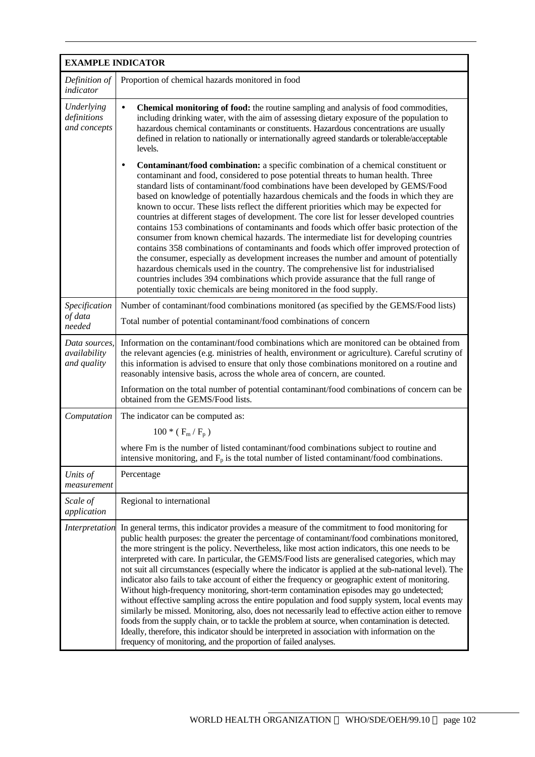| <b>EXAMPLE INDICATOR</b>                     |                                                                                                                                                                                                                                                                                                                                                                                                                                                                                                                                                                                                                                                                                                                                                                                                                                                                                                                                                                                                                                                                                                                                                                                                       |  |
|----------------------------------------------|-------------------------------------------------------------------------------------------------------------------------------------------------------------------------------------------------------------------------------------------------------------------------------------------------------------------------------------------------------------------------------------------------------------------------------------------------------------------------------------------------------------------------------------------------------------------------------------------------------------------------------------------------------------------------------------------------------------------------------------------------------------------------------------------------------------------------------------------------------------------------------------------------------------------------------------------------------------------------------------------------------------------------------------------------------------------------------------------------------------------------------------------------------------------------------------------------------|--|
| Definition of<br>indicator                   | Proportion of chemical hazards monitored in food                                                                                                                                                                                                                                                                                                                                                                                                                                                                                                                                                                                                                                                                                                                                                                                                                                                                                                                                                                                                                                                                                                                                                      |  |
| Underlying<br>definitions<br>and concepts    | Chemical monitoring of food: the routine sampling and analysis of food commodities,<br>$\bullet$<br>including drinking water, with the aim of assessing dietary exposure of the population to<br>hazardous chemical contaminants or constituents. Hazardous concentrations are usually<br>defined in relation to nationally or internationally agreed standards or tolerable/acceptable<br>levels.                                                                                                                                                                                                                                                                                                                                                                                                                                                                                                                                                                                                                                                                                                                                                                                                    |  |
|                                              | Contaminant/food combination: a specific combination of a chemical constituent or<br>$\bullet$<br>contaminant and food, considered to pose potential threats to human health. Three<br>standard lists of contaminant/food combinations have been developed by GEMS/Food<br>based on knowledge of potentially hazardous chemicals and the foods in which they are<br>known to occur. These lists reflect the different priorities which may be expected for<br>countries at different stages of development. The core list for lesser developed countries<br>contains 153 combinations of contaminants and foods which offer basic protection of the<br>consumer from known chemical hazards. The intermediate list for developing countries<br>contains 358 combinations of contaminants and foods which offer improved protection of<br>the consumer, especially as development increases the number and amount of potentially<br>hazardous chemicals used in the country. The comprehensive list for industrialised<br>countries includes 394 combinations which provide assurance that the full range of<br>potentially toxic chemicals are being monitored in the food supply.                    |  |
| Specification                                | Number of contaminant/food combinations monitored (as specified by the GEMS/Food lists)                                                                                                                                                                                                                                                                                                                                                                                                                                                                                                                                                                                                                                                                                                                                                                                                                                                                                                                                                                                                                                                                                                               |  |
| of data<br>needed                            | Total number of potential contaminant/food combinations of concern                                                                                                                                                                                                                                                                                                                                                                                                                                                                                                                                                                                                                                                                                                                                                                                                                                                                                                                                                                                                                                                                                                                                    |  |
| Data sources,<br>availability<br>and quality | Information on the contaminant/food combinations which are monitored can be obtained from<br>the relevant agencies (e.g. ministries of health, environment or agriculture). Careful scrutiny of<br>this information is advised to ensure that only those combinations monitored on a routine and<br>reasonably intensive basis, across the whole area of concern, are counted.                                                                                                                                                                                                                                                                                                                                                                                                                                                                                                                                                                                                                                                                                                                                                                                                                        |  |
|                                              | Information on the total number of potential contaminant/food combinations of concern can be<br>obtained from the GEMS/Food lists.                                                                                                                                                                                                                                                                                                                                                                                                                                                                                                                                                                                                                                                                                                                                                                                                                                                                                                                                                                                                                                                                    |  |
| Computation                                  | The indicator can be computed as:                                                                                                                                                                                                                                                                                                                                                                                                                                                                                                                                                                                                                                                                                                                                                                                                                                                                                                                                                                                                                                                                                                                                                                     |  |
|                                              | $100 * (F_m / F_p)$                                                                                                                                                                                                                                                                                                                                                                                                                                                                                                                                                                                                                                                                                                                                                                                                                                                                                                                                                                                                                                                                                                                                                                                   |  |
|                                              | where Fm is the number of listed contaminant/food combinations subject to routine and<br>intensive monitoring, and $F_p$ is the total number of listed contaminant/food combinations.                                                                                                                                                                                                                                                                                                                                                                                                                                                                                                                                                                                                                                                                                                                                                                                                                                                                                                                                                                                                                 |  |
| Units of<br>measurement                      | Percentage                                                                                                                                                                                                                                                                                                                                                                                                                                                                                                                                                                                                                                                                                                                                                                                                                                                                                                                                                                                                                                                                                                                                                                                            |  |
| Scale of<br>application                      | Regional to international                                                                                                                                                                                                                                                                                                                                                                                                                                                                                                                                                                                                                                                                                                                                                                                                                                                                                                                                                                                                                                                                                                                                                                             |  |
| Interpretation                               | In general terms, this indicator provides a measure of the commitment to food monitoring for<br>public health purposes: the greater the percentage of contaminant/food combinations monitored,<br>the more stringent is the policy. Nevertheless, like most action indicators, this one needs to be<br>interpreted with care. In particular, the GEMS/Food lists are generalised categories, which may<br>not suit all circumstances (especially where the indicator is applied at the sub-national level). The<br>indicator also fails to take account of either the frequency or geographic extent of monitoring.<br>Without high-frequency monitoring, short-term contamination episodes may go undetected;<br>without effective sampling across the entire population and food supply system, local events may<br>similarly be missed. Monitoring, also, does not necessarily lead to effective action either to remove<br>foods from the supply chain, or to tackle the problem at source, when contamination is detected.<br>Ideally, therefore, this indicator should be interpreted in association with information on the<br>frequency of monitoring, and the proportion of failed analyses. |  |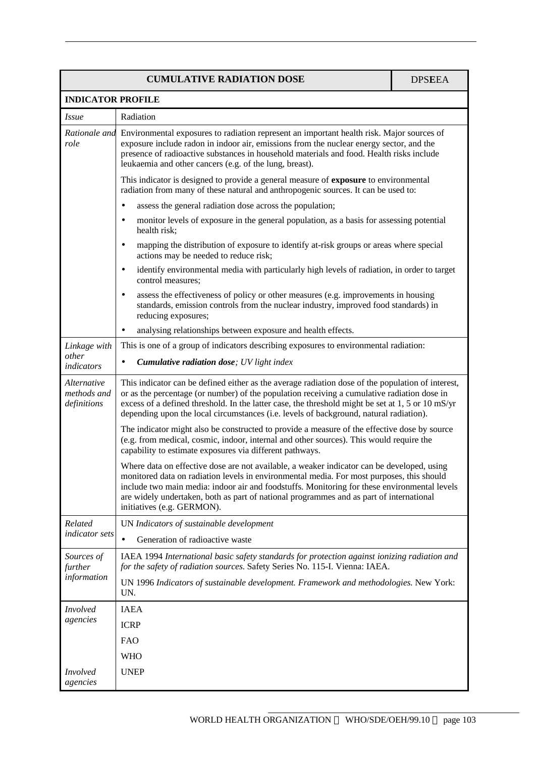|                                           | <b>CUMULATIVE RADIATION DOSE</b><br><b>DPSEEA</b>                                                                                                                                                                                                                                                                                                                                                                |  |  |  |
|-------------------------------------------|------------------------------------------------------------------------------------------------------------------------------------------------------------------------------------------------------------------------------------------------------------------------------------------------------------------------------------------------------------------------------------------------------------------|--|--|--|
| <b>INDICATOR PROFILE</b>                  |                                                                                                                                                                                                                                                                                                                                                                                                                  |  |  |  |
| <b>Issue</b>                              | Radiation                                                                                                                                                                                                                                                                                                                                                                                                        |  |  |  |
| Rationale and<br>role                     | Environmental exposures to radiation represent an important health risk. Major sources of<br>exposure include radon in indoor air, emissions from the nuclear energy sector, and the<br>presence of radioactive substances in household materials and food. Health risks include<br>leukaemia and other cancers (e.g. of the lung, breast).                                                                      |  |  |  |
|                                           | This indicator is designed to provide a general measure of <b>exposure</b> to environmental<br>radiation from many of these natural and anthropogenic sources. It can be used to:                                                                                                                                                                                                                                |  |  |  |
|                                           | assess the general radiation dose across the population;<br>$\bullet$                                                                                                                                                                                                                                                                                                                                            |  |  |  |
|                                           | monitor levels of exposure in the general population, as a basis for assessing potential<br>$\bullet$<br>health risk;                                                                                                                                                                                                                                                                                            |  |  |  |
|                                           | mapping the distribution of exposure to identify at-risk groups or areas where special<br>٠<br>actions may be needed to reduce risk;                                                                                                                                                                                                                                                                             |  |  |  |
|                                           | identify environmental media with particularly high levels of radiation, in order to target<br>$\bullet$<br>control measures;                                                                                                                                                                                                                                                                                    |  |  |  |
|                                           | assess the effectiveness of policy or other measures (e.g. improvements in housing<br>٠<br>standards, emission controls from the nuclear industry, improved food standards) in<br>reducing exposures;                                                                                                                                                                                                            |  |  |  |
|                                           | analysing relationships between exposure and health effects.<br>٠                                                                                                                                                                                                                                                                                                                                                |  |  |  |
| Linkage with                              | This is one of a group of indicators describing exposures to environmental radiation:                                                                                                                                                                                                                                                                                                                            |  |  |  |
| other<br>indicators                       | <b>Cumulative radiation dose</b> ; UV light index                                                                                                                                                                                                                                                                                                                                                                |  |  |  |
| Alternative<br>methods and<br>definitions | This indicator can be defined either as the average radiation dose of the population of interest,<br>or as the percentage (or number) of the population receiving a cumulative radiation dose in<br>excess of a defined threshold. In the latter case, the threshold might be set at 1, 5 or 10 mS/yr<br>depending upon the local circumstances (i.e. levels of background, natural radiation).                  |  |  |  |
|                                           | The indicator might also be constructed to provide a measure of the effective dose by source<br>(e.g. from medical, cosmic, indoor, internal and other sources). This would require the<br>capability to estimate exposures via different pathways.                                                                                                                                                              |  |  |  |
|                                           | Where data on effective dose are not available, a weaker indicator can be developed, using<br>monitored data on radiation levels in environmental media. For most purposes, this should<br>include two main media: indoor air and foodstuffs. Monitoring for these environmental levels<br>are widely undertaken, both as part of national programmes and as part of international<br>initiatives (e.g. GERMON). |  |  |  |
| Related                                   | UN Indicators of sustainable development                                                                                                                                                                                                                                                                                                                                                                         |  |  |  |
| indicator sets                            | Generation of radioactive waste<br>$\bullet$                                                                                                                                                                                                                                                                                                                                                                     |  |  |  |
| Sources of<br>further                     | IAEA 1994 International basic safety standards for protection against ionizing radiation and<br>for the safety of radiation sources. Safety Series No. 115-I. Vienna: IAEA.                                                                                                                                                                                                                                      |  |  |  |
| information                               | UN 1996 Indicators of sustainable development. Framework and methodologies. New York:<br>UN.                                                                                                                                                                                                                                                                                                                     |  |  |  |
| <i>Involved</i>                           | <b>IAEA</b>                                                                                                                                                                                                                                                                                                                                                                                                      |  |  |  |
| agencies                                  | <b>ICRP</b>                                                                                                                                                                                                                                                                                                                                                                                                      |  |  |  |
|                                           | <b>FAO</b>                                                                                                                                                                                                                                                                                                                                                                                                       |  |  |  |
|                                           | <b>WHO</b>                                                                                                                                                                                                                                                                                                                                                                                                       |  |  |  |
| <i>Involved</i>                           | <b>UNEP</b>                                                                                                                                                                                                                                                                                                                                                                                                      |  |  |  |
| agencies                                  |                                                                                                                                                                                                                                                                                                                                                                                                                  |  |  |  |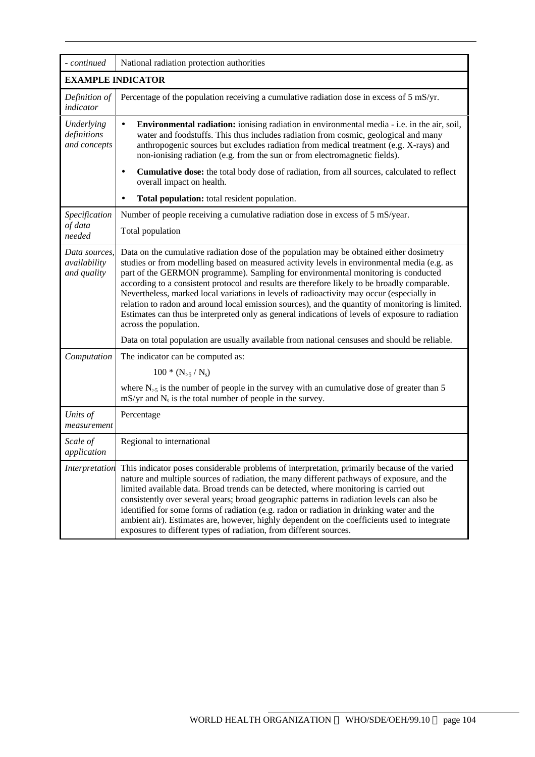| - continued                                  | National radiation protection authorities                                                                                                                                                                                                                                                                                                                                                                                                                                                                                                                                                                                                                                                                                                                                                                     |  |  |
|----------------------------------------------|---------------------------------------------------------------------------------------------------------------------------------------------------------------------------------------------------------------------------------------------------------------------------------------------------------------------------------------------------------------------------------------------------------------------------------------------------------------------------------------------------------------------------------------------------------------------------------------------------------------------------------------------------------------------------------------------------------------------------------------------------------------------------------------------------------------|--|--|
| <b>EXAMPLE INDICATOR</b>                     |                                                                                                                                                                                                                                                                                                                                                                                                                                                                                                                                                                                                                                                                                                                                                                                                               |  |  |
| Definition of<br>indicator                   | Percentage of the population receiving a cumulative radiation dose in excess of 5 mS/yr.                                                                                                                                                                                                                                                                                                                                                                                                                                                                                                                                                                                                                                                                                                                      |  |  |
| Underlying<br>definitions<br>and concepts    | <b>Environmental radiation:</b> ionising radiation in environmental media - i.e. in the air, soil,<br>$\bullet$<br>water and foodstuffs. This thus includes radiation from cosmic, geological and many<br>anthropogenic sources but excludes radiation from medical treatment (e.g. X-rays) and<br>non-ionising radiation (e.g. from the sun or from electromagnetic fields).                                                                                                                                                                                                                                                                                                                                                                                                                                 |  |  |
|                                              | <b>Cumulative dose:</b> the total body dose of radiation, from all sources, calculated to reflect<br>$\bullet$<br>overall impact on health.                                                                                                                                                                                                                                                                                                                                                                                                                                                                                                                                                                                                                                                                   |  |  |
|                                              | Total population: total resident population.                                                                                                                                                                                                                                                                                                                                                                                                                                                                                                                                                                                                                                                                                                                                                                  |  |  |
| Specification<br>of data<br>needed           | Number of people receiving a cumulative radiation dose in excess of 5 mS/year.<br>Total population                                                                                                                                                                                                                                                                                                                                                                                                                                                                                                                                                                                                                                                                                                            |  |  |
| Data sources.<br>availability<br>and quality | Data on the cumulative radiation dose of the population may be obtained either dosimetry<br>studies or from modelling based on measured activity levels in environmental media (e.g. as<br>part of the GERMON programme). Sampling for environmental monitoring is conducted<br>according to a consistent protocol and results are therefore likely to be broadly comparable.<br>Nevertheless, marked local variations in levels of radioactivity may occur (especially in<br>relation to radon and around local emission sources), and the quantity of monitoring is limited.<br>Estimates can thus be interpreted only as general indications of levels of exposure to radiation<br>across the population.<br>Data on total population are usually available from national censuses and should be reliable. |  |  |
| Computation                                  | The indicator can be computed as:                                                                                                                                                                                                                                                                                                                                                                                                                                                                                                                                                                                                                                                                                                                                                                             |  |  |
|                                              | $100 * (N_{>5} / N_s)$                                                                                                                                                                                                                                                                                                                                                                                                                                                                                                                                                                                                                                                                                                                                                                                        |  |  |
|                                              | where $N_{>5}$ is the number of people in the survey with an cumulative dose of greater than 5<br>$\text{mS/yr}$ and $\text{N}_\text{s}$ is the total number of people in the survey.                                                                                                                                                                                                                                                                                                                                                                                                                                                                                                                                                                                                                         |  |  |
| Units of<br>measurement                      | Percentage                                                                                                                                                                                                                                                                                                                                                                                                                                                                                                                                                                                                                                                                                                                                                                                                    |  |  |
| Scale of<br>application                      | Regional to international                                                                                                                                                                                                                                                                                                                                                                                                                                                                                                                                                                                                                                                                                                                                                                                     |  |  |
| Interpretation                               | This indicator poses considerable problems of interpretation, primarily because of the varied<br>nature and multiple sources of radiation, the many different pathways of exposure, and the<br>limited available data. Broad trends can be detected, where monitoring is carried out<br>consistently over several years; broad geographic patterns in radiation levels can also be<br>identified for some forms of radiation (e.g. radon or radiation in drinking water and the<br>ambient air). Estimates are, however, highly dependent on the coefficients used to integrate<br>exposures to different types of radiation, from different sources.                                                                                                                                                         |  |  |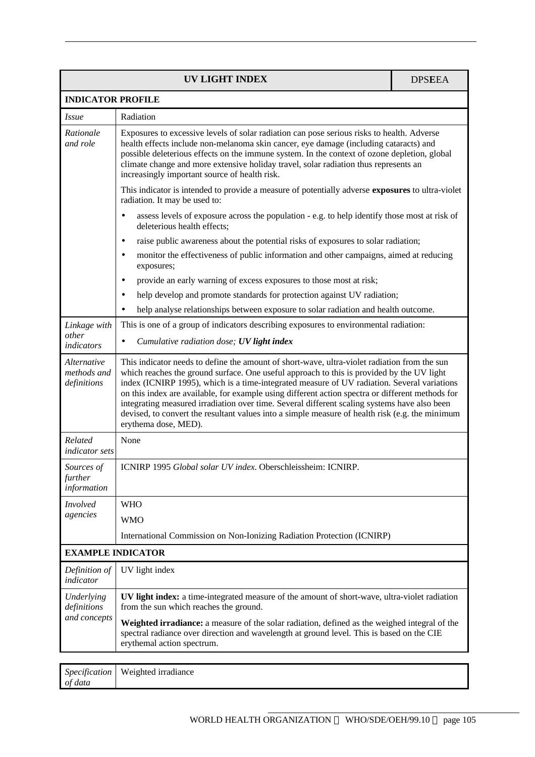| UV LIGHT INDEX<br><b>DPSEEA</b>           |                                                                                                                                                                                                                                                                                                                                                                                                                                                                                                                                                                                                                         |  |
|-------------------------------------------|-------------------------------------------------------------------------------------------------------------------------------------------------------------------------------------------------------------------------------------------------------------------------------------------------------------------------------------------------------------------------------------------------------------------------------------------------------------------------------------------------------------------------------------------------------------------------------------------------------------------------|--|
| <b>INDICATOR PROFILE</b>                  |                                                                                                                                                                                                                                                                                                                                                                                                                                                                                                                                                                                                                         |  |
| <i>Issue</i>                              | Radiation                                                                                                                                                                                                                                                                                                                                                                                                                                                                                                                                                                                                               |  |
| Rationale<br>and role                     | Exposures to excessive levels of solar radiation can pose serious risks to health. Adverse<br>health effects include non-melanoma skin cancer, eye damage (including cataracts) and<br>possible deleterious effects on the immune system. In the context of ozone depletion, global<br>climate change and more extensive holiday travel, solar radiation thus represents an<br>increasingly important source of health risk.                                                                                                                                                                                            |  |
|                                           | This indicator is intended to provide a measure of potentially adverse exposures to ultra-violet<br>radiation. It may be used to:                                                                                                                                                                                                                                                                                                                                                                                                                                                                                       |  |
|                                           | assess levels of exposure across the population - e.g. to help identify those most at risk of<br>٠<br>deleterious health effects;                                                                                                                                                                                                                                                                                                                                                                                                                                                                                       |  |
|                                           | raise public awareness about the potential risks of exposures to solar radiation;<br>٠                                                                                                                                                                                                                                                                                                                                                                                                                                                                                                                                  |  |
|                                           | monitor the effectiveness of public information and other campaigns, aimed at reducing<br>exposures;                                                                                                                                                                                                                                                                                                                                                                                                                                                                                                                    |  |
|                                           | provide an early warning of excess exposures to those most at risk;<br>$\bullet$                                                                                                                                                                                                                                                                                                                                                                                                                                                                                                                                        |  |
|                                           | help develop and promote standards for protection against UV radiation;<br>$\bullet$                                                                                                                                                                                                                                                                                                                                                                                                                                                                                                                                    |  |
|                                           | help analyse relationships between exposure to solar radiation and health outcome.                                                                                                                                                                                                                                                                                                                                                                                                                                                                                                                                      |  |
| Linkage with                              | This is one of a group of indicators describing exposures to environmental radiation:                                                                                                                                                                                                                                                                                                                                                                                                                                                                                                                                   |  |
| other<br>indicators                       | Cumulative radiation dose; UV light index                                                                                                                                                                                                                                                                                                                                                                                                                                                                                                                                                                               |  |
| Alternative<br>methods and<br>definitions | This indicator needs to define the amount of short-wave, ultra-violet radiation from the sun<br>which reaches the ground surface. One useful approach to this is provided by the UV light<br>index (ICNIRP 1995), which is a time-integrated measure of UV radiation. Several variations<br>on this index are available, for example using different action spectra or different methods for<br>integrating measured irradiation over time. Several different scaling systems have also been<br>devised, to convert the resultant values into a simple measure of health risk (e.g. the minimum<br>erythema dose, MED). |  |
| Related<br>indicator sets                 | None                                                                                                                                                                                                                                                                                                                                                                                                                                                                                                                                                                                                                    |  |
| Sources of<br>further<br>information      | ICNIRP 1995 Global solar UV index. Oberschleissheim: ICNIRP.                                                                                                                                                                                                                                                                                                                                                                                                                                                                                                                                                            |  |
| <b>Involved</b>                           | <b>WHO</b>                                                                                                                                                                                                                                                                                                                                                                                                                                                                                                                                                                                                              |  |
| agencies                                  | <b>WMO</b>                                                                                                                                                                                                                                                                                                                                                                                                                                                                                                                                                                                                              |  |
|                                           | International Commission on Non-Ionizing Radiation Protection (ICNIRP)                                                                                                                                                                                                                                                                                                                                                                                                                                                                                                                                                  |  |
| <b>EXAMPLE INDICATOR</b>                  |                                                                                                                                                                                                                                                                                                                                                                                                                                                                                                                                                                                                                         |  |
| Definition of<br>indicator                | UV light index                                                                                                                                                                                                                                                                                                                                                                                                                                                                                                                                                                                                          |  |
| Underlying<br>definitions<br>and concepts | UV light index: a time-integrated measure of the amount of short-wave, ultra-violet radiation<br>from the sun which reaches the ground.                                                                                                                                                                                                                                                                                                                                                                                                                                                                                 |  |
|                                           | Weighted irradiance: a measure of the solar radiation, defined as the weighed integral of the<br>spectral radiance over direction and wavelength at ground level. This is based on the CIE<br>erythemal action spectrum.                                                                                                                                                                                                                                                                                                                                                                                                |  |

| <i>Specification</i> | Weighted irradiance |
|----------------------|---------------------|
| of data              |                     |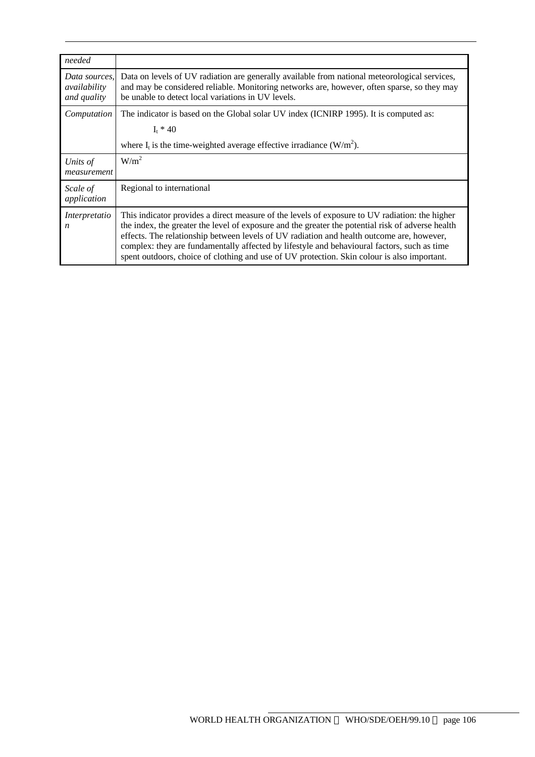| needed                                       |                                                                                                                                                                                                                                                                                                                                                                                                                                                                                                |  |
|----------------------------------------------|------------------------------------------------------------------------------------------------------------------------------------------------------------------------------------------------------------------------------------------------------------------------------------------------------------------------------------------------------------------------------------------------------------------------------------------------------------------------------------------------|--|
| Data sources,<br>availability<br>and quality | Data on levels of UV radiation are generally available from national meteorological services,<br>and may be considered reliable. Monitoring networks are, however, often sparse, so they may<br>be unable to detect local variations in UV levels.                                                                                                                                                                                                                                             |  |
| Computation                                  | The indicator is based on the Global solar UV index (ICNIRP 1995). It is computed as:                                                                                                                                                                                                                                                                                                                                                                                                          |  |
|                                              | $I_t * 40$                                                                                                                                                                                                                                                                                                                                                                                                                                                                                     |  |
|                                              | where $I_t$ is the time-weighted average effective irradiance (W/m <sup>2</sup> ).                                                                                                                                                                                                                                                                                                                                                                                                             |  |
| Units of<br>measurement                      | W/m <sup>2</sup>                                                                                                                                                                                                                                                                                                                                                                                                                                                                               |  |
| Scale of<br>application                      | Regional to international                                                                                                                                                                                                                                                                                                                                                                                                                                                                      |  |
| Interpretatio<br>$\boldsymbol{n}$            | This indicator provides a direct measure of the levels of exposure to UV radiation: the higher<br>the index, the greater the level of exposure and the greater the potential risk of adverse health<br>effects. The relationship between levels of UV radiation and health outcome are, however,<br>complex: they are fundamentally affected by lifestyle and behavioural factors, such as time<br>spent outdoors, choice of clothing and use of UV protection. Skin colour is also important. |  |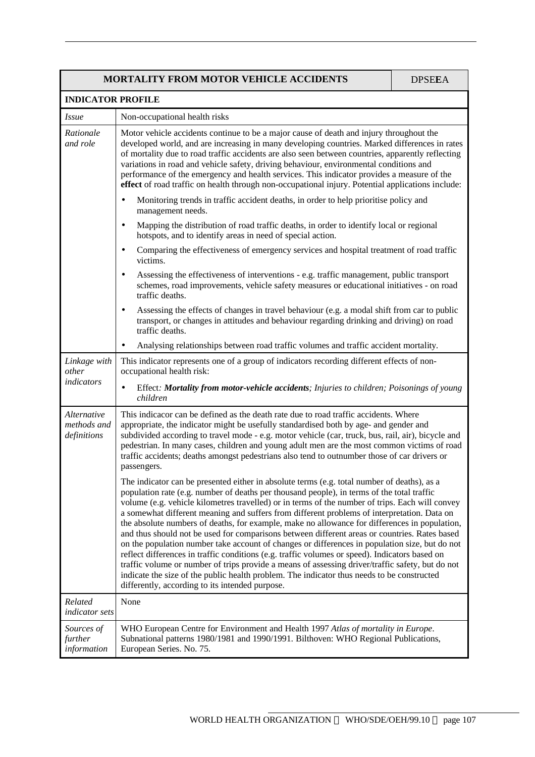|                                                  | <b>MORTALITY FROM MOTOR VEHICLE ACCIDENTS</b><br><b>DPSEEA</b>                                                                                                                                                                                                                                                                                                                                                                                                                                                                                                                                                                                                                                                                                                                                                                                                                                                                                                                                                                                         |  |  |
|--------------------------------------------------|--------------------------------------------------------------------------------------------------------------------------------------------------------------------------------------------------------------------------------------------------------------------------------------------------------------------------------------------------------------------------------------------------------------------------------------------------------------------------------------------------------------------------------------------------------------------------------------------------------------------------------------------------------------------------------------------------------------------------------------------------------------------------------------------------------------------------------------------------------------------------------------------------------------------------------------------------------------------------------------------------------------------------------------------------------|--|--|
| <b>INDICATOR PROFILE</b>                         |                                                                                                                                                                                                                                                                                                                                                                                                                                                                                                                                                                                                                                                                                                                                                                                                                                                                                                                                                                                                                                                        |  |  |
| <i>Issue</i>                                     | Non-occupational health risks                                                                                                                                                                                                                                                                                                                                                                                                                                                                                                                                                                                                                                                                                                                                                                                                                                                                                                                                                                                                                          |  |  |
| Rationale<br>and role                            | Motor vehicle accidents continue to be a major cause of death and injury throughout the<br>developed world, and are increasing in many developing countries. Marked differences in rates<br>of mortality due to road traffic accidents are also seen between countries, apparently reflecting<br>variations in road and vehicle safety, driving behaviour, environmental conditions and<br>performance of the emergency and health services. This indicator provides a measure of the<br>effect of road traffic on health through non-occupational injury. Potential applications include:                                                                                                                                                                                                                                                                                                                                                                                                                                                             |  |  |
|                                                  | Monitoring trends in traffic accident deaths, in order to help prioritise policy and<br>$\bullet$<br>management needs.                                                                                                                                                                                                                                                                                                                                                                                                                                                                                                                                                                                                                                                                                                                                                                                                                                                                                                                                 |  |  |
|                                                  | Mapping the distribution of road traffic deaths, in order to identify local or regional<br>$\bullet$<br>hotspots, and to identify areas in need of special action.                                                                                                                                                                                                                                                                                                                                                                                                                                                                                                                                                                                                                                                                                                                                                                                                                                                                                     |  |  |
|                                                  | Comparing the effectiveness of emergency services and hospital treatment of road traffic<br>$\bullet$<br>victims.                                                                                                                                                                                                                                                                                                                                                                                                                                                                                                                                                                                                                                                                                                                                                                                                                                                                                                                                      |  |  |
|                                                  | Assessing the effectiveness of interventions - e.g. traffic management, public transport<br>schemes, road improvements, vehicle safety measures or educational initiatives - on road<br>traffic deaths.                                                                                                                                                                                                                                                                                                                                                                                                                                                                                                                                                                                                                                                                                                                                                                                                                                                |  |  |
|                                                  | Assessing the effects of changes in travel behaviour (e.g. a modal shift from car to public<br>$\bullet$<br>transport, or changes in attitudes and behaviour regarding drinking and driving) on road<br>traffic deaths.                                                                                                                                                                                                                                                                                                                                                                                                                                                                                                                                                                                                                                                                                                                                                                                                                                |  |  |
|                                                  | Analysing relationships between road traffic volumes and traffic accident mortality.                                                                                                                                                                                                                                                                                                                                                                                                                                                                                                                                                                                                                                                                                                                                                                                                                                                                                                                                                                   |  |  |
| Linkage with<br>other                            | This indicator represents one of a group of indicators recording different effects of non-<br>occupational health risk:                                                                                                                                                                                                                                                                                                                                                                                                                                                                                                                                                                                                                                                                                                                                                                                                                                                                                                                                |  |  |
| indicators                                       | Effect: Mortality from motor-vehicle accidents; Injuries to children; Poisonings of young<br>$\bullet$<br>children                                                                                                                                                                                                                                                                                                                                                                                                                                                                                                                                                                                                                                                                                                                                                                                                                                                                                                                                     |  |  |
| <b>Alternative</b><br>methods and<br>definitions | This indicacor can be defined as the death rate due to road traffic accidents. Where<br>appropriate, the indicator might be usefully standardised both by age- and gender and<br>subdivided according to travel mode - e.g. motor vehicle (car, truck, bus, rail, air), bicycle and<br>pedestrian. In many cases, children and young adult men are the most common victims of road<br>traffic accidents; deaths amongst pedestrians also tend to outnumber those of car drivers or<br>passengers.                                                                                                                                                                                                                                                                                                                                                                                                                                                                                                                                                      |  |  |
|                                                  | The indicator can be presented either in absolute terms (e.g. total number of deaths), as a<br>population rate (e.g. number of deaths per thousand people), in terms of the total traffic<br>volume (e.g. vehicle kilometres travelled) or in terms of the number of trips. Each will convey<br>a somewhat different meaning and suffers from different problems of interpretation. Data on<br>the absolute numbers of deaths, for example, make no allowance for differences in population,<br>and thus should not be used for comparisons between different areas or countries. Rates based<br>on the population number take account of changes or differences in population size, but do not<br>reflect differences in traffic conditions (e.g. traffic volumes or speed). Indicators based on<br>traffic volume or number of trips provide a means of assessing driver/traffic safety, but do not<br>indicate the size of the public health problem. The indicator thus needs to be constructed<br>differently, according to its intended purpose. |  |  |
| Related<br><i>indicator</i> sets                 | None                                                                                                                                                                                                                                                                                                                                                                                                                                                                                                                                                                                                                                                                                                                                                                                                                                                                                                                                                                                                                                                   |  |  |
| Sources of<br>further<br>information             | WHO European Centre for Environment and Health 1997 Atlas of mortality in Europe.<br>Subnational patterns 1980/1981 and 1990/1991. Bilthoven: WHO Regional Publications,<br>European Series. No. 75.                                                                                                                                                                                                                                                                                                                                                                                                                                                                                                                                                                                                                                                                                                                                                                                                                                                   |  |  |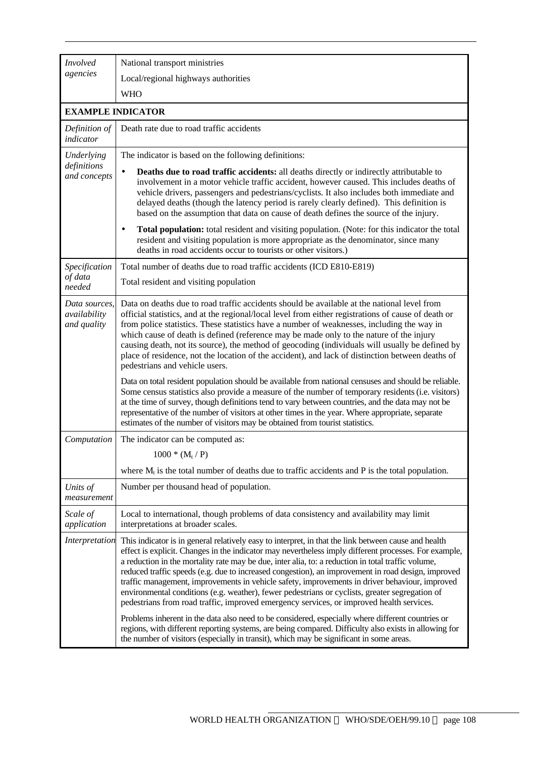| <b>Involved</b>                              | National transport ministries                                                                                                                                                                                                                                                                                                                                                                                                                                                                                                                                                                                                                                                                                                                                                                                                                                                                                                                                                                                                      |
|----------------------------------------------|------------------------------------------------------------------------------------------------------------------------------------------------------------------------------------------------------------------------------------------------------------------------------------------------------------------------------------------------------------------------------------------------------------------------------------------------------------------------------------------------------------------------------------------------------------------------------------------------------------------------------------------------------------------------------------------------------------------------------------------------------------------------------------------------------------------------------------------------------------------------------------------------------------------------------------------------------------------------------------------------------------------------------------|
| agencies                                     | Local/regional highways authorities                                                                                                                                                                                                                                                                                                                                                                                                                                                                                                                                                                                                                                                                                                                                                                                                                                                                                                                                                                                                |
|                                              | <b>WHO</b>                                                                                                                                                                                                                                                                                                                                                                                                                                                                                                                                                                                                                                                                                                                                                                                                                                                                                                                                                                                                                         |
| <b>EXAMPLE INDICATOR</b>                     |                                                                                                                                                                                                                                                                                                                                                                                                                                                                                                                                                                                                                                                                                                                                                                                                                                                                                                                                                                                                                                    |
| Definition of<br>indicator                   | Death rate due to road traffic accidents                                                                                                                                                                                                                                                                                                                                                                                                                                                                                                                                                                                                                                                                                                                                                                                                                                                                                                                                                                                           |
| Underlying<br>definitions<br>and concepts    | The indicator is based on the following definitions:<br><b>Deaths due to road traffic accidents:</b> all deaths directly or indirectly attributable to<br>$\bullet$<br>involvement in a motor vehicle traffic accident, however caused. This includes deaths of<br>vehicle drivers, passengers and pedestrians/cyclists. It also includes both immediate and<br>delayed deaths (though the latency period is rarely clearly defined). This definition is<br>based on the assumption that data on cause of death defines the source of the injury.                                                                                                                                                                                                                                                                                                                                                                                                                                                                                  |
|                                              | Total population: total resident and visiting population. (Note: for this indicator the total<br>$\bullet$<br>resident and visiting population is more appropriate as the denominator, since many<br>deaths in road accidents occur to tourists or other visitors.)                                                                                                                                                                                                                                                                                                                                                                                                                                                                                                                                                                                                                                                                                                                                                                |
| Specification<br>of data<br>needed           | Total number of deaths due to road traffic accidents (ICD E810-E819)<br>Total resident and visiting population                                                                                                                                                                                                                                                                                                                                                                                                                                                                                                                                                                                                                                                                                                                                                                                                                                                                                                                     |
| Data sources.<br>availability<br>and quality | Data on deaths due to road traffic accidents should be available at the national level from<br>official statistics, and at the regional/local level from either registrations of cause of death or<br>from police statistics. These statistics have a number of weaknesses, including the way in<br>which cause of death is defined (reference may be made only to the nature of the injury<br>causing death, not its source), the method of geocoding (individuals will usually be defined by<br>place of residence, not the location of the accident), and lack of distinction between deaths of<br>pedestrians and vehicle users.                                                                                                                                                                                                                                                                                                                                                                                               |
|                                              | Data on total resident population should be available from national censuses and should be reliable.<br>Some census statistics also provide a measure of the number of temporary residents (i.e. visitors)<br>at the time of survey, though definitions tend to vary between countries, and the data may not be<br>representative of the number of visitors at other times in the year. Where appropriate, separate<br>estimates of the number of visitors may be obtained from tourist statistics.                                                                                                                                                                                                                                                                                                                                                                                                                                                                                                                                |
| Computation                                  | The indicator can be computed as:                                                                                                                                                                                                                                                                                                                                                                                                                                                                                                                                                                                                                                                                                                                                                                                                                                                                                                                                                                                                  |
|                                              | $1000 * (M_t / P)$                                                                                                                                                                                                                                                                                                                                                                                                                                                                                                                                                                                                                                                                                                                                                                                                                                                                                                                                                                                                                 |
|                                              | where $M_t$ is the total number of deaths due to traffic accidents and P is the total population.                                                                                                                                                                                                                                                                                                                                                                                                                                                                                                                                                                                                                                                                                                                                                                                                                                                                                                                                  |
| Units of<br>measurement                      | Number per thousand head of population.                                                                                                                                                                                                                                                                                                                                                                                                                                                                                                                                                                                                                                                                                                                                                                                                                                                                                                                                                                                            |
| Scale of<br>application                      | Local to international, though problems of data consistency and availability may limit<br>interpretations at broader scales.                                                                                                                                                                                                                                                                                                                                                                                                                                                                                                                                                                                                                                                                                                                                                                                                                                                                                                       |
| Interpretation                               | This indicator is in general relatively easy to interpret, in that the link between cause and health<br>effect is explicit. Changes in the indicator may nevertheless imply different processes. For example,<br>a reduction in the mortality rate may be due, inter alia, to: a reduction in total traffic volume,<br>reduced traffic speeds (e.g. due to increased congestion), an improvement in road design, improved<br>traffic management, improvements in vehicle safety, improvements in driver behaviour, improved<br>environmental conditions (e.g. weather), fewer pedestrians or cyclists, greater segregation of<br>pedestrians from road traffic, improved emergency services, or improved health services.<br>Problems inherent in the data also need to be considered, especially where different countries or<br>regions, with different reporting systems, are being compared. Difficulty also exists in allowing for<br>the number of visitors (especially in transit), which may be significant in some areas. |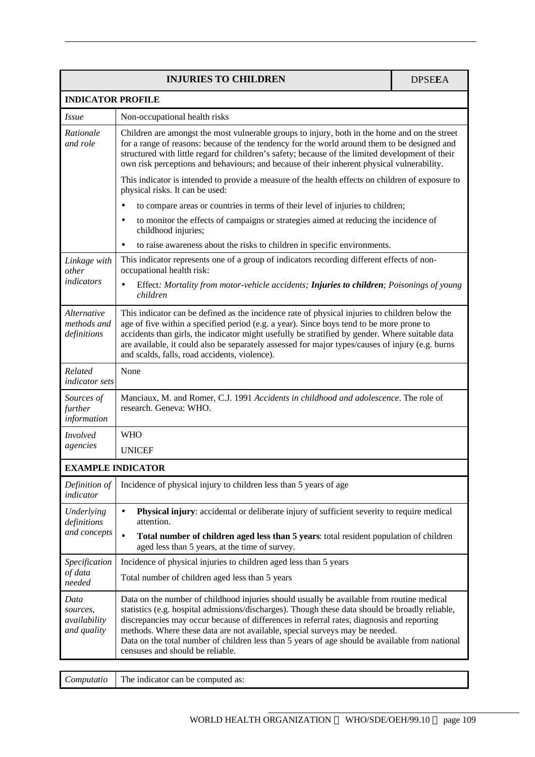| <b>INJURIES TO CHILDREN</b><br><b>DPSEEA</b>    |                                                                                                                                                                                                                                                                                                                                                                                                                                                                                                                 |  |
|-------------------------------------------------|-----------------------------------------------------------------------------------------------------------------------------------------------------------------------------------------------------------------------------------------------------------------------------------------------------------------------------------------------------------------------------------------------------------------------------------------------------------------------------------------------------------------|--|
| <b>INDICATOR PROFILE</b>                        |                                                                                                                                                                                                                                                                                                                                                                                                                                                                                                                 |  |
| Issue                                           | Non-occupational health risks                                                                                                                                                                                                                                                                                                                                                                                                                                                                                   |  |
| Rationale<br>and role                           | Children are amongst the most vulnerable groups to injury, both in the home and on the street<br>for a range of reasons: because of the tendency for the world around them to be designed and<br>structured with little regard for children's safety; because of the limited development of their<br>own risk perceptions and behaviours; and because of their inherent physical vulnerability.                                                                                                                 |  |
|                                                 | This indicator is intended to provide a measure of the health effects on children of exposure to<br>physical risks. It can be used:                                                                                                                                                                                                                                                                                                                                                                             |  |
|                                                 | to compare areas or countries in terms of their level of injuries to children;<br>٠                                                                                                                                                                                                                                                                                                                                                                                                                             |  |
|                                                 | to monitor the effects of campaigns or strategies aimed at reducing the incidence of<br>$\bullet$<br>childhood injuries;                                                                                                                                                                                                                                                                                                                                                                                        |  |
|                                                 | to raise awareness about the risks to children in specific environments.                                                                                                                                                                                                                                                                                                                                                                                                                                        |  |
| Linkage with<br>other                           | This indicator represents one of a group of indicators recording different effects of non-<br>occupational health risk:                                                                                                                                                                                                                                                                                                                                                                                         |  |
| indicators                                      | Effect: Mortality from motor-vehicle accidents; Injuries to children; Poisonings of young<br>$\bullet$<br>children                                                                                                                                                                                                                                                                                                                                                                                              |  |
| Alternative<br>methods and<br>definitions       | This indicator can be defined as the incidence rate of physical injuries to children below the<br>age of five within a specified period (e.g. a year). Since boys tend to be more prone to<br>accidents than girls, the indicator might usefully be stratified by gender. Where suitable data<br>are available, it could also be separately assessed for major types/causes of injury (e.g. burns<br>and scalds, falls, road accidents, violence).                                                              |  |
| Related<br>indicator sets                       | None                                                                                                                                                                                                                                                                                                                                                                                                                                                                                                            |  |
| Sources of<br>further<br>information            | Manciaux, M. and Romer, C.J. 1991 Accidents in childhood and adolescence. The role of<br>research. Geneva: WHO.                                                                                                                                                                                                                                                                                                                                                                                                 |  |
| <b>Involved</b>                                 | <b>WHO</b>                                                                                                                                                                                                                                                                                                                                                                                                                                                                                                      |  |
| agencies                                        | <b>UNICEF</b>                                                                                                                                                                                                                                                                                                                                                                                                                                                                                                   |  |
| <b>EXAMPLE INDICATOR</b>                        |                                                                                                                                                                                                                                                                                                                                                                                                                                                                                                                 |  |
| Definition of<br>indicator                      | Incidence of physical injury to children less than 5 years of age                                                                                                                                                                                                                                                                                                                                                                                                                                               |  |
| Underlying<br>definitions                       | Physical injury: accidental or deliberate injury of sufficient severity to require medical<br>$\bullet$<br>attention.                                                                                                                                                                                                                                                                                                                                                                                           |  |
| and concepts                                    | Total number of children aged less than 5 years: total resident population of children<br>$\bullet$<br>aged less than 5 years, at the time of survey.                                                                                                                                                                                                                                                                                                                                                           |  |
| Specification                                   | Incidence of physical injuries to children aged less than 5 years                                                                                                                                                                                                                                                                                                                                                                                                                                               |  |
| of data<br>needed                               | Total number of children aged less than 5 years                                                                                                                                                                                                                                                                                                                                                                                                                                                                 |  |
| Data<br>sources,<br>availability<br>and quality | Data on the number of childhood injuries should usually be available from routine medical<br>statistics (e.g. hospital admissions/discharges). Though these data should be broadly reliable,<br>discrepancies may occur because of differences in referral rates, diagnosis and reporting<br>methods. Where these data are not available, special surveys may be needed.<br>Data on the total number of children less than 5 years of age should be available from national<br>censuses and should be reliable. |  |
|                                                 |                                                                                                                                                                                                                                                                                                                                                                                                                                                                                                                 |  |
| Computatio                                      | The indicator can be computed as:                                                                                                                                                                                                                                                                                                                                                                                                                                                                               |  |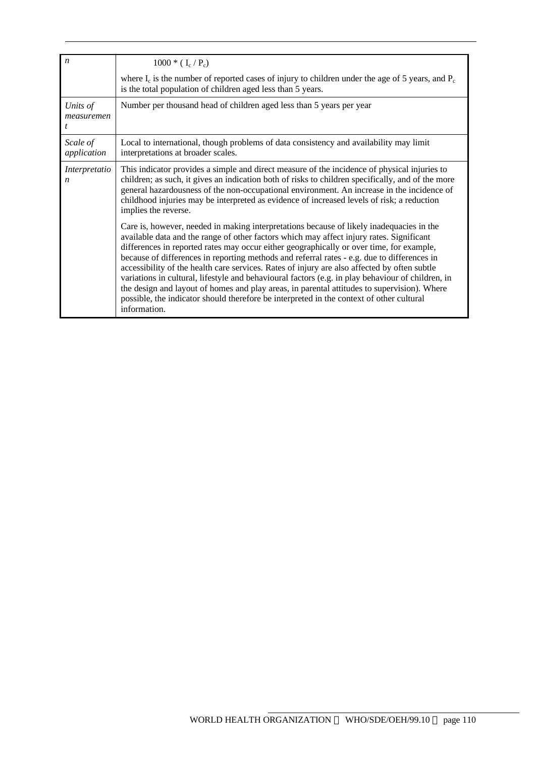| $\boldsymbol{n}$                  | $1000 * (I_c / P_c)$                                                                                                                                                                                                                                                                                                                                                                                                                                                                                                                                                                                                                                                                                                                                                                            |  |
|-----------------------------------|-------------------------------------------------------------------------------------------------------------------------------------------------------------------------------------------------------------------------------------------------------------------------------------------------------------------------------------------------------------------------------------------------------------------------------------------------------------------------------------------------------------------------------------------------------------------------------------------------------------------------------------------------------------------------------------------------------------------------------------------------------------------------------------------------|--|
|                                   | where $I_c$ is the number of reported cases of injury to children under the age of 5 years, and $P_c$<br>is the total population of children aged less than 5 years.                                                                                                                                                                                                                                                                                                                                                                                                                                                                                                                                                                                                                            |  |
| Units of<br>measuremen            | Number per thousand head of children aged less than 5 years per year                                                                                                                                                                                                                                                                                                                                                                                                                                                                                                                                                                                                                                                                                                                            |  |
| Scale of<br>application           | Local to international, though problems of data consistency and availability may limit<br>interpretations at broader scales.                                                                                                                                                                                                                                                                                                                                                                                                                                                                                                                                                                                                                                                                    |  |
| Interpretatio<br>$\boldsymbol{n}$ | This indicator provides a simple and direct measure of the incidence of physical injuries to<br>children; as such, it gives an indication both of risks to children specifically, and of the more<br>general hazardousness of the non-occupational environment. An increase in the incidence of<br>childhood injuries may be interpreted as evidence of increased levels of risk; a reduction<br>implies the reverse.                                                                                                                                                                                                                                                                                                                                                                           |  |
|                                   | Care is, however, needed in making interpretations because of likely inadequacies in the<br>available data and the range of other factors which may affect injury rates. Significant<br>differences in reported rates may occur either geographically or over time, for example,<br>because of differences in reporting methods and referral rates - e.g. due to differences in<br>accessibility of the health care services. Rates of injury are also affected by often subtle<br>variations in cultural, lifestyle and behavioural factors (e.g. in play behaviour of children, in<br>the design and layout of homes and play areas, in parental attitudes to supervision). Where<br>possible, the indicator should therefore be interpreted in the context of other cultural<br>information. |  |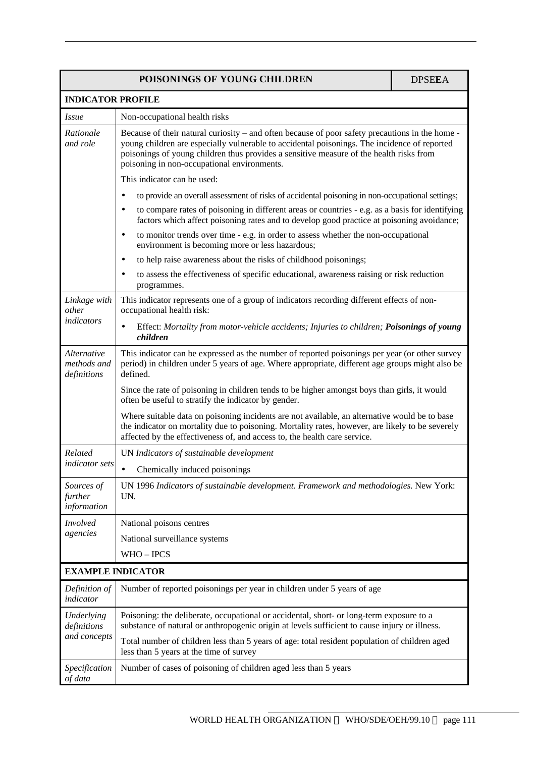| POISONINGS OF YOUNG CHILDREN<br><b>DPSEEA</b> |                                                                                                                                                                                                                                                                                                                                           |  |
|-----------------------------------------------|-------------------------------------------------------------------------------------------------------------------------------------------------------------------------------------------------------------------------------------------------------------------------------------------------------------------------------------------|--|
| <b>INDICATOR PROFILE</b>                      |                                                                                                                                                                                                                                                                                                                                           |  |
| <i>Issue</i>                                  | Non-occupational health risks                                                                                                                                                                                                                                                                                                             |  |
| Rationale<br>and role                         | Because of their natural curiosity – and often because of poor safety precautions in the home -<br>young children are especially vulnerable to accidental poisonings. The incidence of reported<br>poisonings of young children thus provides a sensitive measure of the health risks from<br>poisoning in non-occupational environments. |  |
|                                               | This indicator can be used:                                                                                                                                                                                                                                                                                                               |  |
|                                               | to provide an overall assessment of risks of accidental poisoning in non-occupational settings;                                                                                                                                                                                                                                           |  |
|                                               | to compare rates of poisoning in different areas or countries - e.g. as a basis for identifying<br>factors which affect poisoning rates and to develop good practice at poisoning avoidance;                                                                                                                                              |  |
|                                               | to monitor trends over time - e.g. in order to assess whether the non-occupational<br>$\bullet$<br>environment is becoming more or less hazardous;                                                                                                                                                                                        |  |
|                                               | to help raise awareness about the risks of childhood poisonings;<br>٠                                                                                                                                                                                                                                                                     |  |
|                                               | to assess the effectiveness of specific educational, awareness raising or risk reduction<br>programmes.                                                                                                                                                                                                                                   |  |
| Linkage with<br>other                         | This indicator represents one of a group of indicators recording different effects of non-<br>occupational health risk:                                                                                                                                                                                                                   |  |
| indicators                                    | Effect: Mortality from motor-vehicle accidents; Injuries to children; Poisonings of young<br>$\bullet$<br>children                                                                                                                                                                                                                        |  |
| Alternative<br>methods and<br>definitions     | This indicator can be expressed as the number of reported poisonings per year (or other survey<br>period) in children under 5 years of age. Where appropriate, different age groups might also be<br>defined.                                                                                                                             |  |
|                                               | Since the rate of poisoning in children tends to be higher amongst boys than girls, it would<br>often be useful to stratify the indicator by gender.                                                                                                                                                                                      |  |
|                                               | Where suitable data on poisoning incidents are not available, an alternative would be to base<br>the indicator on mortality due to poisoning. Mortality rates, however, are likely to be severely<br>affected by the effectiveness of, and access to, the health care service.                                                            |  |
| Related                                       | UN Indicators of sustainable development                                                                                                                                                                                                                                                                                                  |  |
| <i>indicator</i> sets                         | • Chemically induced poisonings                                                                                                                                                                                                                                                                                                           |  |
| Sources of<br>further<br>information          | UN 1996 Indicators of sustainable development. Framework and methodologies. New York:<br>UN.                                                                                                                                                                                                                                              |  |
| <i>Involved</i>                               | National poisons centres                                                                                                                                                                                                                                                                                                                  |  |
| agencies                                      | National surveillance systems                                                                                                                                                                                                                                                                                                             |  |
|                                               | $WHO - IPCS$                                                                                                                                                                                                                                                                                                                              |  |
| <b>EXAMPLE INDICATOR</b>                      |                                                                                                                                                                                                                                                                                                                                           |  |
| Definition of<br>indicator                    | Number of reported poisonings per year in children under 5 years of age                                                                                                                                                                                                                                                                   |  |
| Underlying<br>definitions                     | Poisoning: the deliberate, occupational or accidental, short- or long-term exposure to a<br>substance of natural or anthropogenic origin at levels sufficient to cause injury or illness.                                                                                                                                                 |  |
| and concepts                                  | Total number of children less than 5 years of age: total resident population of children aged<br>less than 5 years at the time of survey                                                                                                                                                                                                  |  |
| Specification<br>of data                      | Number of cases of poisoning of children aged less than 5 years                                                                                                                                                                                                                                                                           |  |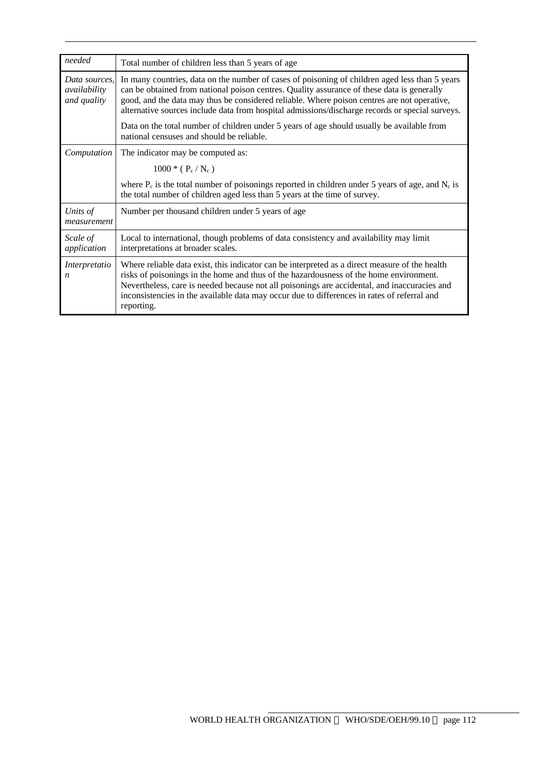| needed                                       | Total number of children less than 5 years of age                                                                                                                                                                                                                                                                                                                                                     |
|----------------------------------------------|-------------------------------------------------------------------------------------------------------------------------------------------------------------------------------------------------------------------------------------------------------------------------------------------------------------------------------------------------------------------------------------------------------|
| Data sources.<br>availability<br>and quality | In many countries, data on the number of cases of poisoning of children aged less than 5 years<br>can be obtained from national poison centres. Quality assurance of these data is generally<br>good, and the data may thus be considered reliable. Where poison centres are not operative,<br>alternative sources include data from hospital admissions/discharge records or special surveys.        |
|                                              | Data on the total number of children under 5 years of age should usually be available from<br>national censuses and should be reliable.                                                                                                                                                                                                                                                               |
| Computation                                  | The indicator may be computed as:                                                                                                                                                                                                                                                                                                                                                                     |
|                                              | $1000 * (P_c / N_c)$                                                                                                                                                                                                                                                                                                                                                                                  |
|                                              | where $P_c$ is the total number of poisonings reported in children under 5 years of age, and $N_c$ is<br>the total number of children aged less than 5 years at the time of survey.                                                                                                                                                                                                                   |
| Units of<br>measurement                      | Number per thousand children under 5 years of age                                                                                                                                                                                                                                                                                                                                                     |
| Scale of<br>application                      | Local to international, though problems of data consistency and availability may limit<br>interpretations at broader scales.                                                                                                                                                                                                                                                                          |
| Interpretatio<br>$\boldsymbol{n}$            | Where reliable data exist, this indicator can be interpreted as a direct measure of the health<br>risks of poisonings in the home and thus of the hazardousness of the home environment.<br>Nevertheless, care is needed because not all poisonings are accidental, and inaccuracies and<br>inconsistencies in the available data may occur due to differences in rates of referral and<br>reporting. |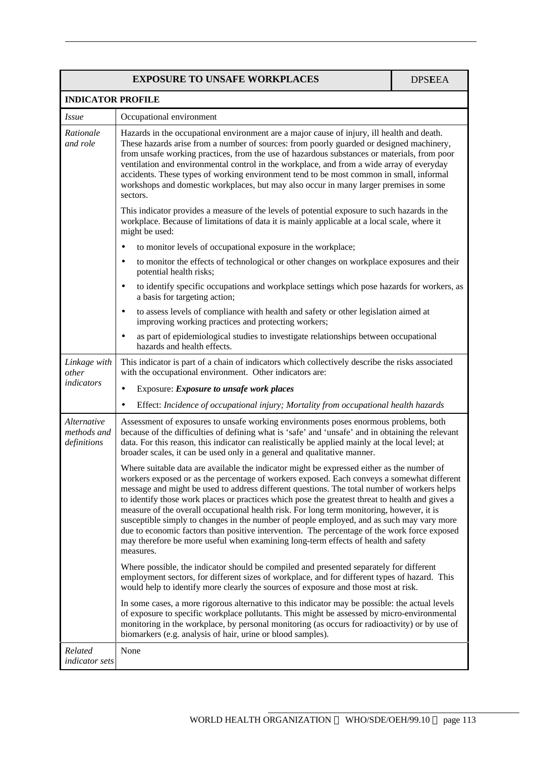| <b>EXPOSURE TO UNSAFE WORKPLACES</b><br><b>DPSEEA</b> |                                                                                                                                                                                                                                                                                                                                                                                                                                                                                                                                                                                                                                                                                                                                                                                         |  |
|-------------------------------------------------------|-----------------------------------------------------------------------------------------------------------------------------------------------------------------------------------------------------------------------------------------------------------------------------------------------------------------------------------------------------------------------------------------------------------------------------------------------------------------------------------------------------------------------------------------------------------------------------------------------------------------------------------------------------------------------------------------------------------------------------------------------------------------------------------------|--|
| <b>INDICATOR PROFILE</b>                              |                                                                                                                                                                                                                                                                                                                                                                                                                                                                                                                                                                                                                                                                                                                                                                                         |  |
| <i>Issue</i>                                          | Occupational environment                                                                                                                                                                                                                                                                                                                                                                                                                                                                                                                                                                                                                                                                                                                                                                |  |
| Rationale<br>and role                                 | Hazards in the occupational environment are a major cause of injury, ill health and death.<br>These hazards arise from a number of sources: from poorly guarded or designed machinery,<br>from unsafe working practices, from the use of hazardous substances or materials, from poor<br>ventilation and environmental control in the workplace, and from a wide array of everyday<br>accidents. These types of working environment tend to be most common in small, informal<br>workshops and domestic workplaces, but may also occur in many larger premises in some<br>sectors.                                                                                                                                                                                                      |  |
|                                                       | This indicator provides a measure of the levels of potential exposure to such hazards in the<br>workplace. Because of limitations of data it is mainly applicable at a local scale, where it<br>might be used:                                                                                                                                                                                                                                                                                                                                                                                                                                                                                                                                                                          |  |
|                                                       | to monitor levels of occupational exposure in the workplace;                                                                                                                                                                                                                                                                                                                                                                                                                                                                                                                                                                                                                                                                                                                            |  |
|                                                       | to monitor the effects of technological or other changes on workplace exposures and their<br>٠<br>potential health risks;                                                                                                                                                                                                                                                                                                                                                                                                                                                                                                                                                                                                                                                               |  |
|                                                       | to identify specific occupations and workplace settings which pose hazards for workers, as<br>$\bullet$<br>a basis for targeting action;                                                                                                                                                                                                                                                                                                                                                                                                                                                                                                                                                                                                                                                |  |
|                                                       | to assess levels of compliance with health and safety or other legislation aimed at<br>$\bullet$<br>improving working practices and protecting workers;                                                                                                                                                                                                                                                                                                                                                                                                                                                                                                                                                                                                                                 |  |
|                                                       | as part of epidemiological studies to investigate relationships between occupational<br>hazards and health effects.                                                                                                                                                                                                                                                                                                                                                                                                                                                                                                                                                                                                                                                                     |  |
| Linkage with<br>other                                 | This indicator is part of a chain of indicators which collectively describe the risks associated<br>with the occupational environment. Other indicators are:                                                                                                                                                                                                                                                                                                                                                                                                                                                                                                                                                                                                                            |  |
| indicators                                            | Exposure: Exposure to unsafe work places<br>$\bullet$                                                                                                                                                                                                                                                                                                                                                                                                                                                                                                                                                                                                                                                                                                                                   |  |
|                                                       | Effect: Incidence of occupational injury; Mortality from occupational health hazards<br>$\bullet$                                                                                                                                                                                                                                                                                                                                                                                                                                                                                                                                                                                                                                                                                       |  |
| Alternative<br>methods and<br>definitions             | Assessment of exposures to unsafe working environments poses enormous problems, both<br>because of the difficulties of defining what is 'safe' and 'unsafe' and in obtaining the relevant<br>data. For this reason, this indicator can realistically be applied mainly at the local level; at<br>broader scales, it can be used only in a general and qualitative manner.                                                                                                                                                                                                                                                                                                                                                                                                               |  |
|                                                       | Where suitable data are available the indicator might be expressed either as the number of<br>workers exposed or as the percentage of workers exposed. Each conveys a somewhat different<br>message and might be used to address different questions. The total number of workers helps<br>to identify those work places or practices which pose the greatest threat to health and gives a<br>measure of the overall occupational health risk. For long term monitoring, however, it is<br>susceptible simply to changes in the number of people employed, and as such may vary more<br>due to economic factors than positive intervention. The percentage of the work force exposed<br>may therefore be more useful when examining long-term effects of health and safety<br>measures. |  |
|                                                       | Where possible, the indicator should be compiled and presented separately for different<br>employment sectors, for different sizes of workplace, and for different types of hazard. This<br>would help to identify more clearly the sources of exposure and those most at risk.                                                                                                                                                                                                                                                                                                                                                                                                                                                                                                         |  |
|                                                       | In some cases, a more rigorous alternative to this indicator may be possible: the actual levels<br>of exposure to specific workplace pollutants. This might be assessed by micro-environmental<br>monitoring in the workplace, by personal monitoring (as occurs for radioactivity) or by use of<br>biomarkers (e.g. analysis of hair, urine or blood samples).                                                                                                                                                                                                                                                                                                                                                                                                                         |  |
| Related<br>indicator sets                             | None                                                                                                                                                                                                                                                                                                                                                                                                                                                                                                                                                                                                                                                                                                                                                                                    |  |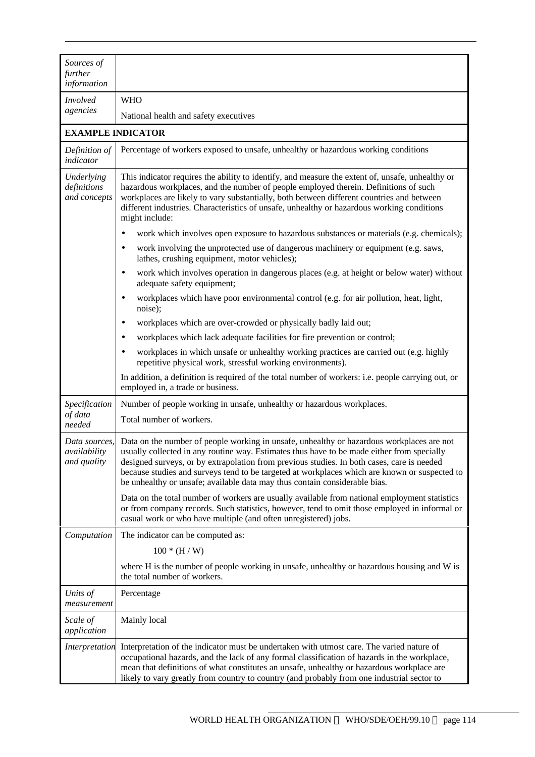| Sources of<br>further<br>information                                                                                                                                                                                                                                                                                                                                                                                                                                                                                 |                                                                                                                                                                                                                                                                                                                                                                                                       |
|----------------------------------------------------------------------------------------------------------------------------------------------------------------------------------------------------------------------------------------------------------------------------------------------------------------------------------------------------------------------------------------------------------------------------------------------------------------------------------------------------------------------|-------------------------------------------------------------------------------------------------------------------------------------------------------------------------------------------------------------------------------------------------------------------------------------------------------------------------------------------------------------------------------------------------------|
| <i>Involved</i>                                                                                                                                                                                                                                                                                                                                                                                                                                                                                                      | <b>WHO</b>                                                                                                                                                                                                                                                                                                                                                                                            |
| agencies                                                                                                                                                                                                                                                                                                                                                                                                                                                                                                             | National health and safety executives                                                                                                                                                                                                                                                                                                                                                                 |
| <b>EXAMPLE INDICATOR</b>                                                                                                                                                                                                                                                                                                                                                                                                                                                                                             |                                                                                                                                                                                                                                                                                                                                                                                                       |
| Definition of<br>indicator                                                                                                                                                                                                                                                                                                                                                                                                                                                                                           | Percentage of workers exposed to unsafe, unhealthy or hazardous working conditions                                                                                                                                                                                                                                                                                                                    |
| Underlying<br>definitions<br>and concepts                                                                                                                                                                                                                                                                                                                                                                                                                                                                            | This indicator requires the ability to identify, and measure the extent of, unsafe, unhealthy or<br>hazardous workplaces, and the number of people employed therein. Definitions of such<br>workplaces are likely to vary substantially, both between different countries and between<br>different industries. Characteristics of unsafe, unhealthy or hazardous working conditions<br>might include: |
|                                                                                                                                                                                                                                                                                                                                                                                                                                                                                                                      | work which involves open exposure to hazardous substances or materials (e.g. chemicals);<br>٠                                                                                                                                                                                                                                                                                                         |
|                                                                                                                                                                                                                                                                                                                                                                                                                                                                                                                      | work involving the unprotected use of dangerous machinery or equipment (e.g. saws,<br>٠<br>lathes, crushing equipment, motor vehicles);                                                                                                                                                                                                                                                               |
|                                                                                                                                                                                                                                                                                                                                                                                                                                                                                                                      | work which involves operation in dangerous places (e.g. at height or below water) without<br>٠<br>adequate safety equipment;                                                                                                                                                                                                                                                                          |
|                                                                                                                                                                                                                                                                                                                                                                                                                                                                                                                      | workplaces which have poor environmental control (e.g. for air pollution, heat, light,<br>$\bullet$<br>noise);                                                                                                                                                                                                                                                                                        |
|                                                                                                                                                                                                                                                                                                                                                                                                                                                                                                                      | workplaces which are over-crowded or physically badly laid out;<br>٠                                                                                                                                                                                                                                                                                                                                  |
|                                                                                                                                                                                                                                                                                                                                                                                                                                                                                                                      | workplaces which lack adequate facilities for fire prevention or control;<br>٠                                                                                                                                                                                                                                                                                                                        |
|                                                                                                                                                                                                                                                                                                                                                                                                                                                                                                                      | workplaces in which unsafe or unhealthy working practices are carried out (e.g. highly<br>$\bullet$<br>repetitive physical work, stressful working environments).                                                                                                                                                                                                                                     |
|                                                                                                                                                                                                                                                                                                                                                                                                                                                                                                                      | In addition, a definition is required of the total number of workers: i.e. people carrying out, or<br>employed in, a trade or business.                                                                                                                                                                                                                                                               |
| Specification<br>of data<br>needed                                                                                                                                                                                                                                                                                                                                                                                                                                                                                   | Number of people working in unsafe, unhealthy or hazardous workplaces.<br>Total number of workers.                                                                                                                                                                                                                                                                                                    |
| Data on the number of people working in unsafe, unhealthy or hazardous workplaces are not<br>Data sources,<br>availability<br>usually collected in any routine way. Estimates thus have to be made either from specially<br>and quality<br>designed surveys, or by extrapolation from previous studies. In both cases, care is needed<br>because studies and surveys tend to be targeted at workplaces which are known or suspected to<br>be unhealthy or unsafe; available data may thus contain considerable bias. |                                                                                                                                                                                                                                                                                                                                                                                                       |
|                                                                                                                                                                                                                                                                                                                                                                                                                                                                                                                      | Data on the total number of workers are usually available from national employment statistics<br>or from company records. Such statistics, however, tend to omit those employed in informal or<br>casual work or who have multiple (and often unregistered) jobs.                                                                                                                                     |
| Computation                                                                                                                                                                                                                                                                                                                                                                                                                                                                                                          | The indicator can be computed as:                                                                                                                                                                                                                                                                                                                                                                     |
|                                                                                                                                                                                                                                                                                                                                                                                                                                                                                                                      | $100 * (H/W)$                                                                                                                                                                                                                                                                                                                                                                                         |
|                                                                                                                                                                                                                                                                                                                                                                                                                                                                                                                      | where H is the number of people working in unsafe, unhealthy or hazardous housing and W is<br>the total number of workers.                                                                                                                                                                                                                                                                            |
| Units of<br>measurement                                                                                                                                                                                                                                                                                                                                                                                                                                                                                              | Percentage                                                                                                                                                                                                                                                                                                                                                                                            |
| Scale of<br>application                                                                                                                                                                                                                                                                                                                                                                                                                                                                                              | Mainly local                                                                                                                                                                                                                                                                                                                                                                                          |
| <i>Interpretation</i>                                                                                                                                                                                                                                                                                                                                                                                                                                                                                                | Interpretation of the indicator must be undertaken with utmost care. The varied nature of<br>occupational hazards, and the lack of any formal classification of hazards in the workplace,<br>mean that definitions of what constitutes an unsafe, unhealthy or hazardous workplace are<br>likely to vary greatly from country to country (and probably from one industrial sector to                  |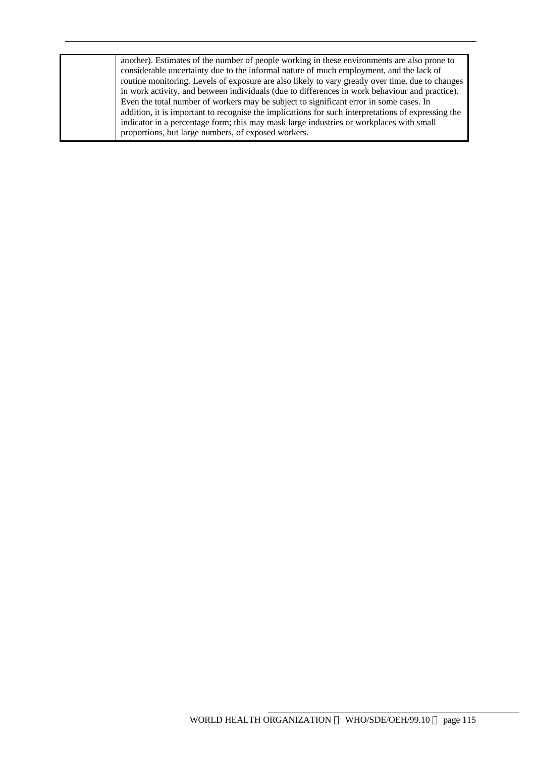| another). Estimates of the number of people working in these environments are also prone to        |
|----------------------------------------------------------------------------------------------------|
| considerable uncertainty due to the informal nature of much employment, and the lack of            |
| routine monitoring. Levels of exposure are also likely to vary greatly over time, due to changes   |
| in work activity, and between individuals (due to differences in work behaviour and practice).     |
| Even the total number of workers may be subject to significant error in some cases. In             |
| addition, it is important to recognise the implications for such interpretations of expressing the |
| indicator in a percentage form; this may mask large industries or workplaces with small            |
| proportions, but large numbers, of exposed workers.                                                |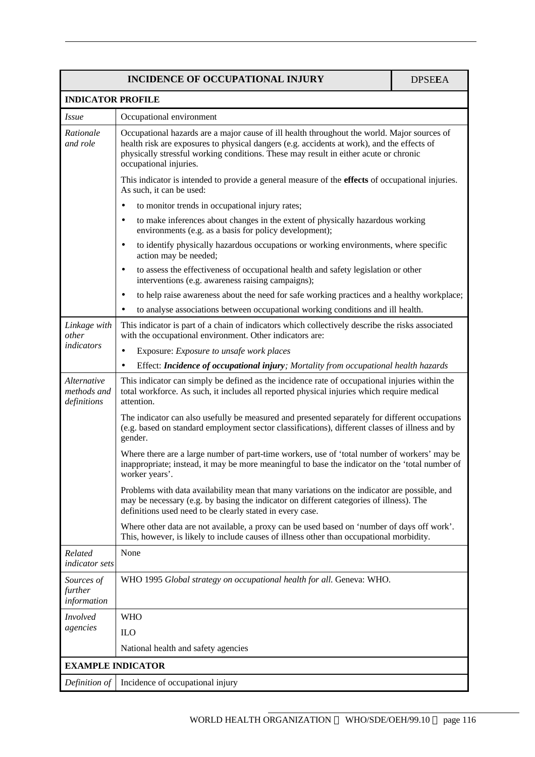| <b>INCIDENCE OF OCCUPATIONAL INJURY</b><br><b>DPSEEA</b> |                                                                                                                                                                                                                                                                                                             |  |
|----------------------------------------------------------|-------------------------------------------------------------------------------------------------------------------------------------------------------------------------------------------------------------------------------------------------------------------------------------------------------------|--|
| <b>INDICATOR PROFILE</b>                                 |                                                                                                                                                                                                                                                                                                             |  |
| <i>Issue</i>                                             | Occupational environment                                                                                                                                                                                                                                                                                    |  |
| Rationale<br>and role                                    | Occupational hazards are a major cause of ill health throughout the world. Major sources of<br>health risk are exposures to physical dangers (e.g. accidents at work), and the effects of<br>physically stressful working conditions. These may result in either acute or chronic<br>occupational injuries. |  |
|                                                          | This indicator is intended to provide a general measure of the <b>effects</b> of occupational injuries.<br>As such, it can be used:                                                                                                                                                                         |  |
|                                                          | to monitor trends in occupational injury rates;<br>$\bullet$                                                                                                                                                                                                                                                |  |
|                                                          | to make inferences about changes in the extent of physically hazardous working<br>٠<br>environments (e.g. as a basis for policy development);                                                                                                                                                               |  |
|                                                          | to identify physically hazardous occupations or working environments, where specific<br>٠<br>action may be needed;                                                                                                                                                                                          |  |
|                                                          | to assess the effectiveness of occupational health and safety legislation or other<br>$\bullet$<br>interventions (e.g. awareness raising campaigns);                                                                                                                                                        |  |
|                                                          | to help raise awareness about the need for safe working practices and a healthy workplace;<br>٠                                                                                                                                                                                                             |  |
|                                                          | to analyse associations between occupational working conditions and ill health.                                                                                                                                                                                                                             |  |
| Linkage with<br>other                                    | This indicator is part of a chain of indicators which collectively describe the risks associated<br>with the occupational environment. Other indicators are:                                                                                                                                                |  |
| indicators                                               | Exposure: Exposure to unsafe work places<br>$\bullet$                                                                                                                                                                                                                                                       |  |
|                                                          | Effect: Incidence of occupational injury; Mortality from occupational health hazards                                                                                                                                                                                                                        |  |
| Alternative<br>methods and<br>definitions                | This indicator can simply be defined as the incidence rate of occupational injuries within the<br>total workforce. As such, it includes all reported physical injuries which require medical<br>attention.                                                                                                  |  |
|                                                          | The indicator can also usefully be measured and presented separately for different occupations<br>(e.g. based on standard employment sector classifications), different classes of illness and by<br>gender.                                                                                                |  |
|                                                          | Where there are a large number of part-time workers, use of 'total number of workers' may be<br>inappropriate; instead, it may be more meaningful to base the indicator on the 'total number of<br>worker years'.                                                                                           |  |
|                                                          | Problems with data availability mean that many variations on the indicator are possible, and<br>may be necessary (e.g. by basing the indicator on different categories of illness). The<br>definitions used need to be clearly stated in every case.                                                        |  |
|                                                          | Where other data are not available, a proxy can be used based on 'number of days off work'.<br>This, however, is likely to include causes of illness other than occupational morbidity.                                                                                                                     |  |
| Related<br><i>indicator sets</i>                         | None                                                                                                                                                                                                                                                                                                        |  |
| Sources of<br>further<br>information                     | WHO 1995 Global strategy on occupational health for all. Geneva: WHO.                                                                                                                                                                                                                                       |  |
| <b>Involved</b>                                          | <b>WHO</b>                                                                                                                                                                                                                                                                                                  |  |
| agencies                                                 | <b>ILO</b>                                                                                                                                                                                                                                                                                                  |  |
|                                                          | National health and safety agencies                                                                                                                                                                                                                                                                         |  |
| <b>EXAMPLE INDICATOR</b>                                 |                                                                                                                                                                                                                                                                                                             |  |
| Definition of                                            | Incidence of occupational injury                                                                                                                                                                                                                                                                            |  |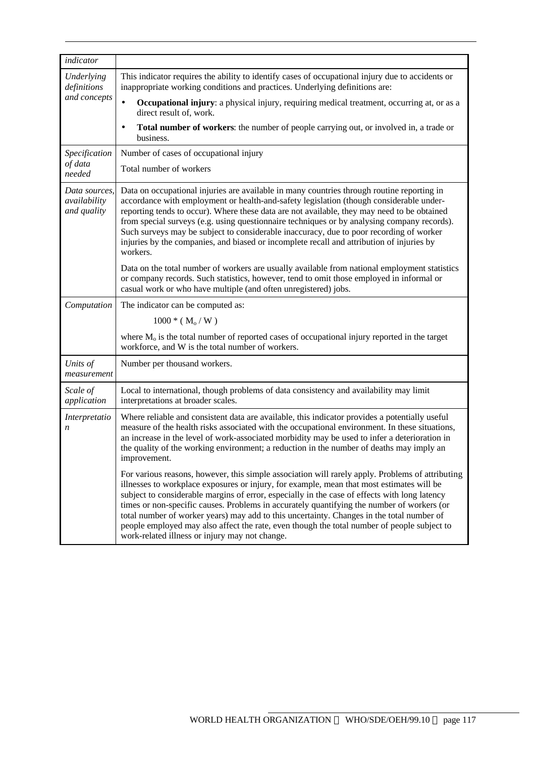| indicator                                    |                                                                                                                                                                                                                                                                                                                                                                                                                                                                                                                                                                                                                                            |
|----------------------------------------------|--------------------------------------------------------------------------------------------------------------------------------------------------------------------------------------------------------------------------------------------------------------------------------------------------------------------------------------------------------------------------------------------------------------------------------------------------------------------------------------------------------------------------------------------------------------------------------------------------------------------------------------------|
| Underlying<br>definitions<br>and concepts    | This indicator requires the ability to identify cases of occupational injury due to accidents or<br>inappropriate working conditions and practices. Underlying definitions are:                                                                                                                                                                                                                                                                                                                                                                                                                                                            |
|                                              | Occupational injury: a physical injury, requiring medical treatment, occurring at, or as a<br>$\bullet$<br>direct result of, work.                                                                                                                                                                                                                                                                                                                                                                                                                                                                                                         |
|                                              | Total number of workers: the number of people carrying out, or involved in, a trade or<br>business.                                                                                                                                                                                                                                                                                                                                                                                                                                                                                                                                        |
| Specification                                | Number of cases of occupational injury                                                                                                                                                                                                                                                                                                                                                                                                                                                                                                                                                                                                     |
| of data<br>needed                            | Total number of workers                                                                                                                                                                                                                                                                                                                                                                                                                                                                                                                                                                                                                    |
| Data sources,<br>availability<br>and quality | Data on occupational injuries are available in many countries through routine reporting in<br>accordance with employment or health-and-safety legislation (though considerable under-<br>reporting tends to occur). Where these data are not available, they may need to be obtained<br>from special surveys (e.g. using questionnaire techniques or by analysing company records).<br>Such surveys may be subject to considerable inaccuracy, due to poor recording of worker<br>injuries by the companies, and biased or incomplete recall and attribution of injuries by<br>workers.                                                    |
|                                              | Data on the total number of workers are usually available from national employment statistics<br>or company records. Such statistics, however, tend to omit those employed in informal or<br>casual work or who have multiple (and often unregistered) jobs.                                                                                                                                                                                                                                                                                                                                                                               |
| Computation                                  | The indicator can be computed as:                                                                                                                                                                                                                                                                                                                                                                                                                                                                                                                                                                                                          |
|                                              | $1000 * (M_0/W)$                                                                                                                                                                                                                                                                                                                                                                                                                                                                                                                                                                                                                           |
|                                              | where $Mo$ is the total number of reported cases of occupational injury reported in the target<br>workforce, and W is the total number of workers.                                                                                                                                                                                                                                                                                                                                                                                                                                                                                         |
| Units of<br>measurement                      | Number per thousand workers.                                                                                                                                                                                                                                                                                                                                                                                                                                                                                                                                                                                                               |
| Scale of<br>application                      | Local to international, though problems of data consistency and availability may limit<br>interpretations at broader scales.                                                                                                                                                                                                                                                                                                                                                                                                                                                                                                               |
| Interpretatio<br>n                           | Where reliable and consistent data are available, this indicator provides a potentially useful<br>measure of the health risks associated with the occupational environment. In these situations,<br>an increase in the level of work-associated morbidity may be used to infer a deterioration in<br>the quality of the working environment; a reduction in the number of deaths may imply an<br>improvement.                                                                                                                                                                                                                              |
|                                              | For various reasons, however, this simple association will rarely apply. Problems of attributing<br>illnesses to workplace exposures or injury, for example, mean that most estimates will be<br>subject to considerable margins of error, especially in the case of effects with long latency<br>times or non-specific causes. Problems in accurately quantifying the number of workers (or<br>total number of worker years) may add to this uncertainty. Changes in the total number of<br>people employed may also affect the rate, even though the total number of people subject to<br>work-related illness or injury may not change. |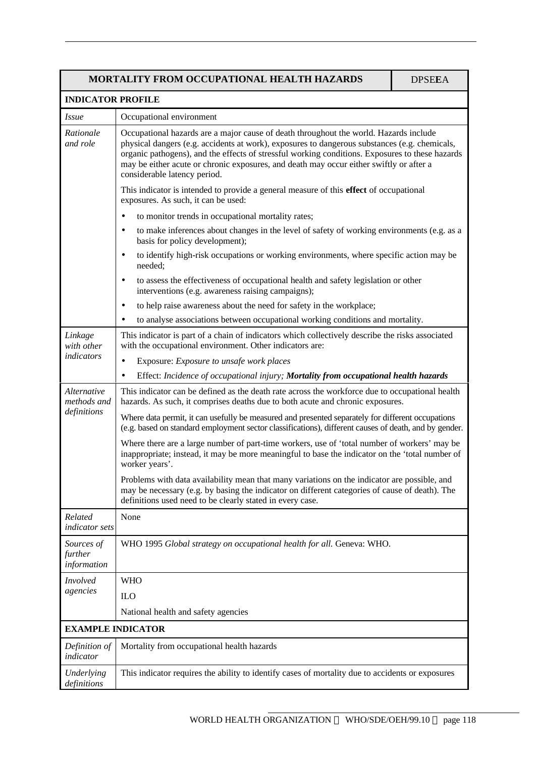| <b>MORTALITY FROM OCCUPATIONAL HEALTH HAZARDS</b> |                                                                                                                                                                                                                                                                                                                                                                                                                      | <b>DPSEEA</b> |  |
|---------------------------------------------------|----------------------------------------------------------------------------------------------------------------------------------------------------------------------------------------------------------------------------------------------------------------------------------------------------------------------------------------------------------------------------------------------------------------------|---------------|--|
| <b>INDICATOR PROFILE</b>                          |                                                                                                                                                                                                                                                                                                                                                                                                                      |               |  |
| <i>Issue</i>                                      | Occupational environment                                                                                                                                                                                                                                                                                                                                                                                             |               |  |
| Rationale<br>and role                             | Occupational hazards are a major cause of death throughout the world. Hazards include<br>physical dangers (e.g. accidents at work), exposures to dangerous substances (e.g. chemicals,<br>organic pathogens), and the effects of stressful working conditions. Exposures to these hazards<br>may be either acute or chronic exposures, and death may occur either swiftly or after a<br>considerable latency period. |               |  |
|                                                   | This indicator is intended to provide a general measure of this effect of occupational<br>exposures. As such, it can be used:                                                                                                                                                                                                                                                                                        |               |  |
|                                                   | to monitor trends in occupational mortality rates;<br>$\bullet$                                                                                                                                                                                                                                                                                                                                                      |               |  |
|                                                   | to make inferences about changes in the level of safety of working environments (e.g. as a<br>$\bullet$<br>basis for policy development);                                                                                                                                                                                                                                                                            |               |  |
|                                                   | to identify high-risk occupations or working environments, where specific action may be<br>$\bullet$<br>needed;                                                                                                                                                                                                                                                                                                      |               |  |
|                                                   | to assess the effectiveness of occupational health and safety legislation or other<br>$\bullet$<br>interventions (e.g. awareness raising campaigns);                                                                                                                                                                                                                                                                 |               |  |
|                                                   | to help raise awareness about the need for safety in the workplace;<br>٠                                                                                                                                                                                                                                                                                                                                             |               |  |
|                                                   | to analyse associations between occupational working conditions and mortality.                                                                                                                                                                                                                                                                                                                                       |               |  |
| Linkage<br>with other<br>indicators               | This indicator is part of a chain of indicators which collectively describe the risks associated<br>with the occupational environment. Other indicators are:                                                                                                                                                                                                                                                         |               |  |
|                                                   | Exposure: Exposure to unsafe work places<br>$\bullet$                                                                                                                                                                                                                                                                                                                                                                |               |  |
|                                                   | Effect: Incidence of occupational injury; Mortality from occupational health hazards<br>$\bullet$                                                                                                                                                                                                                                                                                                                    |               |  |
| Alternative<br>methods and<br>definitions         | This indicator can be defined as the death rate across the workforce due to occupational health<br>hazards. As such, it comprises deaths due to both acute and chronic exposures.                                                                                                                                                                                                                                    |               |  |
|                                                   | Where data permit, it can usefully be measured and presented separately for different occupations<br>(e.g. based on standard employment sector classifications), different causes of death, and by gender.                                                                                                                                                                                                           |               |  |
|                                                   | Where there are a large number of part-time workers, use of 'total number of workers' may be<br>inappropriate; instead, it may be more meaningful to base the indicator on the 'total number of<br>worker years'.                                                                                                                                                                                                    |               |  |
|                                                   | Problems with data availability mean that many variations on the indicator are possible, and<br>may be necessary (e.g. by basing the indicator on different categories of cause of death). The<br>definitions used need to be clearly stated in every case.                                                                                                                                                          |               |  |
| Related<br>indicator sets                         | None                                                                                                                                                                                                                                                                                                                                                                                                                 |               |  |
| Sources of<br>further<br>information              | WHO 1995 Global strategy on occupational health for all. Geneva: WHO.                                                                                                                                                                                                                                                                                                                                                |               |  |
| <b>Involved</b><br>agencies                       | <b>WHO</b>                                                                                                                                                                                                                                                                                                                                                                                                           |               |  |
|                                                   | ILO                                                                                                                                                                                                                                                                                                                                                                                                                  |               |  |
|                                                   | National health and safety agencies                                                                                                                                                                                                                                                                                                                                                                                  |               |  |
|                                                   | <b>EXAMPLE INDICATOR</b>                                                                                                                                                                                                                                                                                                                                                                                             |               |  |
| Definition of<br>indicator                        | Mortality from occupational health hazards                                                                                                                                                                                                                                                                                                                                                                           |               |  |
| Underlying<br>definitions                         | This indicator requires the ability to identify cases of mortality due to accidents or exposures                                                                                                                                                                                                                                                                                                                     |               |  |